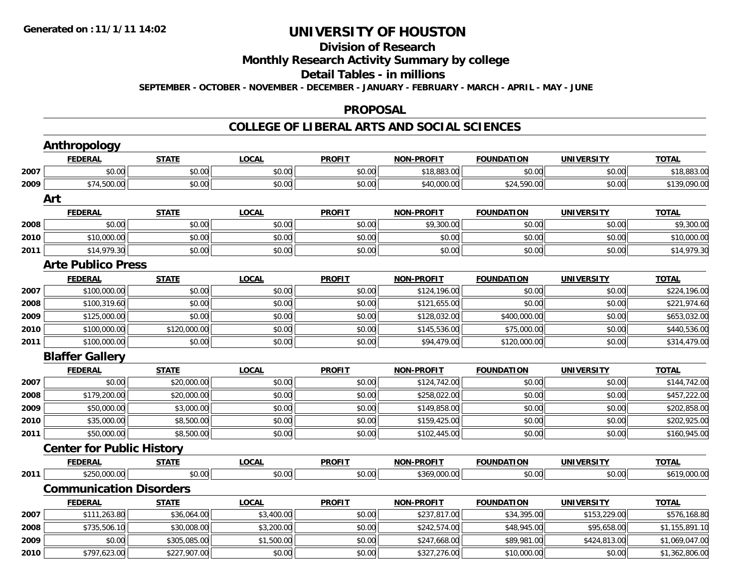## **Division of Research Monthly Research Activity Summary by college Detail Tables - in millions SEPTEMBER - OCTOBER - NOVEMBER - DECEMBER - JANUARY - FEBRUARY - MARCH - APRIL - MAY - JUNE**

#### **PROPOSAL**

|      | <b>Anthropology</b>              |              |              |               |                   |                   |                   |                |
|------|----------------------------------|--------------|--------------|---------------|-------------------|-------------------|-------------------|----------------|
|      | <b>FEDERAL</b>                   | <b>STATE</b> | <b>LOCAL</b> | <b>PROFIT</b> | <b>NON-PROFIT</b> | <b>FOUNDATION</b> | <b>UNIVERSITY</b> | <b>TOTAL</b>   |
| 2007 | \$0.00                           | \$0.00       | \$0.00       | \$0.00        | \$18,883.00       | \$0.00            | \$0.00            | \$18,883.00    |
| 2009 | \$74,500.00                      | \$0.00       | \$0.00       | \$0.00        | \$40,000.00       | \$24,590.00       | \$0.00            | \$139,090.00   |
|      | Art                              |              |              |               |                   |                   |                   |                |
|      | <b>FEDERAL</b>                   | <b>STATE</b> | <b>LOCAL</b> | <b>PROFIT</b> | <b>NON-PROFIT</b> | <b>FOUNDATION</b> | <b>UNIVERSITY</b> | <b>TOTAL</b>   |
| 2008 | \$0.00                           | \$0.00       | \$0.00       | \$0.00        | \$9,300.00        | \$0.00            | \$0.00            | \$9,300.00     |
| 2010 | \$10,000.00                      | \$0.00       | \$0.00       | \$0.00        | \$0.00            | \$0.00            | \$0.00            | \$10,000.00    |
| 2011 | \$14,979.30                      | \$0.00       | \$0.00       | \$0.00        | \$0.00            | \$0.00            | \$0.00            | \$14,979.30    |
|      | <b>Arte Publico Press</b>        |              |              |               |                   |                   |                   |                |
|      | <b>FEDERAL</b>                   | <b>STATE</b> | <b>LOCAL</b> | <b>PROFIT</b> | <b>NON-PROFIT</b> | <b>FOUNDATION</b> | <b>UNIVERSITY</b> | <b>TOTAL</b>   |
| 2007 | \$100,000.00                     | \$0.00       | \$0.00       | \$0.00        | \$124,196.00      | \$0.00            | \$0.00            | \$224,196.00   |
| 2008 | \$100,319.60                     | \$0.00       | \$0.00       | \$0.00        | \$121,655.00      | \$0.00            | \$0.00            | \$221,974.60   |
| 2009 | \$125,000.00                     | \$0.00       | \$0.00       | \$0.00        | \$128,032.00      | \$400,000.00      | \$0.00            | \$653,032.00   |
| 2010 | \$100,000.00                     | \$120,000.00 | \$0.00       | \$0.00        | \$145,536.00      | \$75,000.00       | \$0.00            | \$440,536.00   |
| 2011 | \$100,000.00                     | \$0.00       | \$0.00       | \$0.00        | \$94,479.00       | \$120,000.00      | \$0.00            | \$314,479.00   |
|      | <b>Blaffer Gallery</b>           |              |              |               |                   |                   |                   |                |
|      | <b>FEDERAL</b>                   | <b>STATE</b> | <b>LOCAL</b> | <b>PROFIT</b> | <b>NON-PROFIT</b> | <b>FOUNDATION</b> | <b>UNIVERSITY</b> | <b>TOTAL</b>   |
| 2007 | \$0.00                           | \$20,000.00  | \$0.00       | \$0.00        | \$124,742.00      | \$0.00            | \$0.00            | \$144,742.00   |
| 2008 | \$179,200.00                     | \$20,000.00  | \$0.00       | \$0.00        | \$258,022.00      | \$0.00            | \$0.00            | \$457,222.00   |
| 2009 | \$50,000.00                      | \$3,000.00   | \$0.00       | \$0.00        | \$149,858.00      | \$0.00            | \$0.00            | \$202,858.00   |
| 2010 | \$35,000.00                      | \$8,500.00   | \$0.00       | \$0.00        | \$159,425.00      | \$0.00            | \$0.00            | \$202,925.00   |
| 2011 | \$50,000.00                      | \$8,500.00   | \$0.00       | \$0.00        | \$102,445.00      | \$0.00            | \$0.00            | \$160,945.00   |
|      | <b>Center for Public History</b> |              |              |               |                   |                   |                   |                |
|      | <b>FEDERAL</b>                   | <b>STATE</b> | <b>LOCAL</b> | <b>PROFIT</b> | <b>NON-PROFIT</b> | <b>FOUNDATION</b> | <b>UNIVERSITY</b> | <b>TOTAL</b>   |
| 2011 | \$250,000.00                     | \$0.00       | \$0.00       | \$0.00        | \$369,000.00      | \$0.00            | \$0.00            | \$619,000.00   |
|      | <b>Communication Disorders</b>   |              |              |               |                   |                   |                   |                |
|      | <b>FEDERAL</b>                   | <b>STATE</b> | <b>LOCAL</b> | <b>PROFIT</b> | <b>NON-PROFIT</b> | <b>FOUNDATION</b> | <b>UNIVERSITY</b> | <b>TOTAL</b>   |
| 2007 | \$111,263.80                     | \$36,064.00  | \$3,400.00   | \$0.00        | \$237,817.00      | \$34,395.00       | \$153,229.00      | \$576,168.80   |
| 2008 | \$735,506.10                     | \$30,008.00  | \$3,200.00   | \$0.00        | \$242,574.00      | \$48,945.00       | \$95,658.00       | \$1,155,891.10 |
| 2009 | \$0.00                           | \$305,085.00 | \$1,500.00   | \$0.00        | \$247,668.00      | \$89,981.00       | \$424,813.00      | \$1,069,047.00 |
| 2010 | \$797,623.00                     | \$227,907.00 | \$0.00       | \$0.00        | \$327,276.00      | \$10,000.00       | \$0.00            | \$1,362,806.00 |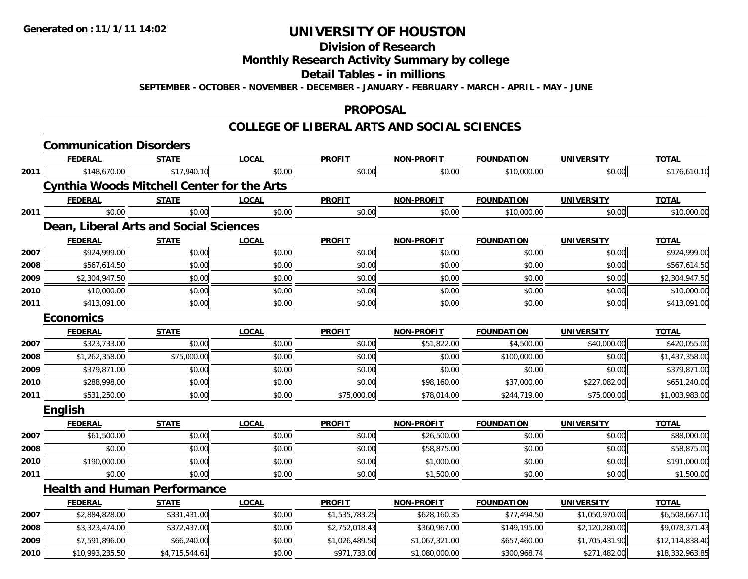## **Division of Research Monthly Research Activity Summary by college Detail Tables - in millions SEPTEMBER - OCTOBER - NOVEMBER - DECEMBER - JANUARY - FEBRUARY - MARCH - APRIL - MAY - JUNE**

#### **PROPOSAL**

|      | <b>Communication Disorders</b>                    |                |              |                |                   |                   |                   |                 |  |  |  |  |
|------|---------------------------------------------------|----------------|--------------|----------------|-------------------|-------------------|-------------------|-----------------|--|--|--|--|
|      | <b>FEDERAL</b>                                    | <b>STATE</b>   | <b>LOCAL</b> | <b>PROFIT</b>  | <b>NON-PROFIT</b> | <b>FOUNDATION</b> | <b>UNIVERSITY</b> | <b>TOTAL</b>    |  |  |  |  |
| 2011 | \$148,670.00                                      | \$17,940.10    | \$0.00       | \$0.00         | \$0.00            | \$10,000.00       | \$0.00            | \$176,610.10    |  |  |  |  |
|      | <b>Cynthia Woods Mitchell Center for the Arts</b> |                |              |                |                   |                   |                   |                 |  |  |  |  |
|      | <b>FEDERAL</b>                                    | <b>STATE</b>   | <b>LOCAL</b> | <b>PROFIT</b>  | <b>NON-PROFIT</b> | <b>FOUNDATION</b> | <b>UNIVERSITY</b> | <b>TOTAL</b>    |  |  |  |  |
| 2011 | \$0.00                                            | \$0.00         | \$0.00       | \$0.00         | \$0.00            | \$10,000.00       | \$0.00            | \$10,000.00     |  |  |  |  |
|      | <b>Dean, Liberal Arts and Social Sciences</b>     |                |              |                |                   |                   |                   |                 |  |  |  |  |
|      | <b>FEDERAL</b>                                    | <b>STATE</b>   | <b>LOCAL</b> | <b>PROFIT</b>  | <b>NON-PROFIT</b> | <b>FOUNDATION</b> | <b>UNIVERSITY</b> | <b>TOTAL</b>    |  |  |  |  |
| 2007 | \$924,999.00                                      | \$0.00         | \$0.00       | \$0.00         | \$0.00            | \$0.00            | \$0.00            | \$924,999.00    |  |  |  |  |
| 2008 | \$567,614.50                                      | \$0.00         | \$0.00       | \$0.00         | \$0.00            | \$0.00            | \$0.00            | \$567,614.50    |  |  |  |  |
| 2009 | \$2,304,947.50                                    | \$0.00         | \$0.00       | \$0.00         | \$0.00            | \$0.00            | \$0.00            | \$2,304,947.50  |  |  |  |  |
| 2010 | \$10,000.00                                       | \$0.00         | \$0.00       | \$0.00         | \$0.00            | \$0.00            | \$0.00            | \$10,000.00     |  |  |  |  |
| 2011 | \$413,091.00                                      | \$0.00         | \$0.00       | \$0.00         | \$0.00            | \$0.00            | \$0.00            |                 |  |  |  |  |
|      | \$413,091.00<br><b>Economics</b>                  |                |              |                |                   |                   |                   |                 |  |  |  |  |
|      | <b>FEDERAL</b>                                    | <b>STATE</b>   | <b>LOCAL</b> | <b>PROFIT</b>  | <b>NON-PROFIT</b> | <b>FOUNDATION</b> | <b>UNIVERSITY</b> | <b>TOTAL</b>    |  |  |  |  |
| 2007 | \$323,733.00                                      | \$0.00         | \$0.00       | \$0.00         | \$51,822.00       | \$4,500.00        | \$40,000.00       | \$420,055.00    |  |  |  |  |
| 2008 | \$1,262,358.00                                    | \$75,000.00    | \$0.00       | \$0.00         | \$0.00            | \$100,000.00      | \$0.00            | \$1,437,358.00  |  |  |  |  |
| 2009 | \$379,871.00                                      | \$0.00         | \$0.00       | \$0.00         | \$0.00            | \$0.00            | \$0.00            | \$379,871.00    |  |  |  |  |
| 2010 | \$288,998.00                                      | \$0.00         | \$0.00       | \$0.00         | \$98,160.00       | \$37,000.00       | \$227,082.00      | \$651,240.00    |  |  |  |  |
| 2011 | \$531,250.00                                      | \$0.00         | \$0.00       | \$75,000.00    | \$78,014.00       | \$244,719.00      | \$75,000.00       | \$1,003,983.00  |  |  |  |  |
|      | <b>English</b>                                    |                |              |                |                   |                   |                   |                 |  |  |  |  |
|      | <b>FEDERAL</b>                                    | <b>STATE</b>   | <b>LOCAL</b> | <b>PROFIT</b>  | <b>NON-PROFIT</b> | <b>FOUNDATION</b> | <b>UNIVERSITY</b> | <b>TOTAL</b>    |  |  |  |  |
| 2007 | \$61,500.00                                       | \$0.00         | \$0.00       | \$0.00         | \$26,500.00       | \$0.00            | \$0.00            | \$88,000.00     |  |  |  |  |
| 2008 | \$0.00                                            | \$0.00         | \$0.00       | \$0.00         | \$58,875.00       | \$0.00            | \$0.00            | \$58,875.00     |  |  |  |  |
| 2010 | \$190,000.00                                      | \$0.00         | \$0.00       | \$0.00         | \$1,000.00        | \$0.00            | \$0.00            | \$191,000.00    |  |  |  |  |
| 2011 | \$0.00                                            | \$0.00         | \$0.00       | \$0.00         | \$1,500.00        | \$0.00            | \$0.00            | \$1,500.00      |  |  |  |  |
|      | <b>Health and Human Performance</b>               |                |              |                |                   |                   |                   |                 |  |  |  |  |
|      | <b>FEDERAL</b>                                    | <b>STATE</b>   | <b>LOCAL</b> | <b>PROFIT</b>  | <b>NON-PROFIT</b> | <b>FOUNDATION</b> | <b>UNIVERSITY</b> | <b>TOTAL</b>    |  |  |  |  |
| 2007 | \$2,884,828.00                                    | \$331,431.00   | \$0.00       | \$1,535,783.25 | \$628,160.35      | \$77,494.50       | \$1,050,970.00    | \$6,508,667.10  |  |  |  |  |
| 2008 | \$3,323,474.00                                    | \$372,437.00   | \$0.00       | \$2,752,018.43 | \$360,967.00      | \$149,195.00      | \$2,120,280.00    | \$9,078,371.43  |  |  |  |  |
| 2009 | \$7,591,896.00                                    | \$66,240.00    | \$0.00       | \$1,026,489.50 | \$1,067,321.00    | \$657,460.00      | \$1,705,431.90    | \$12,114,838.40 |  |  |  |  |
| 2010 | \$10,993,235.50                                   | \$4,715,544.61 | \$0.00       | \$971,733.00   | \$1,080,000.00    | \$300,968.74      | \$271,482.00      | \$18,332,963.85 |  |  |  |  |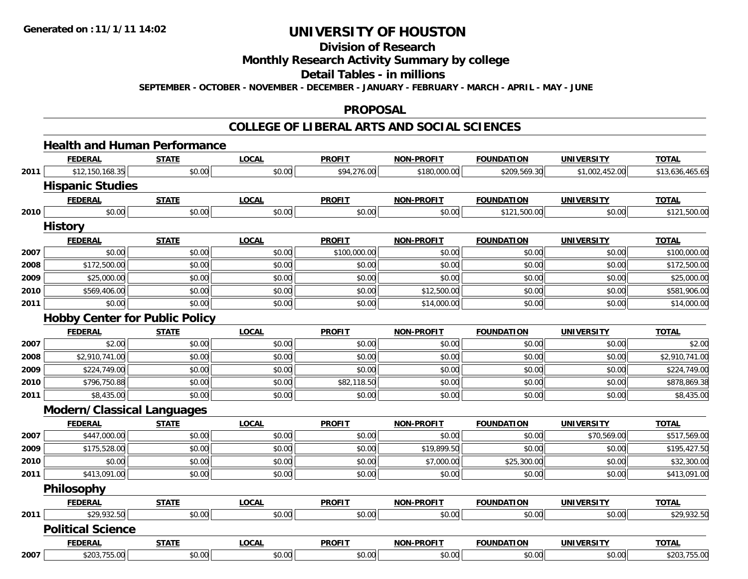## **Division of Research Monthly Research Activity Summary by college Detail Tables - in millions SEPTEMBER - OCTOBER - NOVEMBER - DECEMBER - JANUARY - FEBRUARY - MARCH - APRIL - MAY - JUNE**

#### **PROPOSAL**

|      | <b>Health and Human Performance</b>   |              |              |               |                   |                   |                   |                 |  |  |  |  |
|------|---------------------------------------|--------------|--------------|---------------|-------------------|-------------------|-------------------|-----------------|--|--|--|--|
|      | <b>FEDERAL</b>                        | <b>STATE</b> | <b>LOCAL</b> | <b>PROFIT</b> | <b>NON-PROFIT</b> | <b>FOUNDATION</b> | <b>UNIVERSITY</b> | <b>TOTAL</b>    |  |  |  |  |
| 2011 | \$12,150,168.35                       | \$0.00       | \$0.00       | \$94,276.00   | \$180,000.00      | \$209,569.30      | \$1,002,452.00    | \$13,636,465.65 |  |  |  |  |
|      | <b>Hispanic Studies</b>               |              |              |               |                   |                   |                   |                 |  |  |  |  |
|      | <b>FEDERAL</b>                        | <b>STATE</b> | <b>LOCAL</b> | <b>PROFIT</b> | <b>NON-PROFIT</b> | <b>FOUNDATION</b> | <b>UNIVERSITY</b> | <b>TOTAL</b>    |  |  |  |  |
| 2010 | \$0.00                                | \$0.00       | \$0.00       | \$0.00        | \$0.00            | \$121,500.00      | \$0.00            | \$121,500.00    |  |  |  |  |
|      | <b>History</b>                        |              |              |               |                   |                   |                   |                 |  |  |  |  |
|      | <b>FEDERAL</b>                        | <b>STATE</b> | <b>LOCAL</b> | <b>PROFIT</b> | <b>NON-PROFIT</b> | <b>FOUNDATION</b> | <b>UNIVERSITY</b> | <b>TOTAL</b>    |  |  |  |  |
| 2007 | \$0.00                                | \$0.00       | \$0.00       | \$100,000.00  | \$0.00            | \$0.00            | \$0.00            | \$100,000.00    |  |  |  |  |
| 2008 | \$172,500.00                          | \$0.00       | \$0.00       | \$0.00        | \$0.00            | \$0.00            | \$0.00            | \$172,500.00    |  |  |  |  |
| 2009 | \$25,000.00                           | \$0.00       | \$0.00       | \$0.00        | \$0.00            | \$0.00            | \$0.00            | \$25,000.00     |  |  |  |  |
| 2010 | \$569,406.00                          | \$0.00       | \$0.00       | \$0.00        | \$12,500.00       | \$0.00            | \$0.00            | \$581,906.00    |  |  |  |  |
| 2011 | \$0.00                                | \$0.00       | \$0.00       | \$0.00        | \$14,000.00       | \$0.00            | \$0.00            | \$14,000.00     |  |  |  |  |
|      | <b>Hobby Center for Public Policy</b> |              |              |               |                   |                   |                   |                 |  |  |  |  |
|      | <b>FEDERAL</b>                        | <b>STATE</b> | <b>LOCAL</b> | <b>PROFIT</b> | <b>NON-PROFIT</b> | <b>FOUNDATION</b> | <b>UNIVERSITY</b> | <b>TOTAL</b>    |  |  |  |  |
| 2007 | \$2.00                                | \$0.00       | \$0.00       | \$0.00        | \$0.00            | \$0.00            | \$0.00            | \$2.00          |  |  |  |  |
| 2008 | \$2,910,741.00                        | \$0.00       | \$0.00       | \$0.00        | \$0.00            | \$0.00            | \$0.00            | \$2,910,741.00  |  |  |  |  |
| 2009 | \$224,749.00                          | \$0.00       | \$0.00       | \$0.00        | \$0.00            | \$0.00            | \$0.00            | \$224,749.00    |  |  |  |  |
| 2010 | \$796,750.88                          | \$0.00       | \$0.00       | \$82,118.50   | \$0.00            | \$0.00            | \$0.00            | \$878,869.38    |  |  |  |  |
| 2011 | \$8,435.00                            | \$0.00       | \$0.00       | \$0.00        | \$0.00            | \$0.00            | \$0.00            | \$8,435.00      |  |  |  |  |
|      | <b>Modern/Classical Languages</b>     |              |              |               |                   |                   |                   |                 |  |  |  |  |
|      | <b>FEDERAL</b>                        | <b>STATE</b> | <b>LOCAL</b> | <b>PROFIT</b> | <b>NON-PROFIT</b> | <b>FOUNDATION</b> | <b>UNIVERSITY</b> | <b>TOTAL</b>    |  |  |  |  |
| 2007 | \$447,000.00                          | \$0.00       | \$0.00       | \$0.00        | \$0.00            | \$0.00            | \$70,569.00       | \$517,569.00    |  |  |  |  |
| 2009 | \$175,528.00                          | \$0.00       | \$0.00       | \$0.00        | \$19,899.50       | \$0.00            | \$0.00            | \$195,427.50    |  |  |  |  |
| 2010 | \$0.00                                | \$0.00       | \$0.00       | \$0.00        | \$7,000.00        | \$25,300.00       | \$0.00            | \$32,300.00     |  |  |  |  |
| 2011 | \$413,091.00                          | \$0.00       | \$0.00       | \$0.00        | \$0.00            | \$0.00            | \$0.00            | \$413,091.00    |  |  |  |  |
|      | <b>Philosophy</b>                     |              |              |               |                   |                   |                   |                 |  |  |  |  |
|      | <b>FEDERAL</b>                        | <b>STATE</b> | <b>LOCAL</b> | <b>PROFIT</b> | <b>NON-PROFIT</b> | <b>FOUNDATION</b> | <b>UNIVERSITY</b> | <b>TOTAL</b>    |  |  |  |  |
| 2011 | \$29,932.50                           | \$0.00       | \$0.00       | \$0.00        | \$0.00            | \$0.00            | \$0.00            | \$29,932.50     |  |  |  |  |
|      | <b>Political Science</b>              |              |              |               |                   |                   |                   |                 |  |  |  |  |
|      | <b>FEDERAL</b>                        | <b>STATE</b> | <b>LOCAL</b> | <b>PROFIT</b> | <b>NON-PROFIT</b> | <b>FOUNDATION</b> | <b>UNIVERSITY</b> | <b>TOTAL</b>    |  |  |  |  |
| 2007 | \$203,755.00                          | \$0.00       | \$0.00       | \$0.00        | \$0.00            | \$0.00            | \$0.00            | \$203,755.00    |  |  |  |  |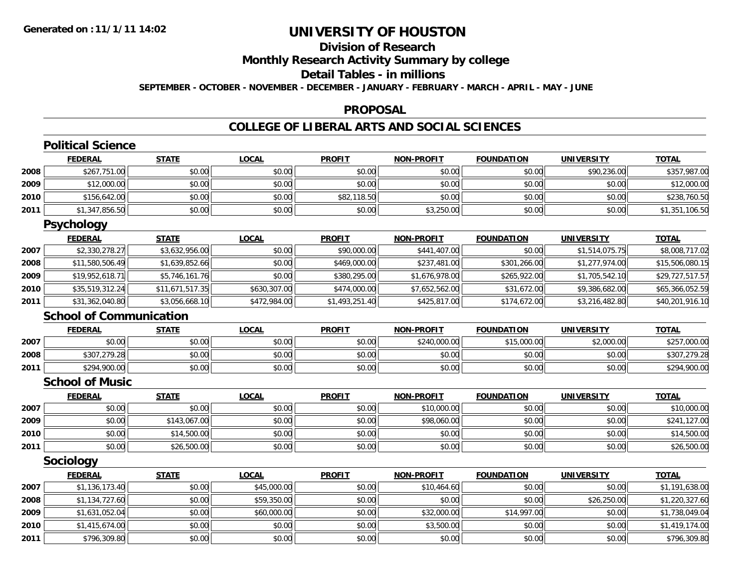## **Division of Research Monthly Research Activity Summary by college Detail Tables - in millions SEPTEMBER - OCTOBER - NOVEMBER - DECEMBER - JANUARY - FEBRUARY - MARCH - APRIL - MAY - JUNE**

#### **PROPOSAL**

|      | <b>Political Science</b>       |                 |              |                |                   |                   |                   |                 |
|------|--------------------------------|-----------------|--------------|----------------|-------------------|-------------------|-------------------|-----------------|
|      | <b>FEDERAL</b>                 | <b>STATE</b>    | <b>LOCAL</b> | <b>PROFIT</b>  | <b>NON-PROFIT</b> | <b>FOUNDATION</b> | <b>UNIVERSITY</b> | <b>TOTAL</b>    |
| 2008 | \$267,751.00                   | \$0.00          | \$0.00       | \$0.00         | \$0.00            | \$0.00            | \$90,236.00       | \$357,987.00    |
| 2009 | \$12,000.00                    | \$0.00          | \$0.00       | \$0.00         | \$0.00            | \$0.00            | \$0.00            | \$12,000.00     |
| 2010 | \$156,642.00                   | \$0.00          | \$0.00       | \$82,118.50    | \$0.00            | \$0.00            | \$0.00            | \$238,760.50    |
| 2011 | \$1,347,856.50                 | \$0.00          | \$0.00       | \$0.00         | \$3,250.00        | \$0.00            | \$0.00            | \$1,351,106.50  |
|      | <b>Psychology</b>              |                 |              |                |                   |                   |                   |                 |
|      | <b>FEDERAL</b>                 | <b>STATE</b>    | <b>LOCAL</b> | <b>PROFIT</b>  | <b>NON-PROFIT</b> | <b>FOUNDATION</b> | <b>UNIVERSITY</b> | <b>TOTAL</b>    |
| 2007 | \$2,330,278.27                 | \$3,632,956.00  | \$0.00       | \$90,000.00    | \$441,407.00      | \$0.00            | \$1,514,075.75    | \$8,008,717.02  |
| 2008 | \$11,580,506.49                | \$1,639,852.66  | \$0.00       | \$469,000.00   | \$237,481.00      | \$301,266.00      | \$1,277,974.00    | \$15,506,080.15 |
| 2009 | \$19,952,618.71                | \$5,746,161.76  | \$0.00       | \$380,295.00   | \$1,676,978.00    | \$265,922.00      | \$1,705,542.10    | \$29,727,517.57 |
| 2010 | \$35,519,312.24                | \$11,671,517.35 | \$630,307.00 | \$474,000.00   | \$7,652,562.00    | \$31,672.00       | \$9,386,682.00    | \$65,366,052.59 |
| 2011 | \$31,362,040.80                | \$3,056,668.10  | \$472,984.00 | \$1,493,251.40 | \$425,817.00      | \$174,672.00      | \$3,216,482.80    | \$40,201,916.10 |
|      | <b>School of Communication</b> |                 |              |                |                   |                   |                   |                 |
|      | <b>FEDERAL</b>                 | <b>STATE</b>    | <b>LOCAL</b> | <b>PROFIT</b>  | <b>NON-PROFIT</b> | <b>FOUNDATION</b> | <b>UNIVERSITY</b> | <b>TOTAL</b>    |
| 2007 | \$0.00                         | \$0.00          | \$0.00       | \$0.00         | \$240,000.00      | \$15,000.00       | \$2,000.00        | \$257,000.00    |
| 2008 | \$307,279.28                   | \$0.00          | \$0.00       | \$0.00         | \$0.00            | \$0.00            | \$0.00            | \$307,279.28    |
| 2011 | \$294,900.00                   | \$0.00          | \$0.00       | \$0.00         | \$0.00            | \$0.00            | \$0.00            | \$294,900.00    |
|      | <b>School of Music</b>         |                 |              |                |                   |                   |                   |                 |
|      | <b>FEDERAL</b>                 | <b>STATE</b>    | <b>LOCAL</b> | <b>PROFIT</b>  | <b>NON-PROFIT</b> | <b>FOUNDATION</b> | <b>UNIVERSITY</b> | <b>TOTAL</b>    |
| 2007 | \$0.00                         | \$0.00          | \$0.00       | \$0.00         | \$10,000.00       | \$0.00            | \$0.00            | \$10,000.00     |
| 2009 | \$0.00                         | \$143,067.00    | \$0.00       | \$0.00         | \$98,060.00       | \$0.00            | \$0.00            | \$241,127.00    |
| 2010 | \$0.00                         | \$14,500.00     | \$0.00       | \$0.00         | \$0.00            | \$0.00            | \$0.00            | \$14,500.00     |
| 2011 | \$0.00                         | \$26,500.00     | \$0.00       | \$0.00         | \$0.00            | \$0.00            | \$0.00            | \$26,500.00     |
|      | <b>Sociology</b>               |                 |              |                |                   |                   |                   |                 |
|      | <b>FEDERAL</b>                 | <b>STATE</b>    | <b>LOCAL</b> | <b>PROFIT</b>  | <b>NON-PROFIT</b> | <b>FOUNDATION</b> | <b>UNIVERSITY</b> | <b>TOTAL</b>    |
| 2007 | \$1,136,173.40                 | \$0.00          | \$45,000.00  | \$0.00         | \$10,464.60       | \$0.00            | \$0.00            | \$1,191,638.00  |
| 2008 | \$1,134,727.60                 | \$0.00          | \$59,350.00  | \$0.00         | \$0.00            | \$0.00            | \$26,250.00       | \$1,220,327.60  |
| 2009 | \$1,631,052.04                 | \$0.00          | \$60,000.00  | \$0.00         | \$32,000.00       | \$14,997.00       | \$0.00            | \$1,738,049.04  |
| 2010 | \$1,415,674.00                 | \$0.00          | \$0.00       | \$0.00         | \$3,500.00        | \$0.00            | \$0.00            | \$1,419,174.00  |
| 2011 | \$796,309.80                   | \$0.00          | \$0.00       | \$0.00         | \$0.00            | \$0.00            | \$0.00            | \$796,309.80    |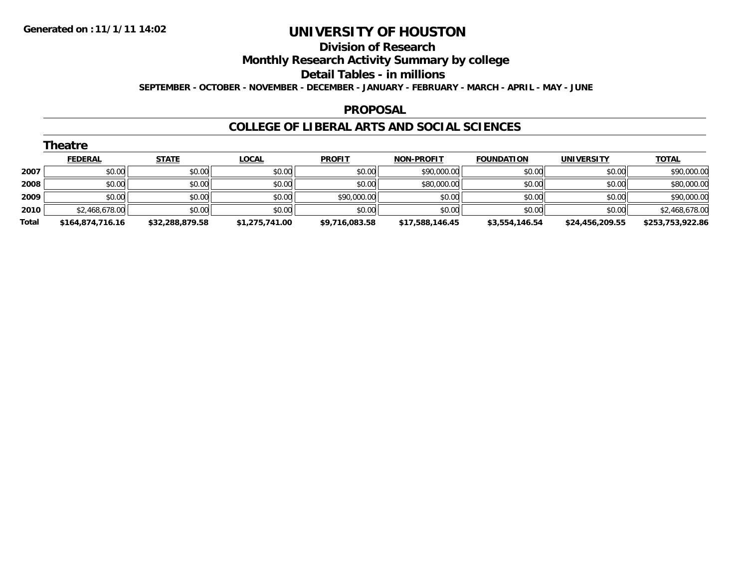## **Division of Research Monthly Research Activity Summary by college Detail Tables - in millions SEPTEMBER - OCTOBER - NOVEMBER - DECEMBER - JANUARY - FEBRUARY - MARCH - APRIL - MAY - JUNE**

#### **PROPOSAL**

|       | <b>Theatre</b>   |                 |                |                |                   |                   |                   |                  |  |  |  |  |
|-------|------------------|-----------------|----------------|----------------|-------------------|-------------------|-------------------|------------------|--|--|--|--|
|       | <b>FEDERAL</b>   | <b>STATE</b>    | <b>LOCAL</b>   | <b>PROFIT</b>  | <b>NON-PROFIT</b> | <b>FOUNDATION</b> | <b>UNIVERSITY</b> | <b>TOTAL</b>     |  |  |  |  |
| 2007  | \$0.00           | \$0.00          | \$0.00         | \$0.00         | \$90,000.00       | \$0.00            | \$0.00            | \$90,000.00      |  |  |  |  |
| 2008  | \$0.00           | \$0.00          | \$0.00         | \$0.00         | \$80,000.00       | \$0.00            | \$0.00            | \$80,000.00      |  |  |  |  |
| 2009  | \$0.00           | \$0.00          | \$0.00         | \$90,000.00    | \$0.00            | \$0.00            | \$0.00            | \$90,000.00      |  |  |  |  |
| 2010  | \$2,468,678.00   | \$0.00          | \$0.00         | \$0.00         | \$0.00            | \$0.00            | \$0.00            | \$2,468,678.00   |  |  |  |  |
| Total | \$164,874,716.16 | \$32,288,879.58 | \$1,275,741.00 | \$9,716,083.58 | \$17,588,146.45   | \$3,554,146.54    | \$24,456,209.55   | \$253,753,922.86 |  |  |  |  |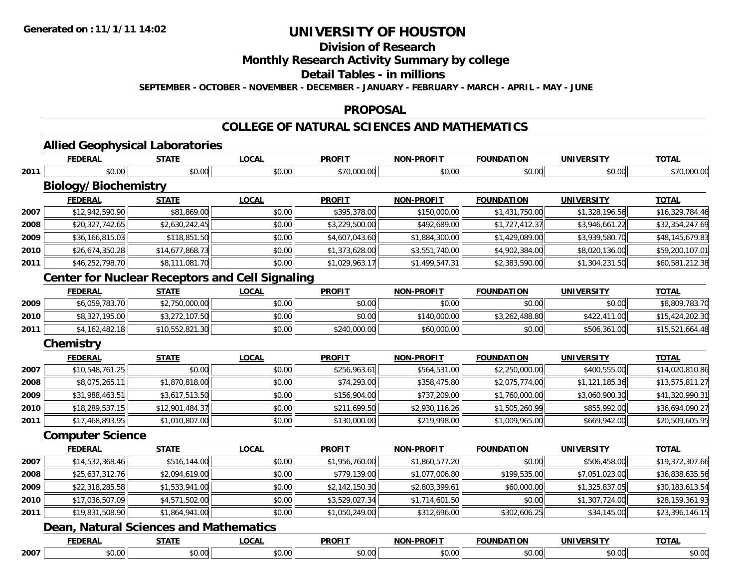## **Division of Research Monthly Research Activity Summary by college Detail Tables - in millions SEPTEMBER - OCTOBER - NOVEMBER - DECEMBER - JANUARY - FEBRUARY - MARCH - APRIL - MAY - JUNE**

## **PROPOSAL**

## **COLLEGE OF NATURAL SCIENCES AND MATHEMATICS**

|      | <b>Allied Geophysical Laboratories</b>                 |                        |                        |                              |                             |                             |                             |                 |
|------|--------------------------------------------------------|------------------------|------------------------|------------------------------|-----------------------------|-----------------------------|-----------------------------|-----------------|
|      | <b>FEDERAL</b><br>\$0.00                               | <b>STATE</b><br>\$0.00 | <b>LOCAL</b><br>\$0.00 | <b>PROFIT</b><br>\$70,000.00 | <b>NON-PROFIT</b><br>\$0.00 | <b>FOUNDATION</b><br>\$0.00 | <b>UNIVERSITY</b><br>\$0.00 | <b>TOTAL</b>    |
| 2011 | <b>Biology/Biochemistry</b>                            |                        |                        |                              |                             |                             |                             | \$70,000.00     |
|      | <b>FEDERAL</b>                                         | <b>STATE</b>           | <b>LOCAL</b>           | <b>PROFIT</b>                | <b>NON-PROFIT</b>           | <b>FOUNDATION</b>           | <b>UNIVERSITY</b>           | <b>TOTAL</b>    |
| 2007 | \$12,942,590.90                                        | \$81,869.00            | \$0.00                 | \$395,378.00                 | \$150,000.00                | \$1,431,750.00              | \$1,328,196.56              | \$16,329,784.46 |
| 2008 | \$20,327,742.65                                        | \$2,630,242.45         | \$0.00                 | \$3,229,500.00               | \$492,689.00                | \$1,727,412.37              | \$3,946,661.22              | \$32,354,247.69 |
| 2009 | \$36,166,815.03                                        | \$118,851.50           | \$0.00                 | \$4,607,043.60               | \$1,884,300.00              | \$1,429,089.00              | \$3,939,580.70              | \$48,145,679.83 |
| 2010 | \$26,674,350.28                                        | \$14,677,868.73        | \$0.00                 | \$1,373,628.00               | \$3,551,740.00              | \$4,902,384.00              | \$8,020,136.00              | \$59,200,107.01 |
| 2011 | \$46,252,798.70                                        | \$8,111,081.70         | \$0.00                 | \$1,029,963.17               | \$1,499,547.31              | \$2,383,590.00              | \$1,304,231.50              | \$60,581,212.38 |
|      | <b>Center for Nuclear Receptors and Cell Signaling</b> |                        |                        |                              |                             |                             |                             |                 |
|      | <b>FEDERAL</b>                                         | <b>STATE</b>           | <b>LOCAL</b>           | <b>PROFIT</b>                | <b>NON-PROFIT</b>           | <b>FOUNDATION</b>           | <b>UNIVERSITY</b>           | <b>TOTAL</b>    |
| 2009 | \$6,059,783.70                                         | \$2,750,000.00         | \$0.00                 | \$0.00                       | \$0.00                      | \$0.00                      | \$0.00                      | \$8,809,783.70  |
| 2010 | \$8,327,195.00                                         | \$3,272,107.50         | \$0.00                 | \$0.00                       | \$140,000.00                | \$3,262,488.80              | \$422,411.00                | \$15,424,202.30 |
| 2011 | \$4,162,482.18                                         | \$10,552,821.30        | \$0.00                 | \$240,000.00                 | \$60,000.00                 | \$0.00                      | \$506,361.00                | \$15,521,664.48 |
|      | <b>Chemistry</b>                                       |                        |                        |                              |                             |                             |                             |                 |
|      | <b>FEDERAL</b>                                         | <b>STATE</b>           | <b>LOCAL</b>           | <b>PROFIT</b>                | <b>NON-PROFIT</b>           | <b>FOUNDATION</b>           | <b>UNIVERSITY</b>           | <b>TOTAL</b>    |
| 2007 | \$10,548,761.25                                        | \$0.00                 | \$0.00                 | \$256,963.61                 | \$564,531.00                | \$2,250,000.00              | \$400,555.00                | \$14,020,810.86 |
| 2008 | \$8,075,265.11                                         | \$1,870,818.00         | \$0.00                 | \$74,293.00                  | \$358,475.80                | \$2,075,774.00              | \$1,121,185.36              | \$13,575,811.27 |
| 2009 | \$31,988,463.51                                        | \$3,617,513.50         | \$0.00                 | \$156,904.00                 | \$737,209.00                | \$1,760,000.00              | \$3,060,900.30              | \$41,320,990.31 |
| 2010 | \$18,289,537.15                                        | \$12,901,484.37        | \$0.00                 | \$211,699.50                 | \$2,930,116.26              | \$1,505,260.99              | \$855,992.00                | \$36,694,090.27 |
| 2011 | \$17,468,893.95                                        | \$1,010,807.00         | \$0.00                 | \$130,000.00                 | \$219,998.00                | \$1,009,965.00              | \$669,942.00                | \$20,509,605.95 |
|      | <b>Computer Science</b>                                |                        |                        |                              |                             |                             |                             |                 |
|      | <b>FEDERAL</b>                                         | <b>STATE</b>           | <b>LOCAL</b>           | <b>PROFIT</b>                | <b>NON-PROFIT</b>           | <b>FOUNDATION</b>           | <b>UNIVERSITY</b>           | <b>TOTAL</b>    |
| 2007 | \$14,532,368.46                                        | \$516,144.00           | \$0.00                 | \$1,956,760.00               | \$1,860,577.20              | \$0.00                      | \$506,458.00                | \$19,372,307.66 |
| 2008 | \$25,637,312.76                                        | \$2,094,619.00         | \$0.00                 | \$779,139.00                 | \$1,077,006.80              | \$199,535.00                | \$7,051,023.00              | \$36,838,635.56 |
| 2009 | \$22,318,285.58                                        | \$1,533,941.00         | \$0.00                 | \$2,142,150.30               | \$2,803,399.61              | \$60,000.00                 | \$1,325,837.05              | \$30,183,613.54 |
| 2010 | \$17,036,507.09                                        | \$4,571,502.00         | \$0.00                 | \$3,529,027.34               | \$1,714,601.50              | \$0.00                      | \$1,307,724.00              | \$28,159,361.93 |
| 2011 | \$19,831,508.90                                        | \$1,864,941.00         | \$0.00                 | \$1,050,249.00               | \$312,696.00                | \$302,606.25                | \$34,145.00                 | \$23,396,146.15 |
|      | <b>Dean, Natural Sciences and Mathematics</b>          |                        |                        |                              |                             |                             |                             |                 |
|      | <b>FEDERAL</b>                                         | <b>STATE</b>           | <b>LOCAL</b>           | <b>PROFIT</b>                | <b>NON-PROFIT</b>           | <b>FOUNDATION</b>           | <b>UNIVERSITY</b>           | <b>TOTAL</b>    |
| 2007 | \$0.00                                                 | \$0.00                 | \$0.00                 | \$0.00                       | \$0.00                      | \$0.00                      | \$0.00                      | \$0.00          |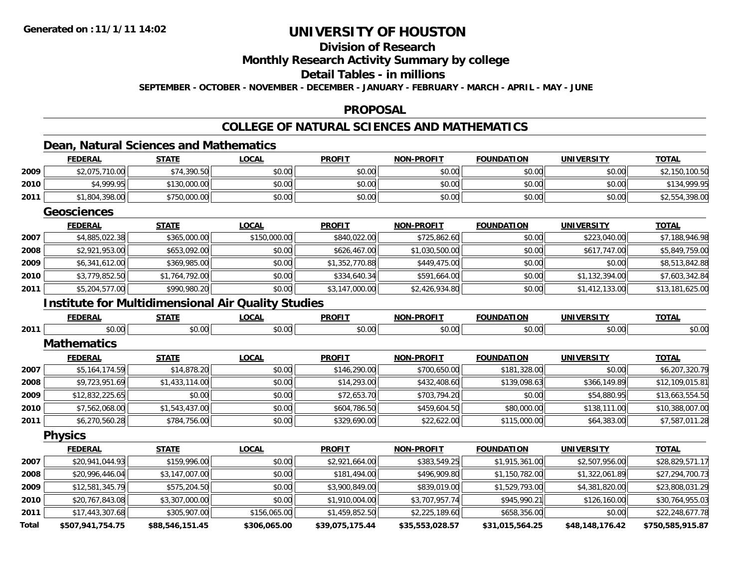## **Division of Research Monthly Research Activity Summary by college Detail Tables - in millions SEPTEMBER - OCTOBER - NOVEMBER - DECEMBER - JANUARY - FEBRUARY - MARCH - APRIL - MAY - JUNE**

#### **PROPOSAL**

## **COLLEGE OF NATURAL SCIENCES AND MATHEMATICS**

## **Dean, Natural Sciences and Mathematics**

|              | <b>FEDERAL</b>                                            | <b>STATE</b>    | <b>LOCAL</b> | <b>PROFIT</b>   | <b>NON-PROFIT</b> | <b>FOUNDATION</b> | <b>UNIVERSITY</b> | <b>TOTAL</b>     |
|--------------|-----------------------------------------------------------|-----------------|--------------|-----------------|-------------------|-------------------|-------------------|------------------|
| 2009         | \$2,075,710.00                                            | \$74,390.50     | \$0.00       | \$0.00          | \$0.00            | \$0.00            | \$0.00            | \$2,150,100.50   |
| 2010         | \$4,999.95                                                | \$130,000.00    | \$0.00       | \$0.00          | \$0.00            | \$0.00            | \$0.00            | \$134,999.95     |
| 2011         | \$1,804,398.00                                            | \$750,000.00    | \$0.00       | \$0.00          | \$0.00            | \$0.00            | \$0.00            | \$2,554,398.00   |
|              | <b>Geosciences</b>                                        |                 |              |                 |                   |                   |                   |                  |
|              | <b>FEDERAL</b>                                            | <b>STATE</b>    | <b>LOCAL</b> | <b>PROFIT</b>   | <b>NON-PROFIT</b> | <b>FOUNDATION</b> | <b>UNIVERSITY</b> | <b>TOTAL</b>     |
| 2007         | \$4,885,022.38                                            | \$365,000.00    | \$150,000.00 | \$840,022.00    | \$725,862.60      | \$0.00            | \$223,040.00      | \$7,188,946.98   |
| 2008         | \$2,921,953.00                                            | \$653,092.00    | \$0.00       | \$626,467.00    | \$1,030,500.00    | \$0.00            | \$617,747.00      | \$5,849,759.00   |
| 2009         | \$6,341,612.00                                            | \$369,985.00    | \$0.00       | \$1,352,770.88  | \$449,475.00      | \$0.00            | \$0.00            | \$8,513,842.88   |
| 2010         | \$3,779,852.50                                            | \$1,764,792.00  | \$0.00       | \$334,640.34    | \$591,664.00      | \$0.00            | \$1,132,394.00    | \$7,603,342.84   |
| 2011         | \$5,204,577.00                                            | \$990,980.20    | \$0.00       | \$3,147,000.00  | \$2,426,934.80    | \$0.00            | \$1,412,133.00    | \$13,181,625.00  |
|              | <b>Institute for Multidimensional Air Quality Studies</b> |                 |              |                 |                   |                   |                   |                  |
|              | <b>FEDERAL</b>                                            | <b>STATE</b>    | <b>LOCAL</b> | <b>PROFIT</b>   | <b>NON-PROFIT</b> | <b>FOUNDATION</b> | <b>UNIVERSITY</b> | <b>TOTAL</b>     |
| 2011         | \$0.00                                                    | \$0.00          | \$0.00       | \$0.00          | \$0.00            | \$0.00            | \$0.00            | \$0.00           |
|              | <b>Mathematics</b>                                        |                 |              |                 |                   |                   |                   |                  |
|              | <b>FEDERAL</b>                                            | <b>STATE</b>    | <b>LOCAL</b> | <b>PROFIT</b>   | <b>NON-PROFIT</b> | <b>FOUNDATION</b> | <b>UNIVERSITY</b> | <b>TOTAL</b>     |
| 2007         | \$5,164,174.59                                            | \$14,878.20     | \$0.00       | \$146,290.00    | \$700,650.00      | \$181,328.00      | \$0.00            | \$6,207,320.79   |
| 2008         | \$9,723,951.69                                            | \$1,433,114.00  | \$0.00       | \$14,293.00     | \$432,408.60      | \$139,098.63      | \$366,149.89      | \$12,109,015.81  |
| 2009         | \$12,832,225.65                                           | \$0.00          | \$0.00       | \$72,653.70     | \$703,794.20      | \$0.00            | \$54,880.95       | \$13,663,554.50  |
| 2010         | \$7,562,068.00                                            | \$1,543,437.00  | \$0.00       | \$604,786.50    | \$459,604.50      | \$80,000.00       | \$138,111.00      | \$10,388,007.00  |
| 2011         | \$6,270,560.28                                            | \$784,756.00    | \$0.00       | \$329,690.00    | \$22,622.00       | \$115,000.00      | \$64,383.00       | \$7,587,011.28   |
|              | <b>Physics</b>                                            |                 |              |                 |                   |                   |                   |                  |
|              | <b>FEDERAL</b>                                            | <b>STATE</b>    | <b>LOCAL</b> | <b>PROFIT</b>   | <b>NON-PROFIT</b> | <b>FOUNDATION</b> | <b>UNIVERSITY</b> | <b>TOTAL</b>     |
| 2007         | \$20,941,044.93                                           | \$159,996.00    | \$0.00       | \$2,921,664.00  | \$383,549.25      | \$1,915,361.00    | \$2,507,956.00    | \$28,829,571.17  |
| 2008         | \$20,996,446.04                                           | \$3,147,007.00  | \$0.00       | \$181,494.00    | \$496,909.80      | \$1,150,782.00    | \$1,322,061.89    | \$27,294,700.73  |
| 2009         | \$12,581,345.79                                           | \$575,204.50    | \$0.00       | \$3,900,849.00  | \$839,019.00      | \$1,529,793.00    | \$4,381,820.00    | \$23,808,031.29  |
| 2010         | \$20,767,843.08                                           | \$3,307,000.00  | \$0.00       | \$1,910,004.00  | \$3,707,957.74    | \$945,990.21      | \$126,160.00      | \$30,764,955.03  |
| 2011         | \$17,443,307.68                                           | \$305,907.00    | \$156,065.00 | \$1,459,852.50  | \$2,225,189.60    | \$658,356.00      | \$0.00            | \$22,248,677.78  |
| <b>Total</b> | \$507,941,754.75                                          | \$88,546,151.45 | \$306,065.00 | \$39,075,175.44 | \$35,553,028.57   | \$31,015,564.25   | \$48,148,176.42   | \$750,585,915.87 |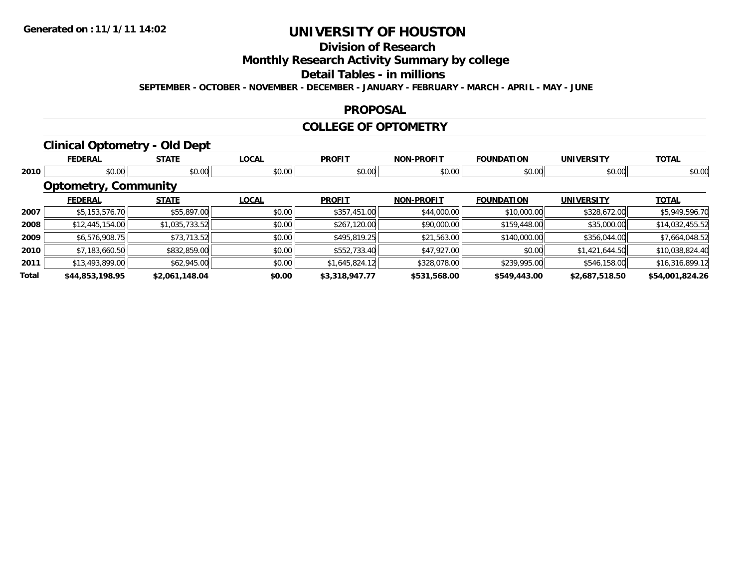## **Division of Research Monthly Research Activity Summary by college Detail Tables - in millions SEPTEMBER - OCTOBER - NOVEMBER - DECEMBER - JANUARY - FEBRUARY - MARCH - APRIL - MAY - JUNE**

#### **PROPOSAL**

#### **COLLEGE OF OPTOMETRY**

## **Clinical Optometry - Old Dept**

|       | <b>FEDERAL</b>              | <b>STATE</b>   | <b>LOCAL</b> | <b>PROFIT</b>  | <b>NON-PROFIT</b> | <b>FOUNDATION</b> | <b>UNIVERSITY</b> | <b>TOTAL</b>    |
|-------|-----------------------------|----------------|--------------|----------------|-------------------|-------------------|-------------------|-----------------|
| 2010  | \$0.00                      | \$0.00         | \$0.00       | \$0.00         | \$0.00            | \$0.00            | \$0.00            | \$0.00          |
|       | <b>Optometry, Community</b> |                |              |                |                   |                   |                   |                 |
|       | <b>FEDERAL</b>              | <b>STATE</b>   | <b>LOCAL</b> | <b>PROFIT</b>  | <b>NON-PROFIT</b> | <b>FOUNDATION</b> | <b>UNIVERSITY</b> | <b>TOTAL</b>    |
| 2007  | \$5,153,576.70              | \$55,897.00    | \$0.00       | \$357,451.00   | \$44,000.00       | \$10,000.00       | \$328,672.00      | \$5,949,596.70  |
| 2008  | \$12,445,154.00             | \$1,035,733.52 | \$0.00       | \$267,120.00   | \$90,000.00       | \$159,448.00      | \$35,000.00       | \$14,032,455.52 |
| 2009  | \$6,576,908.75              | \$73,713.52    | \$0.00       | \$495,819.25   | \$21,563.00       | \$140,000.00      | \$356,044.00      | \$7,664,048.52  |
| 2010  | \$7,183,660.50              | \$832,859.00   | \$0.00       | \$552,733.40   | \$47,927.00       | \$0.00            | \$1,421,644.50    | \$10,038,824.40 |
| 2011  | \$13,493,899.00             | \$62,945.00    | \$0.00       | \$1,645,824.12 | \$328,078.00      | \$239,995.00      | \$546,158.00      | \$16,316,899.12 |
| Total | \$44,853,198.95             | \$2,061,148.04 | \$0.00       | \$3,318,947.77 | \$531,568.00      | \$549,443.00      | \$2,687,518.50    | \$54,001,824.26 |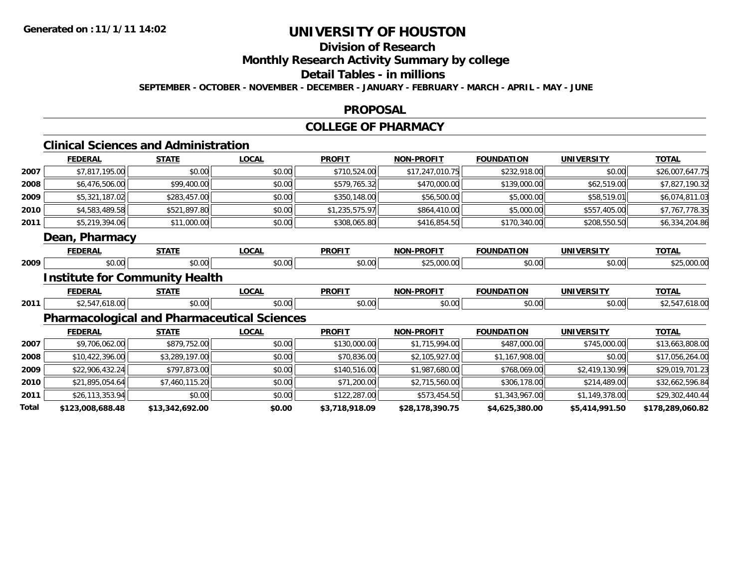## **Division of Research Monthly Research Activity Summary by college Detail Tables - in millions SEPTEMBER - OCTOBER - NOVEMBER - DECEMBER - JANUARY - FEBRUARY - MARCH - APRIL - MAY - JUNE**

#### **PROPOSAL**

#### **COLLEGE OF PHARMACY**

#### **Clinical Sciences and Administration FEDERAL STATELOCAL PROFIT NON-PROFIT FOUNDATION UNIVERSITY TOTAL**

| 2007 | \$7,817,195.00                                     | \$0.00       | \$0.00       | \$710,524.00   | \$17,247,010.75   | \$232,918.00      | \$0.00            | \$26,007,647.75 |
|------|----------------------------------------------------|--------------|--------------|----------------|-------------------|-------------------|-------------------|-----------------|
| 2008 | \$6,476,506.00                                     | \$99,400.00  | \$0.00       | \$579,765.32   | \$470,000.00      | \$139,000.00      | \$62,519.00       | \$7,827,190.32  |
| 2009 | \$5,321,187.02                                     | \$283,457.00 | \$0.00       | \$350,148.00   | \$56,500.00       | \$5,000.00        | \$58,519.01       | \$6,074,811.03  |
| 2010 | \$4,583,489.58                                     | \$521,897.80 | \$0.00       | \$1,235,575.97 | \$864,410.00      | \$5,000.00        | \$557,405.00      | \$7,767,778.35  |
| 2011 | \$5,219,394.06                                     | \$11,000.00  | \$0.00       | \$308,065.80   | \$416,854.50      | \$170,340.00      | \$208,550.50      | \$6,334,204.86  |
|      | <b>Dean, Pharmacy</b>                              |              |              |                |                   |                   |                   |                 |
|      | <b>FEDERAL</b>                                     | <b>STATE</b> | <b>LOCAL</b> | <b>PROFIT</b>  | <b>NON-PROFIT</b> | <b>FOUNDATION</b> | <b>UNIVERSITY</b> | <b>TOTAL</b>    |
| 2009 | \$0.00                                             | \$0.00       | \$0.00       | \$0.00         | \$25,000.00       | \$0.00            | \$0.00            | \$25,000.00     |
|      | <b>Institute for Community Health</b>              |              |              |                |                   |                   |                   |                 |
|      | <b>FEDERAL</b>                                     | <b>STATE</b> | <b>LOCAL</b> | <b>PROFIT</b>  | <b>NON-PROFIT</b> | <b>FOUNDATION</b> | <b>UNIVERSITY</b> | <b>TOTAL</b>    |
| 2011 | \$2,547,618.00                                     | \$0.00       | \$0.00       | \$0.00         | \$0.00            | \$0.00            | \$0.00            | \$2,547,618.00  |
|      | <b>Pharmacological and Pharmaceutical Sciences</b> |              |              |                |                   |                   |                   |                 |
|      | ------                                             | -----        |              | -----          | .                 | -----------       | ,,,,,,,,,,,,,,,,  | -----           |

|       | <b>FEDERAL</b>   | <b>STATE</b>    | <b>LOCAL</b> | <b>PROFIT</b>  | <b>NON-PROFIT</b> | <b>FOUNDATION</b> | <b>UNIVERSITY</b> | <b>TOTAL</b>     |
|-------|------------------|-----------------|--------------|----------------|-------------------|-------------------|-------------------|------------------|
| 2007  | \$9,706,062.00   | \$879,752.00    | \$0.00       | \$130,000.00   | \$1,715,994.00    | \$487,000.00      | \$745,000.00      | \$13,663,808.00  |
| 2008  | \$10,422,396.00  | \$3,289,197.00  | \$0.00       | \$70,836.00    | \$2,105,927.00    | \$1,167,908.00    | \$0.00            | \$17,056,264.00  |
| 2009  | \$22,906,432.24  | \$797,873.00    | \$0.00       | \$140,516.00   | \$1,987,680.00    | \$768,069.00      | \$2,419,130.99    | \$29,019,701.23  |
| 2010  | \$21,895,054.64  | \$7,460,115.20  | \$0.00       | \$71,200.00    | \$2,715,560.00    | \$306,178.00      | \$214,489.00      | \$32,662,596.84  |
| 2011  | \$26,113,353.94  | \$0.00          | \$0.00       | \$122,287.00   | \$573,454.50      | \$1,343,967.00    | \$1,149,378.00    | \$29,302,440.44  |
| Total | \$123,008,688.48 | \$13,342,692.00 | \$0.00       | \$3,718,918.09 | \$28,178,390.75   | \$4,625,380.00    | \$5,414,991.50    | \$178,289,060.82 |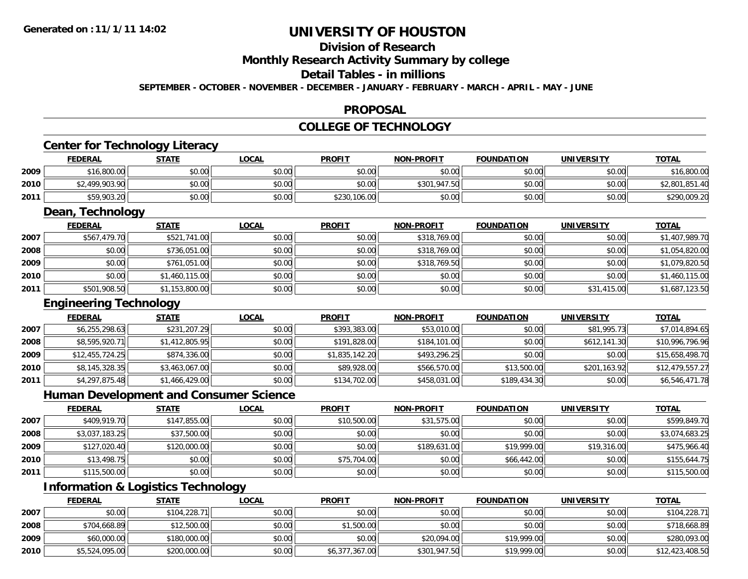#### **Division of Research Monthly Research Activity Summary by college Detail Tables - in millions SEPTEMBER - OCTOBER - NOVEMBER - DECEMBER - JANUARY - FEBRUARY - MARCH - APRIL - MAY - JUNE**

#### **PROPOSAL**

#### **COLLEGE OF TECHNOLOGY**

## **Center for Technology Literacy**

|      | <b>FEDERAL</b> | STATE  | <b>LOCAL</b> | <b>PROFIT</b> | <b>NON-PROFIT</b> | <b>FOUNDATION</b> | <b>UNIVERSITY</b> | <b>TOTAL</b>   |
|------|----------------|--------|--------------|---------------|-------------------|-------------------|-------------------|----------------|
| 2009 | \$16,800.00    | \$0.00 | \$0.00       | \$0.00        | \$0.00            | \$0.00            | \$0.00            | \$16,800.00    |
| 2010 | \$2,499,903.90 | \$0.00 | \$0.00       | \$0.00        | \$301,947.50      | \$0.00            | \$0.00            | \$2,801,851.40 |
| 2011 | \$59,903.20    | \$0.00 | \$0.00       | \$230,106.00  | \$0.00            | \$0.00            | \$0.00            | \$290,009.20   |

## **Dean, Technology**

|      | <b>FEDERAL</b> | <b>STATE</b>   | <b>LOCAL</b> | <b>PROFIT</b> | <b>NON-PROFIT</b> | <b>FOUNDATION</b> | <b>UNIVERSITY</b> | <b>TOTAL</b>   |
|------|----------------|----------------|--------------|---------------|-------------------|-------------------|-------------------|----------------|
| 2007 | \$567,479.70   | \$521,741.00   | \$0.00       | \$0.00        | \$318,769.00      | \$0.00            | \$0.00            | \$1,407,989.70 |
| 2008 | \$0.00         | \$736,051.00   | \$0.00       | \$0.00        | \$318,769.00      | \$0.00            | \$0.00            | \$1,054,820.00 |
| 2009 | \$0.00         | \$761,051.00   | \$0.00       | \$0.00        | \$318,769.50      | \$0.00            | \$0.00            | \$1,079,820.50 |
| 2010 | \$0.00         | \$1,460,115.00 | \$0.00       | \$0.00        | \$0.00            | \$0.00            | \$0.00            | \$1,460,115.00 |
| 2011 | \$501,908.50   | \$1,153,800.00 | \$0.00       | \$0.00        | \$0.00            | \$0.00            | \$31,415.00       | \$1,687,123.50 |

## **Engineering Technology**

|      | <b>FEDERAL</b>  | <b>STATE</b>   | <u>LOCAL</u> | <b>PROFIT</b>  | <b>NON-PROFIT</b> | <b>FOUNDATION</b> | <b>UNIVERSITY</b> | <b>TOTAL</b>    |
|------|-----------------|----------------|--------------|----------------|-------------------|-------------------|-------------------|-----------------|
| 2007 | \$6,255,298.63  | \$231,207.29   | \$0.00       | \$393,383.00   | \$53,010.00       | \$0.00            | \$81,995.73       | \$7,014,894.65  |
| 2008 | \$8,595,920.71  | \$1,412,805.95 | \$0.00       | \$191,828.00   | \$184,101.00      | \$0.00            | \$612,141.30      | \$10,996,796.96 |
| 2009 | \$12,455,724.25 | \$874,336.00   | \$0.00       | \$1,835,142.20 | \$493,296.25      | \$0.00            | \$0.00            | \$15,658,498.70 |
| 2010 | \$8,145,328.35  | \$3,463,067.00 | \$0.00       | \$89,928.00    | \$566,570.00      | \$13,500.00       | \$201,163.92      | \$12,479,557.27 |
| 2011 | \$4,297,875.48  | \$1,466,429.00 | \$0.00       | \$134,702.00   | \$458,031.00      | \$189,434.30      | \$0.00            | \$6,546,471.78  |

# **Human Development and Consumer Science**

|      | <b>FEDERAL</b> | <b>STATE</b> | <b>LOCAL</b> | <b>PROFIT</b> | <b>NON-PROFIT</b> | <b>FOUNDATION</b> | <b>UNIVERSITY</b> | <b>TOTAL</b>   |
|------|----------------|--------------|--------------|---------------|-------------------|-------------------|-------------------|----------------|
| 2007 | \$409,919.70   | \$147,855.00 | \$0.00       | \$10,500.00   | \$31,575.00       | \$0.00            | \$0.00            | \$599,849.70   |
| 2008 | \$3,037,183.25 | \$37,500.00  | \$0.00       | \$0.00        | \$0.00            | \$0.00            | \$0.00            | \$3,074,683.25 |
| 2009 | \$127,020.40   | \$120,000.00 | \$0.00       | \$0.00        | \$189,631.00      | \$19,999.00       | \$19,316.00       | \$475,966.40   |
| 2010 | \$13,498.75    | \$0.00       | \$0.00       | \$75,704.00   | \$0.00            | \$66,442.00       | \$0.00            | \$155,644.75   |
| 2011 | \$115,500.00   | \$0.00       | \$0.00       | \$0.00        | \$0.00            | \$0.00            | \$0.00            | \$115,500.00   |

# **Information & Logistics Technology**

|      | <b>FEDERAL</b> | <b>STATE</b> | <b>LOCAL</b> | <b>PROFIT</b>  | <b>NON-PROFIT</b> | <b>FOUNDATION</b> | <b>UNIVERSITY</b> | <b>TOTAL</b>    |
|------|----------------|--------------|--------------|----------------|-------------------|-------------------|-------------------|-----------------|
| 2007 | \$0.00         | \$104,228.71 | \$0.00       | \$0.00         | \$0.00            | \$0.00            | \$0.00            | \$104,228.71    |
| 2008 | \$704,668.89   | \$12,500.00  | \$0.00       | \$1,500.00     | \$0.00            | \$0.00            | \$0.00            | \$718,668.89    |
| 2009 | \$60,000.00    | \$180,000.00 | \$0.00       | \$0.00         | \$20,094.00       | \$19,999.00       | \$0.00            | \$280,093.00    |
| 2010 | \$5,524,095.00 | \$200,000.00 | \$0.00       | \$6,377,367.00 | \$301,947.50      | \$19,999.00       | \$0.00            | \$12,423,408.50 |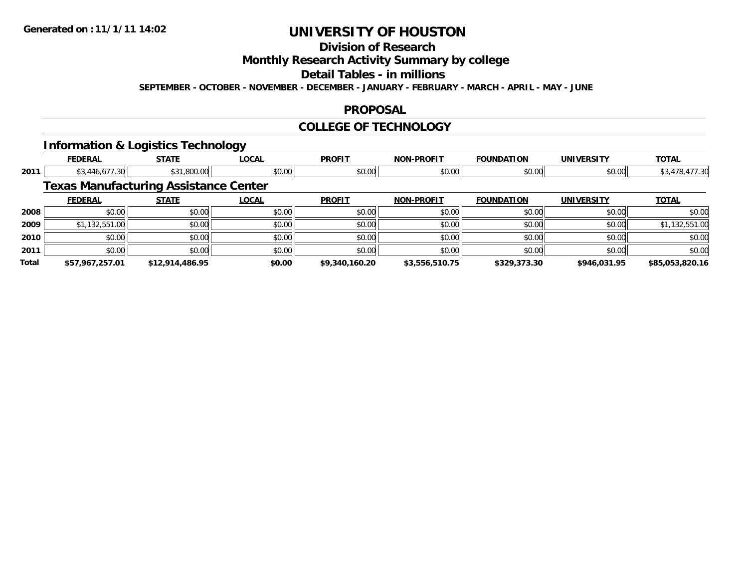## **Division of Research Monthly Research Activity Summary by college Detail Tables - in millions SEPTEMBER - OCTOBER - NOVEMBER - DECEMBER - JANUARY - FEBRUARY - MARCH - APRIL - MAY - JUNE**

#### **PROPOSAL**

#### **COLLEGE OF TECHNOLOGY**

# **Information & Logistics Technology**

|       | <b>FEDERAL</b>                               | <b>STATE</b>    | <b>LOCAL</b> | <b>PROFIT</b>  | <b>NON-PROFIT</b> | <b>FOUNDATION</b> | <b>UNIVERSITY</b> | <b>TOTAL</b>    |
|-------|----------------------------------------------|-----------------|--------------|----------------|-------------------|-------------------|-------------------|-----------------|
| 2011  | \$3,446,677.30                               | \$31,800.00     | \$0.00       | \$0.00         | \$0.00            | \$0.00            | \$0.00            | \$3,478,477.30  |
|       | <b>Texas Manufacturing Assistance Center</b> |                 |              |                |                   |                   |                   |                 |
|       | <b>FEDERAL</b>                               | <b>STATE</b>    | <b>LOCAL</b> | <b>PROFIT</b>  | <b>NON-PROFIT</b> | <b>FOUNDATION</b> | <b>UNIVERSITY</b> | <b>TOTAL</b>    |
| 2008  | \$0.00                                       | \$0.00          | \$0.00       | \$0.00         | \$0.00            | \$0.00            | \$0.00            | \$0.00          |
| 2009  | \$1,132,551.00                               | \$0.00          | \$0.00       | \$0.00         | \$0.00            | \$0.00            | \$0.00            | \$1,132,551.00  |
| 2010  | \$0.00                                       | \$0.00          | \$0.00       | \$0.00         | \$0.00            | \$0.00            | \$0.00            | \$0.00          |
| 2011  | \$0.00                                       | \$0.00          | \$0.00       | \$0.00         | \$0.00            | \$0.00            | \$0.00            | \$0.00          |
| Total | \$57,967,257.01                              | \$12,914,486.95 | \$0.00       | \$9,340,160.20 | \$3,556,510.75    | \$329,373.30      | \$946,031.95      | \$85,053,820.16 |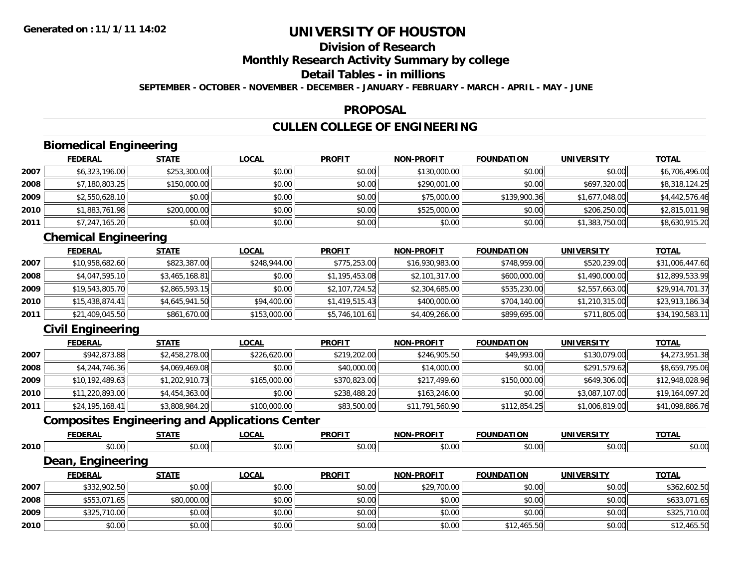## **Division of Research Monthly Research Activity Summary by college Detail Tables - in millions SEPTEMBER - OCTOBER - NOVEMBER - DECEMBER - JANUARY - FEBRUARY - MARCH - APRIL - MAY - JUNE**

#### **PROPOSAL**

# **CULLEN COLLEGE OF ENGINEERING**

# **Biomedical Engineering**

|      | <b>FEDERAL</b> | <b>STATE</b> | <b>LOCAL</b> | <b>PROFIT</b> | <b>NON-PROFIT</b> | <b>FOUNDATION</b> | <b>UNIVERSITY</b> | <b>TOTAL</b>   |
|------|----------------|--------------|--------------|---------------|-------------------|-------------------|-------------------|----------------|
| 2007 | \$6,323,196.00 | \$253,300.00 | \$0.00       | \$0.00        | \$130,000.00      | \$0.00            | \$0.00            | \$6,706,496.00 |
| 2008 | \$7,180,803.25 | \$150,000.00 | \$0.00       | \$0.00        | \$290,001.00      | \$0.00            | \$697,320.00      | \$8,318,124.25 |
| 2009 | \$2,550,628.10 | \$0.00       | \$0.00       | \$0.00        | \$75,000.00       | \$139,900.36      | \$1,677,048.00    | \$4,442,576.46 |
| 2010 | \$1,883,761.98 | \$200,000.00 | \$0.00       | \$0.00        | \$525,000.00      | \$0.00            | \$206,250.00      | \$2,815,011.98 |
| 2011 | \$7,247,165.20 | \$0.00       | \$0.00       | \$0.00        | \$0.00            | \$0.00            | \$1,383,750.00    | \$8,630,915.20 |

# **Chemical Engineering**

|      | <b>FEDERAL</b>  | <b>STATE</b>   | <b>LOCAL</b> | <b>PROFIT</b>  | <b>NON-PROFIT</b> | <b>FOUNDATION</b> | <b>UNIVERSITY</b> | <u>TOTAL</u>    |
|------|-----------------|----------------|--------------|----------------|-------------------|-------------------|-------------------|-----------------|
| 2007 | \$10,958,682.60 | \$823,387.00   | \$248,944,00 | \$775,253.00   | \$16,930,983.00   | \$748,959.00      | \$520,239.00      | \$31,006,447.60 |
| 2008 | \$4,047,595.10  | \$3,465,168.81 | \$0.00       | \$1,195,453.08 | \$2,101,317.00    | \$600,000.00      | \$1,490,000.00    | \$12,899,533.99 |
| 2009 | \$19,543,805.70 | \$2,865,593.15 | \$0.00       | \$2,107,724.52 | \$2,304,685.00    | \$535,230.00      | \$2,557,663.00    | \$29,914,701.37 |
| 2010 | \$15,438,874.41 | \$4,645,941.50 | \$94,400.00  | \$1,419,515.43 | \$400,000.00      | \$704,140.00      | \$1,210,315.00    | \$23,913,186.34 |
| 2011 | \$21,409,045.50 | \$861,670.00   | \$153,000.00 | \$5,746,101.61 | \$4,409,266.00    | \$899,695.00      | \$711,805.00      | \$34,190,583.11 |

# **Civil Engineering**

|      | <u>FEDERAL</u>  | <b>STATE</b>   | <u>LOCAL</u> | <b>PROFIT</b> | <b>NON-PROFIT</b> | <b>FOUNDATION</b> | <b>UNIVERSITY</b> | <b>TOTAL</b>    |
|------|-----------------|----------------|--------------|---------------|-------------------|-------------------|-------------------|-----------------|
| 2007 | \$942,873.88    | \$2,458,278.00 | \$226,620.00 | \$219,202.00  | \$246,905.50      | \$49,993.00       | \$130,079.00      | \$4,273,951.38  |
| 2008 | \$4,244,746.36  | \$4,069,469.08 | \$0.00       | \$40,000.00   | \$14,000.00       | \$0.00            | \$291,579.62      | \$8,659,795.06  |
| 2009 | \$10,192,489.63 | \$1,202,910.73 | \$165,000.00 | \$370,823.00  | \$217,499.60      | \$150,000.00      | \$649,306.00      | \$12,948,028.96 |
| 2010 | \$11,220,893.00 | \$4,454,363.00 | \$0.00       | \$238,488.20  | \$163,246.00      | \$0.00            | \$3,087,107.00    | \$19,164,097.20 |
| 2011 | \$24,195,168.41 | \$3,808,984.20 | \$100,000.00 | \$83,500.00   | \$11,791,560.90   | \$112,854.25      | \$1,006,819.00    | \$41,098,886.76 |

## **Composites Engineering and Applications Center**

|      | <b>FEDERAL</b>    | <b>STATE</b> | <b>LOCAL</b> | <b>PROFIT</b> | <b>NON-PROFIT</b> | <b>FOUNDATION</b> | <b>UNIVERSITY</b> | <b>TOTAL</b> |
|------|-------------------|--------------|--------------|---------------|-------------------|-------------------|-------------------|--------------|
| 2010 | \$0.00            | \$0.00       | \$0.00       | \$0.00        | \$0.00            | \$0.00            | \$0.00            | \$0.00       |
|      | Dean, Engineering |              |              |               |                   |                   |                   |              |
|      | <b>FEDERAL</b>    | <b>STATE</b> | <b>LOCAL</b> | <b>PROFIT</b> | <b>NON-PROFIT</b> | <b>FOUNDATION</b> | <b>UNIVERSITY</b> | <b>TOTAL</b> |
| 2007 | \$332,902.50      | \$0.00       | \$0.00       | \$0.00        | \$29,700.00       | \$0.00            | \$0.00            | \$362,602.50 |
| 2008 | \$553,071.65      | \$80,000.00  | \$0.00       | \$0.00        | \$0.00            | \$0.00            | \$0.00            | \$633,071.65 |
| 2009 | \$325,710.00      | \$0.00       | \$0.00       | \$0.00        | \$0.00            | \$0.00            | \$0.00            | \$325,710.00 |
| 2010 | \$0.00            | \$0.00       | \$0.00       | \$0.00        | \$0.00            | \$12,465.50       | \$0.00            | \$12,465.50  |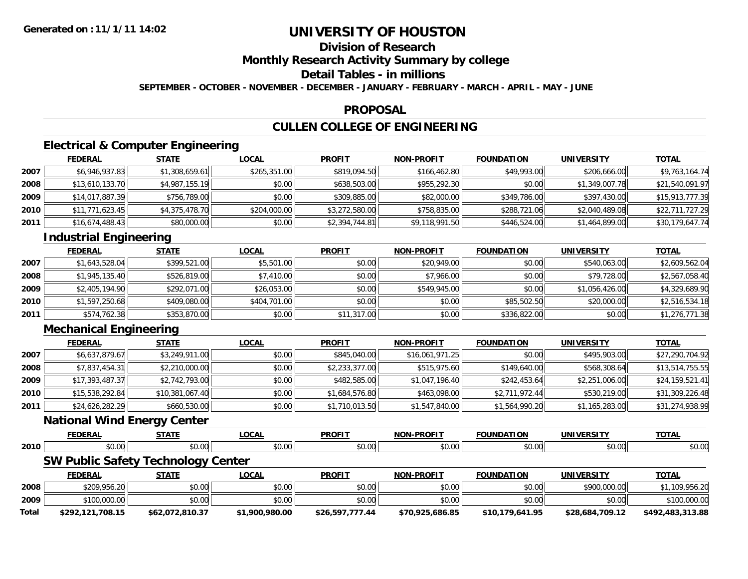## **Division of Research Monthly Research Activity Summary by college Detail Tables - in millions SEPTEMBER - OCTOBER - NOVEMBER - DECEMBER - JANUARY - FEBRUARY - MARCH - APRIL - MAY - JUNE**

#### **PROPOSAL**

## **CULLEN COLLEGE OF ENGINEERING**

## **Electrical & Computer Engineering**

|      | <b>FEDERAL</b>  | <b>STATE</b>   | <b>LOCAL</b> | <b>PROFIT</b>  | <b>NON-PROFIT</b> | <b>FOUNDATION</b> | <b>UNIVERSITY</b> | <b>TOTAL</b>    |
|------|-----------------|----------------|--------------|----------------|-------------------|-------------------|-------------------|-----------------|
| 2007 | \$6,946,937.83  | \$1,308,659.61 | \$265,351.00 | \$819,094.50   | \$166,462.80      | \$49,993.00       | \$206,666.00      | \$9,763,164.74  |
| 2008 | \$13,610,133.70 | \$4,987,155.19 | \$0.00       | \$638,503.00   | \$955,292.30      | \$0.00            | \$1,349,007.78    | \$21,540,091.97 |
| 2009 | \$14,017,887.39 | \$756,789.00   | \$0.00       | \$309,885.00   | \$82,000.00       | \$349,786.00      | \$397,430.00      | \$15,913,777.39 |
| 2010 | \$11,771,623.45 | \$4,375,478.70 | \$204,000.00 | \$3,272,580.00 | \$758,835.00      | \$288,721.06      | \$2,040,489.08    | \$22,711,727.29 |
| 2011 | \$16,674,488.43 | \$80,000.00    | \$0.00       | \$2,394,744.81 | \$9,118,991.50    | \$446,524.00      | \$1,464,899.00    | \$30,179,647.74 |

## **Industrial Engineering**

|      | <u>FEDERAL</u> | <b>STATE</b> | <b>LOCAL</b> | <b>PROFIT</b> | <b>NON-PROFIT</b> | <b>FOUNDATION</b> | <b>UNIVERSITY</b> | <b>TOTAL</b>   |
|------|----------------|--------------|--------------|---------------|-------------------|-------------------|-------------------|----------------|
| 2007 | \$1,643,528.04 | \$399,521.00 | \$5,501.00   | \$0.00        | \$20,949.00       | \$0.00            | \$540,063.00      | \$2,609,562.04 |
| 2008 | \$1,945,135.40 | \$526,819.00 | \$7,410.00   | \$0.00        | \$7,966.00        | \$0.00            | \$79,728.00       | \$2,567,058.40 |
| 2009 | \$2,405,194.90 | \$292,071.00 | \$26,053.00  | \$0.00        | \$549,945,00      | \$0.00            | \$1,056,426,00    | \$4,329,689.90 |
| 2010 | \$1,597,250.68 | \$409,080.00 | \$404,701.00 | \$0.00        | \$0.00            | \$85,502.50       | \$20,000.00       | \$2,516,534.18 |
| 2011 | \$574,762.38   | \$353,870.00 | \$0.00       | \$11,317.00   | \$0.00            | \$336,822.00      | \$0.00            | \$1,276,771.38 |

## **Mechanical Engineering**

|      | <b>FEDERAL</b>  | <b>STATE</b>    | <b>LOCAL</b> | <b>PROFIT</b>  | <b>NON-PROFIT</b> | <b>FOUNDATION</b> | <b>UNIVERSITY</b> | <u>TOTAL</u>    |
|------|-----------------|-----------------|--------------|----------------|-------------------|-------------------|-------------------|-----------------|
| 2007 | \$6,637,879.67  | \$3,249,911.00  | \$0.00       | \$845,040.00   | \$16,061,971.25   | \$0.00            | \$495,903.00      | \$27,290,704.92 |
| 2008 | \$7,837,454.31  | \$2,210,000.00  | \$0.00       | \$2,233,377.00 | \$515,975.60      | \$149,640.00      | \$568,308.64      | \$13,514,755.55 |
| 2009 | \$17,393,487.37 | \$2,742,793.00  | \$0.00       | \$482,585.00   | \$1,047,196.40    | \$242,453.64      | \$2,251,006.00    | \$24,159,521.41 |
| 2010 | \$15,538,292.84 | \$10,381,067.40 | \$0.00       | \$1,684,576.80 | \$463,098.00      | \$2,711,972.44    | \$530,219.00      | \$31,309,226.48 |
| 2011 | \$24,626,282.29 | \$660,530.00    | \$0.00       | \$1,710,013.50 | \$1,547,840.00    | \$1,564,990.20    | \$1,165,283.00    | \$31,274,938.99 |

#### **National Wind Energy Center**

|      | -----    | ----      | $\sim$<br>$\mathbf{r}$ | <b>DDOET1</b><br>'NU | . . <i>. .</i><br><b>NAI</b><br>. |                                                                                         | .                  | <b>TOTA</b>       |
|------|----------|-----------|------------------------|----------------------|-----------------------------------|-----------------------------------------------------------------------------------------|--------------------|-------------------|
| 2010 | $\Omega$ | ົດ<br>,,, | $\sim$<br>JU.UU        | $\cdots$<br>,,,,,    | JU.UU                             | $\begin{array}{c} \hline \text{A} & \text{A} & \text{A} \\ \hline \end{array}$<br>יש.טע | $\sim$ 00<br>งบ.บบ | <b>↑∩</b><br>vv.v |

# **SW Public Safety Technology Center**

|       | <b>FEDERAL</b>   | <u>STATE</u>    | <u>LOCAL</u>   | <b>PROFIT</b>   | <b>NON-PROFIT</b> | <b>FOUNDATION</b> | <b>UNIVERSITY</b> | <b>TOTAL</b>     |
|-------|------------------|-----------------|----------------|-----------------|-------------------|-------------------|-------------------|------------------|
| 2008  | \$209,956.20     | \$0.00          | \$0.00         | \$0.00          | \$0.00            | \$0.00            | \$900,000.00      | .109.956.20      |
| 2009  | \$100,000.00     | \$0.00          | \$0.00         | \$0.00          | \$0.00            | \$0.00            | \$0.00            | \$100,000.00     |
| Total | \$292,121,708.15 | \$62,072,810.37 | \$1,900,980.00 | \$26,597,777.44 | \$70,925,686.85   | \$10,179,641.95   | \$28,684,709.12   | \$492,483,313.88 |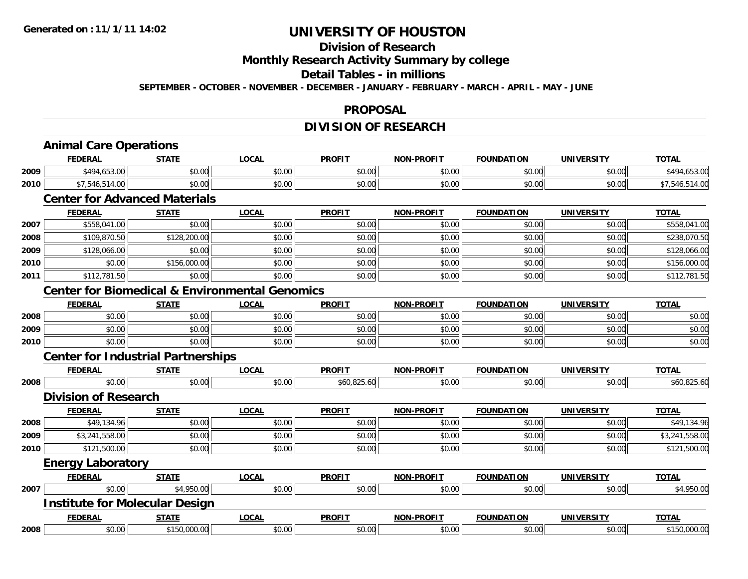## **Division of Research Monthly Research Activity Summary by college Detail Tables - in millions SEPTEMBER - OCTOBER - NOVEMBER - DECEMBER - JANUARY - FEBRUARY - MARCH - APRIL - MAY - JUNE**

#### **PROPOSAL**

## **DIVISION OF RESEARCH**

|      | <b>FEDERAL</b>                                            | <b>STATE</b> | <b>LOCAL</b> | <b>PROFIT</b> | <b>NON-PROFIT</b> | <b>FOUNDATION</b> | <b>UNIVERSITY</b> | <b>TOTAL</b>   |
|------|-----------------------------------------------------------|--------------|--------------|---------------|-------------------|-------------------|-------------------|----------------|
| 2009 | \$494,653.00                                              | \$0.00       | \$0.00       | \$0.00        | \$0.00            | \$0.00            | \$0.00            | \$494,653.00   |
| 2010 | \$7,546,514.00                                            | \$0.00       | \$0.00       | \$0.00        | \$0.00            | \$0.00            | \$0.00            | \$7,546,514.00 |
|      | <b>Center for Advanced Materials</b>                      |              |              |               |                   |                   |                   |                |
|      | <b>FEDERAL</b>                                            | <b>STATE</b> | <b>LOCAL</b> | <b>PROFIT</b> | <b>NON-PROFIT</b> | <b>FOUNDATION</b> | <b>UNIVERSITY</b> | <b>TOTAL</b>   |
| 2007 | \$558,041.00                                              | \$0.00       | \$0.00       | \$0.00        | \$0.00            | \$0.00            | \$0.00            | \$558,041.00   |
| 2008 | \$109,870.50                                              | \$128,200.00 | \$0.00       | \$0.00        | \$0.00            | \$0.00            | \$0.00            | \$238,070.50   |
| 2009 | \$128,066.00                                              | \$0.00       | \$0.00       | \$0.00        | \$0.00            | \$0.00            | \$0.00            | \$128,066.00   |
| 2010 | \$0.00                                                    | \$156,000.00 | \$0.00       | \$0.00        | \$0.00            | \$0.00            | \$0.00            | \$156,000.00   |
| 2011 | \$112,781.50                                              | \$0.00       | \$0.00       | \$0.00        | \$0.00            | \$0.00            | \$0.00            | \$112,781.50   |
|      | <b>Center for Biomedical &amp; Environmental Genomics</b> |              |              |               |                   |                   |                   |                |
|      | <b>FEDERAL</b>                                            | <b>STATE</b> | <b>LOCAL</b> | <b>PROFIT</b> | <b>NON-PROFIT</b> | <b>FOUNDATION</b> | <b>UNIVERSITY</b> | <b>TOTAL</b>   |
| 2008 | \$0.00                                                    | \$0.00       | \$0.00       | \$0.00        | \$0.00            | \$0.00            | \$0.00            | \$0.00         |
| 2009 | \$0.00                                                    | \$0.00       | \$0.00       | \$0.00        | \$0.00            | \$0.00            | \$0.00            | \$0.00         |
| 2010 | \$0.00                                                    | \$0.00       | \$0.00       | \$0.00        | \$0.00            | \$0.00            | \$0.00            | \$0.00         |
|      | <b>Center for Industrial Partnerships</b>                 |              |              |               |                   |                   |                   |                |
|      | <b>FEDERAL</b>                                            | <b>STATE</b> | <b>LOCAL</b> | <b>PROFIT</b> | <b>NON-PROFIT</b> | <b>FOUNDATION</b> | <b>UNIVERSITY</b> | <b>TOTAL</b>   |
| 2008 | \$0.00                                                    | \$0.00       | \$0.00       | \$60,825.60   | \$0.00            | \$0.00            | \$0.00            | \$60,825.60    |
|      | <b>Division of Research</b>                               |              |              |               |                   |                   |                   |                |
|      | <b>FEDERAL</b>                                            | <b>STATE</b> | <b>LOCAL</b> | <b>PROFIT</b> | <b>NON-PROFIT</b> | <b>FOUNDATION</b> | <b>UNIVERSITY</b> | <b>TOTAL</b>   |
| 2008 | \$49,134.96                                               | \$0.00       | \$0.00       | \$0.00        | \$0.00            | \$0.00            | \$0.00            | \$49,134.96    |
| 2009 | \$3,241,558.00                                            | \$0.00       | \$0.00       | \$0.00        | \$0.00            | \$0.00            | \$0.00            | \$3,241,558.00 |
| 2010 | \$121,500.00                                              | \$0.00       | \$0.00       | \$0.00        | \$0.00            | \$0.00            | \$0.00            | \$121,500.00   |
|      | <b>Energy Laboratory</b>                                  |              |              |               |                   |                   |                   |                |
|      | <b>FEDERAL</b>                                            | <b>STATE</b> | <b>LOCAL</b> | <b>PROFIT</b> | <b>NON-PROFIT</b> | <b>FOUNDATION</b> | <b>UNIVERSITY</b> | <b>TOTAL</b>   |
| 2007 | \$0.00                                                    | \$4,950.00   | \$0.00       | \$0.00        | \$0.00            | \$0.00            | \$0.00            | \$4,950.00     |
|      | <b>Institute for Molecular Design</b>                     |              |              |               |                   |                   |                   |                |
|      | <b>FEDERAL</b>                                            | <b>STATE</b> | <b>LOCAL</b> | <b>PROFIT</b> | <b>NON-PROFIT</b> | <b>FOUNDATION</b> | <b>UNIVERSITY</b> | <b>TOTAL</b>   |
| 2008 | \$0.00                                                    | \$150,000.00 | \$0.00       | \$0.00        | \$0.00            | \$0.00            | \$0.00            | \$150,000.00   |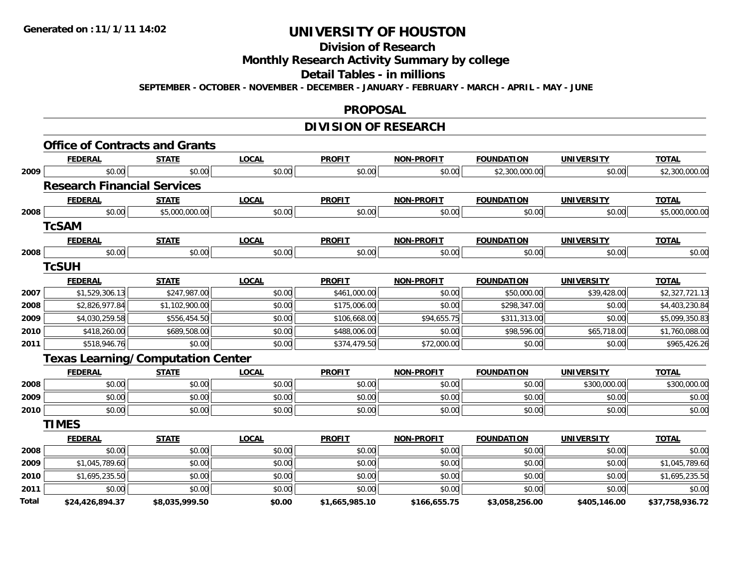# **Division of Research**

## **Monthly Research Activity Summary by college**

#### **Detail Tables - in millions**

**SEPTEMBER - OCTOBER - NOVEMBER - DECEMBER - JANUARY - FEBRUARY - MARCH - APRIL - MAY - JUNE**

#### **PROPOSAL**

## **DIVISION OF RESEARCH**

|       | <b>FEDERAL</b>                           | <b>STATE</b>   | <b>LOCAL</b> | <b>PROFIT</b>  | <b>NON-PROFIT</b> | <b>FOUNDATION</b> | <b>UNIVERSITY</b> | <b>TOTAL</b>    |
|-------|------------------------------------------|----------------|--------------|----------------|-------------------|-------------------|-------------------|-----------------|
| 2009  | \$0.00                                   | \$0.00         | \$0.00       | \$0.00         | \$0.00            | \$2,300,000.00    | \$0.00            | \$2,300,000.00  |
|       | <b>Research Financial Services</b>       |                |              |                |                   |                   |                   |                 |
|       | <b>FEDERAL</b>                           | <b>STATE</b>   | <b>LOCAL</b> | <b>PROFIT</b>  | <b>NON-PROFIT</b> | <b>FOUNDATION</b> | <b>UNIVERSITY</b> | <b>TOTAL</b>    |
| 2008  | \$0.00                                   | \$5,000,000.00 | \$0.00       | \$0.00         | \$0.00            | \$0.00            | \$0.00            | \$5,000,000.00  |
|       | <b>TcSAM</b>                             |                |              |                |                   |                   |                   |                 |
|       | <b>FEDERAL</b>                           | <b>STATE</b>   | <b>LOCAL</b> | <b>PROFIT</b>  | <b>NON-PROFIT</b> | <b>FOUNDATION</b> | <b>UNIVERSITY</b> | <b>TOTAL</b>    |
| 2008  | \$0.00                                   | \$0.00         | \$0.00       | \$0.00         | \$0.00            | \$0.00            | \$0.00            | \$0.00          |
|       | <b>TCSUH</b>                             |                |              |                |                   |                   |                   |                 |
|       | <b>FEDERAL</b>                           | <b>STATE</b>   | <b>LOCAL</b> | <b>PROFIT</b>  | <b>NON-PROFIT</b> | <b>FOUNDATION</b> | <b>UNIVERSITY</b> | <b>TOTAL</b>    |
| 2007  | \$1,529,306.13                           | \$247,987.00   | \$0.00       | \$461,000.00   | \$0.00            | \$50,000.00       | \$39,428.00       | \$2,327,721.13  |
| 2008  | \$2,826,977.84                           | \$1,102,900.00 | \$0.00       | \$175,006.00   | \$0.00            | \$298,347.00      | \$0.00            | \$4,403,230.84  |
| 2009  | \$4,030,259.58                           | \$556,454.50   | \$0.00       | \$106,668.00   | \$94,655.75       | \$311,313.00      | \$0.00            | \$5,099,350.83  |
| 2010  | \$418,260.00                             | \$689,508.00   | \$0.00       | \$488,006.00   | \$0.00            | \$98,596.00       | \$65,718.00       | \$1,760,088.00  |
| 2011  | \$518,946.76                             | \$0.00         | \$0.00       | \$374,479.50   | \$72,000.00       | \$0.00            | \$0.00            | \$965,426.26    |
|       | <b>Texas Learning/Computation Center</b> |                |              |                |                   |                   |                   |                 |
|       | <b>FEDERAL</b>                           | <b>STATE</b>   | <b>LOCAL</b> | <b>PROFIT</b>  | <b>NON-PROFIT</b> | <b>FOUNDATION</b> | <b>UNIVERSITY</b> | <b>TOTAL</b>    |
| 2008  | \$0.00                                   | \$0.00         | \$0.00       | \$0.00         | \$0.00            | \$0.00            | \$300,000.00      | \$300,000.00    |
| 2009  | \$0.00                                   | \$0.00         | \$0.00       | \$0.00         | \$0.00            | \$0.00            | \$0.00            | \$0.00          |
| 2010  | \$0.00                                   | \$0.00         | \$0.00       | \$0.00         | \$0.00            | \$0.00            | \$0.00            | \$0.00          |
|       | <b>TIMES</b>                             |                |              |                |                   |                   |                   |                 |
|       | <b>FEDERAL</b>                           | <b>STATE</b>   | <b>LOCAL</b> | <b>PROFIT</b>  | <b>NON-PROFIT</b> | <b>FOUNDATION</b> | <b>UNIVERSITY</b> | <b>TOTAL</b>    |
| 2008  | \$0.00                                   | \$0.00         | \$0.00       | \$0.00         | \$0.00            | \$0.00            | \$0.00            | \$0.00          |
| 2009  | \$1,045,789.60                           | \$0.00         | \$0.00       | \$0.00         | \$0.00            | \$0.00            | \$0.00            | \$1,045,789.60  |
| 2010  | \$1,695,235.50                           | \$0.00         | \$0.00       | \$0.00         | \$0.00            | \$0.00            | \$0.00            | \$1,695,235.50  |
| 2011  | \$0.00                                   | \$0.00         | \$0.00       | \$0.00         | \$0.00            | \$0.00            | \$0.00            | \$0.00          |
| Total | \$24,426,894.37                          | \$8,035,999.50 | \$0.00       | \$1,665,985.10 | \$166,655.75      | \$3,058,256.00    | \$405,146.00      | \$37,758,936.72 |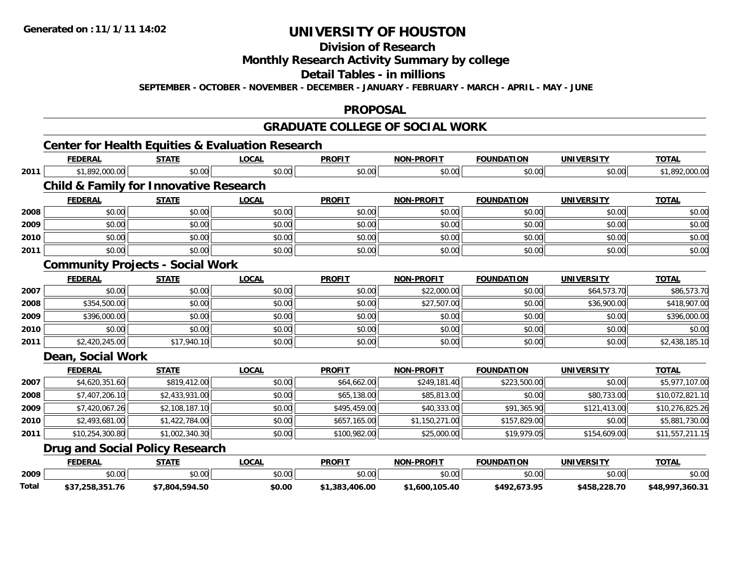# **Division of Research**

## **Monthly Research Activity Summary by college**

# **Detail Tables - in millions**

**SEPTEMBER - OCTOBER - NOVEMBER - DECEMBER - JANUARY - FEBRUARY - MARCH - APRIL - MAY - JUNE**

#### **PROPOSAL**

#### **GRADUATE COLLEGE OF SOCIAL WORK**

# **Center for Health Equities & Evaluation Research**

|      | <b>FEDERAL</b>                                    | <b>STATE</b>   | <b>LOCAL</b> | <b>PROFIT</b> | <b>NON-PROFIT</b> | <b>FOUNDATION</b> | <b>UNIVERSITY</b> | <b>TOTAL</b>    |
|------|---------------------------------------------------|----------------|--------------|---------------|-------------------|-------------------|-------------------|-----------------|
| 2011 | \$1,892,000.00                                    | \$0.00         | \$0.00       | \$0.00        | \$0.00            | \$0.00            | \$0.00            | \$1,892,000.00  |
|      | <b>Child &amp; Family for Innovative Research</b> |                |              |               |                   |                   |                   |                 |
|      | <b>FEDERAL</b>                                    | <b>STATE</b>   | <b>LOCAL</b> | <b>PROFIT</b> | <b>NON-PROFIT</b> | <b>FOUNDATION</b> | <b>UNIVERSITY</b> | <b>TOTAL</b>    |
| 2008 | \$0.00                                            | \$0.00         | \$0.00       | \$0.00        | \$0.00            | \$0.00            | \$0.00            | \$0.00          |
| 2009 | \$0.00                                            | \$0.00         | \$0.00       | \$0.00        | \$0.00            | \$0.00            | \$0.00            | \$0.00          |
| 2010 | \$0.00                                            | \$0.00         | \$0.00       | \$0.00        | \$0.00            | \$0.00            | \$0.00            | \$0.00          |
| 2011 | \$0.00                                            | \$0.00         | \$0.00       | \$0.00        | \$0.00            | \$0.00            | \$0.00            | \$0.00          |
|      | <b>Community Projects - Social Work</b>           |                |              |               |                   |                   |                   |                 |
|      | <b>FEDERAL</b>                                    | <b>STATE</b>   | <b>LOCAL</b> | <b>PROFIT</b> | <b>NON-PROFIT</b> | <b>FOUNDATION</b> | <b>UNIVERSITY</b> | <b>TOTAL</b>    |
| 2007 | \$0.00                                            | \$0.00         | \$0.00       | \$0.00        | \$22,000.00       | \$0.00            | \$64,573.70       | \$86,573.70     |
| 2008 | \$354,500.00                                      | \$0.00         | \$0.00       | \$0.00        | \$27,507.00       | \$0.00            | \$36,900.00       | \$418,907.00    |
| 2009 | \$396,000.00                                      | \$0.00         | \$0.00       | \$0.00        | \$0.00            | \$0.00            | \$0.00            | \$396,000.00    |
| 2010 | \$0.00                                            | \$0.00         | \$0.00       | \$0.00        | \$0.00            | \$0.00            | \$0.00            | \$0.00          |
| 2011 | \$2,420,245.00                                    | \$17,940.10    | \$0.00       | \$0.00        | \$0.00            | \$0.00            | \$0.00            | \$2,438,185.10  |
|      | <b>Dean, Social Work</b>                          |                |              |               |                   |                   |                   |                 |
|      | <b>FEDERAL</b>                                    | <b>STATE</b>   | <b>LOCAL</b> | <b>PROFIT</b> | <b>NON-PROFIT</b> | <b>FOUNDATION</b> | <b>UNIVERSITY</b> | <b>TOTAL</b>    |
| 2007 | \$4,620,351.60                                    | \$819,412.00   | \$0.00       | \$64,662.00   | \$249,181.40      | \$223,500.00      | \$0.00            | \$5,977,107.00  |
| 2008 | \$7,407,206.10                                    | \$2,433,931.00 | \$0.00       | \$65,138.00   | \$85,813.00       | \$0.00            | \$80,733.00       | \$10,072,821.10 |
| 2009 | \$7,420,067.26                                    | \$2,108,187.10 | \$0.00       | \$495,459.00  | \$40,333.00       | \$91,365.90       | \$121,413.00      | \$10,276,825.26 |
| 2010 | \$2,493,681.00                                    | \$1,422,784.00 | \$0.00       | \$657,165.00  | \$1,150,271.00    | \$157,829.00      | \$0.00            | \$5,881,730.00  |
| 2011 | \$10,254,300.80                                   | \$1,002,340.30 | \$0.00       | \$100,982.00  | \$25,000.00       | \$19,979.05       | \$154,609.00      | \$11,557,211.15 |
|      | <b>Drug and Social Policy Research</b>            |                |              |               |                   |                   |                   |                 |
|      | <b>FEDERAL</b>                                    | <b>STATE</b>   | <b>LOCAL</b> | <b>PROFIT</b> | <b>NON-PROFIT</b> | <b>FOUNDATION</b> | <b>UNIVERSITY</b> | <b>TOTAL</b>    |

|              | <b>FEDERAL</b>      | STATE          | ∟OCAI  | PROFIT         | <b>NON-PROFIT</b>  | <b>FOUNDATION</b>                     | <b>UNIVERSITY</b> | <u>TOTAL</u>         |
|--------------|---------------------|----------------|--------|----------------|--------------------|---------------------------------------|-------------------|----------------------|
| 2009         | \$0.00              | \$0.00         | \$0.00 | \$0.00         | $\sim$ 00<br>vv.vv | \$0.00                                | 0000<br>pu.uu     | 0000<br><b>DU.UL</b> |
| <b>Total</b> | .258.351.76<br>DJ/, | \$7,804,594.50 | \$0.00 | \$1,383,406.00 | \$1.600.105.40     | <b>673 Q5</b><br>:402<br>っ コラム ロノコ・コー | \$458,228.70      | \$48,997,360.31      |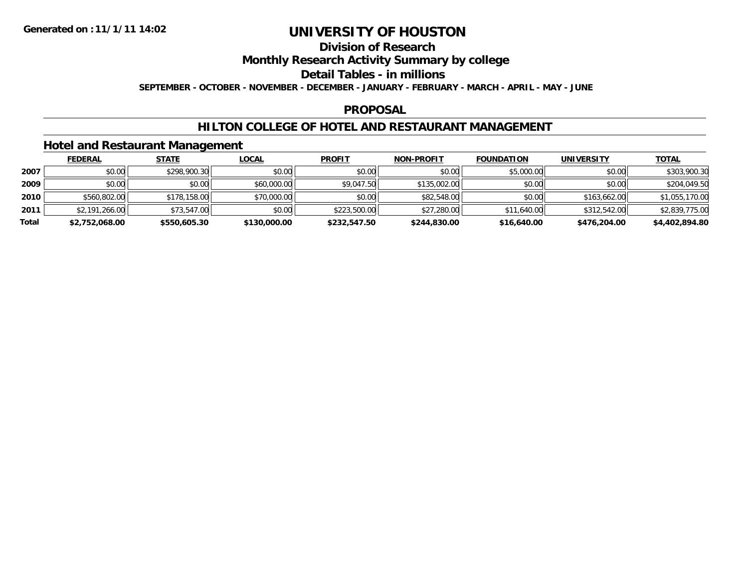# **Division of Research**

## **Monthly Research Activity Summary by college**

## **Detail Tables - in millions**

**SEPTEMBER - OCTOBER - NOVEMBER - DECEMBER - JANUARY - FEBRUARY - MARCH - APRIL - MAY - JUNE**

#### **PROPOSAL**

## **HILTON COLLEGE OF HOTEL AND RESTAURANT MANAGEMENT**

## **Hotel and Restaurant Management**

|       | <b>FEDERAL</b> | <b>STATE</b> | <u>LOCAL</u> | <b>PROFIT</b> | <b>NON-PROFIT</b> | <b>FOUNDATION</b> | <b>UNIVERSITY</b> | <b>TOTAL</b>   |
|-------|----------------|--------------|--------------|---------------|-------------------|-------------------|-------------------|----------------|
| 2007  | \$0.00         | \$298,900.30 | \$0.00       | \$0.00        | \$0.00            | \$5,000.00        | \$0.00            | \$303,900.30   |
| 2009  | \$0.00         | \$0.00       | \$60,000.00  | \$9,047.50    | \$135,002.00      | \$0.00            | \$0.00            | \$204,049.50   |
| 2010  | \$560,802.00   | \$178,158.00 | \$70,000.00  | \$0.00        | \$82,548.00       | \$0.00            | \$163,662,00      | \$1,055,170.00 |
| 2011  | \$2,191,266.00 | \$73,547.00  | \$0.00       | \$223,500.00  | \$27,280.00       | \$11,640.00       | \$312,542.00      | \$2,839,775.00 |
| Total | \$2,752,068.00 | \$550,605.30 | \$130,000.00 | \$232,547.50  | \$244,830.00      | \$16,640.00       | \$476,204.00      | \$4,402,894.80 |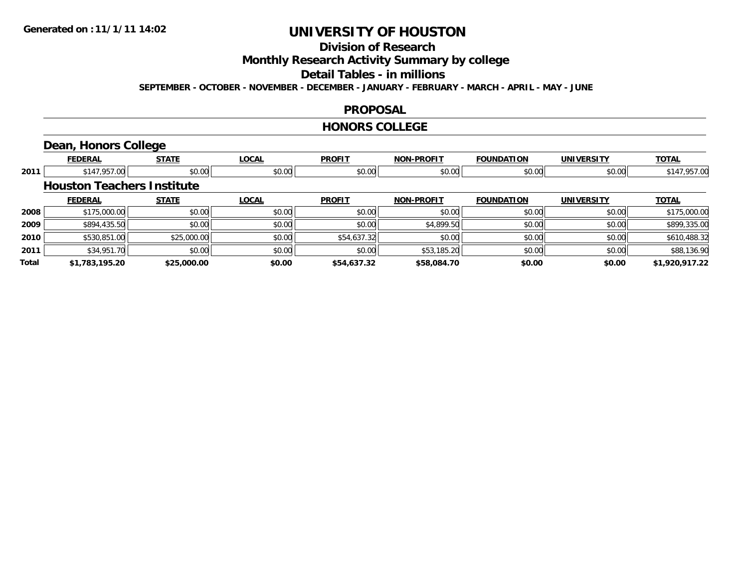# **Division of Research**

## **Monthly Research Activity Summary by college**

# **Detail Tables - in millions**

**SEPTEMBER - OCTOBER - NOVEMBER - DECEMBER - JANUARY - FEBRUARY - MARCH - APRIL - MAY - JUNE**

#### **PROPOSAL**

#### **HONORS COLLEGE**

## **Dean, Honors College**

|       | <b>FEDERAL</b>                    | <b>STATE</b> | <b>LOCAL</b> | <b>PROFIT</b> | <b>NON-PROFIT</b> | <b>FOUNDATION</b> | <b>UNIVERSITY</b> | <b>TOTAL</b>   |
|-------|-----------------------------------|--------------|--------------|---------------|-------------------|-------------------|-------------------|----------------|
| 2011  | \$147,957.00                      | \$0.00       | \$0.00       | \$0.00        | \$0.00            | \$0.00            | \$0.00            | \$147,957.00   |
|       | <b>Houston Teachers Institute</b> |              |              |               |                   |                   |                   |                |
|       | <b>FEDERAL</b>                    | <b>STATE</b> | <b>LOCAL</b> | <b>PROFIT</b> | <b>NON-PROFIT</b> | <b>FOUNDATION</b> | <b>UNIVERSITY</b> | <b>TOTAL</b>   |
| 2008  | \$175,000.00                      | \$0.00       | \$0.00       | \$0.00        | \$0.00            | \$0.00            | \$0.00            | \$175,000.00   |
| 2009  | \$894,435.50                      | \$0.00       | \$0.00       | \$0.00        | \$4,899.50        | \$0.00            | \$0.00            | \$899,335.00   |
| 2010  | \$530,851.00                      | \$25,000.00  | \$0.00       | \$54,637.32   | \$0.00            | \$0.00            | \$0.00            | \$610,488.32   |
| 2011  | \$34,951.70                       | \$0.00       | \$0.00       | \$0.00        | \$53,185.20       | \$0.00            | \$0.00            | \$88,136.90    |
| Total | \$1,783,195.20                    | \$25,000.00  | \$0.00       | \$54,637.32   | \$58,084.70       | \$0.00            | \$0.00            | \$1,920,917.22 |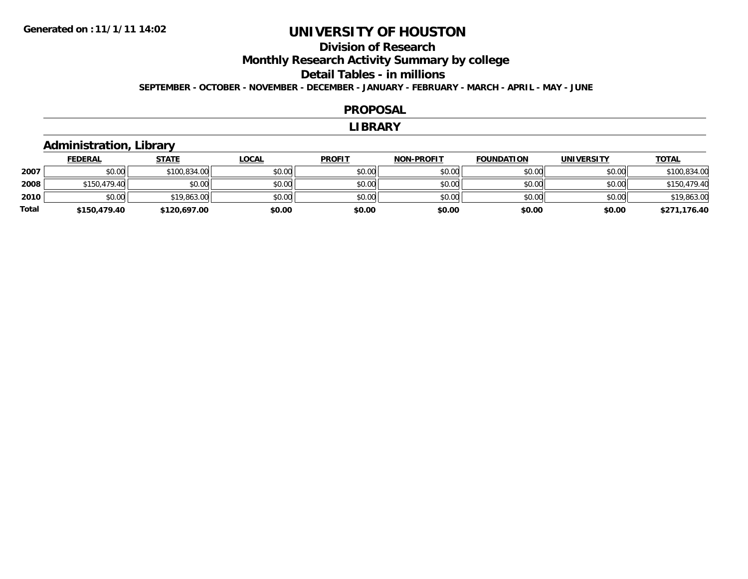## **Division of ResearchMonthly Research Activity Summary by college Detail Tables - in millionsSEPTEMBER - OCTOBER - NOVEMBER - DECEMBER - JANUARY - FEBRUARY - MARCH - APRIL - MAY - JUNE**

#### **PROPOSAL**

#### **LIBRARY**

## **Administration, Library**

|       | <b>FEDERAL</b> | <b>STATE</b> | <b>LOCAL</b> | <b>PROFIT</b> | <b>NON-PROFIT</b> | <b>FOUNDATION</b> | <b>UNIVERSITY</b> | <b>TOTAL</b> |
|-------|----------------|--------------|--------------|---------------|-------------------|-------------------|-------------------|--------------|
| 2007  | \$0.00         | \$100,834.00 | \$0.00       | \$0.00        | \$0.00            | \$0.00            | \$0.00            | \$100,834.00 |
| 2008  | \$150,479.40   | \$0.00       | \$0.00       | \$0.00        | \$0.00            | \$0.00            | \$0.00            | \$150,479.40 |
| 2010  | \$0.00         | \$19,863.00  | \$0.00       | \$0.00        | \$0.00            | \$0.00            | \$0.00            | \$19,863.00  |
| Total | \$150,479.40   | \$120,697.00 | \$0.00       | \$0.00        | \$0.00            | \$0.00            | \$0.00            | \$271,176.40 |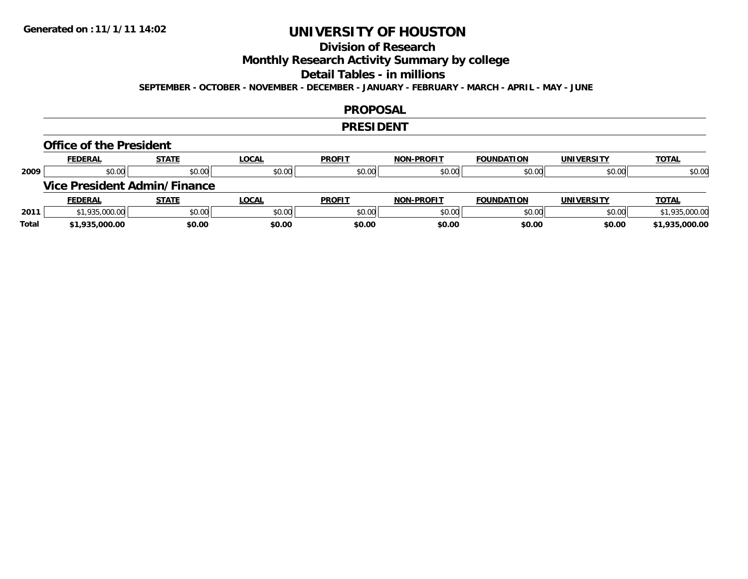## **Division of Research**

## **Monthly Research Activity Summary by college**

#### **Detail Tables - in millions**

**SEPTEMBER - OCTOBER - NOVEMBER - DECEMBER - JANUARY - FEBRUARY - MARCH - APRIL - MAY - JUNE**

#### **PROPOSAL**

#### **PRESIDENT**

#### **Office of the President**

|      | <b>FEDERAL</b> | <b>STATE</b>                        | <b>LOCAL</b> | <b>PROFIT</b> | <b>NON-PROFIT</b> | <b>FOUNDATION</b> | <b>UNIVERSITY</b> | <b>TOTAL</b>   |
|------|----------------|-------------------------------------|--------------|---------------|-------------------|-------------------|-------------------|----------------|
| 2009 | \$0.00         | \$0.00                              | \$0.00       | \$0.00        | \$0.00            | \$0.00            | \$0.00            | \$0.00         |
|      |                | <b>Vice President Admin/Finance</b> |              |               |                   |                   |                   |                |
|      |                |                                     |              |               |                   |                   |                   |                |
|      | <b>FEDERAL</b> | <b>STATE</b>                        | <b>LOCAL</b> | <b>PROFIT</b> | <b>NON-PROFIT</b> | <b>FOUNDATION</b> | <b>UNIVERSITY</b> | <b>TOTAL</b>   |
| 2011 | \$1,935,000.00 | \$0.00                              | \$0.00       | \$0.00        | \$0.00            | \$0.00            | \$0.00            | \$1,935,000.00 |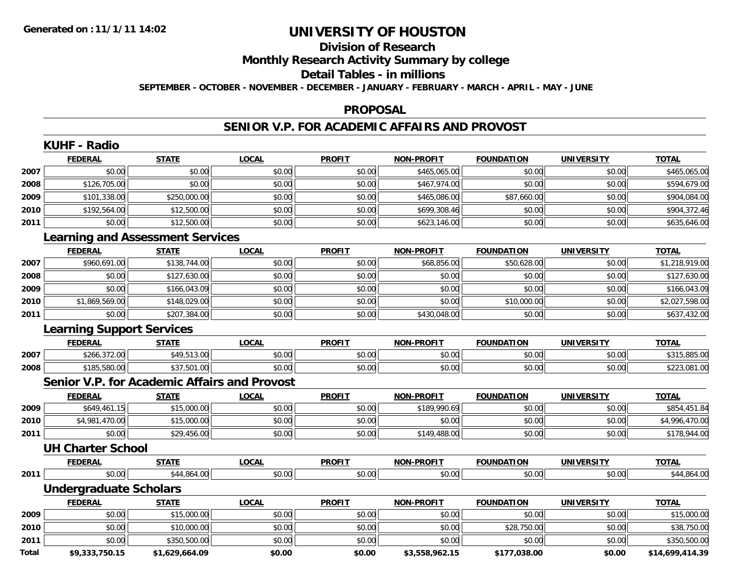## **Division of ResearchMonthly Research Activity Summary by college Detail Tables - in millionsSEPTEMBER - OCTOBER - NOVEMBER - DECEMBER - JANUARY - FEBRUARY - MARCH - APRIL - MAY - JUNE**

## **PROPOSAL**

## **SENIOR V.P. FOR ACADEMIC AFFAIRS AND PROVOST**

|              | <b>KUHF - Radio</b>                                 |                |              |               |                   |                   |                   |                 |
|--------------|-----------------------------------------------------|----------------|--------------|---------------|-------------------|-------------------|-------------------|-----------------|
|              | <b>FEDERAL</b>                                      | <b>STATE</b>   | <b>LOCAL</b> | <b>PROFIT</b> | <b>NON-PROFIT</b> | <b>FOUNDATION</b> | <b>UNIVERSITY</b> | <b>TOTAL</b>    |
| 2007         | \$0.00                                              | \$0.00         | \$0.00       | \$0.00        | \$465,065.00      | \$0.00            | \$0.00            | \$465,065.00    |
| 2008         | \$126,705.00                                        | \$0.00         | \$0.00       | \$0.00        | \$467,974.00      | \$0.00            | \$0.00            | \$594,679.00    |
| 2009         | \$101,338.00                                        | \$250,000.00   | \$0.00       | \$0.00        | \$465,086.00      | \$87,660.00       | \$0.00            | \$904,084.00    |
| 2010         | \$192,564.00                                        | \$12,500.00    | \$0.00       | \$0.00        | \$699,308.46      | \$0.00            | \$0.00            | \$904,372.46    |
| 2011         | \$0.00                                              | \$12,500.00    | \$0.00       | \$0.00        | \$623,146.00      | \$0.00            | \$0.00            | \$635,646.00    |
|              | <b>Learning and Assessment Services</b>             |                |              |               |                   |                   |                   |                 |
|              | <b>FEDERAL</b>                                      | <b>STATE</b>   | <b>LOCAL</b> | <b>PROFIT</b> | <b>NON-PROFIT</b> | <b>FOUNDATION</b> | <b>UNIVERSITY</b> | <b>TOTAL</b>    |
| 2007         | \$960,691.00                                        | \$138,744.00   | \$0.00       | \$0.00        | \$68,856.00       | \$50,628.00       | \$0.00            | \$1,218,919.00  |
| 2008         | \$0.00                                              | \$127,630.00   | \$0.00       | \$0.00        | \$0.00            | \$0.00            | \$0.00            | \$127,630.00    |
| 2009         | \$0.00                                              | \$166,043.09   | \$0.00       | \$0.00        | \$0.00            | \$0.00            | \$0.00            | \$166,043.09    |
| 2010         | \$1,869,569.00                                      | \$148,029.00   | \$0.00       | \$0.00        | \$0.00            | \$10,000.00       | \$0.00            | \$2,027,598.00  |
| 2011         | \$0.00                                              | \$207,384.00   | \$0.00       | \$0.00        | \$430,048.00      | \$0.00            | \$0.00            | \$637,432.00    |
|              | <b>Learning Support Services</b>                    |                |              |               |                   |                   |                   |                 |
|              | <b>FEDERAL</b>                                      | <b>STATE</b>   | <b>LOCAL</b> | <b>PROFIT</b> | <b>NON-PROFIT</b> | <b>FOUNDATION</b> | <b>UNIVERSITY</b> | <b>TOTAL</b>    |
| 2007         | \$266,372.00                                        | \$49,513.00    | \$0.00       | \$0.00        | \$0.00            | \$0.00            | \$0.00            | \$315,885.00    |
| 2008         | \$185,580.00                                        | \$37,501.00    | \$0.00       | \$0.00        | \$0.00            | \$0.00            | \$0.00            | \$223,081.00    |
|              | <b>Senior V.P. for Academic Affairs and Provost</b> |                |              |               |                   |                   |                   |                 |
|              | <b>FEDERAL</b>                                      | <b>STATE</b>   | <b>LOCAL</b> | <b>PROFIT</b> | <b>NON-PROFIT</b> | <b>FOUNDATION</b> | <b>UNIVERSITY</b> | <b>TOTAL</b>    |
| 2009         | \$649,461.15                                        | \$15,000.00    | \$0.00       | \$0.00        | \$189,990.69      | \$0.00            | \$0.00            | \$854,451.84    |
| 2010         | \$4,981,470.00                                      | \$15,000.00    | \$0.00       | \$0.00        | \$0.00            | \$0.00            | \$0.00            | \$4,996,470.00  |
| 2011         | \$0.00                                              | \$29,456.00    | \$0.00       | \$0.00        | \$149,488.00      | \$0.00            | \$0.00            | \$178,944.00    |
|              | <b>UH Charter School</b>                            |                |              |               |                   |                   |                   |                 |
|              | <b>FEDERAL</b>                                      | <b>STATE</b>   | <b>LOCAL</b> | <b>PROFIT</b> | <b>NON-PROFIT</b> | <b>FOUNDATION</b> | <b>UNIVERSITY</b> | <b>TOTAL</b>    |
| 2011         | \$0.00                                              | \$44,864.00    | \$0.00       | \$0.00        | \$0.00            | \$0.00            | \$0.00            | \$44,864.00     |
|              | <b>Undergraduate Scholars</b>                       |                |              |               |                   |                   |                   |                 |
|              | <b>FEDERAL</b>                                      | <b>STATE</b>   | <b>LOCAL</b> | <b>PROFIT</b> | <b>NON-PROFIT</b> | <b>FOUNDATION</b> | <b>UNIVERSITY</b> | <b>TOTAL</b>    |
| 2009         | \$0.00                                              | \$15,000.00    | \$0.00       | \$0.00        | \$0.00            | \$0.00            | \$0.00            | \$15,000.00     |
| 2010         | \$0.00                                              | \$10,000.00    | \$0.00       | \$0.00        | \$0.00            | \$28,750.00       | \$0.00            | \$38,750.00     |
| 2011         | \$0.00                                              | \$350,500.00   | \$0.00       | \$0.00        | \$0.00            | \$0.00            | \$0.00            | \$350,500.00    |
| <b>Total</b> | \$9,333,750.15                                      | \$1,629,664.09 | \$0.00       | \$0.00        | \$3,558,962.15    | \$177,038.00      | \$0.00            | \$14,699,414.39 |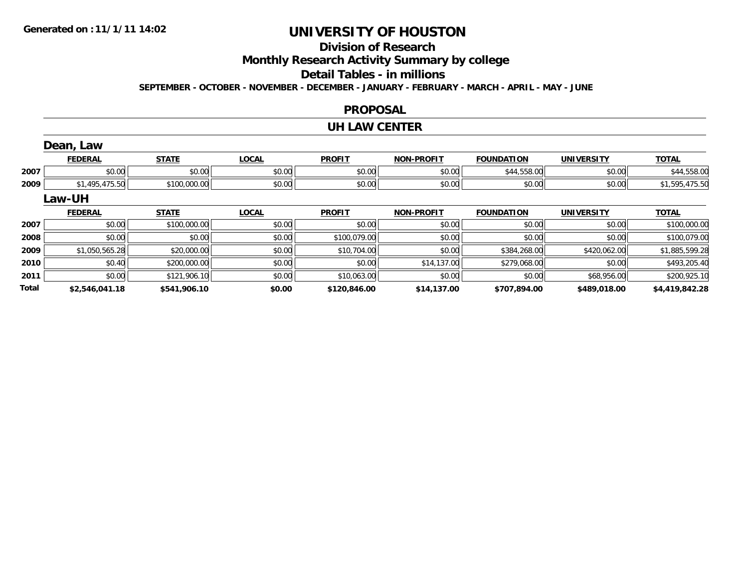**2011**

**Total**

# **UNIVERSITY OF HOUSTON**

# **Division of Research**

**Monthly Research Activity Summary by college**

# **Detail Tables - in millions**

**SEPTEMBER - OCTOBER - NOVEMBER - DECEMBER - JANUARY - FEBRUARY - MARCH - APRIL - MAY - JUNE**

#### **PROPOSAL**

#### **UH LAW CENTER**

|      | Dean, Law      |              |              |               |                   |                   |                   |                |
|------|----------------|--------------|--------------|---------------|-------------------|-------------------|-------------------|----------------|
|      | <b>FEDERAL</b> | <b>STATE</b> | <b>LOCAL</b> | <b>PROFIT</b> | <b>NON-PROFIT</b> | <b>FOUNDATION</b> | <b>UNIVERSITY</b> | <b>TOTAL</b>   |
| 2007 | \$0.00         | \$0.00       | \$0.00       | \$0.00        | \$0.00            | \$44,558.00       | \$0.00            | \$44,558.00    |
| 2009 | \$1,495,475.50 | \$100,000.00 | \$0.00       | \$0.00        | \$0.00            | \$0.00            | \$0.00            | \$1,595,475.50 |
|      | <b>Law-UH</b>  |              |              |               |                   |                   |                   |                |
|      |                |              |              |               |                   |                   |                   |                |
|      | <b>FEDERAL</b> | <b>STATE</b> | <b>LOCAL</b> | <b>PROFIT</b> | <b>NON-PROFIT</b> | <b>FOUNDATION</b> | <b>UNIVERSITY</b> | <b>TOTAL</b>   |
| 2007 | \$0.00         | \$100,000.00 | \$0.00       | \$0.00        | \$0.00            | \$0.00            | \$0.00            | \$100,000.00   |
| 2008 | \$0.00         | \$0.00       | \$0.00       | \$100,079.00  | \$0.00            | \$0.00            | \$0.00            | \$100,079.00   |
| 2009 | \$1,050,565.28 | \$20,000.00  | \$0.00       | \$10,704.00   | \$0.00            | \$384,268.00      | \$420,062.00      | \$1,885,599.28 |

 $\textbf{1} \hspace{14mm} \hspace{14mm} \text{$80.00} \hspace{14mm} \text{$80.00} \hspace{14mm} \text{$810,063.00} \hspace{14mm} \text{$80.00} \hspace{14mm} \text{$80.00} \hspace{14mm} \text{$80.00} \hspace{14mm} \text{$80.00} \hspace{14mm} \text{$80.00} \hspace{14mm} \text{$80.00} \hspace{14mm} \text{$80.00} \hspace{14mm} \text{$80.00} \hspace$ 

**\$2,546,041.18 \$541,906.10 \$0.00 \$120,846.00 \$14,137.00 \$707,894.00 \$489,018.00 \$4,419,842.28**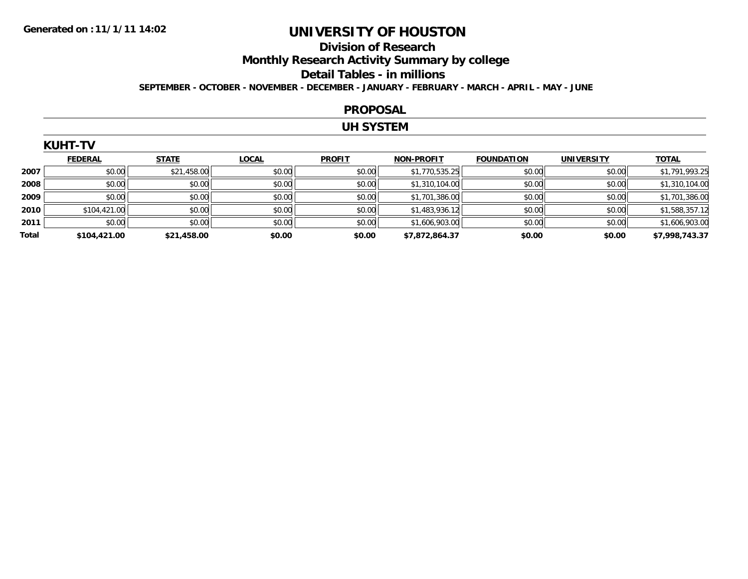# **Division of ResearchMonthly Research Activity Summary by college Detail Tables - in millions**

**SEPTEMBER - OCTOBER - NOVEMBER - DECEMBER - JANUARY - FEBRUARY - MARCH - APRIL - MAY - JUNE**

#### **PROPOSAL**

## **UH SYSTEM**

|    | UH<br>-11 |  |
|----|-----------|--|
| ۱ı | п         |  |
|    |           |  |

|       | <b>FEDERAL</b> | <b>STATE</b> | <b>LOCAL</b> | <b>PROFIT</b> | <b>NON-PROFIT</b> | <b>FOUNDATION</b> | <b>UNIVERSITY</b> | <b>TOTAL</b>   |
|-------|----------------|--------------|--------------|---------------|-------------------|-------------------|-------------------|----------------|
| 2007  | \$0.00         | \$21,458.00  | \$0.00       | \$0.00        | \$1,770,535.25    | \$0.00            | \$0.00            | \$1,791,993.25 |
| 2008  | \$0.00         | \$0.00       | \$0.00       | \$0.00        | \$1,310,104.00    | \$0.00            | \$0.00            | \$1,310,104.00 |
| 2009  | \$0.00         | \$0.00       | \$0.00       | \$0.00        | \$1,701,386.00    | \$0.00            | \$0.00            | \$1,701,386.00 |
| 2010  | \$104,421.00   | \$0.00       | \$0.00       | \$0.00        | \$1,483,936.12    | \$0.00            | \$0.00            | \$1,588,357.12 |
| 2011  | \$0.00         | \$0.00       | \$0.00       | \$0.00        | \$1,606,903.00    | \$0.00            | \$0.00            | \$1,606,903.00 |
| Total | \$104,421.00   | \$21,458.00  | \$0.00       | \$0.00        | \$7,872,864.37    | \$0.00            | \$0.00            | \$7,998,743.37 |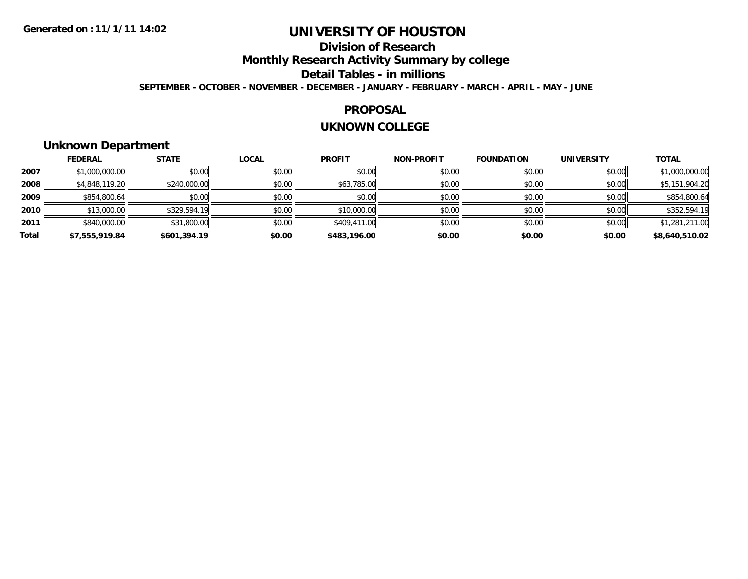# **Division of ResearchMonthly Research Activity Summary by college Detail Tables - in millions**

**SEPTEMBER - OCTOBER - NOVEMBER - DECEMBER - JANUARY - FEBRUARY - MARCH - APRIL - MAY - JUNE**

#### **PROPOSAL**

#### **UKNOWN COLLEGE**

# **Unknown Department**

|       | <b>FEDERAL</b> | <b>STATE</b> | <b>LOCAL</b> | <b>PROFIT</b> | <b>NON-PROFIT</b> | <b>FOUNDATION</b> | <b>UNIVERSITY</b> | <b>TOTAL</b>   |
|-------|----------------|--------------|--------------|---------------|-------------------|-------------------|-------------------|----------------|
| 2007  | \$1,000,000.00 | \$0.00       | \$0.00       | \$0.00        | \$0.00            | \$0.00            | \$0.00            | \$1,000,000.00 |
| 2008  | \$4,848,119.20 | \$240,000.00 | \$0.00       | \$63,785.00   | \$0.00            | \$0.00            | \$0.00            | \$5,151,904.20 |
| 2009  | \$854,800.64   | \$0.00       | \$0.00       | \$0.00        | \$0.00            | \$0.00            | \$0.00            | \$854,800.64   |
| 2010  | \$13,000.00    | \$329,594.19 | \$0.00       | \$10,000.00   | \$0.00            | \$0.00            | \$0.00            | \$352,594.19   |
| 2011  | \$840,000.00   | \$31,800.00  | \$0.00       | \$409,411.00  | \$0.00            | \$0.00            | \$0.00            | \$1,281,211.00 |
| Total | \$7,555,919.84 | \$601,394.19 | \$0.00       | \$483,196.00  | \$0.00            | \$0.00            | \$0.00            | \$8,640,510.02 |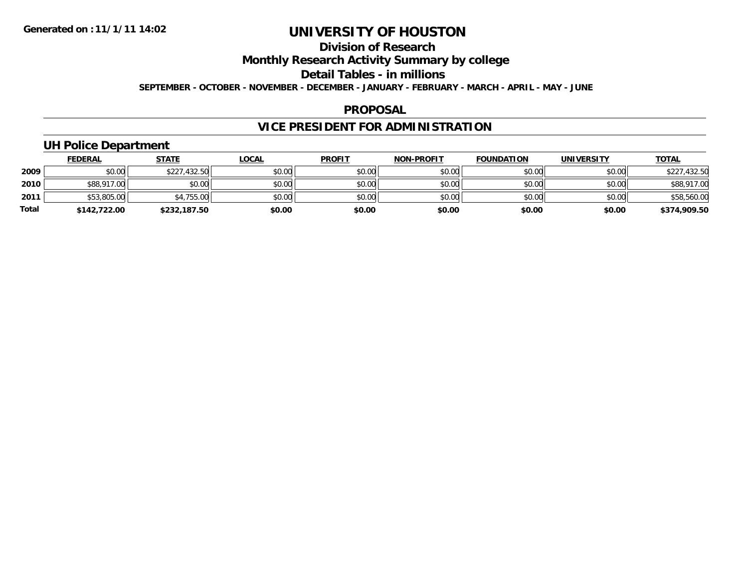# **Division of Research**

## **Monthly Research Activity Summary by college**

# **Detail Tables - in millions**

**SEPTEMBER - OCTOBER - NOVEMBER - DECEMBER - JANUARY - FEBRUARY - MARCH - APRIL - MAY - JUNE**

#### **PROPOSAL**

## **VICE PRESIDENT FOR ADMINISTRATION**

# **UH Police Department**

|              | <b>FEDERAL</b> | <b>STATE</b> | <u>LOCAL</u> | <b>PROFIT</b> | <b>NON-PROFIT</b> | <b>FOUNDATION</b> | <b>UNIVERSITY</b> | <u>TOTAL</u> |
|--------------|----------------|--------------|--------------|---------------|-------------------|-------------------|-------------------|--------------|
| 2009         | \$0.00         | \$227,432.50 | \$0.00       | \$0.00        | \$0.00            | \$0.00            | \$0.00            | \$227,432.50 |
| 2010         | \$88,917.00    | \$0.00       | \$0.00       | \$0.00        | \$0.00            | \$0.00            | \$0.00            | \$88,917.00  |
| 2011         | \$53,805.00    | \$4,755.00   | \$0.00       | \$0.00        | \$0.00            | \$0.00            | \$0.00            | \$58,560.00  |
| <b>Total</b> | \$142,722,00   | \$232,187.50 | \$0.00       | \$0.00        | \$0.00            | \$0.00            | \$0.00            | \$374,909.50 |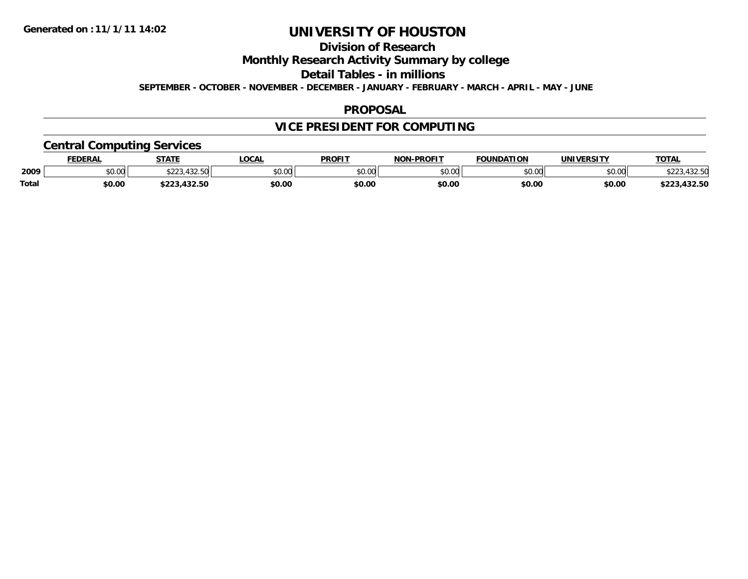# **Division of Research**

## **Monthly Research Activity Summary by college**

## **Detail Tables - in millions**

**SEPTEMBER - OCTOBER - NOVEMBER - DECEMBER - JANUARY - FEBRUARY - MARCH - APRIL - MAY - JUNE**

#### **PROPOSAL**

# **VICE PRESIDENT FOR COMPUTING**

## **Central Computing Services**

|              | FEDERAL | <b>STATE</b>                 | <b>LOCAL</b> | <b>PROFIT</b> | <b>NON</b><br>-PROFIT | <b>FOUNDATION</b> | <b>UNIVERSITY</b> | <b>TOTAL</b>         |
|--------------|---------|------------------------------|--------------|---------------|-----------------------|-------------------|-------------------|----------------------|
| 2009         | \$0.00  | 122 F<br>$\land \land \land$ | \$0.00       | 0000<br>JU.UU | \$0.00                | \$0.00            | \$0.00            | $\sim$ $\sim$ $\sim$ |
| <b>Total</b> | \$0.00  | 122E<br>ノムムコ・サンム・コマ          | \$0.00       | \$0.00        | \$0.00                | \$0.00            | \$0.00            | 223,432.50           |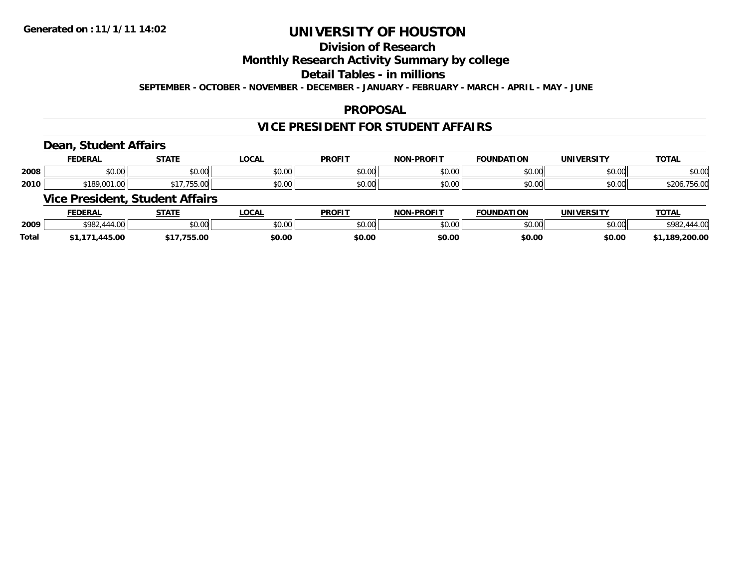# **Division of Research**

## **Monthly Research Activity Summary by college**

## **Detail Tables - in millions**

**SEPTEMBER - OCTOBER - NOVEMBER - DECEMBER - JANUARY - FEBRUARY - MARCH - APRIL - MAY - JUNE**

#### **PROPOSAL**

## **VICE PRESIDENT FOR STUDENT AFFAIRS**

#### **Dean, Student Affairs**

|      | <b>FEDERAL</b>  | <b>CTATE</b><br>- 91A | <b>OCAL</b>                                | <b>PROFIT</b>                              | <b>NON-PROFIT</b> | רמחמווח<br><b>TOM</b>            | <b>UNIVERSITY</b>                | <b>TOTAL</b> |
|------|-----------------|-----------------------|--------------------------------------------|--------------------------------------------|-------------------|----------------------------------|----------------------------------|--------------|
| 2008 | $\sim$<br>vu.uu | 0000<br>DU.UG         | 0.00<br>JU.UU                              | $\mathsf{A} \cap \mathsf{A} \cap$<br>vv.vv | 0000<br>ง∪.∪บ     | $\circ$ $\circ$ $\circ$<br>,u.uu | $\circ$ $\circ$ $\circ$<br>pu.uu | \$0.00       |
| 2010 | 001<br>0.100    | wu.uu                 | $\theta$ $\theta$ $\theta$<br><b>DU.UU</b> | $\sim$<br>JU.UU                            | 0000<br>ง∪.∪บ     | 0000<br>DU.UU                    | \$0.00                           | $\sim$<br>.  |

#### **Vice President, Student Affairs**

|              | <b>FEDERAL</b> | <b>STATE</b> | <b>OCAL</b>    | <b>PROFIT</b>  | -PROFTT<br><b>NON</b> | <b>FOUNDATION</b> | <b>UNIVERSITY</b> | <b>TOTAL</b>      |
|--------------|----------------|--------------|----------------|----------------|-----------------------|-------------------|-------------------|-------------------|
| 2009         | \$982          | \$0.00       | ሶስ ሰሰ<br>טט.טע | ደበ በበ<br>JU.UU | ልስ ለሰ<br>pv.uu        | \$0.00            | \$0.00            | $\overline{1100}$ |
| <b>Total</b> | 445.00         | .755.00      | \$0.00         | \$0.00         | \$0.00                | \$0.00            | \$0.00            | \$1,189,200.00    |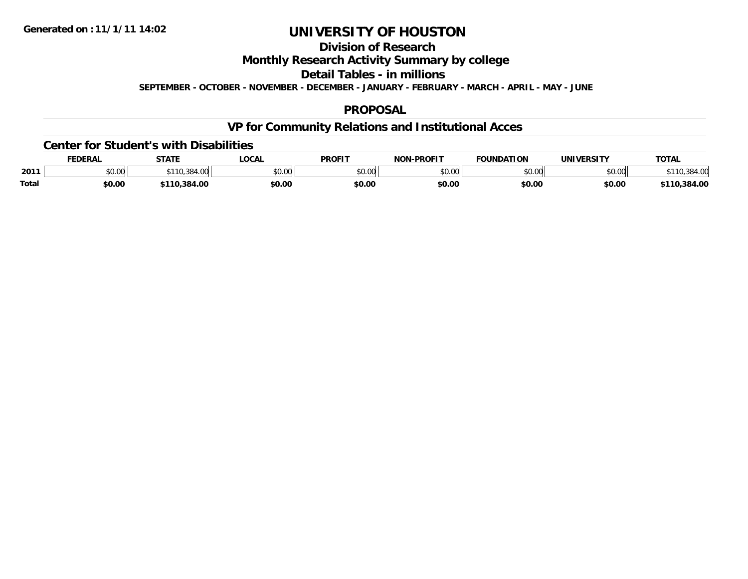# **Division of ResearchMonthly Research Activity Summary by college Detail Tables - in millions**

**SEPTEMBER - OCTOBER - NOVEMBER - DECEMBER - JANUARY - FEBRUARY - MARCH - APRIL - MAY - JUNE**

## **PROPOSAL**

# **VP for Community Relations and Institutional Acces**

#### **Center for Student's with Disabilities**

|              | <b>EDERAL</b> | <b>STATE</b>            | <b>LOCAL</b>  | <b>PROFIT</b> | <b>-PROFIT</b><br><b>NON</b> | <b>FOUNDATION</b> | <b>IINTVEDCTTV</b> | <b>TOTAL</b> |
|--------------|---------------|-------------------------|---------------|---------------|------------------------------|-------------------|--------------------|--------------|
| 2011         | \$0.00        | $\sim$ $\sim$<br>$+11.$ | 0000<br>PU.UU | 0000<br>,uu   | \$0.00                       | ስ ለሰ              | 0000<br>DU.UG      |              |
| <b>Total</b> | \$0.00        | 0.384.00.               | \$0.00        | \$0.00        | \$0.00                       | \$0.00            | \$0.00             | 384.00,      |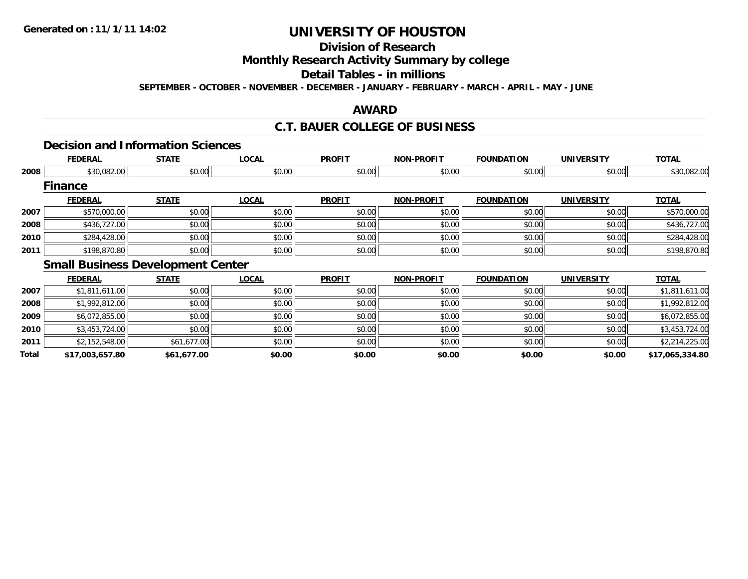# **Division of Research**

## **Monthly Research Activity Summary by college**

# **Detail Tables - in millions**

**SEPTEMBER - OCTOBER - NOVEMBER - DECEMBER - JANUARY - FEBRUARY - MARCH - APRIL - MAY - JUNE**

#### **AWARD**

### **C.T. BAUER COLLEGE OF BUSINESS**

# **Decision and Information Sciences**

|      | <b>FEDERAL</b> | <b>STATE</b>                             | <b>LOCAL</b> | <b>PROFIT</b> | <b>NON-PROFIT</b> | <b>FOUNDATION</b> | <b>UNIVERSITY</b> | <b>TOTAL</b> |
|------|----------------|------------------------------------------|--------------|---------------|-------------------|-------------------|-------------------|--------------|
| 2008 | \$30,082.00    | \$0.00                                   | \$0.00       | \$0.00        | \$0.00            | \$0.00            | \$0.00            | \$30,082.00  |
|      | <b>Finance</b> |                                          |              |               |                   |                   |                   |              |
|      | <b>FEDERAL</b> | <b>STATE</b>                             | <b>LOCAL</b> | <b>PROFIT</b> | <b>NON-PROFIT</b> | <b>FOUNDATION</b> | <b>UNIVERSITY</b> | <b>TOTAL</b> |
| 2007 | \$570,000.00   | \$0.00                                   | \$0.00       | \$0.00        | \$0.00            | \$0.00            | \$0.00            | \$570,000.00 |
| 2008 | \$436,727.00   | \$0.00                                   | \$0.00       | \$0.00        | \$0.00            | \$0.00            | \$0.00            | \$436,727.00 |
| 2010 | \$284,428.00   | \$0.00                                   | \$0.00       | \$0.00        | \$0.00            | \$0.00            | \$0.00            | \$284,428.00 |
| 2011 | \$198,870.80   | \$0.00                                   | \$0.00       | \$0.00        | \$0.00            | \$0.00            | \$0.00            | \$198,870.80 |
|      |                | <b>Small Business Development Center</b> |              |               |                   |                   |                   |              |

|       | <b>FEDERAL</b>  | <b>STATE</b> | <b>LOCAL</b> | <b>PROFIT</b> | <b>NON-PROFIT</b> | <b>FOUNDATION</b> | <b>UNIVERSITY</b> | <b>TOTAL</b>    |
|-------|-----------------|--------------|--------------|---------------|-------------------|-------------------|-------------------|-----------------|
| 2007  | \$1,811,611.00  | \$0.00       | \$0.00       | \$0.00        | \$0.00            | \$0.00            | \$0.00            | \$1,811,611.00  |
| 2008  | \$1,992,812.00  | \$0.00       | \$0.00       | \$0.00        | \$0.00            | \$0.00            | \$0.00            | \$1,992,812.00  |
| 2009  | \$6,072,855.00  | \$0.00       | \$0.00       | \$0.00        | \$0.00            | \$0.00            | \$0.00            | \$6,072,855.00  |
| 2010  | \$3,453,724.00  | \$0.00       | \$0.00       | \$0.00        | \$0.00            | \$0.00            | \$0.00            | \$3,453,724.00  |
| 2011  | \$2,152,548.00  | \$61,677.00  | \$0.00       | \$0.00        | \$0.00            | \$0.00            | \$0.00            | \$2,214,225.00  |
| Total | \$17,003,657.80 | \$61,677.00  | \$0.00       | \$0.00        | \$0.00            | \$0.00            | \$0.00            | \$17,065,334.80 |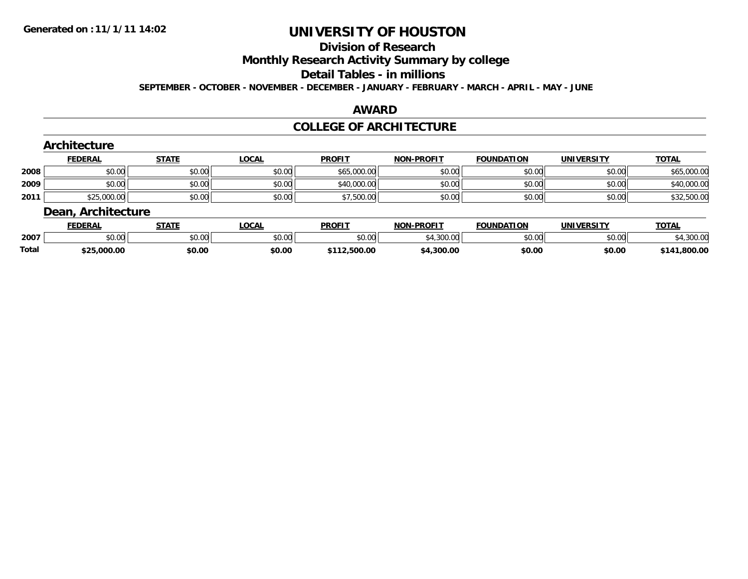# **Division of Research**

## **Monthly Research Activity Summary by college**

#### **Detail Tables - in millions**

**SEPTEMBER - OCTOBER - NOVEMBER - DECEMBER - JANUARY - FEBRUARY - MARCH - APRIL - MAY - JUNE**

#### **AWARD**

#### **COLLEGE OF ARCHITECTURE**

|      | <b>Architecture</b><br><b>FEDERAL</b> | <b>STATE</b> | <b>LOCAL</b> | <b>PROFIT</b> | <b>NON-PROFIT</b> | <b>FOUNDATION</b> | <b>UNIVERSITY</b> | <b>TOTAL</b> |
|------|---------------------------------------|--------------|--------------|---------------|-------------------|-------------------|-------------------|--------------|
| 2008 | \$0.00                                | \$0.00       | \$0.00       | \$65,000.00   | \$0.00            | \$0.00            | \$0.00            | \$65,000.00  |
| 2009 | \$0.00                                | \$0.00       | \$0.00       | \$40,000.00   | \$0.00            | \$0.00            | \$0.00            | \$40,000.00  |
| 2011 | \$25,000.00                           | \$0.00       | \$0.00       | \$7,500.00    | \$0.00            | \$0.00            | \$0.00            | \$32,500.00  |
|      | <b>Dean, Architecture</b>             |              |              |               |                   |                   |                   |              |

|       | <b>FEDERAL</b>  | <b>STATE</b>  | <b>OCAL</b>                   | <b>PROFIT</b>      | <b>NON-PROFIT</b> | <b>FOUNDATION</b> | <b>UNIVERSITY</b> | <b>TOTA</b>       |
|-------|-----------------|---------------|-------------------------------|--------------------|-------------------|-------------------|-------------------|-------------------|
| 2007  | $\sim$<br>งบ.บบ | 0.00<br>JU.UU | $n \cap \neg$<br><b>DU.UU</b> | $\sim$ 00<br>JU.UU | מה החי<br>vv.vv   | \$0.00            | \$0.00            | 20000<br>4,300.00 |
| Total | \$25,000.00     | \$0.00        | \$0.00                        | 112.500.00         | 4,300.00          | \$0.00            | \$0.00            | \$141.800.00      |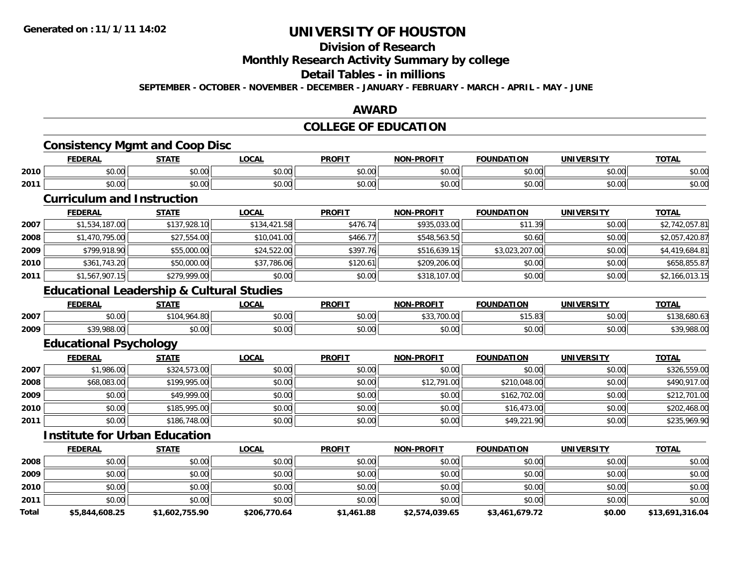# **Division of Research**

## **Monthly Research Activity Summary by college**

## **Detail Tables - in millions**

**SEPTEMBER - OCTOBER - NOVEMBER - DECEMBER - JANUARY - FEBRUARY - MARCH - APRIL - MAY - JUNE**

#### **AWARD**

## **COLLEGE OF EDUCATION**

## **Consistency Mgmt and Coop Disc**

|      | <b>FEDERAL</b> | CTATE<br>ЭIAII          | LOCAI         | <b>PROFIT</b>    | <b>-PROFIT</b><br>NON- | <b>FOUNDATION</b> | <b>UNIVERSITY</b>    | <b>TOTAL</b> |
|------|----------------|-------------------------|---------------|------------------|------------------------|-------------------|----------------------|--------------|
| 2010 | 0000<br>PU.UU  | $\uparrow$<br>vv.vv     | 0000<br>PO.OO | \$0.00           | \$0.00                 | \$0.00            | 0.00<br><b>JU.UU</b> | \$0.00       |
| 2011 | 0000<br>JU.UU  | $\overline{a}$<br>JU.UU | 0000<br>PO.OO | $\sim$<br>\$0.00 | \$0.00                 | \$0.00            | \$0.00               | \$0.00       |

#### **Curriculum and Instruction**

|      | <b>FEDERAL</b> | <b>STATE</b> | <b>LOCAL</b> | <b>PROFIT</b> | <b>NON-PROFIT</b> | <b>FOUNDATION</b> | <b>UNIVERSITY</b> | <u>TOTAL</u>   |
|------|----------------|--------------|--------------|---------------|-------------------|-------------------|-------------------|----------------|
| 2007 | \$1,534,187.00 | \$137,928.10 | \$134,421.58 | \$476.74      | \$935,033.00      | \$11.39           | \$0.00            | \$2,742,057.81 |
| 2008 | \$1,470,795.00 | \$27,554.00  | \$10,041.00  | \$466.77      | \$548,563.50      | \$0.60            | \$0.00            | \$2,057,420.87 |
| 2009 | \$799,918.90   | \$55,000.00  | \$24,522.00  | \$397.76      | \$516,639.15      | \$3,023,207.00    | \$0.00            | \$4,419,684.81 |
| 2010 | \$361,743.20   | \$50,000.00  | \$37,786.06  | \$120.61      | \$209,206.00      | \$0.00            | \$0.00            | \$658,855.87   |
| 2011 | \$1,567,907.15 | \$279,999.00 | \$0.00       | \$0.00        | \$318,107.00      | \$0.00            | \$0.00            | \$2,166,013.15 |

#### **Educational Leadership & Cultural Studies**

|      | <b>FEDERAL</b>          | STATE                   | $\sim$<br>.uun                               | <b>PROFIT</b>          | <b>NON-PROFIT</b>                   | ΓΙΟΝ<br><b>FOUNDAT</b>     | <b>UNIVERSITY</b> | <b>TOTAL</b>       |
|------|-------------------------|-------------------------|----------------------------------------------|------------------------|-------------------------------------|----------------------------|-------------------|--------------------|
| 2007 | $\sim$ $\sim$<br>0.00   | 1.00<br>$^*104.$<br>᠇.տ | 0 <sup>0</sup><br>pu.uu                      | $\sim$ $\sim$<br>vu.vu | $\cdots$<br>$\sim$<br>UU.UU<br>ູບບ. | $A - C$<br>$\sim$<br>19.09 | \$0.00            | . uu u             |
| 2009 | <b>000 000</b><br>700.V | $\sim$ 00<br>JU.UU      | $\triangle$ $\triangle$ $\triangle$<br>pu.uu | JU.UU                  | 0000<br>PO.OO                       | \$0.00                     | nn nn<br>DU.UU    | ma ana ar<br>988.U |

## **Educational Psychology**

|      | <b>FEDERAL</b> | <b>STATE</b> | <u>LOCAL</u> | <b>PROFIT</b> | <b>NON-PROFIT</b> | <b>FOUNDATION</b> | <b>UNIVERSITY</b> | <b>TOTAL</b> |
|------|----------------|--------------|--------------|---------------|-------------------|-------------------|-------------------|--------------|
| 2007 | \$1,986.00     | \$324,573.00 | \$0.00       | \$0.00        | \$0.00            | \$0.00            | \$0.00            | \$326,559.00 |
| 2008 | \$68,083.00    | \$199,995.00 | \$0.00       | \$0.00        | \$12,791.00       | \$210,048.00      | \$0.00            | \$490,917.00 |
| 2009 | \$0.00         | \$49,999.00  | \$0.00       | \$0.00        | \$0.00            | \$162,702.00      | \$0.00            | \$212,701.00 |
| 2010 | \$0.00         | \$185,995,00 | \$0.00       | \$0.00        | \$0.00            | \$16,473.00       | \$0.00            | \$202,468.00 |
| 2011 | \$0.00         | \$186,748.00 | \$0.00       | \$0.00        | \$0.00            | \$49,221.90       | \$0.00            | \$235,969.90 |

## **Institute for Urban Education**

|       | <b>FEDERAL</b> | <b>STATE</b>   | <b>LOCAL</b> | <b>PROFIT</b> | <b>NON-PROFIT</b> | <b>FOUNDATION</b> | <b>UNIVERSITY</b> | <b>TOTAL</b>    |
|-------|----------------|----------------|--------------|---------------|-------------------|-------------------|-------------------|-----------------|
| 2008  | \$0.00         | \$0.00         | \$0.00       | \$0.00        | \$0.00            | \$0.00            | \$0.00            | \$0.00          |
| 2009  | \$0.00         | \$0.00         | \$0.00       | \$0.00        | \$0.00            | \$0.00            | \$0.00            | \$0.00          |
| 2010  | \$0.00         | \$0.00         | \$0.00       | \$0.00        | \$0.00            | \$0.00            | \$0.00            | \$0.00          |
| 2011  | \$0.00         | \$0.00         | \$0.00       | \$0.00        | \$0.00            | \$0.00            | \$0.00            | \$0.00          |
| Total | \$5,844,608.25 | \$1,602,755.90 | \$206,770.64 | \$1,461.88    | \$2,574,039.65    | \$3,461,679.72    | \$0.00            | \$13,691,316.04 |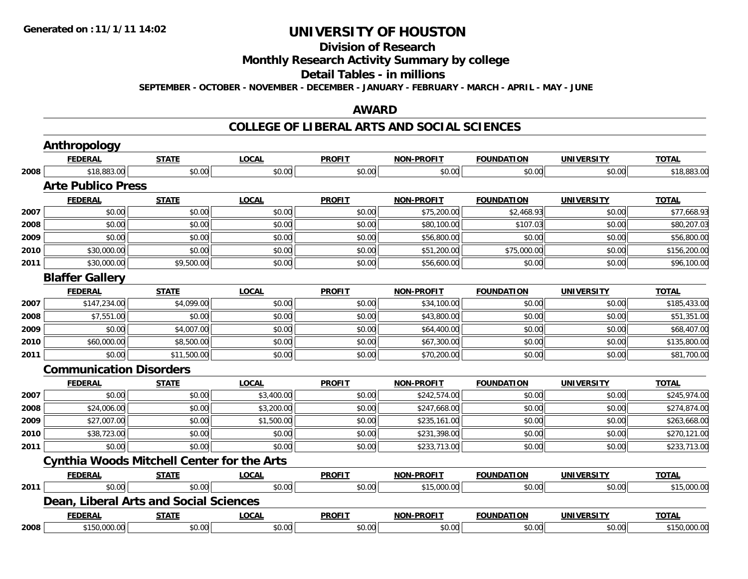# **Division of Research**

## **Monthly Research Activity Summary by college**

#### **Detail Tables - in millions**

**SEPTEMBER - OCTOBER - NOVEMBER - DECEMBER - JANUARY - FEBRUARY - MARCH - APRIL - MAY - JUNE**

#### **AWARD**

|      | <b>Anthropology</b>                               |              |              |               |                   |                   |                   |              |
|------|---------------------------------------------------|--------------|--------------|---------------|-------------------|-------------------|-------------------|--------------|
|      | <b>FEDERAL</b>                                    | <b>STATE</b> | <b>LOCAL</b> | <b>PROFIT</b> | <b>NON-PROFIT</b> | <b>FOUNDATION</b> | <b>UNIVERSITY</b> | <b>TOTAL</b> |
| 2008 | \$18,883.00                                       | \$0.00       | \$0.00       | \$0.00        | \$0.00            | \$0.00            | \$0.00            | \$18,883.00  |
|      | <b>Arte Publico Press</b>                         |              |              |               |                   |                   |                   |              |
|      | <b>FEDERAL</b>                                    | <b>STATE</b> | <b>LOCAL</b> | <b>PROFIT</b> | <b>NON-PROFIT</b> | <b>FOUNDATION</b> | <b>UNIVERSITY</b> | <b>TOTAL</b> |
| 2007 | \$0.00                                            | \$0.00       | \$0.00       | \$0.00        | \$75,200.00       | \$2,468.93        | \$0.00            | \$77,668.93  |
| 2008 | \$0.00                                            | \$0.00       | \$0.00       | \$0.00        | \$80,100.00       | \$107.03          | \$0.00            | \$80,207.03  |
| 2009 | \$0.00                                            | \$0.00       | \$0.00       | \$0.00        | \$56,800.00       | \$0.00            | \$0.00            | \$56,800.00  |
| 2010 | \$30,000.00                                       | \$0.00       | \$0.00       | \$0.00        | \$51,200.00       | \$75,000.00       | \$0.00            | \$156,200.00 |
| 2011 | \$30,000.00                                       | \$9,500.00   | \$0.00       | \$0.00        | \$56,600.00       | \$0.00            | \$0.00            | \$96,100.00  |
|      | <b>Blaffer Gallery</b>                            |              |              |               |                   |                   |                   |              |
|      | <b>FEDERAL</b>                                    | <b>STATE</b> | <b>LOCAL</b> | <b>PROFIT</b> | <b>NON-PROFIT</b> | <b>FOUNDATION</b> | <b>UNIVERSITY</b> | <b>TOTAL</b> |
| 2007 | \$147,234.00                                      | \$4,099.00   | \$0.00       | \$0.00        | \$34,100.00       | \$0.00            | \$0.00            | \$185,433.00 |
| 2008 | \$7,551.00                                        | \$0.00       | \$0.00       | \$0.00        | \$43,800.00       | \$0.00            | \$0.00            | \$51,351.00  |
| 2009 | \$0.00                                            | \$4,007.00   | \$0.00       | \$0.00        | \$64,400.00       | \$0.00            | \$0.00            | \$68,407.00  |
| 2010 | \$60,000.00                                       | \$8,500.00   | \$0.00       | \$0.00        | \$67,300.00       | \$0.00            | \$0.00            | \$135,800.00 |
| 2011 | \$0.00                                            | \$11,500.00  | \$0.00       | \$0.00        | \$70,200.00       | \$0.00            | \$0.00            | \$81,700.00  |
|      | <b>Communication Disorders</b>                    |              |              |               |                   |                   |                   |              |
|      | <b>FEDERAL</b>                                    | <b>STATE</b> | <b>LOCAL</b> | <b>PROFIT</b> | <b>NON-PROFIT</b> | <b>FOUNDATION</b> | <b>UNIVERSITY</b> | <b>TOTAL</b> |
| 2007 | \$0.00                                            | \$0.00       | \$3,400.00   | \$0.00        | \$242,574.00      | \$0.00            | \$0.00            | \$245,974.00 |
| 2008 | \$24,006.00                                       | \$0.00       | \$3,200.00   | \$0.00        | \$247,668.00      | \$0.00            | \$0.00            | \$274,874.00 |
| 2009 | \$27,007.00                                       | \$0.00       | \$1,500.00   | \$0.00        | \$235,161.00      | \$0.00            | \$0.00            | \$263,668.00 |
| 2010 | \$38,723.00                                       | \$0.00       | \$0.00       | \$0.00        | \$231,398.00      | \$0.00            | \$0.00            | \$270,121.00 |
| 2011 | \$0.00                                            | \$0.00       | \$0.00       | \$0.00        | \$233,713.00      | \$0.00            | \$0.00            | \$233,713.00 |
|      | <b>Cynthia Woods Mitchell Center for the Arts</b> |              |              |               |                   |                   |                   |              |
|      | <b>FEDERAL</b>                                    | <b>STATE</b> | <b>LOCAL</b> | <b>PROFIT</b> | <b>NON-PROFIT</b> | <b>FOUNDATION</b> | <b>UNIVERSITY</b> | <b>TOTAL</b> |
| 2011 | \$0.00                                            | \$0.00       | \$0.00       | \$0.00        | \$15,000.00       | \$0.00            | \$0.00            | \$15,000.00  |
|      | <b>Dean, Liberal Arts and Social Sciences</b>     |              |              |               |                   |                   |                   |              |
|      | <b>FEDERAL</b>                                    | <b>STATE</b> | <b>LOCAL</b> | <b>PROFIT</b> | <b>NON-PROFIT</b> | <b>FOUNDATION</b> | <b>UNIVERSITY</b> | <b>TOTAL</b> |
| 2008 | \$150,000.00                                      | \$0.00       | \$0.00       | \$0.00        | \$0.00            | \$0.00            | \$0.00            | \$150,000.00 |
|      |                                                   |              |              |               |                   |                   |                   |              |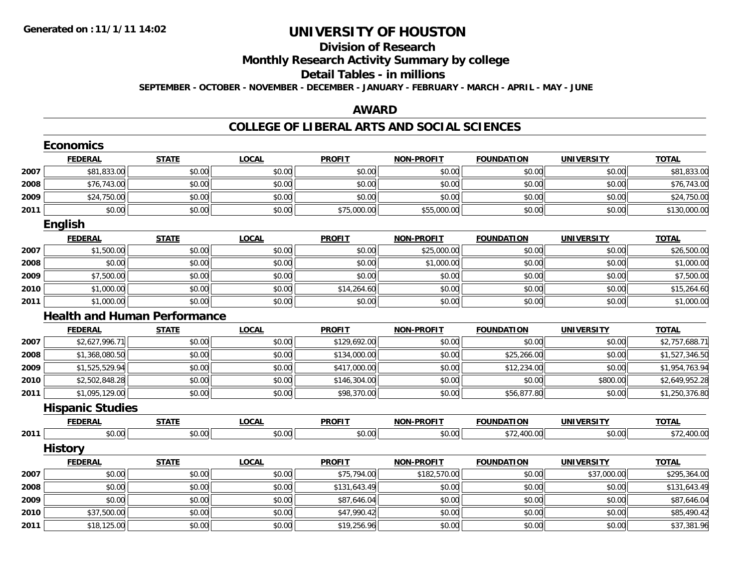## **Division of ResearchMonthly Research Activity Summary by college Detail Tables - in millionsSEPTEMBER - OCTOBER - NOVEMBER - DECEMBER - JANUARY - FEBRUARY - MARCH - APRIL - MAY - JUNE**

#### **AWARD**

|      | <b>Economics</b>                    |              |              |               |                   |                   |                   |                |  |  |  |  |  |
|------|-------------------------------------|--------------|--------------|---------------|-------------------|-------------------|-------------------|----------------|--|--|--|--|--|
|      | <b>FEDERAL</b>                      | <b>STATE</b> | <b>LOCAL</b> | <b>PROFIT</b> | <b>NON-PROFIT</b> | <b>FOUNDATION</b> | <b>UNIVERSITY</b> | <b>TOTAL</b>   |  |  |  |  |  |
| 2007 | \$81,833.00                         | \$0.00       | \$0.00       | \$0.00        | \$0.00            | \$0.00            | \$0.00            | \$81,833.00    |  |  |  |  |  |
| 2008 | \$76,743.00                         | \$0.00       | \$0.00       | \$0.00        | \$0.00            | \$0.00            | \$0.00            | \$76,743.00    |  |  |  |  |  |
| 2009 | \$24,750.00                         | \$0.00       | \$0.00       | \$0.00        | \$0.00            | \$0.00            | \$0.00            | \$24,750.00    |  |  |  |  |  |
| 2011 | \$0.00                              | \$0.00       | \$0.00       | \$75,000.00   | \$55,000.00       | \$0.00            | \$0.00            | \$130,000.00   |  |  |  |  |  |
|      | <b>English</b>                      |              |              |               |                   |                   |                   |                |  |  |  |  |  |
|      | <b>FEDERAL</b>                      | <b>STATE</b> | <b>LOCAL</b> | <b>PROFIT</b> | <b>NON-PROFIT</b> | <b>FOUNDATION</b> | <b>UNIVERSITY</b> | <b>TOTAL</b>   |  |  |  |  |  |
| 2007 | \$1,500.00                          | \$0.00       | \$0.00       | \$0.00        | \$25,000.00       | \$0.00            | \$0.00            | \$26,500.00    |  |  |  |  |  |
| 2008 | \$0.00                              | \$0.00       | \$0.00       | \$0.00        | \$1,000.00        | \$0.00            | \$0.00            | \$1,000.00     |  |  |  |  |  |
| 2009 | \$7,500.00                          | \$0.00       | \$0.00       | \$0.00        | \$0.00            | \$0.00            | \$0.00            | \$7,500.00     |  |  |  |  |  |
| 2010 | \$1,000.00                          | \$0.00       | \$0.00       | \$14,264.60   | \$0.00            | \$0.00            | \$0.00            | \$15,264.60    |  |  |  |  |  |
| 2011 | \$1,000.00                          | \$0.00       | \$0.00       | \$0.00        | \$0.00            | \$0.00            | \$0.00            | \$1,000.00     |  |  |  |  |  |
|      | <b>Health and Human Performance</b> |              |              |               |                   |                   |                   |                |  |  |  |  |  |
|      | <b>FEDERAL</b>                      | <b>STATE</b> | <b>LOCAL</b> | <b>PROFIT</b> | <b>NON-PROFIT</b> | <b>FOUNDATION</b> | <b>UNIVERSITY</b> | <b>TOTAL</b>   |  |  |  |  |  |
| 2007 | \$2,627,996.71                      | \$0.00       | \$0.00       | \$129,692.00  | \$0.00            | \$0.00            | \$0.00            | \$2,757,688.71 |  |  |  |  |  |
| 2008 | \$1,368,080.50                      | \$0.00       | \$0.00       | \$134,000.00  | \$0.00            | \$25,266.00       | \$0.00            | \$1,527,346.50 |  |  |  |  |  |
| 2009 | \$1,525,529.94                      | \$0.00       | \$0.00       | \$417,000.00  | \$0.00            | \$12,234.00       | \$0.00            | \$1,954,763.94 |  |  |  |  |  |
| 2010 | \$2,502,848.28                      | \$0.00       | \$0.00       | \$146,304.00  | \$0.00            | \$0.00            | \$800.00          | \$2,649,952.28 |  |  |  |  |  |
| 2011 | \$1,095,129.00                      | \$0.00       | \$0.00       | \$98,370.00   | \$0.00            | \$56,877.80       | \$0.00            | \$1,250,376.80 |  |  |  |  |  |
|      | <b>Hispanic Studies</b>             |              |              |               |                   |                   |                   |                |  |  |  |  |  |
|      | <b>FEDERAL</b>                      | <b>STATE</b> | <b>LOCAL</b> | <b>PROFIT</b> | <b>NON-PROFIT</b> | <b>FOUNDATION</b> | <b>UNIVERSITY</b> | <b>TOTAL</b>   |  |  |  |  |  |
| 2011 | \$0.00                              | \$0.00       | \$0.00       | \$0.00        | \$0.00            | \$72,400.00       | \$0.00            | \$72,400.00    |  |  |  |  |  |
|      | <b>History</b>                      |              |              |               |                   |                   |                   |                |  |  |  |  |  |
|      | <b>FEDERAL</b>                      | <b>STATE</b> | <b>LOCAL</b> | <b>PROFIT</b> | <b>NON-PROFIT</b> | <b>FOUNDATION</b> | <b>UNIVERSITY</b> | <b>TOTAL</b>   |  |  |  |  |  |
| 2007 | \$0.00                              | \$0.00       | \$0.00       | \$75,794.00   | \$182,570.00      | \$0.00            | \$37,000.00       | \$295,364.00   |  |  |  |  |  |
| 2008 | \$0.00                              | \$0.00       | \$0.00       | \$131,643.49  | \$0.00            | \$0.00            | \$0.00            | \$131,643.49   |  |  |  |  |  |
| 2009 | \$0.00                              | \$0.00       | \$0.00       | \$87,646.04   | \$0.00            | \$0.00            | \$0.00            | \$87,646.04    |  |  |  |  |  |
| 2010 | \$37,500.00                         | \$0.00       | \$0.00       | \$47,990.42   | \$0.00            | \$0.00            | \$0.00            | \$85,490.42    |  |  |  |  |  |
| 2011 | \$18,125.00                         | \$0.00       | \$0.00       | \$19,256.96   | \$0.00            | \$0.00            | \$0.00            | \$37,381.96    |  |  |  |  |  |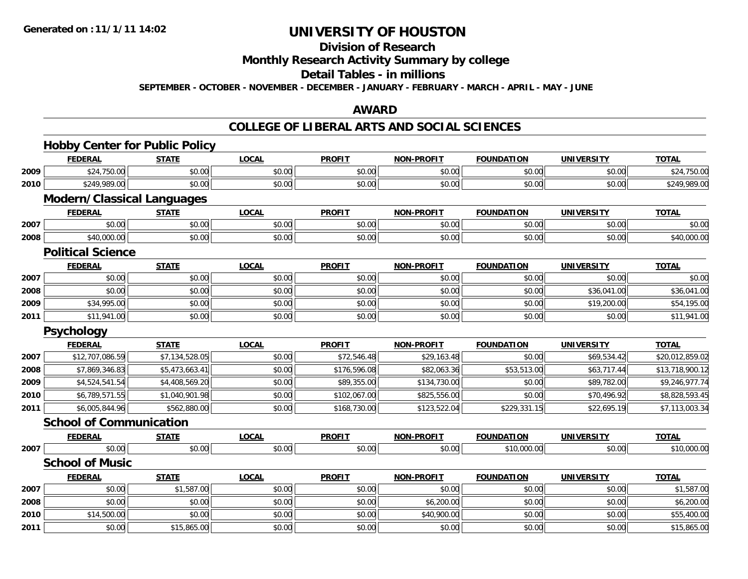## **Division of Research**

### **Monthly Research Activity Summary by college**

#### **Detail Tables - in millions**

**SEPTEMBER - OCTOBER - NOVEMBER - DECEMBER - JANUARY - FEBRUARY - MARCH - APRIL - MAY - JUNE**

#### **AWARD**

#### **COLLEGE OF LIBERAL ARTS AND SOCIAL SCIENCES**

|      | <b>Hobby Center for Public Policy</b> |                |              |               |                   |                   |                   |                 |
|------|---------------------------------------|----------------|--------------|---------------|-------------------|-------------------|-------------------|-----------------|
|      | <b>FEDERAL</b>                        | <b>STATE</b>   | <b>LOCAL</b> | <b>PROFIT</b> | <b>NON-PROFIT</b> | <b>FOUNDATION</b> | <b>UNIVERSITY</b> | <b>TOTAL</b>    |
| 2009 | \$24,750.00                           | \$0.00         | \$0.00       | \$0.00        | \$0.00            | \$0.00            | \$0.00            | \$24,750.00     |
| 2010 | \$249,989.00                          | \$0.00         | \$0.00       | \$0.00        | \$0.00            | \$0.00            | \$0.00            | \$249,989.00    |
|      | <b>Modern/Classical Languages</b>     |                |              |               |                   |                   |                   |                 |
|      | <b>FEDERAL</b>                        | <b>STATE</b>   | <b>LOCAL</b> | <b>PROFIT</b> | <b>NON-PROFIT</b> | <b>FOUNDATION</b> | <b>UNIVERSITY</b> | <b>TOTAL</b>    |
| 2007 | \$0.00                                | \$0.00         | \$0.00       | \$0.00        | \$0.00            | \$0.00            | \$0.00            | \$0.00          |
| 2008 | \$40,000.00                           | \$0.00         | \$0.00       | \$0.00        | \$0.00            | \$0.00            | \$0.00            | \$40,000.00     |
|      | <b>Political Science</b>              |                |              |               |                   |                   |                   |                 |
|      | <b>FEDERAL</b>                        | <b>STATE</b>   | <b>LOCAL</b> | <b>PROFIT</b> | <b>NON-PROFIT</b> | <b>FOUNDATION</b> | <b>UNIVERSITY</b> | <b>TOTAL</b>    |
| 2007 | \$0.00                                | \$0.00         | \$0.00       | \$0.00        | \$0.00            | \$0.00            | \$0.00            | \$0.00          |
| 2008 | \$0.00                                | \$0.00         | \$0.00       | \$0.00        | \$0.00            | \$0.00            | \$36,041.00       | \$36,041.00     |
| 2009 | \$34,995.00                           | \$0.00         | \$0.00       | \$0.00        | \$0.00            | \$0.00            | \$19,200.00       | \$54,195.00     |
| 2011 | \$11,941.00                           | \$0.00         | \$0.00       | \$0.00        | \$0.00            | \$0.00            | \$0.00            | \$11,941.00     |
|      | <b>Psychology</b>                     |                |              |               |                   |                   |                   |                 |
|      | <b>FEDERAL</b>                        | <b>STATE</b>   | <b>LOCAL</b> | <b>PROFIT</b> | <b>NON-PROFIT</b> | <b>FOUNDATION</b> | <b>UNIVERSITY</b> | <b>TOTAL</b>    |
| 2007 | \$12,707,086.59                       | \$7,134,528.05 | \$0.00       | \$72,546.48   | \$29,163.48       | \$0.00            | \$69,534.42       | \$20,012,859.02 |
| 2008 | \$7,869,346.83                        | \$5,473,663.41 | \$0.00       | \$176,596.08  | \$82,063.36       | \$53,513.00       | \$63,717.44       | \$13,718,900.12 |
| 2009 | \$4,524,541.54                        | \$4,408,569.20 | \$0.00       | \$89,355.00   | \$134,730.00      | \$0.00            | \$89,782.00       | \$9,246,977.74  |
| 2010 | \$6,789,571.55                        | \$1,040,901.98 | \$0.00       | \$102,067.00  | \$825,556.00      | \$0.00            | \$70,496.92       | \$8,828,593.45  |
| 2011 | \$6,005,844.96                        | \$562,880.00   | \$0.00       | \$168,730.00  | \$123,522.04      | \$229,331.15      | \$22,695.19       | \$7,113,003.34  |
|      | <b>School of Communication</b>        |                |              |               |                   |                   |                   |                 |
|      | <b>FEDERAL</b>                        | <b>STATE</b>   | <b>LOCAL</b> | <b>PROFIT</b> | <b>NON-PROFIT</b> | <b>FOUNDATION</b> | <b>UNIVERSITY</b> | <b>TOTAL</b>    |
| 2007 | \$0.00                                | \$0.00         | \$0.00       | \$0.00        | \$0.00            | \$10,000.00       | \$0.00            | \$10,000.00     |
|      | <b>School of Music</b>                |                |              |               |                   |                   |                   |                 |
|      | <b>FEDERAL</b>                        | <b>STATE</b>   | <b>LOCAL</b> | <b>PROFIT</b> | <b>NON-PROFIT</b> | <b>FOUNDATION</b> | <b>UNIVERSITY</b> | <b>TOTAL</b>    |
| 2007 | \$0.00                                | \$1,587.00     | \$0.00       | \$0.00        | \$0.00            | \$0.00            | \$0.00            | \$1,587.00      |
| 2008 | \$0.00                                | \$0.00         | \$0.00       | \$0.00        | \$6,200.00        | \$0.00            | \$0.00            | \$6,200.00      |
| 2010 | \$14,500.00                           | \$0.00         | \$0.00       | \$0.00        | \$40,900.00       | \$0.00            | \$0.00            | \$55,400.00     |
| 2011 | \$0.00                                | \$15,865.00    | \$0.00       | \$0.00        | \$0.00            | \$0.00            | \$0.00            | \$15,865.00     |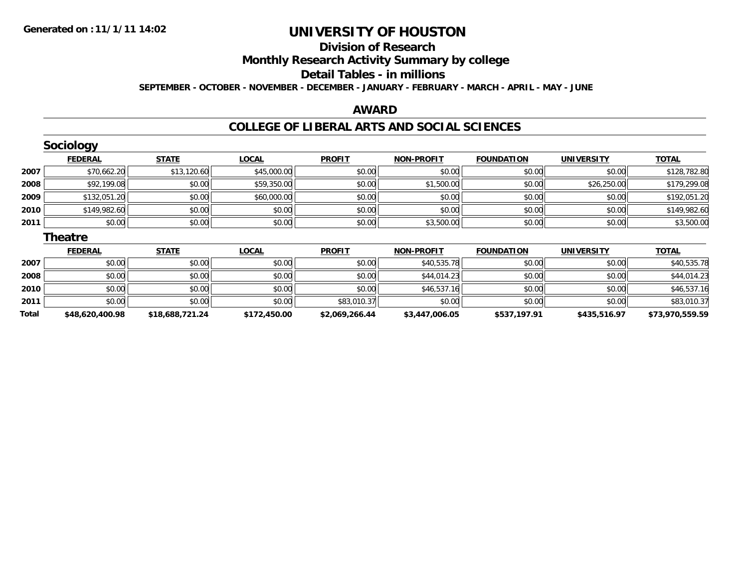**Total**

## **UNIVERSITY OF HOUSTON**

### **Division of ResearchMonthly Research Activity Summary by college Detail Tables - in millionsSEPTEMBER - OCTOBER - NOVEMBER - DECEMBER - JANUARY - FEBRUARY - MARCH - APRIL - MAY - JUNE**

#### **AWARD**

### **COLLEGE OF LIBERAL ARTS AND SOCIAL SCIENCES**

|      | <b>Sociology</b> |              |              |               |                   |                   |                   |              |
|------|------------------|--------------|--------------|---------------|-------------------|-------------------|-------------------|--------------|
|      | <b>FEDERAL</b>   | <b>STATE</b> | <b>LOCAL</b> | <b>PROFIT</b> | <b>NON-PROFIT</b> | <b>FOUNDATION</b> | <b>UNIVERSITY</b> | <b>TOTAL</b> |
| 2007 | \$70,662.20      | \$13,120.60  | \$45,000.00  | \$0.00        | \$0.00            | \$0.00            | \$0.00            | \$128,782.80 |
| 2008 | \$92,199.08      | \$0.00       | \$59,350.00  | \$0.00        | \$1,500.00        | \$0.00            | \$26,250.00       | \$179,299.08 |
| 2009 | \$132,051.20     | \$0.00       | \$60,000.00  | \$0.00        | \$0.00            | \$0.00            | \$0.00            | \$192,051.20 |
| 2010 | \$149,982.60     | \$0.00       | \$0.00       | \$0.00        | \$0.00            | \$0.00            | \$0.00            | \$149,982.60 |
| 2011 | \$0.00           | \$0.00       | \$0.00       | \$0.00        | \$3,500.00        | \$0.00            | \$0.00            | \$3,500.00   |
|      | <b>Theatre</b>   |              |              |               |                   |                   |                   |              |
|      | <b>FEDERAL</b>   | <b>STATE</b> | <b>LOCAL</b> | <b>PROFIT</b> | <b>NON-PROFIT</b> | <b>FOUNDATION</b> | <b>UNIVERSITY</b> | <b>TOTAL</b> |
| 2007 | \$0.00           | \$0.00       | \$0.00       | \$0.00        | \$40,535.78       | \$0.00            | \$0.00            | \$40,535.78  |
| 2008 | \$0.00           | \$0.00       | \$0.00       | \$0.00        | \$44,014.23       | \$0.00            | \$0.00            | \$44,014.23  |
| 2010 | \$0.00           | \$0.00       | \$0.00       | \$0.00        | \$46,537.16       | \$0.00            | \$0.00            | \$46,537.16  |
| 2011 | \$0.00           | \$0.00       | \$0.00       | \$83,010.37   | \$0.00            | \$0.00            | \$0.00            | \$83,010.37  |

**\$48,620,400.98 \$18,688,721.24 \$172,450.00 \$2,069,266.44 \$3,447,006.05 \$537,197.91 \$435,516.97 \$73,970,559.59**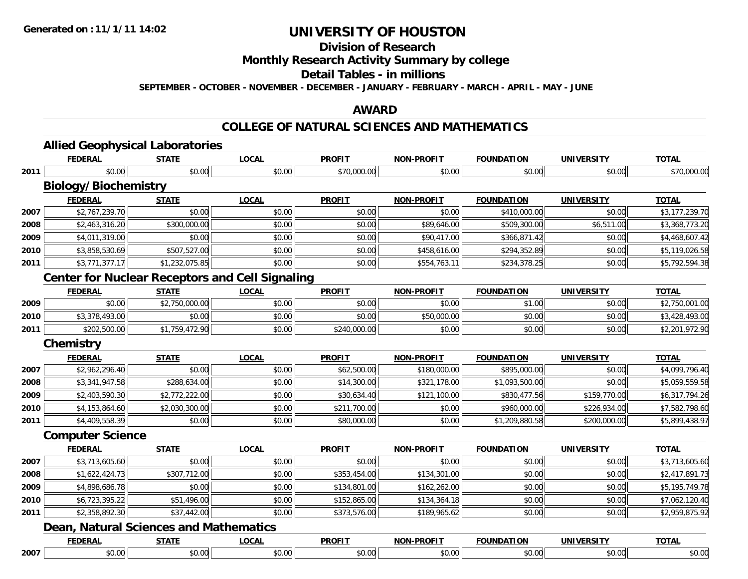## **Division of Research**

### **Monthly Research Activity Summary by college**

### **Detail Tables - in millions**

**SEPTEMBER - OCTOBER - NOVEMBER - DECEMBER - JANUARY - FEBRUARY - MARCH - APRIL - MAY - JUNE**

#### **AWARD**

### **COLLEGE OF NATURAL SCIENCES AND MATHEMATICS**

|      | <b>FEDERAL</b>                                         | <b>STATE</b>   | <b>LOCAL</b> | <b>PROFIT</b> | <b>NON-PROFIT</b> | <b>FOUNDATION</b> | <b>UNIVERSITY</b> | <b>TOTAL</b>   |  |  |  |  |
|------|--------------------------------------------------------|----------------|--------------|---------------|-------------------|-------------------|-------------------|----------------|--|--|--|--|
| 2011 | \$0.00                                                 | \$0.00         | \$0.00       | \$70,000.00   | \$0.00            | \$0.00            | \$0.00            | \$70,000.00    |  |  |  |  |
|      | <b>Biology/Biochemistry</b>                            |                |              |               |                   |                   |                   |                |  |  |  |  |
|      | <b>FEDERAL</b>                                         | <b>STATE</b>   | <b>LOCAL</b> | <b>PROFIT</b> | <b>NON-PROFIT</b> | <b>FOUNDATION</b> | <b>UNIVERSITY</b> | <b>TOTAL</b>   |  |  |  |  |
| 2007 | \$2,767,239.70                                         | \$0.00         | \$0.00       | \$0.00        | \$0.00            | \$410,000.00      | \$0.00            | \$3,177,239.70 |  |  |  |  |
| 2008 | \$2,463,316.20                                         | \$300,000.00   | \$0.00       | \$0.00        | \$89,646.00       | \$509,300.00      | \$6,511.00        | \$3,368,773.20 |  |  |  |  |
| 2009 | \$4,011,319.00                                         | \$0.00         | \$0.00       | \$0.00        | \$90,417.00       | \$366,871.42      | \$0.00            | \$4,468,607.42 |  |  |  |  |
| 2010 | \$3,858,530.69                                         | \$507,527.00   | \$0.00       | \$0.00        | \$458,616.00      | \$294,352.89      | \$0.00            | \$5,119,026.58 |  |  |  |  |
| 2011 | \$3,771,377.17                                         | \$1,232,075.85 | \$0.00       | \$0.00        | \$554,763.11      | \$234,378.25      | \$0.00            | \$5,792,594.38 |  |  |  |  |
|      | <b>Center for Nuclear Receptors and Cell Signaling</b> |                |              |               |                   |                   |                   |                |  |  |  |  |
|      | <b>FEDERAL</b>                                         | <b>STATE</b>   | <b>LOCAL</b> | <b>PROFIT</b> | <b>NON-PROFIT</b> | <b>FOUNDATION</b> | <b>UNIVERSITY</b> | <b>TOTAL</b>   |  |  |  |  |
| 2009 | \$0.00                                                 | \$2,750,000.00 | \$0.00       | \$0.00        | \$0.00            | \$1.00            | \$0.00            | \$2,750,001.00 |  |  |  |  |
| 2010 | \$3,378,493.00                                         | \$0.00         | \$0.00       | \$0.00        | \$50,000.00       | \$0.00            | \$0.00            | \$3,428,493.00 |  |  |  |  |
| 2011 | \$202,500.00                                           | \$1,759,472.90 | \$0.00       | \$240,000.00  | \$0.00            | \$0.00            | \$0.00            | \$2,201,972.90 |  |  |  |  |
|      | <b>Chemistry</b>                                       |                |              |               |                   |                   |                   |                |  |  |  |  |
|      | <b>FEDERAL</b>                                         | <b>STATE</b>   | <b>LOCAL</b> | <b>PROFIT</b> | <b>NON-PROFIT</b> | <b>FOUNDATION</b> | <b>UNIVERSITY</b> | <b>TOTAL</b>   |  |  |  |  |
| 2007 | \$2,962,296.40                                         | \$0.00         | \$0.00       | \$62,500.00   | \$180,000.00      | \$895,000.00      | \$0.00            | \$4,099,796.40 |  |  |  |  |
| 2008 | \$3,341,947.58                                         | \$288,634.00   | \$0.00       | \$14,300.00   | \$321,178.00      | \$1,093,500.00    | \$0.00            | \$5,059,559.58 |  |  |  |  |
| 2009 | \$2,403,590.30                                         | \$2,772,222.00 | \$0.00       | \$30,634.40   | \$121,100.00      | \$830,477.56      | \$159,770.00      | \$6,317,794.26 |  |  |  |  |
| 2010 | \$4,153,864.60                                         | \$2,030,300.00 | \$0.00       | \$211,700.00  | \$0.00            | \$960,000.00      | \$226,934.00      | \$7,582,798.60 |  |  |  |  |
| 2011 | \$4,409,558.39                                         | \$0.00         | \$0.00       | \$80,000.00   | \$0.00            | \$1,209,880.58    | \$200,000.00      | \$5,899,438.97 |  |  |  |  |
|      | <b>Computer Science</b>                                |                |              |               |                   |                   |                   |                |  |  |  |  |
|      | <b>FEDERAL</b>                                         | <b>STATE</b>   | <b>LOCAL</b> | <b>PROFIT</b> | <b>NON-PROFIT</b> | <b>FOUNDATION</b> | <b>UNIVERSITY</b> | <b>TOTAL</b>   |  |  |  |  |
| 2007 | \$3,713,605.60                                         | \$0.00         | \$0.00       | \$0.00        | \$0.00            | \$0.00            | \$0.00            | \$3,713,605.60 |  |  |  |  |
| 2008 | \$1,622,424.73                                         | \$307,712.00   | \$0.00       | \$353,454.00  | \$134,301.00      | \$0.00            | \$0.00            | \$2,417,891.73 |  |  |  |  |
| 2009 | \$4,898,686.78                                         | \$0.00         | \$0.00       | \$134,801.00  | \$162,262.00      | \$0.00            | \$0.00            | \$5,195,749.78 |  |  |  |  |
| 2010 | \$6,723,395.22                                         | \$51,496.00    | \$0.00       | \$152,865.00  | \$134,364.18      | \$0.00            | \$0.00            | \$7,062,120.40 |  |  |  |  |
| 2011 | \$2,358,892.30                                         | \$37,442.00    | \$0.00       | \$373,576.00  | \$189,965.62      | \$0.00            | \$0.00            | \$2,959,875.92 |  |  |  |  |
|      | <b>Dean, Natural Sciences and Mathematics</b>          |                |              |               |                   |                   |                   |                |  |  |  |  |
|      | <b>FEDERAL</b>                                         | <b>STATE</b>   | <b>LOCAL</b> | <b>PROFIT</b> | <b>NON-PROFIT</b> | <b>FOUNDATION</b> | <b>UNIVERSITY</b> | <b>TOTAL</b>   |  |  |  |  |
| 2007 | \$0.00                                                 | \$0.00         | \$0.00       | \$0.00        | \$0.00            | \$0.00            | \$0.00            | \$0.00         |  |  |  |  |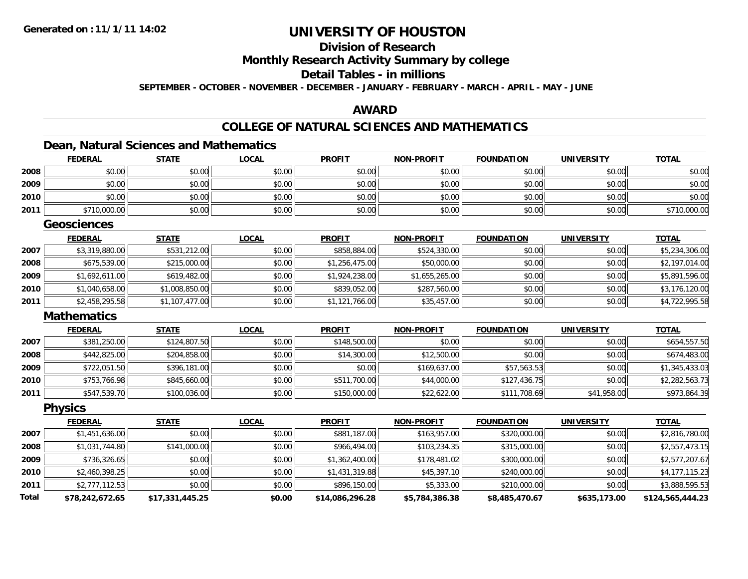## **Division of Research**

### **Monthly Research Activity Summary by college**

### **Detail Tables - in millions**

**SEPTEMBER - OCTOBER - NOVEMBER - DECEMBER - JANUARY - FEBRUARY - MARCH - APRIL - MAY - JUNE**

#### **AWARD**

### **COLLEGE OF NATURAL SCIENCES AND MATHEMATICS**

### **Dean, Natural Sciences and Mathematics**

|              | <b>FEDERAL</b>     | <b>STATE</b>    | <b>LOCAL</b> | <b>PROFIT</b>   | <u>NON-PROFIT</u> | <b>FOUNDATION</b> | <u>UNIVERSITY</u> | <b>TOTAL</b>     |
|--------------|--------------------|-----------------|--------------|-----------------|-------------------|-------------------|-------------------|------------------|
| 2008         | \$0.00             | \$0.00          | \$0.00       | \$0.00          | \$0.00            | \$0.00            | \$0.00            | \$0.00           |
| 2009         | \$0.00             | \$0.00          | \$0.00       | \$0.00          | \$0.00            | \$0.00            | \$0.00            | \$0.00           |
| 2010         | \$0.00             | \$0.00          | \$0.00       | \$0.00          | \$0.00            | \$0.00            | \$0.00            | \$0.00           |
| 2011         | \$710,000.00       | \$0.00          | \$0.00       | \$0.00          | \$0.00            | \$0.00            | \$0.00            | \$710,000.00     |
|              | <b>Geosciences</b> |                 |              |                 |                   |                   |                   |                  |
|              | <b>FEDERAL</b>     | <b>STATE</b>    | <b>LOCAL</b> | <b>PROFIT</b>   | <b>NON-PROFIT</b> | <b>FOUNDATION</b> | <b>UNIVERSITY</b> | <b>TOTAL</b>     |
| 2007         | \$3,319,880.00     | \$531,212.00    | \$0.00       | \$858,884.00    | \$524,330.00      | \$0.00            | \$0.00            | \$5,234,306.00   |
| 2008         | \$675,539.00       | \$215,000.00    | \$0.00       | \$1,256,475.00  | \$50,000.00       | \$0.00            | \$0.00            | \$2,197,014.00   |
| 2009         | \$1,692,611.00     | \$619,482.00    | \$0.00       | \$1,924,238.00  | \$1,655,265.00    | \$0.00            | \$0.00            | \$5,891,596.00   |
| 2010         | \$1,040,658.00     | \$1,008,850.00  | \$0.00       | \$839,052.00    | \$287,560.00      | \$0.00            | \$0.00            | \$3,176,120.00   |
| 2011         | \$2,458,295.58     | \$1,107,477.00  | \$0.00       | \$1,121,766.00  | \$35,457.00       | \$0.00            | \$0.00            | \$4,722,995.58   |
|              | <b>Mathematics</b> |                 |              |                 |                   |                   |                   |                  |
|              | <b>FEDERAL</b>     | <b>STATE</b>    | <b>LOCAL</b> | <b>PROFIT</b>   | <b>NON-PROFIT</b> | <b>FOUNDATION</b> | <b>UNIVERSITY</b> | <b>TOTAL</b>     |
| 2007         | \$381,250.00       | \$124,807.50    | \$0.00       | \$148,500.00    | \$0.00            | \$0.00            | \$0.00            | \$654,557.50     |
| 2008         | \$442,825.00       | \$204,858.00    | \$0.00       | \$14,300.00     | \$12,500.00       | \$0.00            | \$0.00            | \$674,483.00     |
| 2009         | \$722,051.50       | \$396,181.00    | \$0.00       | \$0.00          | \$169,637.00      | \$57,563.53       | \$0.00            | \$1,345,433.03   |
| 2010         | \$753,766.98       | \$845,660.00    | \$0.00       | \$511,700.00    | \$44,000.00       | \$127,436.75      | \$0.00            | \$2,282,563.73   |
| 2011         | \$547,539.70       | \$100,036.00    | \$0.00       | \$150,000.00    | \$22,622.00       | \$111,708.69      | \$41,958.00       | \$973,864.39     |
|              | <b>Physics</b>     |                 |              |                 |                   |                   |                   |                  |
|              | <b>FEDERAL</b>     | <b>STATE</b>    | <b>LOCAL</b> | <b>PROFIT</b>   | <b>NON-PROFIT</b> | <b>FOUNDATION</b> | <b>UNIVERSITY</b> | <b>TOTAL</b>     |
| 2007         | \$1,451,636.00     | \$0.00          | \$0.00       | \$881,187.00    | \$163,957.00      | \$320,000.00      | \$0.00            | \$2,816,780.00   |
| 2008         | \$1,031,744.80     | \$141,000.00    | \$0.00       | \$966,494.00    | \$103,234.35      | \$315,000.00      | \$0.00            | \$2,557,473.15   |
| 2009         | \$736,326.65       | \$0.00          | \$0.00       | \$1,362,400.00  | \$178,481.02      | \$300,000.00      | \$0.00            | \$2,577,207.67   |
| 2010         | \$2,460,398.25     | \$0.00          | \$0.00       | \$1,431,319.88  | \$45,397.10       | \$240,000.00      | \$0.00            | \$4,177,115.23   |
| 2011         | \$2,777,112.53     | \$0.00          | \$0.00       | \$896,150.00    | \$5,333.00        | \$210,000.00      | \$0.00            | \$3,888,595.53   |
| <b>Total</b> | \$78.242.672.65    | \$17.331.445.25 | \$0.00       | \$14,086,296.28 | \$5,784,386,38    | \$8,485,470.67    | \$635,173.00      | \$124,565,444.23 |

**\$78,242,672.65 \$17,331,445.25 \$0.00 \$14,086,296.28 \$5,784,386.38 \$8,485,470.67 \$635,173.00 \$124,565,444.23**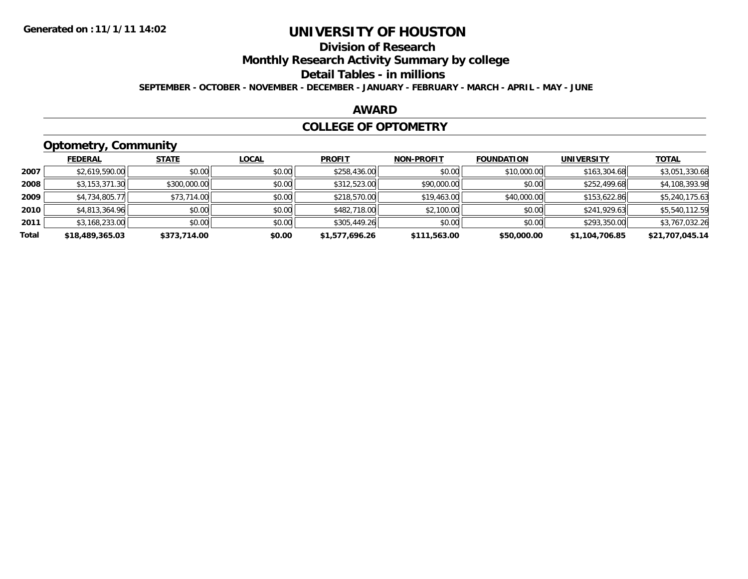## **Division of Research**

### **Monthly Research Activity Summary by college**

#### **Detail Tables - in millions**

**SEPTEMBER - OCTOBER - NOVEMBER - DECEMBER - JANUARY - FEBRUARY - MARCH - APRIL - MAY - JUNE**

#### **AWARD**

#### **COLLEGE OF OPTOMETRY**

## **Optometry, Community**

|       | ---             |              |              |                |                   |                   |                   |                 |
|-------|-----------------|--------------|--------------|----------------|-------------------|-------------------|-------------------|-----------------|
|       | <b>FEDERAL</b>  | <b>STATE</b> | <b>LOCAL</b> | <b>PROFIT</b>  | <b>NON-PROFIT</b> | <b>FOUNDATION</b> | <b>UNIVERSITY</b> | <b>TOTAL</b>    |
| 2007  | \$2,619,590.00  | \$0.00       | \$0.00       | \$258,436.00   | \$0.00            | \$10,000.00       | \$163,304.68      | \$3,051,330.68  |
| 2008  | \$3,153,371.30  | \$300,000.00 | \$0.00       | \$312,523.00   | \$90,000.00       | \$0.00            | \$252,499.68      | \$4,108,393.98  |
| 2009  | \$4,734,805.77  | \$73,714.00  | \$0.00       | \$218,570.00   | \$19,463.00       | \$40,000.00       | \$153,622.86      | \$5,240,175.63  |
| 2010  | \$4,813,364.96  | \$0.00       | \$0.00       | \$482,718.00   | \$2,100.00        | \$0.00            | \$241,929.63      | \$5,540,112.59  |
| 2011  | \$3,168,233.00  | \$0.00       | \$0.00       | \$305,449.26   | \$0.00            | \$0.00            | \$293,350.00      | \$3,767,032.26  |
| Total | \$18,489,365.03 | \$373,714.00 | \$0.00       | \$1,577,696.26 | \$111,563.00      | \$50,000.00       | \$1,104,706.85    | \$21,707,045.14 |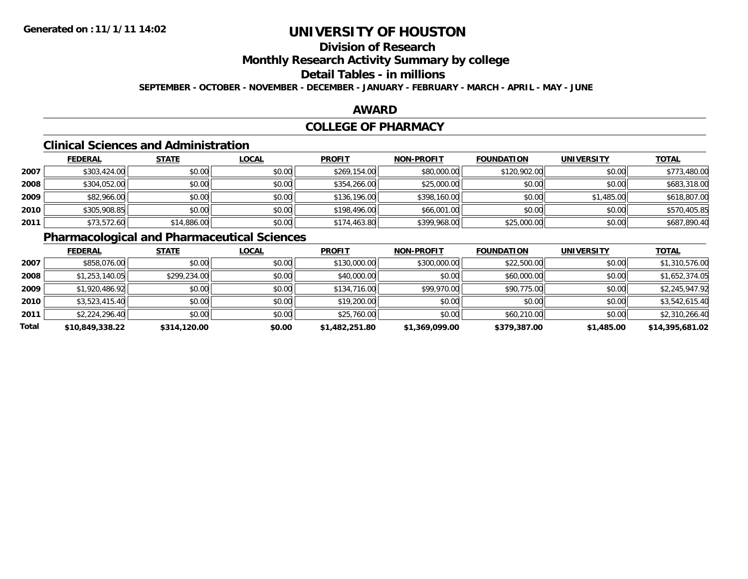## **Division of Research**

### **Monthly Research Activity Summary by college**

## **Detail Tables - in millions**

**SEPTEMBER - OCTOBER - NOVEMBER - DECEMBER - JANUARY - FEBRUARY - MARCH - APRIL - MAY - JUNE**

### **AWARD**

### **COLLEGE OF PHARMACY**

### **Clinical Sciences and Administration**

|      | <b>FEDERAL</b> | <b>STATE</b> | <b>LOCAL</b> | <b>PROFIT</b> | <b>NON-PROFIT</b> | <b>FOUNDATION</b> | <b>UNIVERSITY</b> | <b>TOTAL</b> |
|------|----------------|--------------|--------------|---------------|-------------------|-------------------|-------------------|--------------|
| 2007 | \$303,424.00   | \$0.00       | \$0.00       | \$269,154.00  | \$80,000.00       | \$120,902.00      | \$0.00            | \$773,480.00 |
| 2008 | \$304,052.00   | \$0.00       | \$0.00       | \$354,266.00  | \$25,000.00       | \$0.00            | \$0.00            | \$683,318.00 |
| 2009 | \$82,966.00    | \$0.00       | \$0.00       | \$136,196.00  | \$398,160.00      | \$0.00            | \$1,485.00        | \$618,807.00 |
| 2010 | \$305,908.85   | \$0.00       | \$0.00       | \$198,496.00  | \$66,001.00       | \$0.00            | \$0.00            | \$570,405.85 |
| 2011 | \$73,572.60    | \$14,886.00  | \$0.00       | \$174,463.80  | \$399,968.00      | \$25,000.00       | \$0.00            | \$687,890.40 |

### **Pharmacological and Pharmaceutical Sciences**

|       | <b>FEDERAL</b>  | <b>STATE</b> | <b>LOCAL</b> | <b>PROFIT</b>  | <b>NON-PROFIT</b> | <b>FOUNDATION</b> | <b>UNIVERSITY</b> | <b>TOTAL</b>    |
|-------|-----------------|--------------|--------------|----------------|-------------------|-------------------|-------------------|-----------------|
| 2007  | \$858,076.00    | \$0.00       | \$0.00       | \$130,000.00   | \$300,000.00      | \$22,500.00       | \$0.00            | \$1,310,576.00  |
| 2008  | \$1,253,140.05  | \$299,234.00 | \$0.00       | \$40,000.00    | \$0.00            | \$60,000.00       | \$0.00            | \$1,652,374.05  |
| 2009  | \$1,920,486.92  | \$0.00       | \$0.00       | \$134,716.00   | \$99,970.00       | \$90,775.00       | \$0.00            | \$2,245,947.92  |
| 2010  | \$3,523,415.40  | \$0.00       | \$0.00       | \$19,200.00    | \$0.00            | \$0.00            | \$0.00            | \$3,542,615.40  |
| 2011  | \$2,224,296.40  | \$0.00       | \$0.00       | \$25,760.00    | \$0.00            | \$60,210.00       | \$0.00            | \$2,310,266.40  |
| Total | \$10,849,338.22 | \$314,120.00 | \$0.00       | \$1,482,251.80 | \$1,369,099.00    | \$379,387.00      | \$1,485.00        | \$14,395,681.02 |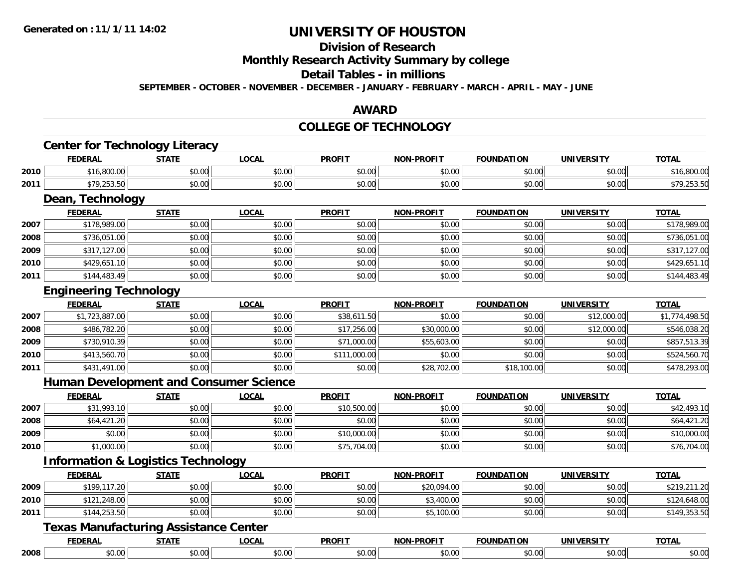## **Division of Research**

#### **Monthly Research Activity Summary by college**

### **Detail Tables - in millions**

**SEPTEMBER - OCTOBER - NOVEMBER - DECEMBER - JANUARY - FEBRUARY - MARCH - APRIL - MAY - JUNE**

#### **AWARD**

### **COLLEGE OF TECHNOLOGY**

## **Center for Technology Literacy**

|      | <b>FEDERAI</b>                                                                  | <b>STATE</b>           | <b>LOCAI</b>  | <b>PROFIT</b> | <b>NON-PROFIT</b> | <b>FOUNDATION</b> | <b>UNIVERSITY</b>  | <b>TOTAL</b> |
|------|---------------------------------------------------------------------------------|------------------------|---------------|---------------|-------------------|-------------------|--------------------|--------------|
| 2010 | 00000<br>A<br>ា០.កហោលា                                                          | 0.00<br>JU.UU          | 0000<br>JU.UU | 0.00<br>JU.UU | 0000<br>PO.OO     | \$0.00            | $\sim$ 00<br>JU.UU | .ouu.u       |
| 2011 | $\mathbf{a} = \mathbf{a} \quad \mathbf{a} \quad \mathbf{a}$<br>¢70<br>22.1.1.1. | $\sim$ $\sim$<br>vu.vu | 0000<br>vu.vu | 0.00<br>JU.UU | 0000<br>PO.OO     | \$0.00            | $\sim$ 00<br>ง∪.∪บ | .            |

<u> 1989 - Johann Stoff, deutscher Stoffen und der Stoffen und der Stoffen und der Stoffen und der Stoffen und de</u>

### **Dean, Technology**

|      | <b>FEDERAL</b> | <b>STATE</b> | <b>LOCAL</b> | <b>PROFIT</b> | <b>NON-PROFIT</b> | <b>FOUNDATION</b> | <b>UNIVERSITY</b> | <b>TOTAL</b> |
|------|----------------|--------------|--------------|---------------|-------------------|-------------------|-------------------|--------------|
| 2007 | \$178,989.00   | \$0.00       | \$0.00       | \$0.00        | \$0.00            | \$0.00            | \$0.00            | \$178,989.00 |
| 2008 | \$736,051.00   | \$0.00       | \$0.00       | \$0.00        | \$0.00            | \$0.00            | \$0.00            | \$736,051.00 |
| 2009 | \$317,127.00   | \$0.00       | \$0.00       | \$0.00        | \$0.00            | \$0.00            | \$0.00            | \$317,127.00 |
| 2010 | \$429,651.10   | \$0.00       | \$0.00       | \$0.00        | \$0.00            | \$0.00            | \$0.00            | \$429,651.10 |
| 2011 | \$144,483.49   | \$0.00       | \$0.00       | \$0.00        | \$0.00            | \$0.00            | \$0.00            | \$144,483.49 |

#### **Engineering Technology**

|      | <b>FEDERAL</b> | <b>STATE</b> | <b>LOCAL</b> | <b>PROFIT</b> | <b>NON-PROFIT</b> | <b>FOUNDATION</b> | <b>UNIVERSITY</b> | <b>TOTAL</b>   |
|------|----------------|--------------|--------------|---------------|-------------------|-------------------|-------------------|----------------|
| 2007 | \$1,723,887.00 | \$0.00       | \$0.00       | \$38,611.50   | \$0.00            | \$0.00            | \$12,000.00       | \$1,774,498.50 |
| 2008 | \$486,782.20   | \$0.00       | \$0.00       | \$17,256.00   | \$30,000.00       | \$0.00            | \$12,000.00       | \$546,038.20   |
| 2009 | \$730,910.39   | \$0.00       | \$0.00       | \$71,000.00   | \$55,603.00       | \$0.00            | \$0.00            | \$857,513.39   |
| 2010 | \$413,560.70   | \$0.00       | \$0.00       | \$111,000.00  | \$0.00            | \$0.00            | \$0.00            | \$524,560.70   |
| 2011 | \$431,491.00   | \$0.00       | \$0.00       | \$0.00        | \$28,702.00       | \$18,100.00       | \$0.00            | \$478,293.00   |

### **Human Development and Consumer Science**

|      | <b>FEDERAL</b> | <u>STATE</u> | <u>LOCAL</u> | <b>PROFIT</b> | <b>NON-PROFIT</b> | <b>FOUNDATION</b> | <b>UNIVERSITY</b> | <b>TOTAL</b> |
|------|----------------|--------------|--------------|---------------|-------------------|-------------------|-------------------|--------------|
| 2007 | \$31,993.10    | \$0.00       | \$0.00       | \$10,500.00   | \$0.00            | \$0.00            | \$0.00            | \$42,493.10  |
| 2008 | \$64,421.20    | \$0.00       | \$0.00       | \$0.00        | \$0.00            | \$0.00            | \$0.00            | \$64,421.20  |
| 2009 | \$0.00         | \$0.00       | \$0.00       | \$10,000.00   | \$0.00            | \$0.00            | \$0.00            | \$10,000.00  |
| 2010 | \$1,000.00     | \$0.00       | \$0.00       | \$75,704.00   | \$0.00            | \$0.00            | \$0.00            | \$76,704.00  |

### **Information & Logistics Technology**

|      | <b>FEDERAL</b> | <b>STATE</b> | <u>LOCAL</u> | <b>PROFIT</b> | <b>NON-PROFIT</b>                  | <b>FOUNDATION</b> | <b>UNIVERSITY</b> | <u>TOTAL</u>                     |
|------|----------------|--------------|--------------|---------------|------------------------------------|-------------------|-------------------|----------------------------------|
| 2009 | \$199,117.20   | \$0.00       | \$0.00       | \$0.00        | \$20,094.00                        | \$0.00            | \$0.00            | \$210, 211, 20<br>ال ۲۰۱۰ تا ۲۰۰ |
| 2010 | \$121,248,00   | \$0.00       | \$0.00       | \$0.00        | .400.00<br>$\mathbf{A} \mathbf{A}$ | \$0.00            | \$0.00            | \$124,648.00                     |
| 2011 | \$144,253.50   | \$0.00       | \$0.00       | \$0.00        | ,100.00                            | \$0.00            | \$0.00            | \$149,353.50                     |

#### **Texas Manufacturing Assistance Center**

|      | LMN    | ___                  | <b>OCAI</b> | -----<br>PROF | ייטוי       |                 | .              | <b>TOTAL</b><br>. . |
|------|--------|----------------------|-------------|---------------|-------------|-----------------|----------------|---------------------|
| 2008 | \$0.00 | $\sim$<br>c<br>JU.UU | <b>U.U</b>  | * ^           | - -<br>ישיע | $\sim$<br>JU.UU | ተል ልል<br>vv.vv | ሶስ ሰሰ<br>PO.OO      |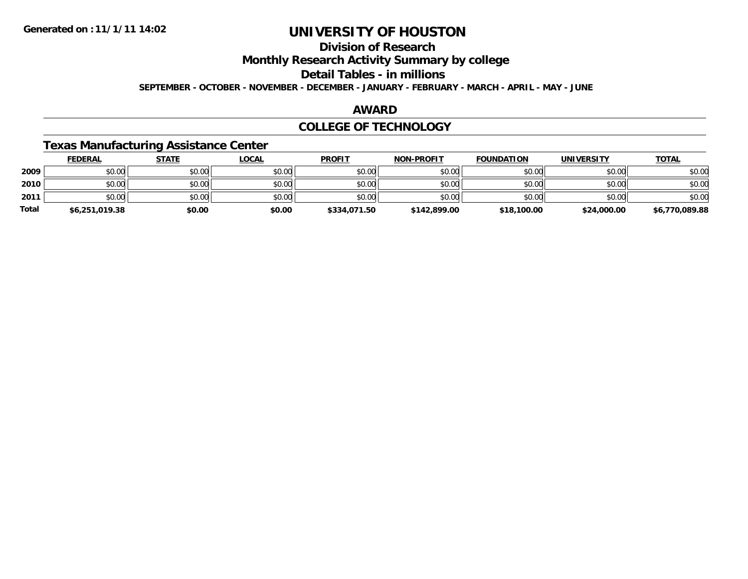## **Division of Research**

**Monthly Research Activity Summary by college**

### **Detail Tables - in millions**

**SEPTEMBER - OCTOBER - NOVEMBER - DECEMBER - JANUARY - FEBRUARY - MARCH - APRIL - MAY - JUNE**

#### **AWARD**

### **COLLEGE OF TECHNOLOGY**

### **Texas Manufacturing Assistance Center**

|       | <b>FEDERAL</b> | <b>STATE</b> | <u>LOCAL</u> | <b>PROFIT</b> | <b>NON-PROFIT</b> | <b>FOUNDATION</b> | <b>UNIVERSITY</b> | <u>TOTAL</u>   |
|-------|----------------|--------------|--------------|---------------|-------------------|-------------------|-------------------|----------------|
| 2009  | \$0.00         | \$0.00       | \$0.00       | \$0.00        | \$0.00            | \$0.00            | \$0.00            | \$0.00         |
| 2010  | \$0.00         | \$0.00       | \$0.00       | \$0.00        | \$0.00            | \$0.00            | \$0.00            | \$0.00         |
| 2011  | \$0.00         | \$0.00       | \$0.00       | \$0.00        | \$0.00            | \$0.00            | \$0.00            | \$0.00         |
| Total | \$6,251,019.38 | \$0.00       | \$0.00       | \$334,071.50  | \$142,899.00      | \$18,100.00       | \$24,000.00       | \$6,770,089.88 |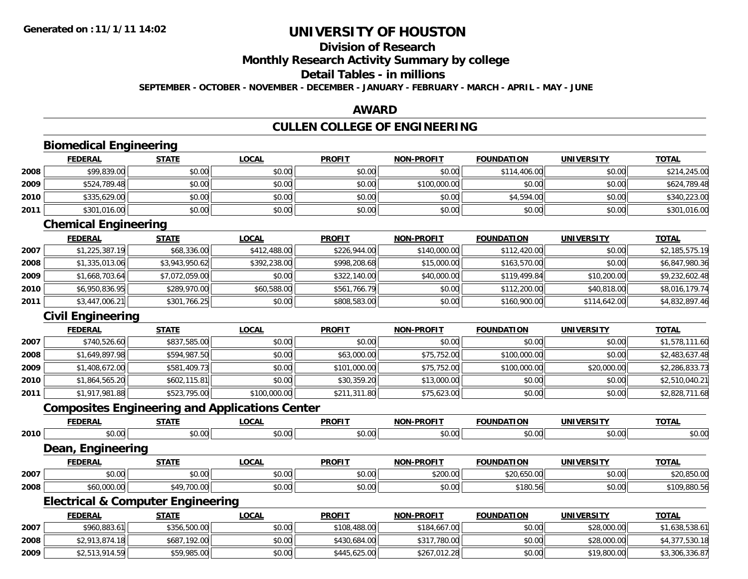## **Division of Research**

### **Monthly Research Activity Summary by college**

#### **Detail Tables - in millions**

**SEPTEMBER - OCTOBER - NOVEMBER - DECEMBER - JANUARY - FEBRUARY - MARCH - APRIL - MAY - JUNE**

#### **AWARD**

## **CULLEN COLLEGE OF ENGINEERING**

|      | <b>Biomedical Engineering</b>                         |                |              |               |                   |                   |                   |                |
|------|-------------------------------------------------------|----------------|--------------|---------------|-------------------|-------------------|-------------------|----------------|
|      | <b>FEDERAL</b>                                        | <b>STATE</b>   | <b>LOCAL</b> | <b>PROFIT</b> | <b>NON-PROFIT</b> | <b>FOUNDATION</b> | <b>UNIVERSITY</b> | <b>TOTAL</b>   |
| 2008 | \$99,839.00                                           | \$0.00         | \$0.00       | \$0.00        | \$0.00            | \$114,406.00      | \$0.00            | \$214,245.00   |
| 2009 | \$524,789.48                                          | \$0.00         | \$0.00       | \$0.00        | \$100,000.00      | \$0.00            | \$0.00            | \$624,789.48   |
| 2010 | \$335,629.00                                          | \$0.00         | \$0.00       | \$0.00        | \$0.00            | \$4,594.00        | \$0.00            | \$340,223.00   |
| 2011 | \$301,016.00                                          | \$0.00         | \$0.00       | \$0.00        | \$0.00            | \$0.00            | \$0.00            | \$301,016.00   |
|      | <b>Chemical Engineering</b>                           |                |              |               |                   |                   |                   |                |
|      | <b>FEDERAL</b>                                        | <b>STATE</b>   | <b>LOCAL</b> | <b>PROFIT</b> | <b>NON-PROFIT</b> | <b>FOUNDATION</b> | <b>UNIVERSITY</b> | <b>TOTAL</b>   |
| 2007 | \$1,225,387.19                                        | \$68,336.00    | \$412,488.00 | \$226,944.00  | \$140,000.00      | \$112,420.00      | \$0.00            | \$2,185,575.19 |
| 2008 | \$1,335,013.06                                        | \$3,943,950.62 | \$392,238.00 | \$998,208.68  | \$15,000.00       | \$163,570.00      | \$0.00            | \$6,847,980.36 |
| 2009 | \$1,668,703.64                                        | \$7,072,059.00 | \$0.00       | \$322,140.00  | \$40,000.00       | \$119,499.84      | \$10,200.00       | \$9,232,602.48 |
| 2010 | \$6,950,836.95                                        | \$289,970.00   | \$60,588.00  | \$561,766.79  | \$0.00            | \$112,200.00      | \$40,818.00       | \$8,016,179.74 |
| 2011 | \$3,447,006.21                                        | \$301,766.25   | \$0.00       | \$808,583.00  | \$0.00            | \$160,900.00      | \$114,642.00      | \$4,832,897.46 |
|      | <b>Civil Engineering</b>                              |                |              |               |                   |                   |                   |                |
|      | <b>FEDERAL</b>                                        | <b>STATE</b>   | <b>LOCAL</b> | <b>PROFIT</b> | <b>NON-PROFIT</b> | <b>FOUNDATION</b> | <b>UNIVERSITY</b> | <b>TOTAL</b>   |
| 2007 | \$740,526.60                                          | \$837,585.00   | \$0.00       | \$0.00        | \$0.00            | \$0.00            | \$0.00            | \$1,578,111.60 |
| 2008 | \$1,649,897.98                                        | \$594,987.50   | \$0.00       | \$63,000.00   | \$75,752.00       | \$100,000.00      | \$0.00            | \$2,483,637.48 |
| 2009 | \$1,408,672.00                                        | \$581,409.73   | \$0.00       | \$101,000.00  | \$75,752.00       | \$100,000.00      | \$20,000.00       | \$2,286,833.73 |
| 2010 | \$1,864,565.20                                        | \$602,115.81   | \$0.00       | \$30,359.20   | \$13,000.00       | \$0.00            | \$0.00            | \$2,510,040.21 |
| 2011 | \$1,917,981.88                                        | \$523,795.00   | \$100,000.00 | \$211,311.80  | \$75,623.00       | \$0.00            | \$0.00            | \$2,828,711.68 |
|      | <b>Composites Engineering and Applications Center</b> |                |              |               |                   |                   |                   |                |
|      | <b>FEDERAL</b>                                        | <b>STATE</b>   | <b>LOCAL</b> | <b>PROFIT</b> | <b>NON-PROFIT</b> | <b>FOUNDATION</b> | <b>UNIVERSITY</b> | <b>TOTAL</b>   |
| 2010 | \$0.00                                                | \$0.00         | \$0.00       | \$0.00        | \$0.00            | \$0.00            | \$0.00            | \$0.00         |
|      | <b>Dean, Engineering</b>                              |                |              |               |                   |                   |                   |                |
|      | <b>FEDERAL</b>                                        | <b>STATE</b>   | <b>LOCAL</b> | <b>PROFIT</b> | <b>NON-PROFIT</b> | <b>FOUNDATION</b> | <b>UNIVERSITY</b> | <b>TOTAL</b>   |
| 2007 | \$0.00                                                | \$0.00         | \$0.00       | \$0.00        | \$200.00          | \$20,650.00       | \$0.00            | \$20,850.00    |
| 2008 | \$60,000.00                                           | \$49,700.00    | \$0.00       | \$0.00        | \$0.00            | \$180.56          | \$0.00            | \$109,880.56   |
|      | <b>Electrical &amp; Computer Engineering</b>          |                |              |               |                   |                   |                   |                |
|      | <b>FEDERAL</b>                                        | <b>STATE</b>   | <b>LOCAL</b> | <b>PROFIT</b> | <b>NON-PROFIT</b> | <b>FOUNDATION</b> | <b>UNIVERSITY</b> | <b>TOTAL</b>   |
| 2007 | \$960,883.61                                          | \$356,500.00   | \$0.00       | \$108,488.00  | \$184,667.00      | \$0.00            | \$28,000.00       | \$1,638,538.61 |
| 2008 | \$2,913,874.18                                        | \$687,192.00   | \$0.00       | \$430,684.00  | \$317,780.00      | \$0.00            | \$28,000.00       | \$4,377,530.18 |
| 2009 | \$2,513,914.59                                        | \$59,985.00    | \$0.00       | \$445,625.00  | \$267,012.28      | \$0.00            | \$19,800.00       | \$3,306,336.87 |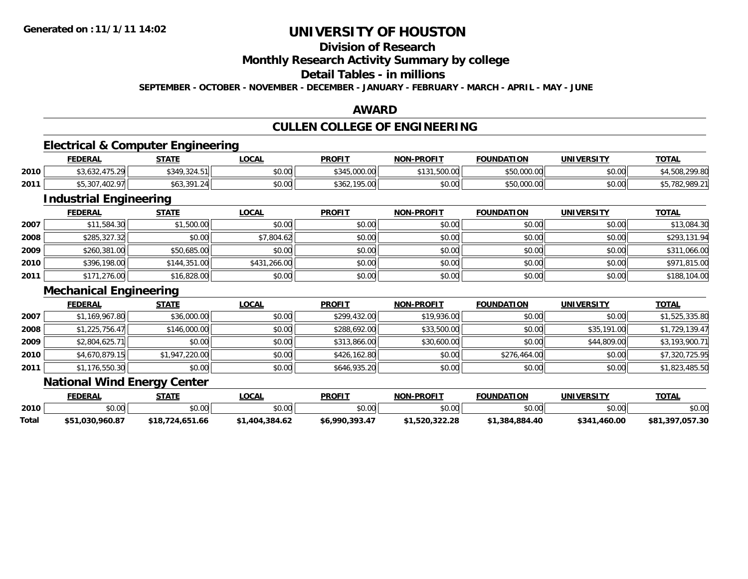## **Division of Research**

### **Monthly Research Activity Summary by college**

### **Detail Tables - in millions**

**SEPTEMBER - OCTOBER - NOVEMBER - DECEMBER - JANUARY - FEBRUARY - MARCH - APRIL - MAY - JUNE**

#### **AWARD**

### **CULLEN COLLEGE OF ENGINEERING**

### **Electrical & Computer Engineering**

|      | <b>FEDERAL</b>                          | <b>STATE</b> | LOCAL  | <b>PROFIT</b>                 | <b>NON-PROFIT</b> | <b>FOUNDATION</b> | <b>UNIVERSITY</b> | <b>TOTA</b>                        |
|------|-----------------------------------------|--------------|--------|-------------------------------|-------------------|-------------------|-------------------|------------------------------------|
| 2010 | (222.175)<br><b>JY</b><br>.<br>, געריכי | \$349,324.51 | \$0.00 | $+5.000.00$<br>よつれに           | 1,500.00<br>0.404 | \$50,000.00       | \$0.00            | .299.80<br>508.2                   |
| 2011 | 1000<br>ሐሮ ግለ"<br>,5,307                | 301<br>\$63  | \$0.00 | $10E$ $00$<br>\$362,<br>VV.CY | \$0.00            | \$50,000.00       | \$0.00            | 00000<br>$AT = 700$<br>uxu<br>70Z. |

### **Industrial Engineering**

|      | <b>FEDERAL</b> | <b>STATE</b> | <b>LOCAL</b> | <b>PROFIT</b> | <b>NON-PROFIT</b> | <b>FOUNDATION</b> | <b>UNIVERSITY</b> | <b>TOTAL</b> |
|------|----------------|--------------|--------------|---------------|-------------------|-------------------|-------------------|--------------|
| 2007 | \$11,584.30    | \$1,500.00   | \$0.00       | \$0.00        | \$0.00            | \$0.00            | \$0.00            | \$13,084.30  |
| 2008 | \$285,327.32   | \$0.00       | \$7,804.62   | \$0.00        | \$0.00            | \$0.00            | \$0.00            | \$293,131.94 |
| 2009 | \$260,381.00   | \$50,685.00  | \$0.00       | \$0.00        | \$0.00            | \$0.00            | \$0.00            | \$311,066.00 |
| 2010 | \$396,198.00   | \$144,351.00 | \$431,266.00 | \$0.00        | \$0.00            | \$0.00            | \$0.00            | \$971,815.00 |
| 2011 | \$171,276.00   | \$16,828.00  | \$0.00       | \$0.00        | \$0.00            | \$0.00            | \$0.00            | \$188,104.00 |

#### **Mechanical Engineering**

|      | <b>FEDERAL</b> | <b>STATE</b>   | <b>LOCAL</b> | <b>PROFIT</b> | <b>NON-PROFIT</b> | <b>FOUNDATION</b> | <b>UNIVERSITY</b> | <b>TOTAL</b>   |
|------|----------------|----------------|--------------|---------------|-------------------|-------------------|-------------------|----------------|
| 2007 | \$1,169,967.80 | \$36,000.00    | \$0.00       | \$299,432.00  | \$19,936.00       | \$0.00            | \$0.00            | \$1,525,335.80 |
| 2008 | \$1,225,756.47 | \$146,000.00   | \$0.00       | \$288,692.00  | \$33,500.00       | \$0.00            | \$35,191.00       | \$1,729,139.47 |
| 2009 | \$2,804,625.71 | \$0.00         | \$0.00       | \$313,866.00  | \$30,600.00       | \$0.00            | \$44,809.00       | \$3,193,900.71 |
| 2010 | \$4,670,879.15 | \$1,947,220.00 | \$0.00       | \$426,162.80  | \$0.00            | \$276,464.00      | \$0.00            | \$7,320,725.95 |
| 2011 | \$1,176,550.30 | \$0.00         | \$0.00       | \$646,935.20  | \$0.00            | \$0.00            | \$0.00            | \$1,823,485.50 |

### **National Wind Energy Center**

|       | <b>FEDERAL</b>     | <b>STATE</b>    | <b>OCAL</b>          | <b>PROFIT</b>  | <b>NON</b><br><b>I-PROFIT</b> | <b>FOUNDATION</b> | <b>UNIVERSITY</b> | <b>TOTAL</b>       |
|-------|--------------------|-----------------|----------------------|----------------|-------------------------------|-------------------|-------------------|--------------------|
| 2010  | $\sim$ 00<br>DU.UU | \$0.00          | JU.UU                | \$0.00         | \$0.00                        | ልስ ሰስ             | ልስ ሰሰ<br>JU.UU    | \$0.00             |
| Total | \$51,030,960.87    | \$18,724,651.66 | .404,384.62<br>91.TU | \$6,990,393.47 | 1.520.322.28.                 | \$1,384,884.40    | \$341,460.00      | ,057.30<br>\$81.39 |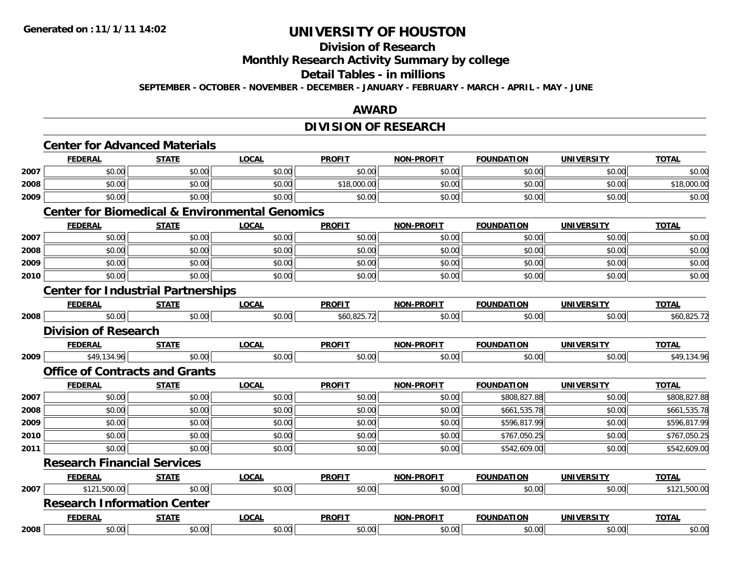## **Division of Research**

### **Monthly Research Activity Summary by college**

#### **Detail Tables - in millions**

**SEPTEMBER - OCTOBER - NOVEMBER - DECEMBER - JANUARY - FEBRUARY - MARCH - APRIL - MAY - JUNE**

#### **AWARD**

## **DIVISION OF RESEARCH**

|      | <b>Center for Advanced Materials</b>      |              |                                                           |               |                   |                   |                   |              |  |  |
|------|-------------------------------------------|--------------|-----------------------------------------------------------|---------------|-------------------|-------------------|-------------------|--------------|--|--|
|      | <b>FEDERAL</b>                            | <b>STATE</b> | <b>LOCAL</b>                                              | <b>PROFIT</b> | <b>NON-PROFIT</b> | <b>FOUNDATION</b> | <b>UNIVERSITY</b> | <b>TOTAL</b> |  |  |
| 2007 | \$0.00                                    | \$0.00       | \$0.00                                                    | \$0.00        | \$0.00            | \$0.00            | \$0.00            | \$0.00       |  |  |
| 2008 | \$0.00                                    | \$0.00       | \$0.00                                                    | \$18,000.00   | \$0.00            | \$0.00            | \$0.00            | \$18,000.00  |  |  |
| 2009 | \$0.00                                    | \$0.00       | \$0.00                                                    | \$0.00        | \$0.00            | \$0.00            | \$0.00            | \$0.00       |  |  |
|      |                                           |              | <b>Center for Biomedical &amp; Environmental Genomics</b> |               |                   |                   |                   |              |  |  |
|      | <b>FEDERAL</b>                            | <b>STATE</b> | <b>LOCAL</b>                                              | <b>PROFIT</b> | <b>NON-PROFIT</b> | <b>FOUNDATION</b> | <b>UNIVERSITY</b> | <b>TOTAL</b> |  |  |
| 2007 | \$0.00                                    | \$0.00       | \$0.00                                                    | \$0.00        | \$0.00            | \$0.00            | \$0.00            | \$0.00       |  |  |
| 2008 | \$0.00                                    | \$0.00       | \$0.00                                                    | \$0.00        | \$0.00            | \$0.00            | \$0.00            | \$0.00       |  |  |
| 2009 | \$0.00                                    | \$0.00       | \$0.00                                                    | \$0.00        | \$0.00            | \$0.00            | \$0.00            | \$0.00       |  |  |
| 2010 | \$0.00                                    | \$0.00       | \$0.00                                                    | \$0.00        | \$0.00            | \$0.00            | \$0.00            | \$0.00       |  |  |
|      | <b>Center for Industrial Partnerships</b> |              |                                                           |               |                   |                   |                   |              |  |  |
|      | <b>FEDERAL</b>                            | <b>STATE</b> | <b>LOCAL</b>                                              | <b>PROFIT</b> | <b>NON-PROFIT</b> | <b>FOUNDATION</b> | <b>UNIVERSITY</b> | <b>TOTAL</b> |  |  |
| 2008 | \$0.00                                    | \$0.00       | \$0.00                                                    | \$60,825.72   | \$0.00            | \$0.00            | \$0.00            | \$60,825.72  |  |  |
|      | <b>Division of Research</b>               |              |                                                           |               |                   |                   |                   |              |  |  |
|      | <b>FEDERAL</b>                            | <b>STATE</b> | <b>LOCAL</b>                                              | <b>PROFIT</b> | <b>NON-PROFIT</b> | <b>FOUNDATION</b> | <b>UNIVERSITY</b> | <b>TOTAL</b> |  |  |
| 2009 | \$49,134.96                               | \$0.00       | \$0.00                                                    | \$0.00        | \$0.00            | \$0.00            | \$0.00            | \$49,134.96  |  |  |
|      | <b>Office of Contracts and Grants</b>     |              |                                                           |               |                   |                   |                   |              |  |  |
|      | <b>FEDERAL</b>                            | <b>STATE</b> | <b>LOCAL</b>                                              | <b>PROFIT</b> | <b>NON-PROFIT</b> | <b>FOUNDATION</b> | <b>UNIVERSITY</b> | <b>TOTAL</b> |  |  |
| 2007 | \$0.00                                    | \$0.00       | \$0.00                                                    | \$0.00        | \$0.00            | \$808,827.88      | \$0.00            | \$808,827.88 |  |  |
| 2008 | \$0.00                                    | \$0.00       | \$0.00                                                    | \$0.00        | \$0.00            | \$661,535.78      | \$0.00            | \$661,535.78 |  |  |
| 2009 | \$0.00                                    | \$0.00       | \$0.00                                                    | \$0.00        | \$0.00            | \$596,817.99      | \$0.00            | \$596,817.99 |  |  |
| 2010 | \$0.00                                    | \$0.00       | \$0.00                                                    | \$0.00        | \$0.00            | \$767,050.25      | \$0.00            | \$767,050.25 |  |  |
| 2011 | \$0.00                                    | \$0.00       | \$0.00                                                    | \$0.00        | \$0.00            | \$542,609.00      | \$0.00            | \$542,609.00 |  |  |
|      | <b>Research Financial Services</b>        |              |                                                           |               |                   |                   |                   |              |  |  |
|      | <b>FEDERAL</b>                            | <b>STATE</b> | <b>LOCAL</b>                                              | <b>PROFIT</b> | <b>NON-PROFIT</b> | <b>FOUNDATION</b> | <b>UNIVERSITY</b> | <b>TOTAL</b> |  |  |
| 2007 | \$121,500.00                              | \$0.00       | \$0.00                                                    | \$0.00        | \$0.00            | \$0.00            | \$0.00            | \$121,500.00 |  |  |
|      | <b>Research Information Center</b>        |              |                                                           |               |                   |                   |                   |              |  |  |
|      | <b>FEDERAL</b>                            | <b>STATE</b> | <b>LOCAL</b>                                              | <b>PROFIT</b> | <b>NON-PROFIT</b> | <b>FOUNDATION</b> | <b>UNIVERSITY</b> | <b>TOTAL</b> |  |  |
| 2008 | \$0.00                                    | \$0.00       | \$0.00                                                    | \$0.00        | \$0.00            | \$0.00            | \$0.00            | \$0.00       |  |  |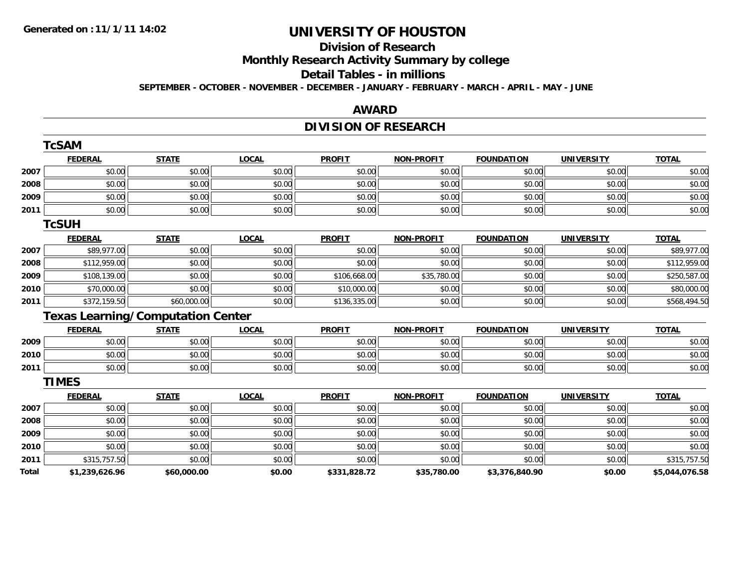**TcSAM**

## **UNIVERSITY OF HOUSTON**

## **Division of Research**

**Monthly Research Activity Summary by college**

#### **Detail Tables - in millions**

**SEPTEMBER - OCTOBER - NOVEMBER - DECEMBER - JANUARY - FEBRUARY - MARCH - APRIL - MAY - JUNE**

#### **AWARD**

### **DIVISION OF RESEARCH**

|       | <b>ICSAM</b>   |                                          |              |               |                   |                   |                   |                |
|-------|----------------|------------------------------------------|--------------|---------------|-------------------|-------------------|-------------------|----------------|
|       | <b>FEDERAL</b> | <b>STATE</b>                             | <b>LOCAL</b> | <b>PROFIT</b> | <b>NON-PROFIT</b> | <b>FOUNDATION</b> | <b>UNIVERSITY</b> | <b>TOTAL</b>   |
| 2007  | \$0.00         | \$0.00                                   | \$0.00       | \$0.00        | \$0.00            | \$0.00            | \$0.00            | \$0.00         |
| 2008  | \$0.00         | \$0.00                                   | \$0.00       | \$0.00        | \$0.00            | \$0.00            | \$0.00            | \$0.00         |
| 2009  | \$0.00         | \$0.00                                   | \$0.00       | \$0.00        | \$0.00            | \$0.00            | \$0.00            | \$0.00         |
| 2011  | \$0.00         | \$0.00                                   | \$0.00       | \$0.00        | \$0.00            | \$0.00            | \$0.00            | \$0.00         |
|       | <b>TcSUH</b>   |                                          |              |               |                   |                   |                   |                |
|       | <b>FEDERAL</b> | <b>STATE</b>                             | <b>LOCAL</b> | <b>PROFIT</b> | <b>NON-PROFIT</b> | <b>FOUNDATION</b> | <b>UNIVERSITY</b> | <b>TOTAL</b>   |
| 2007  | \$89,977.00    | \$0.00                                   | \$0.00       | \$0.00        | \$0.00            | \$0.00            | \$0.00            | \$89,977.00    |
| 2008  | \$112,959.00   | \$0.00                                   | \$0.00       | \$0.00        | \$0.00            | \$0.00            | \$0.00            | \$112,959.00   |
| 2009  | \$108,139.00   | \$0.00                                   | \$0.00       | \$106,668.00  | \$35,780.00       | \$0.00            | \$0.00            | \$250,587.00   |
| 2010  | \$70,000.00    | \$0.00                                   | \$0.00       | \$10,000.00   | \$0.00            | \$0.00            | \$0.00            | \$80,000.00    |
| 2011  | \$372,159.50   | \$60,000.00                              | \$0.00       | \$136,335.00  | \$0.00            | \$0.00            | \$0.00            | \$568,494.50   |
|       |                | <b>Texas Learning/Computation Center</b> |              |               |                   |                   |                   |                |
|       | <b>FEDERAL</b> | <b>STATE</b>                             | <b>LOCAL</b> | <b>PROFIT</b> | <b>NON-PROFIT</b> | <b>FOUNDATION</b> | <b>UNIVERSITY</b> | <b>TOTAL</b>   |
| 2009  | \$0.00         | \$0.00                                   | \$0.00       | \$0.00        | \$0.00            | \$0.00            | \$0.00            | \$0.00         |
| 2010  | \$0.00         | \$0.00                                   | \$0.00       | \$0.00        | \$0.00            | \$0.00            | \$0.00            | \$0.00         |
| 2011  | \$0.00         | \$0.00                                   | \$0.00       | \$0.00        | \$0.00            | \$0.00            | \$0.00            | \$0.00         |
|       | <b>TIMES</b>   |                                          |              |               |                   |                   |                   |                |
|       | <b>FEDERAL</b> | <b>STATE</b>                             | <b>LOCAL</b> | <b>PROFIT</b> | <b>NON-PROFIT</b> | <b>FOUNDATION</b> | <b>UNIVERSITY</b> | <b>TOTAL</b>   |
| 2007  | \$0.00         | \$0.00                                   | \$0.00       | \$0.00        | \$0.00            | \$0.00            | \$0.00            | \$0.00         |
| 2008  | \$0.00         | \$0.00                                   | \$0.00       | \$0.00        | \$0.00            | \$0.00            | \$0.00            | \$0.00         |
| 2009  | \$0.00         | \$0.00                                   | \$0.00       | \$0.00        | \$0.00            | \$0.00            | \$0.00            | \$0.00         |
| 2010  | \$0.00         | \$0.00                                   | \$0.00       | \$0.00        | \$0.00            | \$0.00            | \$0.00            | \$0.00         |
| 2011  | \$315,757.50   | \$0.00                                   | \$0.00       | \$0.00        | \$0.00            | \$0.00            | \$0.00            | \$315,757.50   |
| Total | \$1,239,626.96 | \$60,000.00                              | \$0.00       | \$331,828.72  | \$35,780.00       | \$3,376,840.90    | \$0.00            | \$5,044,076.58 |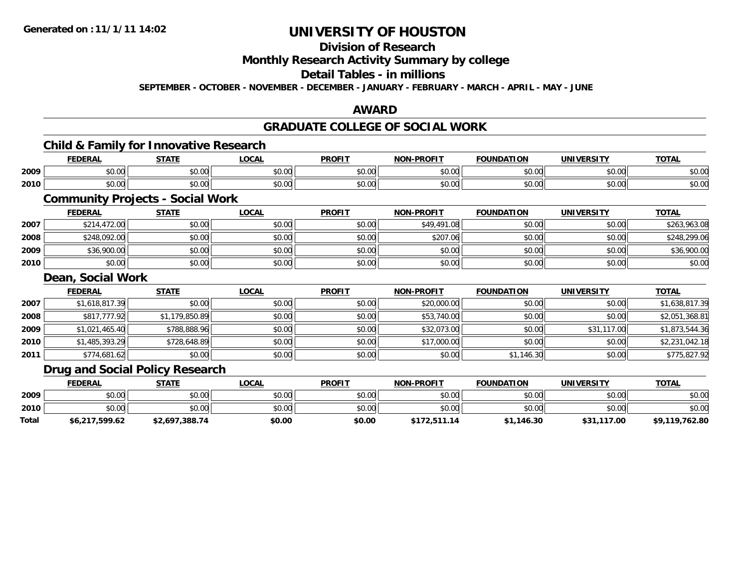## **Division of Research**

### **Monthly Research Activity Summary by college**

### **Detail Tables - in millions**

**SEPTEMBER - OCTOBER - NOVEMBER - DECEMBER - JANUARY - FEBRUARY - MARCH - APRIL - MAY - JUNE**

#### **AWARD**

#### **GRADUATE COLLEGE OF SOCIAL WORK**

#### **Child & Family for Innovative Research**

|      | <b>FEDERAL</b> | CTATI<br>-91AL. | <b>LOCAI</b> | <b>PROFIT</b> | <b>NON-PROFIT</b> | <b>FOUNDATION</b> | <b>UNIVERSITY</b> | <b>TOTAL</b>  |
|------|----------------|-----------------|--------------|---------------|-------------------|-------------------|-------------------|---------------|
| 2009 | 0000           | ÷0.             | 0.00         | $\sim$        | 0000              | 0000              | 0.00              | $\sim$ $\sim$ |
|      | pu.uu          | JU.U            | vv.vv        | vv.vv         | vv.vv             | NU.UU             | PU.UU             | ง∪.∪บ         |
| 2010 | 0 <sub>0</sub> | 0 t             | 0.00         | $\sim$        | 0000              | 0000              | $\sim$ $\sim$     | $\sim$ $\sim$ |
|      | DU.UU          | JU.UU           | JU.UU        | JU.UU         | vv.vv             | ಾ∪.∪ພ             | ง∪.∪บ             | ง∪.∪บ         |

### **Community Projects - Social Work**

|      | <b>FEDERAL</b> | <b>STATE</b> | <b>LOCAL</b> | <b>PROFIT</b> | <b>NON-PROFIT</b> | <b>FOUNDATION</b> | <b>UNIVERSITY</b> | <b>TOTAL</b> |
|------|----------------|--------------|--------------|---------------|-------------------|-------------------|-------------------|--------------|
| 2007 | \$214,472.00   | \$0.00       | \$0.00       | \$0.00        | \$49,491.08       | \$0.00            | \$0.00            | \$263,963.08 |
| 2008 | \$248,092.00   | \$0.00       | \$0.00       | \$0.00        | \$207.06          | \$0.00            | \$0.00            | \$248,299.06 |
| 2009 | \$36,900.00    | \$0.00       | \$0.00       | \$0.00        | \$0.00            | \$0.00            | \$0.00            | \$36,900.00  |
| 2010 | \$0.00         | \$0.00       | \$0.00       | \$0.00        | \$0.00            | \$0.00            | \$0.00            | \$0.00       |

#### **Dean, Social Work**

|      | <b>FEDERAL</b> | <b>STATE</b>   | <b>LOCAL</b> | <b>PROFIT</b> | <b>NON-PROFIT</b> | <b>FOUNDATION</b> | <b>UNIVERSITY</b> | <b>TOTAL</b>   |
|------|----------------|----------------|--------------|---------------|-------------------|-------------------|-------------------|----------------|
| 2007 | \$1,618,817.39 | \$0.00         | \$0.00       | \$0.00        | \$20,000.00       | \$0.00            | \$0.00            | \$1,638,817.39 |
| 2008 | \$817,777.92   | \$1,179,850.89 | \$0.00       | \$0.00        | \$53,740.00       | \$0.00            | \$0.00            | \$2,051,368.81 |
| 2009 | \$1,021,465.40 | \$788,888.96   | \$0.00       | \$0.00        | \$32,073.00       | \$0.00            | \$31,117.00       | \$1,873,544.36 |
| 2010 | \$1,485,393.29 | \$728,648.89   | \$0.00       | \$0.00        | \$17,000.00       | \$0.00            | \$0.00            | \$2,231,042.18 |
| 2011 | \$774,681.62   | \$0.00         | \$0.00       | \$0.00        | \$0.00            | \$1,146.30        | \$0.00            | \$775,827.92   |

### **Drug and Social Policy Research**

|       | <b>FEDERAL</b> | <u>STATE</u>   | <u>LOCAL</u> | <b>PROFIT</b> | <b>NON-PROFIT</b> | <b>FOUNDATION</b> | <b>UNIVERSITY</b> | <b>TOTAL</b>   |
|-------|----------------|----------------|--------------|---------------|-------------------|-------------------|-------------------|----------------|
| 2009  | \$0.00         | \$0.00         | \$0.00       | \$0.00        | \$0.00            | \$0.00            | \$0.00            | \$0.00         |
| 2010  | \$0.00         | \$0.00         | \$0.00       | \$0.00        | \$0.00            | \$0.00            | \$0.00            | \$0.00         |
| Total | \$6,217,599.62 | \$2,697,388.74 | \$0.00       | \$0.00        | \$172,511.14      | \$1,146.30        | \$31,117.00       | \$9,119,762.80 |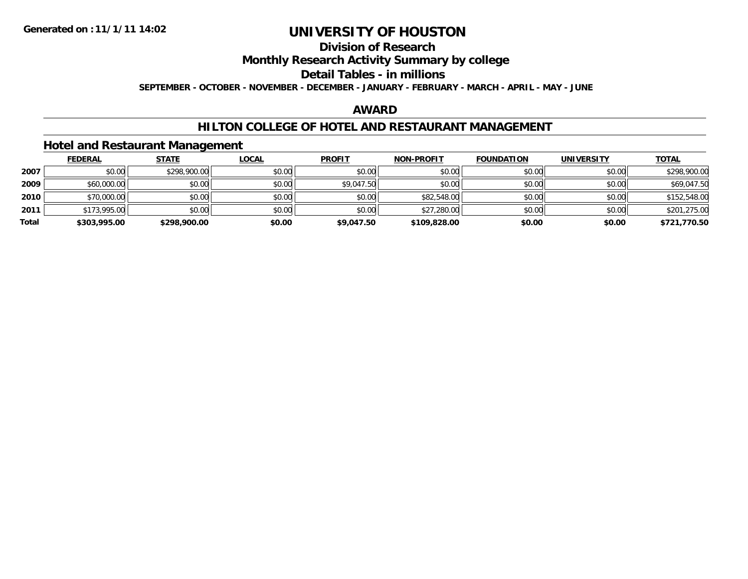## **Division of Research**

### **Monthly Research Activity Summary by college**

### **Detail Tables - in millions**

**SEPTEMBER - OCTOBER - NOVEMBER - DECEMBER - JANUARY - FEBRUARY - MARCH - APRIL - MAY - JUNE**

### **AWARD**

### **HILTON COLLEGE OF HOTEL AND RESTAURANT MANAGEMENT**

### **Hotel and Restaurant Management**

|       | <b>FEDERAL</b> | <b>STATE</b> | <b>LOCAL</b> | <b>PROFIT</b> | <b>NON-PROFIT</b> | <b>FOUNDATION</b> | <b>UNIVERSITY</b> | <b>TOTAL</b> |
|-------|----------------|--------------|--------------|---------------|-------------------|-------------------|-------------------|--------------|
| 2007  | \$0.00         | \$298,900.00 | \$0.00       | \$0.00        | \$0.00            | \$0.00            | \$0.00            | \$298,900.00 |
| 2009  | \$60,000.00    | \$0.00       | \$0.00       | \$9,047.50    | \$0.00            | \$0.00            | \$0.00            | \$69,047.50  |
| 2010  | \$70,000.00    | \$0.00       | \$0.00       | \$0.00        | \$82,548.00       | \$0.00            | \$0.00            | \$152,548.00 |
| 2011  | \$173,995.00   | \$0.00       | \$0.00       | \$0.00        | \$27,280.00       | \$0.00            | \$0.00            | \$201,275.00 |
| Total | \$303,995.00   | \$298,900.00 | \$0.00       | \$9,047.50    | \$109,828,00      | \$0.00            | \$0.00            | \$721,770.50 |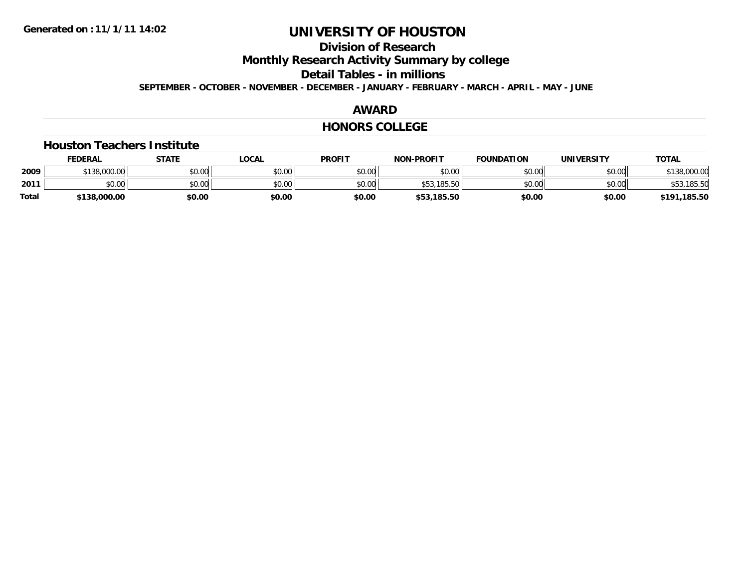## **Division of Research**

**Monthly Research Activity Summary by college**

**Detail Tables - in millions**

**SEPTEMBER - OCTOBER - NOVEMBER - DECEMBER - JANUARY - FEBRUARY - MARCH - APRIL - MAY - JUNE**

### **AWARD**

#### **HONORS COLLEGE**

#### **Houston Teachers Institute**

|       | <b>FEDERAL</b> | <b>STATE</b> | <u>LOCAL</u> | <b>PROFIT</b> | <b>NON-PROFIT</b> | <b>FOUNDATION</b> | <b>UNIVERSITY</b> | <b>TOTAL</b> |
|-------|----------------|--------------|--------------|---------------|-------------------|-------------------|-------------------|--------------|
| 2009  | \$138,000.00   | \$0.00       | \$0.00       | \$0.00        | \$0.00            | \$0.00            | \$0.00            | \$138,000.00 |
| 2011  | \$0.00         | \$0.00       | \$0.00       | \$0.00        | \$53,185.50       | \$0.00            | \$0.00            | \$53,185.50  |
| Total | \$138,000.00   | \$0.00       | \$0.00       | \$0.00        | \$53,185.50       | \$0.00            | \$0.00            | \$191,185.50 |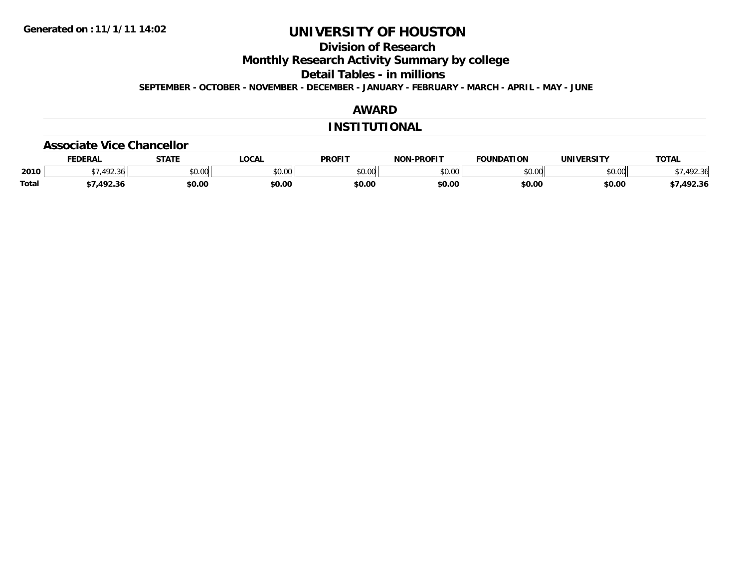### **Division of Research**

**Monthly Research Activity Summary by college**

**Detail Tables - in millions**

**SEPTEMBER - OCTOBER - NOVEMBER - DECEMBER - JANUARY - FEBRUARY - MARCH - APRIL - MAY - JUNE**

#### **AWARD**

#### **INSTITUTIONAL**

#### **Associate Vice Chancellor**

|              | <b>FEDERAL</b> | STATF<br>,,,,, | C <sub>0</sub><br>וויש. | <b>PROFIT</b>     | <b>NON-PROFIT</b> | <b>FOUNDATION</b> | <b>UNIVERSITY</b> | <b>TOTA</b>      |
|--------------|----------------|----------------|-------------------------|-------------------|-------------------|-------------------|-------------------|------------------|
| 2010         | $\sqrt{2}$     | \$0.00         | \$0.00                  | $\sim$ 00<br>JU.J | 0000<br>DU.UG     | 0000<br>JU.UU     | 0000<br>PU.UU     | $\sim$<br>.92.30 |
| <b>Total</b> | 102.26         | \$0.00         | \$0.00                  | \$0.00            | \$0.00            | \$0.00            | \$0.00            | ,492.36          |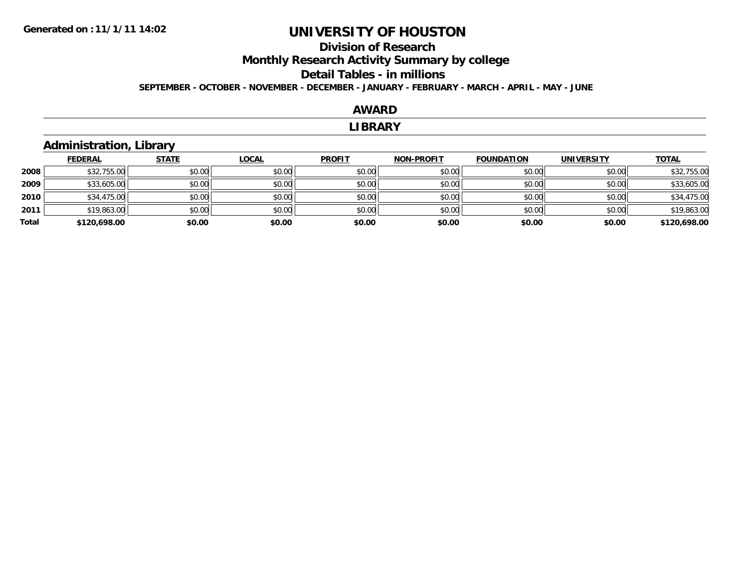### **Division of ResearchMonthly Research Activity Summary by college Detail Tables - in millions SEPTEMBER - OCTOBER - NOVEMBER - DECEMBER - JANUARY - FEBRUARY - MARCH - APRIL - MAY - JUNE**

#### **AWARD**

#### **LIBRARY**

### **Administration, Library**

|       | <b>FEDERAL</b> | <b>STATE</b> | <b>LOCAL</b> | <b>PROFIT</b> | <b>NON-PROFIT</b> | <b>FOUNDATION</b> | <b>UNIVERSITY</b> | <b>TOTAL</b> |
|-------|----------------|--------------|--------------|---------------|-------------------|-------------------|-------------------|--------------|
| 2008  | \$32,755.00    | \$0.00       | \$0.00       | \$0.00        | \$0.00            | \$0.00            | \$0.00            | \$32,755.00  |
| 2009  | \$33,605.00    | \$0.00       | \$0.00       | \$0.00        | \$0.00            | \$0.00            | \$0.00            | \$33,605.00  |
| 2010  | \$34,475.00    | \$0.00       | \$0.00       | \$0.00        | \$0.00            | \$0.00            | \$0.00            | \$34,475.00  |
| 2011  | \$19,863.00    | \$0.00       | \$0.00       | \$0.00        | \$0.00            | \$0.00            | \$0.00            | \$19,863.00  |
| Total | \$120,698.00   | \$0.00       | \$0.00       | \$0.00        | \$0.00            | \$0.00            | \$0.00            | \$120,698.00 |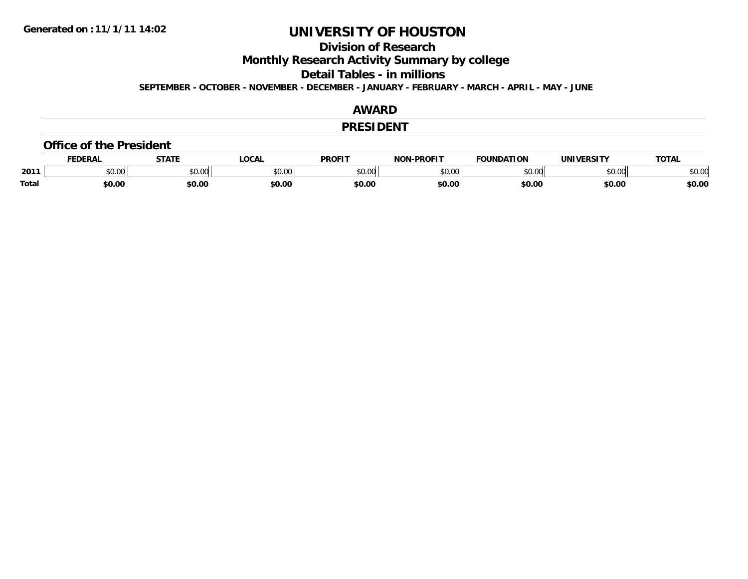### **Division of Research**

**Monthly Research Activity Summary by college**

**Detail Tables - in millions**

**SEPTEMBER - OCTOBER - NOVEMBER - DECEMBER - JANUARY - FEBRUARY - MARCH - APRIL - MAY - JUNE**

#### **AWARD**

#### **PRESIDENT**

#### **Office of the President**

|              | <b>FEDERAL</b> | <b>STATE</b>  | <b>LOCAL</b> | <b>PROFIT</b> | -PROFIT<br><b>NON</b> | <b>FOUNDATION</b> | <b>UNIVERSITY</b>     | TOTA.                |
|--------------|----------------|---------------|--------------|---------------|-----------------------|-------------------|-----------------------|----------------------|
| 2011         | \$0.00         | 0000<br>vu.vu | \$0.00       | \$0.00        | ልስ ለሰ<br>pu.uu        | \$0.00            | <b>AO</b> UP<br>∌∪.∪u | 0000<br><b>JU.UU</b> |
| <b>Total</b> | \$0.00         | \$0.00        | \$0.00       | \$0.00        | \$0.00                | \$0.00            | \$0.00                | \$0.00               |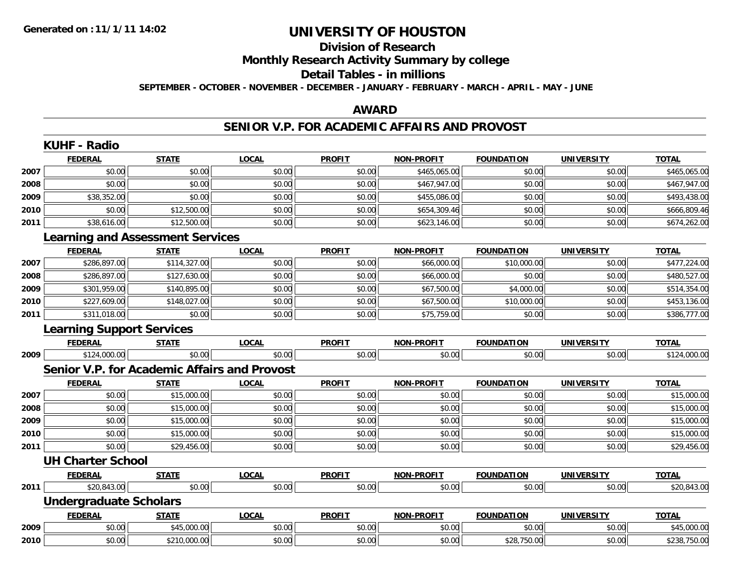## **Division of ResearchMonthly Research Activity Summary by college Detail Tables - in millions**

**SEPTEMBER - OCTOBER - NOVEMBER - DECEMBER - JANUARY - FEBRUARY - MARCH - APRIL - MAY - JUNE**

### **AWARD**

## **SENIOR V.P. FOR ACADEMIC AFFAIRS AND PROVOST**

|      | <b>KUHF - Radio</b>                                 |              |              |               |                   |                   |                   |              |  |  |
|------|-----------------------------------------------------|--------------|--------------|---------------|-------------------|-------------------|-------------------|--------------|--|--|
|      | <b>FEDERAL</b>                                      | <b>STATE</b> | <b>LOCAL</b> | <b>PROFIT</b> | <b>NON-PROFIT</b> | <b>FOUNDATION</b> | <b>UNIVERSITY</b> | <b>TOTAL</b> |  |  |
| 2007 | \$0.00                                              | \$0.00       | \$0.00       | \$0.00        | \$465,065.00      | \$0.00            | \$0.00            | \$465,065.00 |  |  |
| 2008 | \$0.00                                              | \$0.00       | \$0.00       | \$0.00        | \$467,947.00      | \$0.00            | \$0.00            | \$467,947.00 |  |  |
| 2009 | \$38,352.00                                         | \$0.00       | \$0.00       | \$0.00        | \$455,086.00      | \$0.00            | \$0.00            | \$493,438.00 |  |  |
| 2010 | \$0.00                                              | \$12,500.00  | \$0.00       | \$0.00        | \$654,309.46      | \$0.00            | \$0.00            | \$666,809.46 |  |  |
| 2011 | \$38,616.00                                         | \$12,500.00  | \$0.00       | \$0.00        | \$623,146.00      | \$0.00            | \$0.00            | \$674,262.00 |  |  |
|      | <b>Learning and Assessment Services</b>             |              |              |               |                   |                   |                   |              |  |  |
|      | <b>FEDERAL</b>                                      | <b>STATE</b> | <b>LOCAL</b> | <b>PROFIT</b> | <b>NON-PROFIT</b> | <b>FOUNDATION</b> | <b>UNIVERSITY</b> | <b>TOTAL</b> |  |  |
| 2007 | \$286,897.00                                        | \$114,327.00 | \$0.00       | \$0.00        | \$66,000.00       | \$10,000.00       | \$0.00            | \$477,224.00 |  |  |
| 2008 | \$286,897.00                                        | \$127,630.00 | \$0.00       | \$0.00        | \$66,000.00       | \$0.00            | \$0.00            | \$480,527.00 |  |  |
| 2009 | \$301,959.00                                        | \$140,895.00 | \$0.00       | \$0.00        | \$67,500.00       | \$4,000.00        | \$0.00            | \$514,354.00 |  |  |
| 2010 | \$227,609.00                                        | \$148,027.00 | \$0.00       | \$0.00        | \$67,500.00       | \$10,000.00       | \$0.00            | \$453,136.00 |  |  |
| 2011 | \$311,018.00                                        | \$0.00       | \$0.00       | \$0.00        | \$75,759.00       | \$0.00            | \$0.00            | \$386,777.00 |  |  |
|      | <b>Learning Support Services</b>                    |              |              |               |                   |                   |                   |              |  |  |
|      | <b>FEDERAL</b>                                      | <b>STATE</b> | <b>LOCAL</b> | <b>PROFIT</b> | <b>NON-PROFIT</b> | <b>FOUNDATION</b> | <b>UNIVERSITY</b> | <b>TOTAL</b> |  |  |
| 2009 | \$124,000.00                                        | \$0.00       | \$0.00       | \$0.00        | \$0.00            | \$0.00            | \$0.00            | \$124,000.00 |  |  |
|      | <b>Senior V.P. for Academic Affairs and Provost</b> |              |              |               |                   |                   |                   |              |  |  |
|      | <b>FEDERAL</b>                                      | <b>STATE</b> | <b>LOCAL</b> | <b>PROFIT</b> | <b>NON-PROFIT</b> | <b>FOUNDATION</b> | <b>UNIVERSITY</b> | <b>TOTAL</b> |  |  |
| 2007 | \$0.00                                              | \$15,000.00  | \$0.00       | \$0.00        | \$0.00            | \$0.00            | \$0.00            | \$15,000.00  |  |  |
| 2008 | \$0.00                                              | \$15,000.00  | \$0.00       | \$0.00        | \$0.00            | \$0.00            | \$0.00            | \$15,000.00  |  |  |
| 2009 | \$0.00                                              | \$15,000.00  | \$0.00       | \$0.00        | \$0.00            | \$0.00            | \$0.00            | \$15,000.00  |  |  |
| 2010 | \$0.00                                              | \$15,000.00  | \$0.00       | \$0.00        | \$0.00            | \$0.00            | \$0.00            | \$15,000.00  |  |  |
| 2011 | \$0.00                                              | \$29,456.00  | \$0.00       | \$0.00        | \$0.00            | \$0.00            | \$0.00            | \$29,456.00  |  |  |
|      | <b>UH Charter School</b>                            |              |              |               |                   |                   |                   |              |  |  |
|      | <b>FEDERAL</b>                                      | <b>STATE</b> | <b>LOCAL</b> | <b>PROFIT</b> | <b>NON-PROFIT</b> | <b>FOUNDATION</b> | <b>UNIVERSITY</b> | <b>TOTAL</b> |  |  |
| 2011 | \$20,843.00                                         | \$0.00       | \$0.00       | \$0.00        | \$0.00            | \$0.00            | \$0.00            | \$20,843.00  |  |  |
|      | <b>Undergraduate Scholars</b>                       |              |              |               |                   |                   |                   |              |  |  |
|      | <b>FEDERAL</b>                                      | <b>STATE</b> | <b>LOCAL</b> | <b>PROFIT</b> | <b>NON-PROFIT</b> | <b>FOUNDATION</b> | <b>UNIVERSITY</b> | <b>TOTAL</b> |  |  |
| 2009 | \$0.00                                              | \$45,000.00  | \$0.00       | \$0.00        | \$0.00            | \$0.00            | \$0.00            | \$45,000.00  |  |  |
| 2010 | \$0.00                                              | \$210,000.00 | \$0.00       | \$0.00        | \$0.00            | \$28,750.00       | \$0.00            | \$238,750.00 |  |  |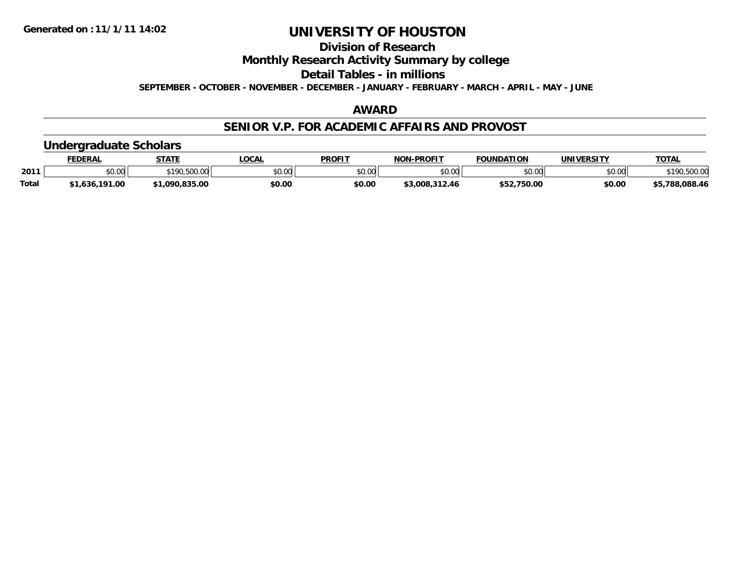### **Division of Research**

### **Monthly Research Activity Summary by college**

### **Detail Tables - in millions**

**SEPTEMBER - OCTOBER - NOVEMBER - DECEMBER - JANUARY - FEBRUARY - MARCH - APRIL - MAY - JUNE**

#### **AWARD**

### **SENIOR V.P. FOR ACADEMIC AFFAIRS AND PROVOST**

## **Undergraduate Scholars**

|              | <b>FEDERAL</b>          | <b>STATE</b>          | <b>LOCAL</b> | <b>PROFIT</b>  | <b>A-PROFIT</b><br><b>NON</b> | <b>FOUNDATION</b> | <b>UNIVERSITY</b> | <b>TOTAL</b>            |
|--------------|-------------------------|-----------------------|--------------|----------------|-------------------------------|-------------------|-------------------|-------------------------|
| 2011         | 0 <sub>n</sub><br>JU.UU | EOO OC<br><b>¢100</b> | \$0.00       | ≮N UU<br>JU.UU | \$0.00                        | \$0.00            | \$0.00            | <sup>↑</sup> 190,500.0ບ |
| <b>Total</b> | l.636.191.00<br>. .     | 1.090.835.00ء         | \$0.00       | \$0.00         | \$3.008.312.46                | .750.00<br>φE7    | \$0.00            | \$5.788.088.46          |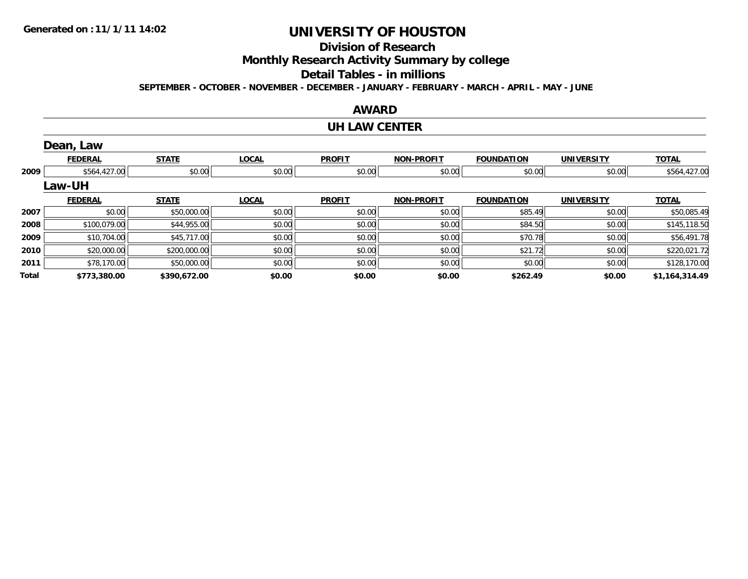### **Division of Research**

**Monthly Research Activity Summary by college**

## **Detail Tables - in millions**

**SEPTEMBER - OCTOBER - NOVEMBER - DECEMBER - JANUARY - FEBRUARY - MARCH - APRIL - MAY - JUNE**

### **AWARD**

### **UH LAW CENTER**

|       | Dean, Law      |              |              |               |                   |                   |                   |                |
|-------|----------------|--------------|--------------|---------------|-------------------|-------------------|-------------------|----------------|
|       | <b>FEDERAL</b> | <b>STATE</b> | <b>LOCAL</b> | <b>PROFIT</b> | <b>NON-PROFIT</b> | <b>FOUNDATION</b> | <b>UNIVERSITY</b> | <b>TOTAL</b>   |
| 2009  | \$564,427.00   | \$0.00       | \$0.00       | \$0.00        | \$0.00            | \$0.00            | \$0.00            | \$564,427.00   |
|       | Law-UH         |              |              |               |                   |                   |                   |                |
|       | <b>FEDERAL</b> | <b>STATE</b> | <b>LOCAL</b> | <b>PROFIT</b> | <b>NON-PROFIT</b> | <b>FOUNDATION</b> | <b>UNIVERSITY</b> | <b>TOTAL</b>   |
| 2007  | \$0.00         | \$50,000.00  | \$0.00       | \$0.00        | \$0.00            | \$85.49           | \$0.00            | \$50,085.49    |
| 2008  | \$100,079.00   | \$44,955.00  | \$0.00       | \$0.00        | \$0.00            | \$84.50           | \$0.00            | \$145,118.50   |
| 2009  | \$10,704.00    | \$45,717.00  | \$0.00       | \$0.00        | \$0.00            | \$70.78           | \$0.00            | \$56,491.78    |
| 2010  | \$20,000.00    | \$200,000.00 | \$0.00       | \$0.00        | \$0.00            | \$21.72           | \$0.00            | \$220,021.72   |
| 2011  | \$78,170.00    | \$50,000.00  | \$0.00       | \$0.00        | \$0.00            | \$0.00            | \$0.00            | \$128,170.00   |
| Total | \$773,380.00   | \$390,672.00 | \$0.00       | \$0.00        | \$0.00            | \$262.49          | \$0.00            | \$1,164,314.49 |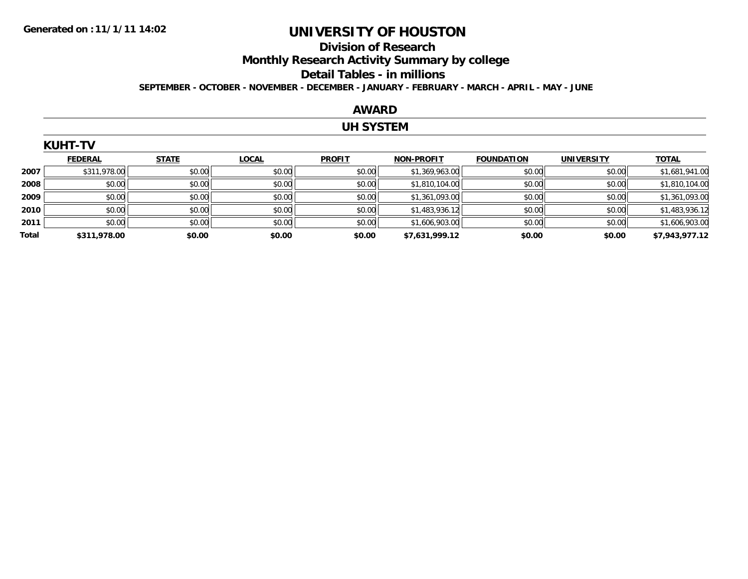$K$ 

## **UNIVERSITY OF HOUSTON**

### **Division of ResearchMonthly Research Activity Summary by college Detail Tables - in millions SEPTEMBER - OCTOBER - NOVEMBER - DECEMBER - JANUARY - FEBRUARY - MARCH - APRIL - MAY - JUNE**

#### **AWARD**

#### **UH SYSTEM**

|       | KUMI-IV        |              |              |               |                   |                   |                   |                |
|-------|----------------|--------------|--------------|---------------|-------------------|-------------------|-------------------|----------------|
|       | <b>FEDERAL</b> | <b>STATE</b> | <b>LOCAL</b> | <b>PROFIT</b> | <b>NON-PROFIT</b> | <b>FOUNDATION</b> | <b>UNIVERSITY</b> | <b>TOTAL</b>   |
| 2007  | \$311,978.00   | \$0.00       | \$0.00       | \$0.00        | \$1,369,963.00    | \$0.00            | \$0.00            | \$1,681,941.00 |
| 2008  | \$0.00         | \$0.00       | \$0.00       | \$0.00        | \$1,810,104.00    | \$0.00            | \$0.00            | \$1,810,104.00 |
| 2009  | \$0.00         | \$0.00       | \$0.00       | \$0.00        | \$1,361,093.00    | \$0.00            | \$0.00            | \$1,361,093.00 |
| 2010  | \$0.00         | \$0.00       | \$0.00       | \$0.00        | \$1,483,936.12    | \$0.00            | \$0.00            | \$1,483,936.12 |
| 2011  | \$0.00         | \$0.00       | \$0.00       | \$0.00        | \$1,606,903.00    | \$0.00            | \$0.00            | \$1,606,903.00 |
| Total | \$311,978.00   | \$0.00       | \$0.00       | \$0.00        | \$7,631,999.12    | \$0.00            | \$0.00            | \$7,943,977.12 |
|       |                |              |              |               |                   |                   |                   |                |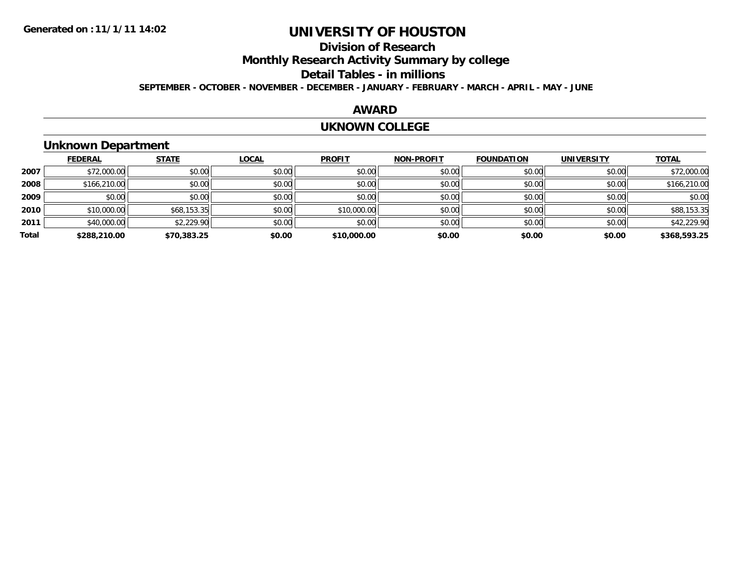# **Division of Research**

## **Monthly Research Activity Summary by college**

#### **Detail Tables - in millions**

**SEPTEMBER - OCTOBER - NOVEMBER - DECEMBER - JANUARY - FEBRUARY - MARCH - APRIL - MAY - JUNE**

### **AWARD**

#### **UKNOWN COLLEGE**

## **Unknown Department**

|       | <b>FEDERAL</b> | <b>STATE</b> | <b>LOCAL</b> | <b>PROFIT</b> | <b>NON-PROFIT</b> | <b>FOUNDATION</b> | <b>UNIVERSITY</b> | <b>TOTAL</b> |
|-------|----------------|--------------|--------------|---------------|-------------------|-------------------|-------------------|--------------|
| 2007  | \$72,000.00    | \$0.00       | \$0.00       | \$0.00        | \$0.00            | \$0.00            | \$0.00            | \$72,000.00  |
| 2008  | \$166,210.00   | \$0.00       | \$0.00       | \$0.00        | \$0.00            | \$0.00            | \$0.00            | \$166,210.00 |
| 2009  | \$0.00         | \$0.00       | \$0.00       | \$0.00        | \$0.00            | \$0.00            | \$0.00            | \$0.00       |
| 2010  | \$10,000.00    | \$68,153.35  | \$0.00       | \$10,000.00   | \$0.00            | \$0.00            | \$0.00            | \$88,153.35  |
| 2011  | \$40,000.00    | \$2,229.90   | \$0.00       | \$0.00        | \$0.00            | \$0.00            | \$0.00            | \$42,229.90  |
| Total | \$288,210.00   | \$70,383.25  | \$0.00       | \$10,000.00   | \$0.00            | \$0.00            | \$0.00            | \$368,593.25 |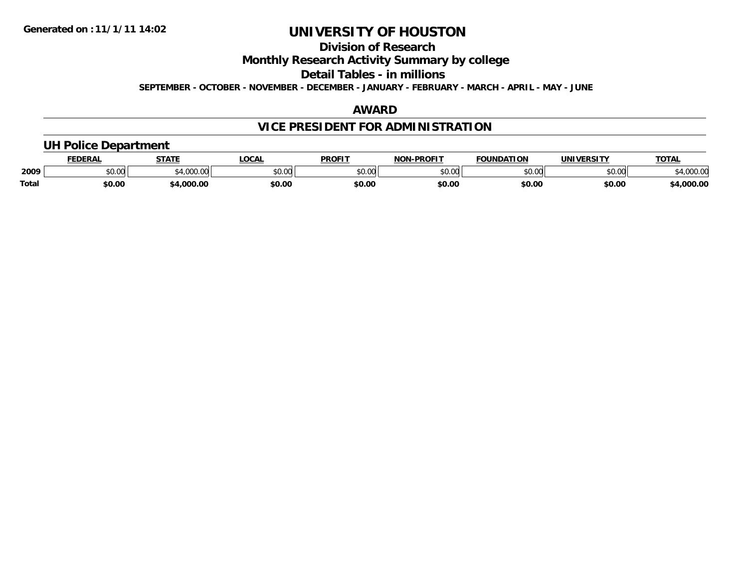### **Division of Research**

### **Monthly Research Activity Summary by college**

### **Detail Tables - in millions**

**SEPTEMBER - OCTOBER - NOVEMBER - DECEMBER - JANUARY - FEBRUARY - MARCH - APRIL - MAY - JUNE**

#### **AWARD**

### **VICE PRESIDENT FOR ADMINISTRATION**

## **UH Police Department**

|              | <b>FEDERAL</b>                      | <b>STATE</b>    | <b>LOCAL</b> | <b>PROFIT</b> | <b>NON-PROFIT</b> | <b>FOUNDATION</b> | <b>UNIVERSITY</b> | TOTA.               |
|--------------|-------------------------------------|-----------------|--------------|---------------|-------------------|-------------------|-------------------|---------------------|
| 2009         | $\theta$ $\theta$ $\theta$<br>vu.vu | 0.0000<br>uuu.u | \$0.00       | 0000<br>PO.OO | \$0.00            | \$0.00            | \$0.00            | זה החר<br>04,UUU.UU |
| <b>Total</b> | \$0.00                              | 1,000.00        | \$0.00       | \$0.00        | \$0.00            | \$0.00            | \$0.00            | 00.00,4غ            |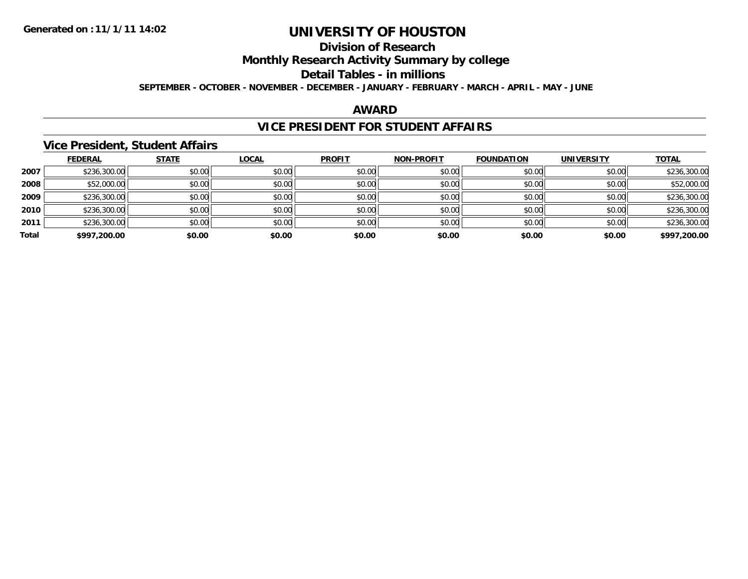## **Division of Research**

### **Monthly Research Activity Summary by college**

## **Detail Tables - in millions**

**SEPTEMBER - OCTOBER - NOVEMBER - DECEMBER - JANUARY - FEBRUARY - MARCH - APRIL - MAY - JUNE**

#### **AWARD**

### **VICE PRESIDENT FOR STUDENT AFFAIRS**

### **Vice President, Student Affairs**

|       | <b>FEDERAL</b> | <b>STATE</b> | <b>LOCAL</b> | <b>PROFIT</b> | <b>NON-PROFIT</b> | <b>FOUNDATION</b> | <b>UNIVERSITY</b> | <b>TOTAL</b> |
|-------|----------------|--------------|--------------|---------------|-------------------|-------------------|-------------------|--------------|
| 2007  | \$236,300.00   | \$0.00       | \$0.00       | \$0.00        | \$0.00            | \$0.00            | \$0.00            | \$236,300.00 |
| 2008  | \$52,000.00    | \$0.00       | \$0.00       | \$0.00        | \$0.00            | \$0.00            | \$0.00            | \$52,000.00  |
| 2009  | \$236,300.00   | \$0.00       | \$0.00       | \$0.00        | \$0.00            | \$0.00            | \$0.00            | \$236,300.00 |
| 2010  | \$236,300.00   | \$0.00       | \$0.00       | \$0.00        | \$0.00            | \$0.00            | \$0.00            | \$236,300.00 |
| 2011  | \$236,300.00   | \$0.00       | \$0.00       | \$0.00        | \$0.00            | \$0.00            | \$0.00            | \$236,300.00 |
| Total | \$997,200.00   | \$0.00       | \$0.00       | \$0.00        | \$0.00            | \$0.00            | \$0.00            | \$997,200.00 |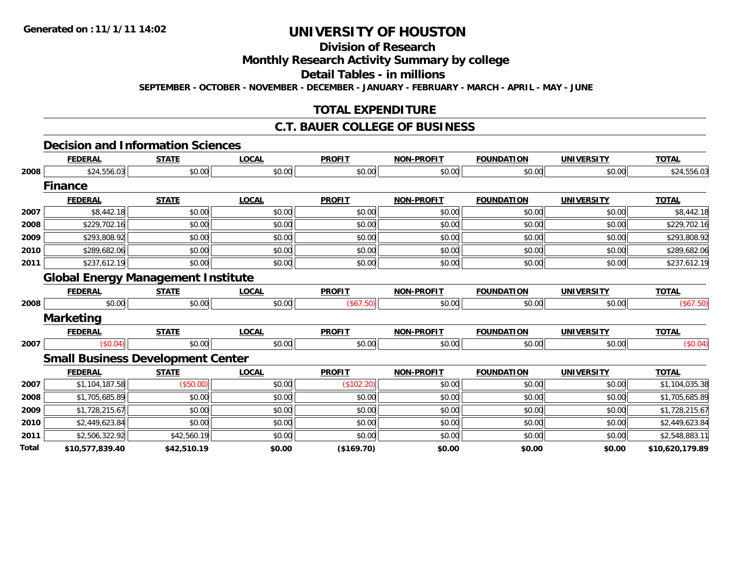## **Division of Research**

### **Monthly Research Activity Summary by college**

### **Detail Tables - in millions**

**SEPTEMBER - OCTOBER - NOVEMBER - DECEMBER - JANUARY - FEBRUARY - MARCH - APRIL - MAY - JUNE**

### **TOTAL EXPENDITURE**

### **C.T. BAUER COLLEGE OF BUSINESS**

#### **Decision and Information Sciences**

|       | <b>FEDERAL</b>                            | <b>STATE</b> | <b>LOCAL</b> | <b>PROFIT</b> | <b>NON-PROFIT</b> | <b>FOUNDATION</b> | <b>UNIVERSITY</b> | <b>TOTAL</b>    |
|-------|-------------------------------------------|--------------|--------------|---------------|-------------------|-------------------|-------------------|-----------------|
| 2008  | \$24,556.03                               | \$0.00       | \$0.00       | \$0.00        | \$0.00            | \$0.00            | \$0.00            | \$24,556.03     |
|       | <b>Finance</b>                            |              |              |               |                   |                   |                   |                 |
|       | <b>FEDERAL</b>                            | <b>STATE</b> | <b>LOCAL</b> | <b>PROFIT</b> | <b>NON-PROFIT</b> | <b>FOUNDATION</b> | <b>UNIVERSITY</b> | <b>TOTAL</b>    |
| 2007  | \$8,442.18                                | \$0.00       | \$0.00       | \$0.00        | \$0.00            | \$0.00            | \$0.00            | \$8,442.18      |
| 2008  | \$229,702.16                              | \$0.00       | \$0.00       | \$0.00        | \$0.00            | \$0.00            | \$0.00            | \$229,702.16    |
| 2009  | \$293,808.92                              | \$0.00       | \$0.00       | \$0.00        | \$0.00            | \$0.00            | \$0.00            | \$293,808.92    |
| 2010  | \$289,682.06                              | \$0.00       | \$0.00       | \$0.00        | \$0.00            | \$0.00            | \$0.00            | \$289,682.06    |
| 2011  | \$237,612.19                              | \$0.00       | \$0.00       | \$0.00        | \$0.00            | \$0.00            | \$0.00            | \$237,612.19    |
|       | <b>Global Energy Management Institute</b> |              |              |               |                   |                   |                   |                 |
|       | <b>FEDERAL</b>                            | <b>STATE</b> | <b>LOCAL</b> | <b>PROFIT</b> | <b>NON-PROFIT</b> | <b>FOUNDATION</b> | <b>UNIVERSITY</b> | <b>TOTAL</b>    |
| 2008  | \$0.00                                    | \$0.00       | \$0.00       | (\$67.50)     | \$0.00            | \$0.00            | \$0.00            | (\$67.50)       |
|       | <b>Marketing</b>                          |              |              |               |                   |                   |                   |                 |
|       | <b>FEDERAL</b>                            | <b>STATE</b> | <b>LOCAL</b> | <b>PROFIT</b> | <b>NON-PROFIT</b> | <b>FOUNDATION</b> | <b>UNIVERSITY</b> | <b>TOTAL</b>    |
| 2007  | (\$0.04)                                  | \$0.00       | \$0.00       | \$0.00        | \$0.00            | \$0.00            | \$0.00            | (\$0.04)        |
|       | <b>Small Business Development Center</b>  |              |              |               |                   |                   |                   |                 |
|       | <b>FEDERAL</b>                            | <b>STATE</b> | <b>LOCAL</b> | <b>PROFIT</b> | <b>NON-PROFIT</b> | <b>FOUNDATION</b> | <b>UNIVERSITY</b> | <b>TOTAL</b>    |
| 2007  | \$1,104,187.58                            | (\$50.00)    | \$0.00       | (\$102.20)    | \$0.00            | \$0.00            | \$0.00            | \$1,104,035.38  |
| 2008  | \$1,705,685.89                            | \$0.00       | \$0.00       | \$0.00        | \$0.00            | \$0.00            | \$0.00            | \$1,705,685.89  |
| 2009  | \$1,728,215.67                            | \$0.00       | \$0.00       | \$0.00        | \$0.00            | \$0.00            | \$0.00            | \$1,728,215.67  |
| 2010  | \$2,449,623.84                            | \$0.00       | \$0.00       | \$0.00        | \$0.00            | \$0.00            | \$0.00            | \$2,449,623.84  |
| 2011  | \$2,506,322.92                            | \$42,560.19  | \$0.00       | \$0.00        | \$0.00            | \$0.00            | \$0.00            | \$2,548,883.11  |
| Total | \$10,577,839.40                           | \$42,510.19  | \$0.00       | (\$169.70)    | \$0.00            | \$0.00            | \$0.00            | \$10,620,179.89 |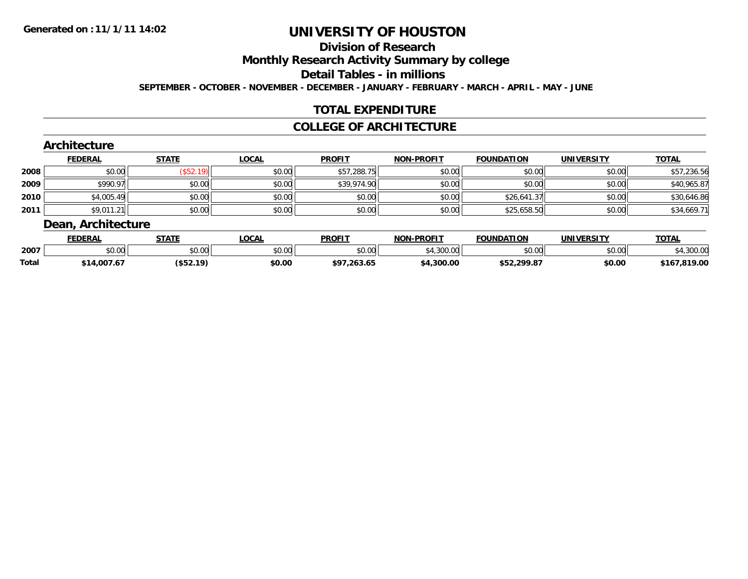## **Division of Research**

### **Monthly Research Activity Summary by college**

### **Detail Tables - in millions**

**SEPTEMBER - OCTOBER - NOVEMBER - DECEMBER - JANUARY - FEBRUARY - MARCH - APRIL - MAY - JUNE**

### **TOTAL EXPENDITURE**

#### **COLLEGE OF ARCHITECTURE**

### **Architecture**

|      | <b>FEDERAL</b> | <b>STATE</b>   | <b>LOCAL</b> | <b>PROFIT</b> | <b>NON-PROFIT</b> | <b>FOUNDATION</b> | <b>UNIVERSITY</b> | <u>TOTAL</u> |
|------|----------------|----------------|--------------|---------------|-------------------|-------------------|-------------------|--------------|
| 2008 | \$0.00         | ั\$52.1<br>19) | \$0.00       | \$57,288.75   | \$0.00            | \$0.00            | \$0.00            | \$57,236.56  |
| 2009 | \$990.97       | \$0.00         | \$0.00       | \$39,974.90   | \$0.00            | \$0.00            | \$0.00            | \$40,965.87  |
| 2010 | \$4,005.49     | \$0.00         | \$0.00       | \$0.00        | \$0.00            | \$26,641.37       | \$0.00            | \$30,646.86  |
| 2011 | \$9,011.21     | \$0.00         | \$0.00       | \$0.00        | \$0.00            | \$25,658.50       | \$0.00            | \$34,669.71  |

#### **Dean, Architecture**

|       | <b>FEDERAL</b>     | <b>STATE</b> | LOCAL  | <b>PROFIT</b> | <b>NON-PROFIT</b> | <b>FOUNDATION</b> | <b>UNIVERSITY</b> | <b>TOTAL</b> |
|-------|--------------------|--------------|--------|---------------|-------------------|-------------------|-------------------|--------------|
| 2007  | $\sim$ 00<br>vu.uu | \$0.00       | \$0.00 | \$0.00        | \$4,300.00        | \$0.00            | \$0.00            | ,300.00      |
| Total | \$14,007.67        | (\$52.19)    | \$0.00 | \$97,263.65   | \$4,300.00        | \$52,299.87       | \$0.00            | \$167,819.00 |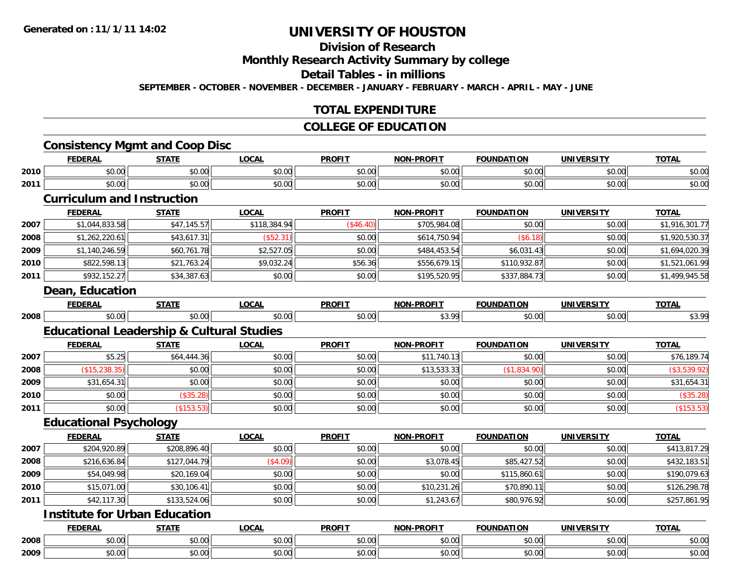## **Division of Research**

### **Monthly Research Activity Summary by college**

### **Detail Tables - in millions**

**SEPTEMBER - OCTOBER - NOVEMBER - DECEMBER - JANUARY - FEBRUARY - MARCH - APRIL - MAY - JUNE**

### **TOTAL EXPENDITURE**

### **COLLEGE OF EDUCATION**

### **Consistency Mgmt and Coop Disc**

|      | <b>FEDERAL</b> | <b>STATE</b>                                      | LOCAL         | <b>PROFIT</b>          | <b>NON-PROFIT</b> | <b>FOUNDATION</b>      | <b>IINITVEDCTTV</b> | <b>TOTAI</b> |
|------|----------------|---------------------------------------------------|---------------|------------------------|-------------------|------------------------|---------------------|--------------|
| 2010 | 0000<br>JU.UU  | $\mathsf{A}\cap\mathsf{A}\cap\mathsf{A}$<br>vv.vv | 0.00<br>vu.vu | $\sim$ $\sim$<br>vv.vv | 0000<br>vu.vu     | $\sim$ $\sim$<br>vv.vv | 0000<br>vv.vv       | \$0.00       |
| 2011 | 0000<br>JU.UU  | $\sim$ 00<br>JU.UU                                | 0.00<br>JU.UU | $\sim$ $\sim$<br>JU.UU | 0.00<br>vu.vu     | $\sim$ $\sim$<br>JU.UU | 0000<br>JU.UU       | \$0.00       |

### **Curriculum and Instruction**

|      | <b>FEDERAL</b> | <b>STATE</b> | <b>LOCAL</b> | <b>PROFIT</b> | <b>NON-PROFIT</b> | <b>FOUNDATION</b> | <b>UNIVERSITY</b> | <b>TOTAL</b>   |
|------|----------------|--------------|--------------|---------------|-------------------|-------------------|-------------------|----------------|
| 2007 | \$1,044,833.58 | \$47,145.57  | \$118,384.94 | (\$46.40)     | \$705,984.08      | \$0.00            | \$0.00            | \$1,916,301.77 |
| 2008 | \$1,262,220.61 | \$43,617.31  | (\$52.31)    | \$0.00        | \$614,750.94      | (S6.18)           | \$0.00            | \$1,920,530.37 |
| 2009 | ,140,246.59    | \$60,761.78  | \$2,527.05   | \$0.00        | \$484,453.54      | \$6,031.43        | \$0.00            | \$1,694,020.39 |
| 2010 | \$822,598.13   | \$21,763.24  | \$9,032.24   | \$56.36       | \$556,679.15      | \$110,932.87      | \$0.00            | \$1,521,061.99 |
| 2011 | \$932,152.27   | \$34,387.63  | \$0.00       | \$0.00        | \$195,520.95      | \$337,884.73      | \$0.00            | \$1,499,945.58 |

#### **Dean, Education**

|      | <b>CENED</b><br>.                | ----- | $\sim$<br>.w.         | <b>PROFIT</b> | <b>N-PROFT</b><br><b>NON</b> | <b>.</b><br>TOUNDA.<br>ног | IINITION<br>UR | $\sim$ $\sim$ $\sim$ |
|------|----------------------------------|-------|-----------------------|---------------|------------------------------|----------------------------|----------------|----------------------|
| 2008 | $\overline{\phantom{a}}$<br>ט.טע |       | $\sim$ $\sim$<br>v.vv |               | റപ<br>~                      |                            | 0.00           | O)<br>ູ∾ ບ           |

### **Educational Leadership & Cultural Studies**

|      | <b>FEDERAL</b> | <b>STATE</b> | <b>LOCAL</b> | <b>PROFIT</b> | <b>NON-PROFIT</b> | <b>FOUNDATION</b> | <b>UNIVERSITY</b> | <b>TOTAL</b> |
|------|----------------|--------------|--------------|---------------|-------------------|-------------------|-------------------|--------------|
| 2007 | \$5.25         | \$64,444.36  | \$0.00       | \$0.00        | \$11,740.13       | \$0.00            | \$0.00            | \$76,189.74  |
| 2008 | \$15,238.35    | \$0.00       | \$0.00       | \$0.00        | \$13,533.33       | \$1,834.90        | \$0.00            | (\$3,539.92) |
| 2009 | \$31,654.31    | \$0.00       | \$0.00       | \$0.00        | \$0.00            | \$0.00            | \$0.00            | \$31,654.31  |
| 2010 | \$0.00         | (\$35.28)    | \$0.00       | \$0.00        | \$0.00            | \$0.00            | \$0.00            | (\$35.28)    |
| 2011 | \$0.00         | \$153.53     | \$0.00       | \$0.00        | \$0.00            | \$0.00            | \$0.00            | (\$153.53)   |

### **Educational Psychology**

|      | <b>FEDERAL</b> | <b>STATE</b> | <b>LOCAL</b> | <b>PROFIT</b> | <b>NON-PROFIT</b> | <b>FOUNDATION</b> | <b>UNIVERSITY</b> | <b>TOTAL</b> |
|------|----------------|--------------|--------------|---------------|-------------------|-------------------|-------------------|--------------|
| 2007 | \$204,920.89   | \$208,896.40 | \$0.00       | \$0.00        | \$0.00            | \$0.00            | \$0.00            | \$413,817.29 |
| 2008 | \$216,636.84   | \$127,044.79 | (\$4.09)     | \$0.00        | \$3,078.45        | \$85,427.52       | \$0.00            | \$432,183.51 |
| 2009 | \$54,049.98    | \$20,169.04  | \$0.00       | \$0.00        | \$0.00            | \$115,860.61      | \$0.00            | \$190,079.63 |
| 2010 | \$15,071.00    | \$30,106.41  | \$0.00       | \$0.00        | \$10,231.26       | \$70,890.11       | \$0.00            | \$126,298.78 |
| 2011 | \$42,117.30    | \$133,524.06 | \$0.00       | \$0.00        | \$1,243.67        | \$80,976.92       | \$0.00            | \$257,861.95 |

### **Institute for Urban Education**

|      | <b>FEDERAL</b>                | <b>STATE</b>                        | <b>OCAL</b> | <b>PROFIT</b>          | -PROFIT<br>NON.    | FAULUS LTTALL<br>DAIION             | <b>UNIVERSITY</b>  | <b>TOTAL</b><br>,,, |
|------|-------------------------------|-------------------------------------|-------------|------------------------|--------------------|-------------------------------------|--------------------|---------------------|
| 2008 | $\uparrow$ $\uparrow$<br>ט.טי | $\overline{a}$<br>$\sim$<br>, u.uur | vv.vv       | $\sim$<br>ት ヘ<br>vv.vu | ሐሴ ሰሰ<br>vv.vv     | $\theta$ $\theta$ $\theta$<br>DU.UU | $\sim$ 00<br>vu.vu | \$0.00              |
| 2009 | ሰሰ ሰ<br>PU.UU                 | $\sim$<br>וט.טי                     | vv.vv       | --<br>JU.UL            | $\sim$ 00<br>PO.OO | 0000<br>DU.UU                       | 0.00<br>vu.vu      | \$0.00              |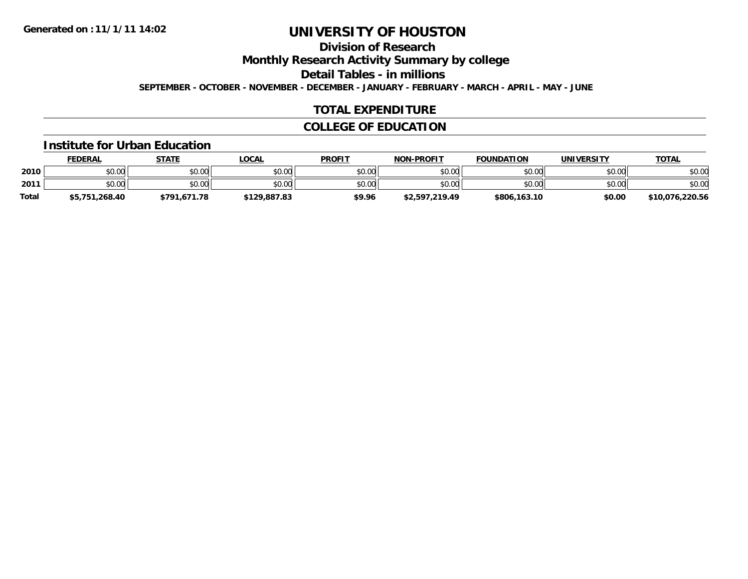## **Division of Research**

**Monthly Research Activity Summary by college**

**Detail Tables - in millions**

**SEPTEMBER - OCTOBER - NOVEMBER - DECEMBER - JANUARY - FEBRUARY - MARCH - APRIL - MAY - JUNE**

### **TOTAL EXPENDITURE**

### **COLLEGE OF EDUCATION**

#### **Institute for Urban Education**

|              | <b>FEDERAL</b> | <b>STATE</b> | <b>LOCAL</b> | <b>PROFIT</b> | <b>NON-PROFIT</b> | <b>FOUNDATION</b> | <b>UNIVERSITY</b> | <u>TOTAL</u>    |
|--------------|----------------|--------------|--------------|---------------|-------------------|-------------------|-------------------|-----------------|
| 2010         | \$0.00         | \$0.00       | \$0.00       | \$0.00        | \$0.00            | \$0.00            | \$0.00            | \$0.00          |
| 2011         | \$0.00         | \$0.00       | \$0.00       | \$0.00        | \$0.00            | \$0.00            | \$0.00            | \$0.00          |
| <b>Total</b> | \$5,751,268.40 | \$791,671.78 | \$129,887.83 | \$9.96        | \$2,597,219.49    | \$806,163.10      | \$0.00            | \$10,076,220.56 |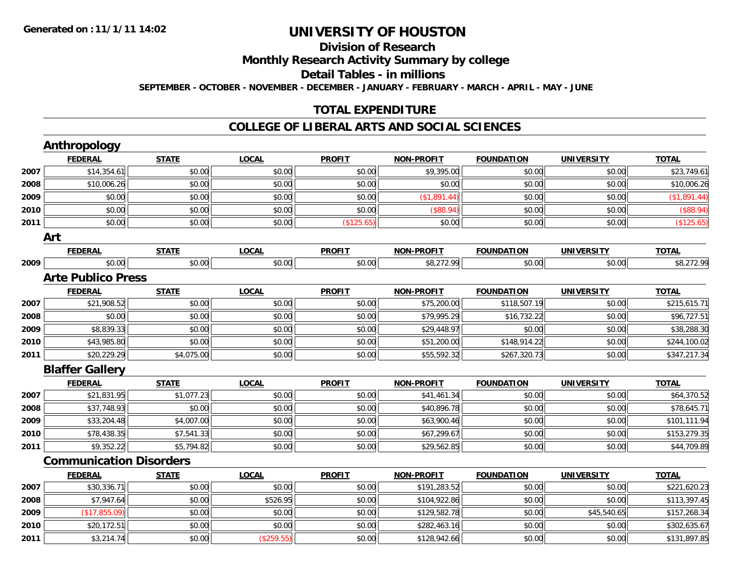### **Division of ResearchMonthly Research Activity Summary by college Detail Tables - in millions SEPTEMBER - OCTOBER - NOVEMBER - DECEMBER - JANUARY - FEBRUARY - MARCH - APRIL - MAY - JUNE**

### **TOTAL EXPENDITURE**

#### **COLLEGE OF LIBERAL ARTS AND SOCIAL SCIENCES**

|      | Anthropology                   |              |              |               |                   |                   |                   |              |
|------|--------------------------------|--------------|--------------|---------------|-------------------|-------------------|-------------------|--------------|
|      | <b>FEDERAL</b>                 | <b>STATE</b> | <b>LOCAL</b> | <b>PROFIT</b> | <b>NON-PROFIT</b> | <b>FOUNDATION</b> | <b>UNIVERSITY</b> | <b>TOTAL</b> |
| 2007 | \$14,354.61                    | \$0.00       | \$0.00       | \$0.00        | \$9,395.00        | \$0.00            | \$0.00            | \$23,749.61  |
| 2008 | \$10,006.26                    | \$0.00       | \$0.00       | \$0.00        | \$0.00            | \$0.00            | \$0.00            | \$10,006.26  |
| 2009 | \$0.00                         | \$0.00       | \$0.00       | \$0.00        | (\$1,891.44)      | \$0.00            | \$0.00            | (\$1,891.44) |
| 2010 | \$0.00                         | \$0.00       | \$0.00       | \$0.00        | (\$88.94)         | \$0.00            | \$0.00            | (\$88.94)    |
| 2011 | \$0.00                         | \$0.00       | \$0.00       | (\$125.65)    | \$0.00            | \$0.00            | \$0.00            | (\$125.65)   |
|      | Art                            |              |              |               |                   |                   |                   |              |
|      | <b>FEDERAL</b>                 | <b>STATE</b> | <b>LOCAL</b> | <b>PROFIT</b> | <b>NON-PROFIT</b> | <b>FOUNDATION</b> | <b>UNIVERSITY</b> | <b>TOTAL</b> |
| 2009 | \$0.00                         | \$0.00       | \$0.00       | \$0.00        | \$8,272.99        | \$0.00            | \$0.00            | \$8,272.99   |
|      | <b>Arte Publico Press</b>      |              |              |               |                   |                   |                   |              |
|      | <b>FEDERAL</b>                 | <b>STATE</b> | <b>LOCAL</b> | <b>PROFIT</b> | <b>NON-PROFIT</b> | <b>FOUNDATION</b> | <b>UNIVERSITY</b> | <b>TOTAL</b> |
| 2007 | \$21,908.52                    | \$0.00       | \$0.00       | \$0.00        | \$75,200.00       | \$118,507.19      | \$0.00            | \$215,615.71 |
| 2008 | \$0.00                         | \$0.00       | \$0.00       | \$0.00        | \$79,995.29       | \$16,732.22       | \$0.00            | \$96,727.51  |
| 2009 | \$8,839.33                     | \$0.00       | \$0.00       | \$0.00        | \$29,448.97       | \$0.00            | \$0.00            | \$38,288.30  |
| 2010 | \$43,985.80                    | \$0.00       | \$0.00       | \$0.00        | \$51,200.00       | \$148,914.22      | \$0.00            | \$244,100.02 |
| 2011 | \$20,229.29                    | \$4,075.00   | \$0.00       | \$0.00        | \$55,592.32       | \$267,320.73      | \$0.00            | \$347,217.34 |
|      | <b>Blaffer Gallery</b>         |              |              |               |                   |                   |                   |              |
|      | <b>FEDERAL</b>                 | <b>STATE</b> | <b>LOCAL</b> | <b>PROFIT</b> | <b>NON-PROFIT</b> | <b>FOUNDATION</b> | <b>UNIVERSITY</b> | <b>TOTAL</b> |
| 2007 | \$21,831.95                    | \$1,077.23   | \$0.00       | \$0.00        | \$41,461.34       | \$0.00            | \$0.00            | \$64,370.52  |
| 2008 | \$37,748.93                    | \$0.00       | \$0.00       | \$0.00        | \$40,896.78       | \$0.00            | \$0.00            | \$78,645.71  |
| 2009 | \$33,204.48                    | \$4,007.00   | \$0.00       | \$0.00        | \$63,900.46       | \$0.00            | \$0.00            | \$101,111.94 |
| 2010 | \$78,438.35                    | \$7,541.33   | \$0.00       | \$0.00        | \$67,299.67       | \$0.00            | \$0.00            | \$153,279.35 |
| 2011 | \$9,352.22                     | \$5,794.82   | \$0.00       | \$0.00        | \$29,562.85       | \$0.00            | \$0.00            | \$44,709.89  |
|      | <b>Communication Disorders</b> |              |              |               |                   |                   |                   |              |
|      | <b>FEDERAL</b>                 | <b>STATE</b> | <b>LOCAL</b> | <b>PROFIT</b> | <b>NON-PROFIT</b> | <b>FOUNDATION</b> | <b>UNIVERSITY</b> | <b>TOTAL</b> |
| 2007 | \$30,336.71                    | \$0.00       | \$0.00       | \$0.00        | \$191,283.52      | \$0.00            | \$0.00            | \$221,620.23 |
| 2008 | \$7,947.64                     | \$0.00       | \$526.95     | \$0.00        | \$104,922.86      | \$0.00            | \$0.00            | \$113,397.45 |
| 2009 | (\$17,855.09)                  | \$0.00       | \$0.00       | \$0.00        | \$129,582.78      | \$0.00            | \$45,540.65       | \$157,268.34 |
| 2010 | \$20,172.51                    | \$0.00       | \$0.00       | \$0.00        | \$282,463.16      | \$0.00            | \$0.00            | \$302,635.67 |
| 2011 | \$3,214.74                     | \$0.00       | (\$259.55)   | \$0.00        | \$128,942.66      | \$0.00            | \$0.00            | \$131,897.85 |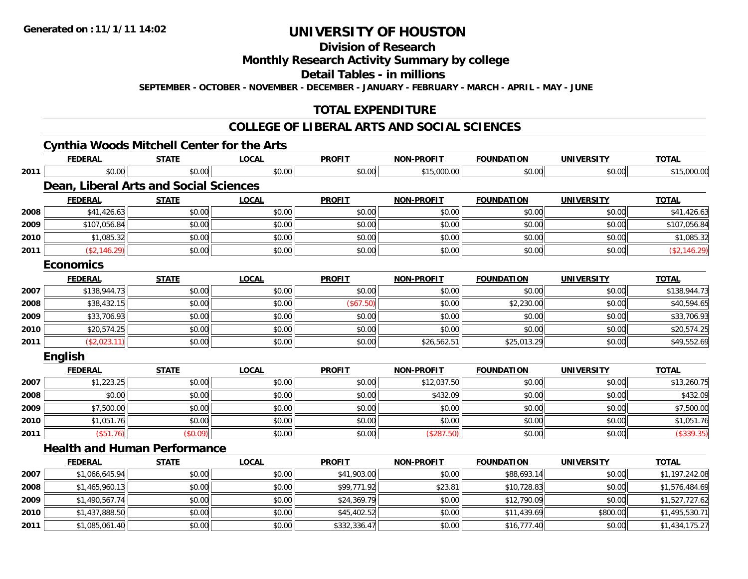**2011**

## **UNIVERSITY OF HOUSTON**

## **Division of Research**

### **Monthly Research Activity Summary by college**

### **Detail Tables - in millions**

**SEPTEMBER - OCTOBER - NOVEMBER - DECEMBER - JANUARY - FEBRUARY - MARCH - APRIL - MAY - JUNE**

### **TOTAL EXPENDITURE**

#### **COLLEGE OF LIBERAL ARTS AND SOCIAL SCIENCES**

### **Cynthia Woods Mitchell Center for the Arts**

|      | <b>FEDERAL</b>                                | <b>STATE</b> | <b>LOCAL</b> | <b>PROFIT</b> | <b>NON-PROFIT</b> | <b>FOUNDATION</b> | <b>UNIVERSITY</b> | <b>TOTAL</b>   |
|------|-----------------------------------------------|--------------|--------------|---------------|-------------------|-------------------|-------------------|----------------|
| 2011 | \$0.00                                        | \$0.00       | \$0.00       | \$0.00        | \$15,000.00       | \$0.00            | \$0.00            | \$15,000.00    |
|      | <b>Dean, Liberal Arts and Social Sciences</b> |              |              |               |                   |                   |                   |                |
|      | <b>FEDERAL</b>                                | <b>STATE</b> | <b>LOCAL</b> | <b>PROFIT</b> | <b>NON-PROFIT</b> | <b>FOUNDATION</b> | <b>UNIVERSITY</b> | <b>TOTAL</b>   |
| 2008 | \$41,426.63                                   | \$0.00       | \$0.00       | \$0.00        | \$0.00            | \$0.00            | \$0.00            | \$41,426.63    |
| 2009 | \$107,056.84                                  | \$0.00       | \$0.00       | \$0.00        | \$0.00            | \$0.00            | \$0.00            | \$107,056.84   |
| 2010 | \$1,085.32                                    | \$0.00       | \$0.00       | \$0.00        | \$0.00            | \$0.00            | \$0.00            | \$1,085.32     |
| 2011 | (\$2,146.29)                                  | \$0.00       | \$0.00       | \$0.00        | \$0.00            | \$0.00            | \$0.00            | (\$2,146.29)   |
|      | <b>Economics</b>                              |              |              |               |                   |                   |                   |                |
|      | <b>FEDERAL</b>                                | <b>STATE</b> | <b>LOCAL</b> | <b>PROFIT</b> | <b>NON-PROFIT</b> | <b>FOUNDATION</b> | <b>UNIVERSITY</b> | <b>TOTAL</b>   |
| 2007 | \$138,944.73                                  | \$0.00       | \$0.00       | \$0.00        | \$0.00            | \$0.00            | \$0.00            | \$138,944.73   |
| 2008 | \$38,432.15                                   | \$0.00       | \$0.00       | (\$67.50)     | \$0.00            | \$2,230.00        | \$0.00            | \$40,594.65    |
| 2009 | \$33,706.93                                   | \$0.00       | \$0.00       | \$0.00        | \$0.00            | \$0.00            | \$0.00            | \$33,706.93    |
| 2010 | \$20,574.25                                   | \$0.00       | \$0.00       | \$0.00        | \$0.00            | \$0.00            | \$0.00            | \$20,574.25    |
| 2011 | (\$2,023.11)                                  | \$0.00       | \$0.00       | \$0.00        | \$26,562.51       | \$25,013.29       | \$0.00            | \$49,552.69    |
|      | <b>English</b>                                |              |              |               |                   |                   |                   |                |
|      | <b>FEDERAL</b>                                | <b>STATE</b> | <b>LOCAL</b> | <b>PROFIT</b> | <b>NON-PROFIT</b> | <b>FOUNDATION</b> | <b>UNIVERSITY</b> | <b>TOTAL</b>   |
| 2007 | \$1,223.25                                    | \$0.00       | \$0.00       | \$0.00        | \$12,037.50       | \$0.00            | \$0.00            | \$13,260.75    |
| 2008 | \$0.00                                        | \$0.00       | \$0.00       | \$0.00        | \$432.09          | \$0.00            | \$0.00            | \$432.09       |
| 2009 | \$7,500.00                                    | \$0.00       | \$0.00       | \$0.00        | \$0.00            | \$0.00            | \$0.00            | \$7,500.00     |
| 2010 | \$1,051.76                                    | \$0.00       | \$0.00       | \$0.00        | \$0.00            | \$0.00            | \$0.00            | \$1,051.76     |
| 2011 | (\$51.76)                                     | (\$0.09)     | \$0.00       | \$0.00        | (\$287.50)        | \$0.00            | \$0.00            | (\$339.35)     |
|      | <b>Health and Human Performance</b>           |              |              |               |                   |                   |                   |                |
|      | <b>FEDERAL</b>                                | <b>STATE</b> | <b>LOCAL</b> | <b>PROFIT</b> | <b>NON-PROFIT</b> | <b>FOUNDATION</b> | <b>UNIVERSITY</b> | <b>TOTAL</b>   |
| 2007 | \$1,066,645.94                                | \$0.00       | \$0.00       | \$41,903.00   | \$0.00            | \$88,693.14       | \$0.00            | \$1,197,242.08 |
| 2008 | \$1,465,960.13                                | \$0.00       | \$0.00       | \$99,771.92   | \$23.81           | \$10,728.83       | \$0.00            | \$1,576,484.69 |
| 2009 | \$1,490,567.74                                | \$0.00       | \$0.00       | \$24,369.79   | \$0.00            | \$12,790.09       | \$0.00            | \$1,527,727.62 |
| 2010 | \$1,437,888.50                                | \$0.00       | \$0.00       | \$45,402.52   | \$0.00            | \$11,439.69       | \$800.00          | \$1,495,530.71 |

\$1,085,061.40 \$0.00 \$0.00 \$332,336.47 \$0.00 \$16,777.40 \$0.00 \$1,434,175.27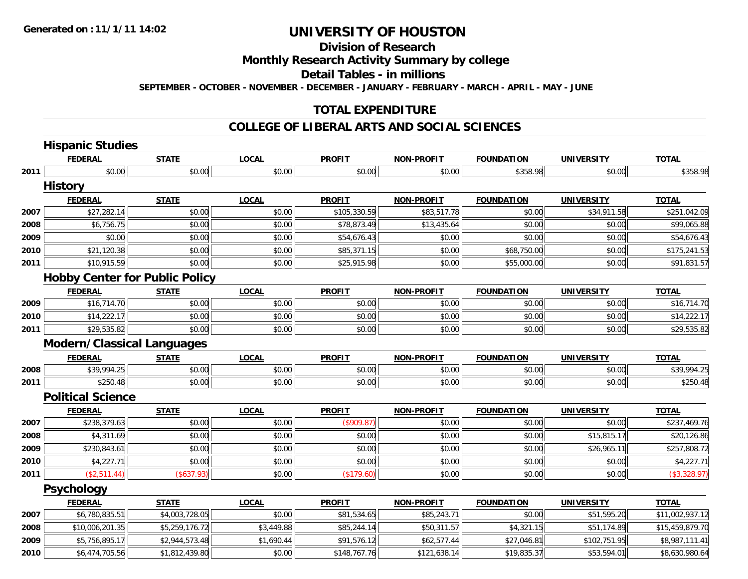**2010**

## **UNIVERSITY OF HOUSTON**

## **Division of Research**

### **Monthly Research Activity Summary by college**

### **Detail Tables - in millions**

**SEPTEMBER - OCTOBER - NOVEMBER - DECEMBER - JANUARY - FEBRUARY - MARCH - APRIL - MAY - JUNE**

### **TOTAL EXPENDITURE**

### **COLLEGE OF LIBERAL ARTS AND SOCIAL SCIENCES**

|      | <b>Hispanic Studies</b>               |                |              |               |                   |                   |                   |                 |
|------|---------------------------------------|----------------|--------------|---------------|-------------------|-------------------|-------------------|-----------------|
|      | <b>FEDERAL</b>                        | <b>STATE</b>   | <b>LOCAL</b> | <b>PROFIT</b> | <b>NON-PROFIT</b> | <b>FOUNDATION</b> | <b>UNIVERSITY</b> | <b>TOTAL</b>    |
| 2011 | \$0.00                                | \$0.00         | \$0.00       | \$0.00        | \$0.00            | \$358.98          | \$0.00            | \$358.98        |
|      | <b>History</b>                        |                |              |               |                   |                   |                   |                 |
|      | <b>FEDERAL</b>                        | <b>STATE</b>   | <b>LOCAL</b> | <b>PROFIT</b> | <b>NON-PROFIT</b> | <b>FOUNDATION</b> | <b>UNIVERSITY</b> | <b>TOTAL</b>    |
| 2007 | \$27,282.14                           | \$0.00         | \$0.00       | \$105,330.59  | \$83,517.78       | \$0.00            | \$34,911.58       | \$251,042.09    |
| 2008 | \$6,756.75                            | \$0.00         | \$0.00       | \$78,873.49   | \$13,435.64       | \$0.00            | \$0.00            | \$99,065.88     |
| 2009 | \$0.00                                | \$0.00         | \$0.00       | \$54,676.43   | \$0.00            | \$0.00            | \$0.00            | \$54,676.43     |
| 2010 | \$21,120.38                           | \$0.00         | \$0.00       | \$85,371.15   | \$0.00            | \$68,750.00       | \$0.00            | \$175,241.53    |
| 2011 | \$10,915.59                           | \$0.00         | \$0.00       | \$25,915.98   | \$0.00            | \$55,000.00       | \$0.00            | \$91,831.57     |
|      | <b>Hobby Center for Public Policy</b> |                |              |               |                   |                   |                   |                 |
|      | <b>FEDERAL</b>                        | <b>STATE</b>   | <b>LOCAL</b> | <b>PROFIT</b> | <b>NON-PROFIT</b> | <b>FOUNDATION</b> | <b>UNIVERSITY</b> | <b>TOTAL</b>    |
| 2009 | \$16,714.70                           | \$0.00         | \$0.00       | \$0.00        | \$0.00            | \$0.00            | \$0.00            | \$16,714.70     |
| 2010 | \$14,222.17                           | \$0.00         | \$0.00       | \$0.00        | \$0.00            | \$0.00            | \$0.00            | \$14,222.17     |
| 2011 | \$29,535.82                           | \$0.00         | \$0.00       | \$0.00        | \$0.00            | \$0.00            | \$0.00            | \$29,535.82     |
|      | <b>Modern/Classical Languages</b>     |                |              |               |                   |                   |                   |                 |
|      | <b>FEDERAL</b>                        | <b>STATE</b>   | <b>LOCAL</b> | <b>PROFIT</b> | <b>NON-PROFIT</b> | <b>FOUNDATION</b> | <b>UNIVERSITY</b> | <b>TOTAL</b>    |
| 2008 | \$39,994.25                           | \$0.00         | \$0.00       | \$0.00        | \$0.00            | \$0.00            | \$0.00            | \$39,994.25     |
| 2011 | \$250.48                              | \$0.00         | \$0.00       | \$0.00        | \$0.00            | \$0.00            | \$0.00            | \$250.48        |
|      | <b>Political Science</b>              |                |              |               |                   |                   |                   |                 |
|      | <b>FEDERAL</b>                        | <b>STATE</b>   | <b>LOCAL</b> | <b>PROFIT</b> | <b>NON-PROFIT</b> | <b>FOUNDATION</b> | <b>UNIVERSITY</b> | <b>TOTAL</b>    |
| 2007 | \$238,379.63                          | \$0.00         | \$0.00       | (\$909.87)    | \$0.00            | \$0.00            | \$0.00            | \$237,469.76    |
| 2008 | \$4,311.69                            | \$0.00         | \$0.00       | \$0.00        | \$0.00            | \$0.00            | \$15,815.17       | \$20,126.86     |
| 2009 | \$230,843.61                          | \$0.00         | \$0.00       | \$0.00        | \$0.00            | \$0.00            | \$26,965.11       | \$257,808.72    |
| 2010 | \$4,227.71                            | \$0.00         | \$0.00       | \$0.00        | \$0.00            | \$0.00            | \$0.00            | \$4,227.71      |
| 2011 | (\$2,511.44)                          | (\$637.93)     | \$0.00       | (\$179.60)    | \$0.00            | \$0.00            | \$0.00            | (\$3,328.97)    |
|      | <b>Psychology</b>                     |                |              |               |                   |                   |                   |                 |
|      | <b>FEDERAL</b>                        | <b>STATE</b>   | <b>LOCAL</b> | <b>PROFIT</b> | <b>NON-PROFIT</b> | <b>FOUNDATION</b> | <b>UNIVERSITY</b> | <b>TOTAL</b>    |
| 2007 | \$6,780,835.51                        | \$4,003,728.05 | \$0.00       | \$81,534.65   | \$85,243.71       | \$0.00            | \$51,595.20       | \$11,002,937.12 |
| 2008 | \$10,006,201.35                       | \$5,259,176.72 | \$3,449.88   | \$85,244.14   | \$50,311.57       | \$4,321.15        | \$51,174.89       | \$15,459,879.70 |
| 2009 | \$5,756,895.17                        | \$2,944,573.48 | \$1,690.44   | \$91,576.12   | \$62,577.44       | \$27,046.81       | \$102,751.95      | \$8,987,111.41  |
|      |                                       |                |              |               |                   |                   |                   |                 |

0 \$6,474,705.56|| \$1,812,439.80|| \$0.00|| \$148,767.76|| \$121,638.14|| \$19,835.37|| \$53,594.01|| \$8,630,980.64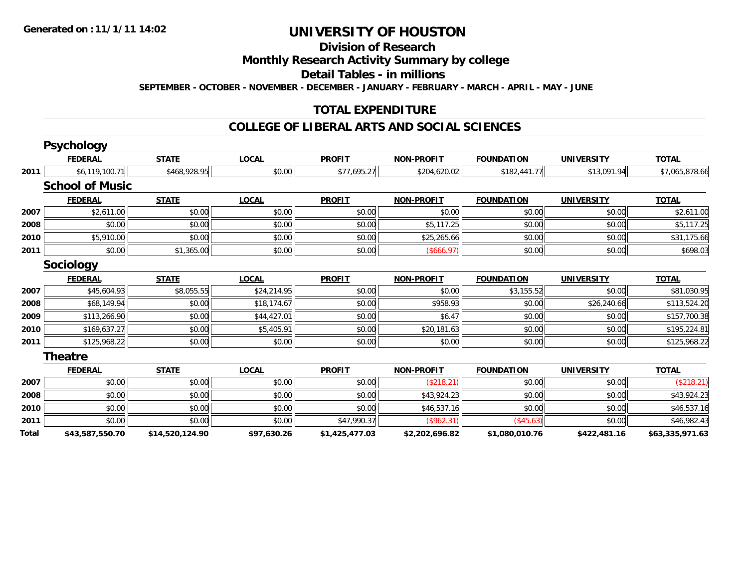## **Division of Research**

### **Monthly Research Activity Summary by college**

#### **Detail Tables - in millions**

**SEPTEMBER - OCTOBER - NOVEMBER - DECEMBER - JANUARY - FEBRUARY - MARCH - APRIL - MAY - JUNE**

### **TOTAL EXPENDITURE**

#### **COLLEGE OF LIBERAL ARTS AND SOCIAL SCIENCES**

|       | <b>FEDERAL</b>         | <b>STATE</b>    | <b>LOCAL</b> | <b>PROFIT</b>  | <b>NON-PROFIT</b> | <b>FOUNDATION</b> | <b>UNIVERSITY</b> | <b>TOTAL</b>    |
|-------|------------------------|-----------------|--------------|----------------|-------------------|-------------------|-------------------|-----------------|
| 2011  | \$6,119,100.71         | \$468,928.95    | \$0.00       | \$77,695.27    | \$204,620.02      | \$182,441.77      | \$13,091.94       | \$7,065,878.66  |
|       | <b>School of Music</b> |                 |              |                |                   |                   |                   |                 |
|       | <b>FEDERAL</b>         | <b>STATE</b>    | <b>LOCAL</b> | <b>PROFIT</b>  | <b>NON-PROFIT</b> | <b>FOUNDATION</b> | <b>UNIVERSITY</b> | <b>TOTAL</b>    |
| 2007  | \$2,611.00             | \$0.00          | \$0.00       | \$0.00         | \$0.00            | \$0.00            | \$0.00            | \$2,611.00      |
| 2008  | \$0.00                 | \$0.00          | \$0.00       | \$0.00         | \$5,117.25        | \$0.00            | \$0.00            | \$5,117.25      |
| 2010  | \$5,910.00             | \$0.00          | \$0.00       | \$0.00         | \$25,265.66       | \$0.00            | \$0.00            | \$31,175.66     |
| 2011  | \$0.00                 | \$1,365.00      | \$0.00       | \$0.00         | (\$666.97)        | \$0.00            | \$0.00            | \$698.03        |
|       | <b>Sociology</b>       |                 |              |                |                   |                   |                   |                 |
|       | <b>FEDERAL</b>         | <b>STATE</b>    | <b>LOCAL</b> | <b>PROFIT</b>  | <b>NON-PROFIT</b> | <b>FOUNDATION</b> | <b>UNIVERSITY</b> | <b>TOTAL</b>    |
| 2007  | \$45,604.93            | \$8,055.55      | \$24,214.95  | \$0.00         | \$0.00            | \$3,155.52        | \$0.00            | \$81,030.95     |
| 2008  | \$68,149.94            | \$0.00          | \$18,174.67  | \$0.00         | \$958.93          | \$0.00            | \$26,240.66       | \$113,524.20    |
| 2009  | \$113,266.90           | \$0.00          | \$44,427.01  | \$0.00         | \$6.47            | \$0.00            | \$0.00            | \$157,700.38    |
| 2010  | \$169,637.27           | \$0.00          | \$5,405.91   | \$0.00         | \$20,181.63       | \$0.00            | \$0.00            | \$195,224.81    |
| 2011  | \$125,968.22           | \$0.00          | \$0.00       | \$0.00         | \$0.00            | \$0.00            | \$0.00            | \$125,968.22    |
|       | <b>Theatre</b>         |                 |              |                |                   |                   |                   |                 |
|       | <b>FEDERAL</b>         | <b>STATE</b>    | <b>LOCAL</b> | <b>PROFIT</b>  | <b>NON-PROFIT</b> | <b>FOUNDATION</b> | <b>UNIVERSITY</b> | <b>TOTAL</b>    |
| 2007  | \$0.00                 | \$0.00          | \$0.00       | \$0.00         | (\$218.21)        | \$0.00            | \$0.00            | (\$218.21)      |
| 2008  | \$0.00                 | \$0.00          | \$0.00       | \$0.00         | \$43,924.23       | \$0.00            | \$0.00            | \$43,924.23     |
| 2010  | \$0.00                 | \$0.00          | \$0.00       | \$0.00         | \$46,537.16       | \$0.00            | \$0.00            | \$46,537.16     |
| 2011  | \$0.00                 | \$0.00          | \$0.00       | \$47,990.37    | (\$962.31)        | (\$45.63)         | \$0.00            | \$46,982.43     |
| Total | \$43,587,550.70        | \$14,520,124.90 | \$97,630.26  | \$1,425,477.03 | \$2,202,696.82    | \$1,080,010.76    | \$422,481.16      | \$63,335,971.63 |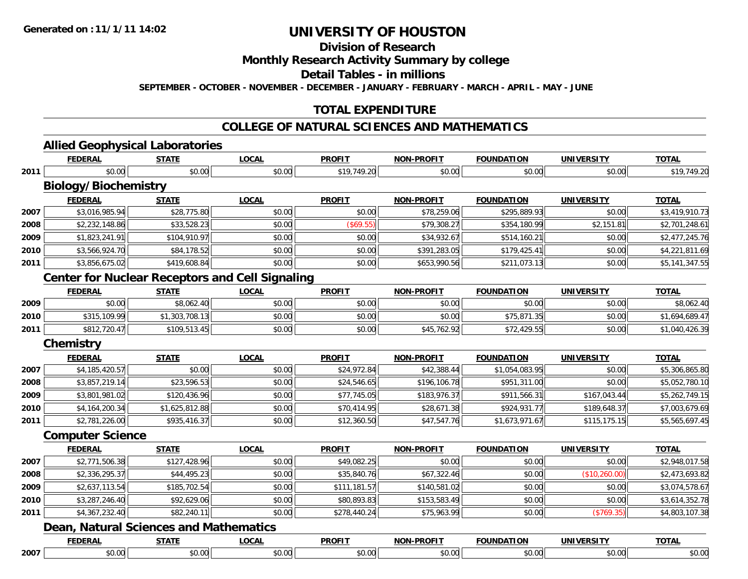## **Division of Research**

### **Monthly Research Activity Summary by college**

### **Detail Tables - in millions**

**SEPTEMBER - OCTOBER - NOVEMBER - DECEMBER - JANUARY - FEBRUARY - MARCH - APRIL - MAY - JUNE**

### **TOTAL EXPENDITURE**

### **COLLEGE OF NATURAL SCIENCES AND MATHEMATICS**

# **Allied Geophysical Laboratories**

|      | <b>FEDERAL</b>                                         | <b>STATE</b>   | <b>LOCAL</b> | <b>PROFIT</b> | <b>NON-PROFIT</b> | <b>FOUNDATION</b> | <b>UNIVERSITY</b> | <b>TOTAL</b>   |
|------|--------------------------------------------------------|----------------|--------------|---------------|-------------------|-------------------|-------------------|----------------|
| 2011 | \$0.00                                                 | \$0.00         | \$0.00       | \$19,749.20   | \$0.00            | \$0.00            | \$0.00            | \$19,749.20    |
|      | <b>Biology/Biochemistry</b>                            |                |              |               |                   |                   |                   |                |
|      | <b>FEDERAL</b>                                         | <b>STATE</b>   | <b>LOCAL</b> | <b>PROFIT</b> | <b>NON-PROFIT</b> | <b>FOUNDATION</b> | <b>UNIVERSITY</b> | <b>TOTAL</b>   |
| 2007 | \$3,016,985.94                                         | \$28,775.80    | \$0.00       | \$0.00        | \$78,259.06       | \$295,889.93      | \$0.00            | \$3,419,910.73 |
| 2008 | \$2,232,148.86                                         | \$33,528.23    | \$0.00       | (\$69.55)     | \$79,308.27       | \$354,180.99      | \$2,151.81        | \$2,701,248.61 |
| 2009 | \$1,823,241.91                                         | \$104,910.97   | \$0.00       | \$0.00        | \$34,932.67       | \$514,160.21      | \$0.00            | \$2,477,245.76 |
| 2010 | \$3,566,924.70                                         | \$84,178.52    | \$0.00       | \$0.00        | \$391,283.05      | \$179,425.41      | \$0.00            | \$4,221,811.69 |
| 2011 | \$3,856,675.02                                         | \$419,608.84   | \$0.00       | \$0.00        | \$653,990.56      | \$211,073.13      | \$0.00            | \$5,141,347.55 |
|      | <b>Center for Nuclear Receptors and Cell Signaling</b> |                |              |               |                   |                   |                   |                |
|      | <b>FEDERAL</b>                                         | <b>STATE</b>   | <b>LOCAL</b> | <b>PROFIT</b> | <b>NON-PROFIT</b> | <b>FOUNDATION</b> | <b>UNIVERSITY</b> | <b>TOTAL</b>   |
| 2009 | \$0.00                                                 | \$8,062.40     | \$0.00       | \$0.00        | \$0.00            | \$0.00            | \$0.00            | \$8,062.40     |
| 2010 | \$315,109.99                                           | \$1,303,708.13 | \$0.00       | \$0.00        | \$0.00            | \$75,871.35       | \$0.00            | \$1,694,689.47 |
| 2011 | \$812,720.47                                           | \$109,513.45   | \$0.00       | \$0.00        | \$45,762.92       | \$72,429.55       | \$0.00            | \$1,040,426.39 |
|      | <b>Chemistry</b>                                       |                |              |               |                   |                   |                   |                |
|      | <b>FEDERAL</b>                                         | <b>STATE</b>   | <b>LOCAL</b> | <b>PROFIT</b> | <b>NON-PROFIT</b> | <b>FOUNDATION</b> | <b>UNIVERSITY</b> | <b>TOTAL</b>   |
| 2007 | \$4,185,420.57                                         | \$0.00         | \$0.00       | \$24,972.84   | \$42,388.44       | \$1,054,083.95    | \$0.00            | \$5,306,865.80 |
| 2008 | \$3,857,219.14                                         | \$23,596.53    | \$0.00       | \$24,546.65   | \$196,106.78      | \$951,311.00      | \$0.00            | \$5,052,780.10 |
| 2009 | \$3,801,981.02                                         | \$120,436.96   | \$0.00       | \$77,745.05   | \$183,976.37      | \$911,566.31      | \$167,043.44      | \$5,262,749.15 |
| 2010 | \$4,164,200.34                                         | \$1,625,812.88 | \$0.00       | \$70,414.95   | \$28,671.38       | \$924,931.77      | \$189,648.37      | \$7,003,679.69 |
| 2011 | \$2,781,226.00                                         | \$935,416.37   | \$0.00       | \$12,360.50   | \$47,547.76       | \$1,673,971.67    | \$115,175.15      | \$5,565,697.45 |
|      | <b>Computer Science</b>                                |                |              |               |                   |                   |                   |                |
|      | <b>FEDERAL</b>                                         | <b>STATE</b>   | <b>LOCAL</b> | <b>PROFIT</b> | <b>NON-PROFIT</b> | <b>FOUNDATION</b> | <b>UNIVERSITY</b> | <b>TOTAL</b>   |
| 2007 | \$2,771,506.38                                         | \$127,428.96   | \$0.00       | \$49,082.25   | \$0.00            | \$0.00            | \$0.00            | \$2,948,017.58 |
| 2008 | \$2,336,295.37                                         | \$44,495.23    | \$0.00       | \$35,840.76   | \$67,322.46       | \$0.00            | (\$10,260.00)     | \$2,473,693.82 |
| 2009 | \$2,637,113.54                                         | \$185,702.54   | \$0.00       | \$111,181.57  | \$140,581.02      | \$0.00            | \$0.00            | \$3,074,578.67 |
| 2010 | \$3,287,246.40                                         | \$92,629.06    | \$0.00       | \$80,893.83   | \$153,583.49      | \$0.00            | \$0.00            | \$3,614,352.78 |
| 2011 | \$4,367,232.40                                         | \$82,240.11    | \$0.00       | \$278,440.24  | \$75,963.99       | \$0.00            | (\$769.35)        | \$4,803,107.38 |
|      | <b>Dean, Natural Sciences and Mathematics</b>          |                |              |               |                   |                   |                   |                |
|      | <b>FEDERAL</b>                                         | <b>STATE</b>   | <b>LOCAL</b> | <b>PROFIT</b> | <b>NON-PROFIT</b> | <b>FOUNDATION</b> | <b>UNIVERSITY</b> | <b>TOTAL</b>   |
| 2007 | \$0.00                                                 | \$0.00         | \$0.00       | \$0.00        | \$0.00            | \$0.00            | \$0.00            | \$0.00         |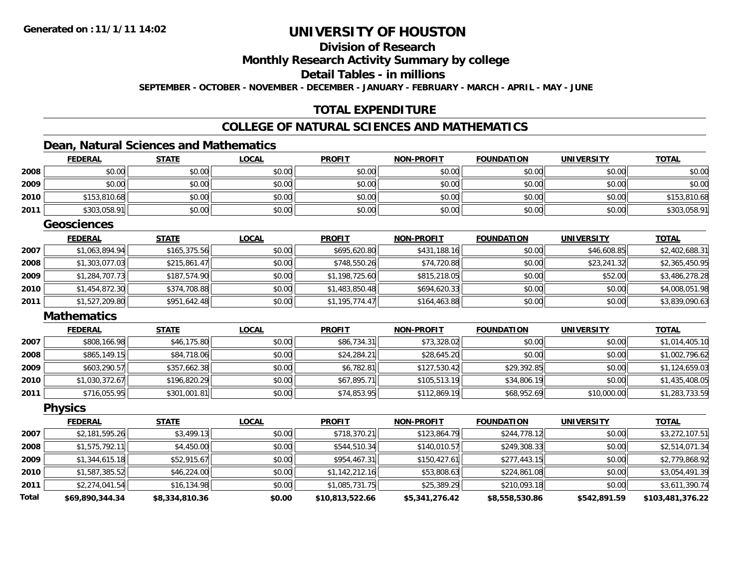## **Division of Research**

### **Monthly Research Activity Summary by college**

### **Detail Tables - in millions**

**SEPTEMBER - OCTOBER - NOVEMBER - DECEMBER - JANUARY - FEBRUARY - MARCH - APRIL - MAY - JUNE**

### **TOTAL EXPENDITURE**

### **COLLEGE OF NATURAL SCIENCES AND MATHEMATICS**

### **Dean, Natural Sciences and Mathematics**

|              | <b>FEDERAL</b>     | <b>STATE</b>   | <b>LOCAL</b> | <b>PROFIT</b>   | <b>NON-PROFIT</b> | <b>FOUNDATION</b> | <b>UNIVERSITY</b> | <b>TOTAL</b>     |
|--------------|--------------------|----------------|--------------|-----------------|-------------------|-------------------|-------------------|------------------|
| 2008         | \$0.00             | \$0.00         | \$0.00       | \$0.00          | \$0.00            | \$0.00            | \$0.00            | \$0.00           |
| 2009         | \$0.00             | \$0.00         | \$0.00       | \$0.00          | \$0.00            | \$0.00            | \$0.00            | \$0.00           |
| 2010         | \$153,810.68       | \$0.00         | \$0.00       | \$0.00          | \$0.00            | \$0.00            | \$0.00            | \$153,810.68     |
| 2011         | \$303,058.91       | \$0.00         | \$0.00       | \$0.00          | \$0.00            | \$0.00            | \$0.00            | \$303,058.91     |
|              | <b>Geosciences</b> |                |              |                 |                   |                   |                   |                  |
|              | <b>FEDERAL</b>     | <b>STATE</b>   | <b>LOCAL</b> | <b>PROFIT</b>   | <b>NON-PROFIT</b> | <b>FOUNDATION</b> | <b>UNIVERSITY</b> | <b>TOTAL</b>     |
| 2007         | \$1,063,894.94     | \$165,375.56   | \$0.00       | \$695,620.80    | \$431,188.16      | \$0.00            | \$46,608.85       | \$2,402,688.31   |
| 2008         | \$1,303,077.03     | \$215,861.47   | \$0.00       | \$748,550.26    | \$74,720.88       | \$0.00            | \$23,241.32       | \$2,365,450.95   |
| 2009         | \$1,284,707.73     | \$187,574.90   | \$0.00       | \$1,198,725.60  | \$815,218.05      | \$0.00            | \$52.00           | \$3,486,278.28   |
| 2010         | \$1,454,872.30     | \$374,708.88   | \$0.00       | \$1,483,850.48  | \$694,620.33      | \$0.00            | \$0.00            | \$4,008,051.98   |
| 2011         | \$1,527,209.80     | \$951,642.48   | \$0.00       | \$1,195,774.47  | \$164,463.88      | \$0.00            | \$0.00            | \$3,839,090.63   |
|              | <b>Mathematics</b> |                |              |                 |                   |                   |                   |                  |
|              | <b>FEDERAL</b>     | <b>STATE</b>   | <b>LOCAL</b> | <b>PROFIT</b>   | <b>NON-PROFIT</b> | <b>FOUNDATION</b> | <b>UNIVERSITY</b> | <b>TOTAL</b>     |
| 2007         | \$808,166.98       | \$46,175.80    | \$0.00       | \$86,734.31     | \$73,328.02       | \$0.00            | \$0.00            | \$1,014,405.10   |
| 2008         | \$865,149.15       | \$84,718.06    | \$0.00       | \$24,284.21     | \$28,645.20       | \$0.00            | \$0.00            | \$1,002,796.62   |
| 2009         | \$603,290.57       | \$357,662.38   | \$0.00       | \$6,782.81      | \$127,530.42      | \$29,392.85       | \$0.00            | \$1,124,659.03   |
| 2010         | \$1,030,372.67     | \$196,820.29   | \$0.00       | \$67,895.71     | \$105,513.19      | \$34,806.19       | \$0.00            | \$1,435,408.05   |
| 2011         | \$716,055.95       | \$301,001.81   | \$0.00       | \$74,853.95     | \$112,869.19      | \$68,952.69       | \$10,000.00       | \$1,283,733.59   |
|              | <b>Physics</b>     |                |              |                 |                   |                   |                   |                  |
|              | <b>FEDERAL</b>     | <b>STATE</b>   | <b>LOCAL</b> | <b>PROFIT</b>   | <b>NON-PROFIT</b> | <b>FOUNDATION</b> | <b>UNIVERSITY</b> | <b>TOTAL</b>     |
| 2007         | \$2,181,595.26     | \$3,499.13     | \$0.00       | \$718,370.21    | \$123,864.79      | \$244,778.12      | \$0.00            | \$3,272,107.51   |
| 2008         | \$1,575,792.11     | \$4,450.00     | \$0.00       | \$544,510.34    | \$140,010.57      | \$249,308.33      | \$0.00            | \$2,514,071.34   |
| 2009         | \$1,344,615.18     | \$52,915.67    | \$0.00       | \$954,467.31    | \$150,427.61      | \$277,443.15      | \$0.00            | \$2,779,868.92   |
| 2010         | \$1,587,385.52     | \$46,224.00    | \$0.00       | \$1,142,212.16  | \$53,808.63       | \$224,861.08      | \$0.00            | \$3,054,491.39   |
| 2011         | \$2,274,041.54     | \$16,134.98    | \$0.00       | \$1,085,731.75  | \$25,389.29       | \$210,093.18      | \$0.00            | \$3,611,390.74   |
| <b>Total</b> | \$69,890,344.34    | \$8,334,810.36 | \$0.00       | \$10,813,522.66 | \$5,341,276.42    | \$8,558,530.86    | \$542,891.59      | \$103,481,376.22 |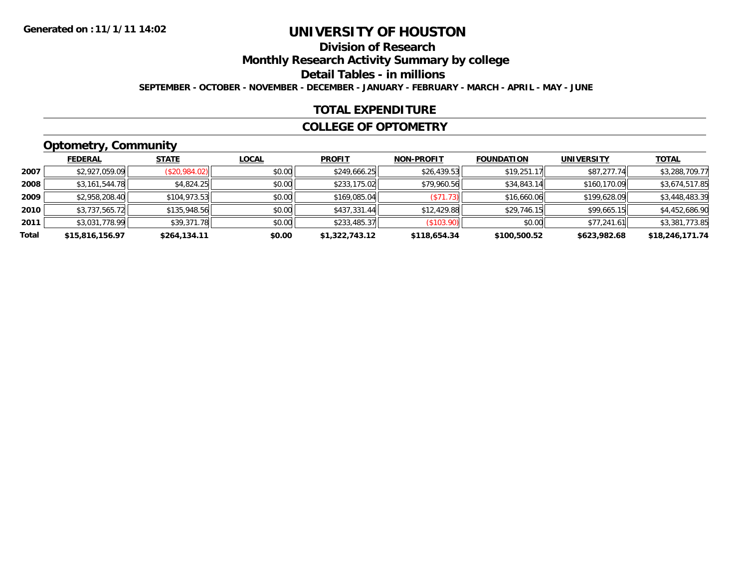### **Division of ResearchMonthly Research Activity Summary by college Detail Tables - in millions**

**SEPTEMBER - OCTOBER - NOVEMBER - DECEMBER - JANUARY - FEBRUARY - MARCH - APRIL - MAY - JUNE**

### **TOTAL EXPENDITURE**

#### **COLLEGE OF OPTOMETRY**

## **Optometry, Community**

|       | --              |               |              |                |                   |                   |                   |                 |
|-------|-----------------|---------------|--------------|----------------|-------------------|-------------------|-------------------|-----------------|
|       | <b>FEDERAL</b>  | <b>STATE</b>  | <b>LOCAL</b> | <b>PROFIT</b>  | <b>NON-PROFIT</b> | <b>FOUNDATION</b> | <b>UNIVERSITY</b> | <b>TOTAL</b>    |
| 2007  | \$2,927,059.09  | (\$20,984.02) | \$0.00       | \$249,666.25   | \$26,439.53       | \$19,251.17       | \$87,277.74       | \$3,288,709.77  |
| 2008  | \$3,161,544.78  | \$4,824.25    | \$0.00       | \$233,175.02   | \$79,960.56       | \$34,843.14       | \$160,170.09      | \$3,674,517.85  |
| 2009  | \$2,958,208.40  | \$104,973.53  | \$0.00       | \$169,085.04   | (S71.73)          | \$16,660.06       | \$199,628.09      | \$3,448,483.39  |
| 2010  | \$3,737,565.72  | \$135,948.56  | \$0.00       | \$437,331.44   | \$12,429.88       | \$29,746.15       | \$99.665.15       | \$4,452,686.90  |
| 2011  | \$3,031,778.99  | \$39,371.78   | \$0.00       | \$233,485.37   | (S103.90)         | \$0.00            | \$77,241.61       | \$3,381,773.85  |
| Total | \$15,816,156.97 | \$264,134.11  | \$0.00       | \$1,322,743.12 | \$118,654.34      | \$100,500.52      | \$623,982.68      | \$18,246,171.74 |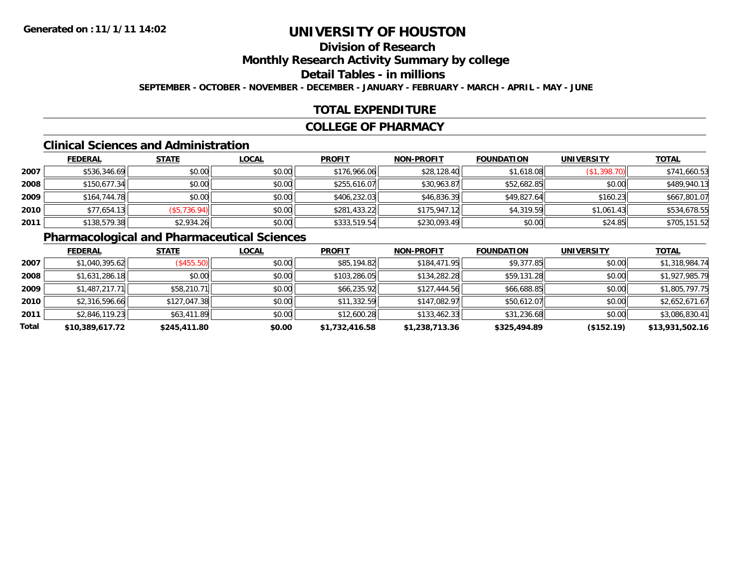# **Division of ResearchMonthly Research Activity Summary by college Detail Tables - in millions**

**SEPTEMBER - OCTOBER - NOVEMBER - DECEMBER - JANUARY - FEBRUARY - MARCH - APRIL - MAY - JUNE**

## **TOTAL EXPENDITURE**

#### **COLLEGE OF PHARMACY**

#### **Clinical Sciences and Administration**

|      | <b>FEDERAL</b> | <b>STATE</b> | <b>LOCAL</b> | <b>PROFIT</b> | <b>NON-PROFIT</b> | <b>FOUNDATION</b> | <b>UNIVERSITY</b> | <b>TOTAL</b> |
|------|----------------|--------------|--------------|---------------|-------------------|-------------------|-------------------|--------------|
| 2007 | \$536,346.69   | \$0.00       | \$0.00       | \$176,966.06  | \$28,128.40       | \$1,618.08        | (\$1,398.70)      | \$741,660.53 |
| 2008 | \$150,677.34   | \$0.00       | \$0.00       | \$255,616.07  | \$30,963.87       | \$52,682.85       | \$0.00            | \$489,940.13 |
| 2009 | \$164,744.78   | \$0.00       | \$0.00       | \$406,232.03  | \$46,836.39       | \$49,827.64       | \$160.23          | \$667,801.07 |
| 2010 | \$77,654.13    | (\$5,736.94) | \$0.00       | \$281,433.22  | \$175,947.12      | \$4,319.59        | \$1,061.43        | \$534,678.55 |
| 2011 | \$138,579.38   | \$2,934.26   | \$0.00       | \$333,519.54  | \$230,093.49      | \$0.00            | \$24.85           | \$705,151.52 |

# **Pharmacological and Pharmaceutical Sciences**

|       | <b>FEDERAL</b>  | <b>STATE</b> | <b>LOCAL</b> | <b>PROFIT</b>  | <b>NON-PROFIT</b> | <b>FOUNDATION</b> | <b>UNIVERSITY</b> | <b>TOTAL</b>    |
|-------|-----------------|--------------|--------------|----------------|-------------------|-------------------|-------------------|-----------------|
| 2007  | \$1,040,395.62  | (\$455.50)   | \$0.00       | \$85,194.82    | \$184,471.95      | \$9,377.85        | \$0.00            | \$1,318,984.74  |
| 2008  | \$1,631,286.18  | \$0.00       | \$0.00       | \$103,286.05   | \$134,282.28      | \$59,131.28       | \$0.00            | \$1,927,985.79  |
| 2009  | \$1,487,217.71  | \$58,210.71  | \$0.00       | \$66,235.92    | \$127,444.56      | \$66,688.85       | \$0.00            | \$1,805,797.75  |
| 2010  | \$2,316,596.66  | \$127,047.38 | \$0.00       | \$11,332.59    | \$147,082.97      | \$50,612.07       | \$0.00            | \$2,652,671.67  |
| 2011  | \$2,846,119.23  | \$63,411.89  | \$0.00       | \$12,600.28    | \$133,462.33      | \$31,236.68       | \$0.00            | \$3,086,830.41  |
| Total | \$10,389,617.72 | \$245,411.80 | \$0.00       | \$1,732,416.58 | \$1,238,713.36    | \$325,494.89      | $($ \$152.19)     | \$13,931,502.16 |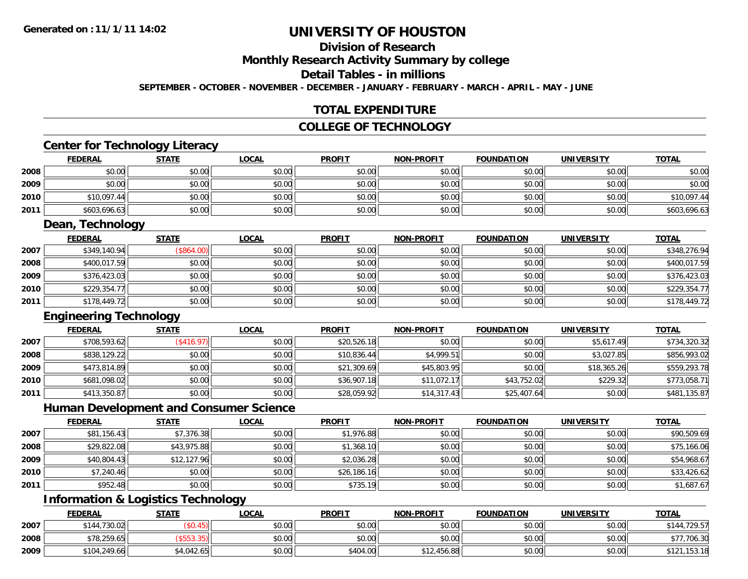# **Division of Research**

# **Monthly Research Activity Summary by college**

## **Detail Tables - in millions**

**SEPTEMBER - OCTOBER - NOVEMBER - DECEMBER - JANUARY - FEBRUARY - MARCH - APRIL - MAY - JUNE**

## **TOTAL EXPENDITURE**

### **COLLEGE OF TECHNOLOGY**

### **Center for Technology Literacy**

|      | <b>FEDERAL</b> | <b>STATE</b> | <b>LOCAL</b> | <b>PROFIT</b> | <b>NON-PROFIT</b> | <b>FOUNDATION</b> | <b>UNIVERSITY</b> | <b>TOTAL</b> |
|------|----------------|--------------|--------------|---------------|-------------------|-------------------|-------------------|--------------|
| 2008 | \$0.00         | \$0.00       | \$0.00       | \$0.00        | \$0.00            | \$0.00            | \$0.00            | \$0.00       |
| 2009 | \$0.00         | \$0.00       | \$0.00       | \$0.00        | \$0.00            | \$0.00            | \$0.00            | \$0.00       |
| 2010 | \$10,097.44    | \$0.00       | \$0.00       | \$0.00        | \$0.00            | \$0.00            | \$0.00            | \$10,097.44  |
| 2011 | \$603,696.63   | \$0.00       | \$0.00       | \$0.00        | \$0.00            | \$0.00            | \$0.00            | \$603,696.63 |

#### **Dean, Technology**

|      | <b>FEDERAL</b> | <b>STATE</b> | <u>LOCAL</u> | <b>PROFIT</b> | <b>NON-PROFIT</b> | <b>FOUNDATION</b> | <b>UNIVERSITY</b> | <u>TOTAL</u> |
|------|----------------|--------------|--------------|---------------|-------------------|-------------------|-------------------|--------------|
| 2007 | \$349,140.94   | \$864.00     | \$0.00       | \$0.00        | \$0.00            | \$0.00            | \$0.00            | \$348,276.94 |
| 2008 | \$400,017.59   | \$0.00       | \$0.00       | \$0.00        | \$0.00            | \$0.00            | \$0.00            | \$400,017.59 |
| 2009 | \$376,423.03   | \$0.00       | \$0.00       | \$0.00        | \$0.00            | \$0.00            | \$0.00            | \$376,423.03 |
| 2010 | \$229,354.77   | \$0.00       | \$0.00       | \$0.00        | \$0.00            | \$0.00            | \$0.00            | \$229,354.77 |
| 2011 | \$178,449.72   | \$0.00       | \$0.00       | \$0.00        | \$0.00            | \$0.00            | \$0.00            | \$178,449.72 |

## **Engineering Technology**

|      | <b>FEDERAL</b> | <b>STATE</b>      | <b>LOCAL</b> | <b>PROFIT</b> | <b>NON-PROFIT</b> | <b>FOUNDATION</b> | <b>UNIVERSITY</b> | <u>TOTAL</u> |
|------|----------------|-------------------|--------------|---------------|-------------------|-------------------|-------------------|--------------|
| 2007 | \$708,593.62   | $($ \$416.97) $ $ | \$0.00       | \$20,526.18   | \$0.00            | \$0.00            | \$5,617.49        | \$734,320.32 |
| 2008 | \$838,129.22   | \$0.00            | \$0.00       | \$10,836.44   | \$4,999.51        | \$0.00            | \$3,027.85        | \$856,993.02 |
| 2009 | \$473,814.89   | \$0.00            | \$0.00       | \$21,309.69   | \$45,803.95       | \$0.00            | \$18,365.26       | \$559,293.78 |
| 2010 | \$681,098.02   | \$0.00            | \$0.00       | \$36,907.18   | \$11,072.17       | \$43,752.02       | \$229.32          | \$773,058.71 |
| 2011 | \$413,350.87   | \$0.00            | \$0.00       | \$28,059.92   | \$14,317.43       | \$25,407.64       | \$0.00            | \$481,135.87 |

## **Human Development and Consumer Science**

|      | <b>FEDERAL</b> | <b>STATE</b> | <b>LOCAL</b> | <b>PROFIT</b> | <b>NON-PROFIT</b> | <b>FOUNDATION</b> | <b>UNIVERSITY</b> | <u>TOTAL</u> |
|------|----------------|--------------|--------------|---------------|-------------------|-------------------|-------------------|--------------|
| 2007 | \$81,156.43    | \$7,376.38   | \$0.00       | \$1,976.88    | \$0.00            | \$0.00            | \$0.00            | \$90,509.69  |
| 2008 | \$29,822.08    | \$43,975.88  | \$0.00       | \$1,368.10    | \$0.00            | \$0.00            | \$0.00            | \$75,166.06  |
| 2009 | \$40,804.43    | \$12,127.96  | \$0.00       | \$2,036.28    | \$0.00            | \$0.00            | \$0.00            | \$54,968.67  |
| 2010 | \$7,240.46     | \$0.00       | \$0.00       | \$26,186.16   | \$0.00            | \$0.00            | \$0.00            | \$33,426.62  |
| 2011 | \$952.48       | \$0.00       | \$0.00       | \$735.19      | \$0.00            | \$0.00            | \$0.00            | \$1,687.67   |

# **Information & Logistics Technology**

|      | <b>FEDERAL</b> | <b>STATE</b> | <b>LOCAL</b> | <b>PROFIT</b> | <b>NON-PROFIT</b> | <b>FOUNDATION</b> | <b>UNIVERSITY</b> | <b>TOTAL</b>           |
|------|----------------|--------------|--------------|---------------|-------------------|-------------------|-------------------|------------------------|
| 2007 | \$144,730.02   |              | \$0.00       | \$0.00        | \$0.00            | \$0.00            | \$0.00            | .729.57<br>\$144       |
| 2008 | \$78,259.65    |              | \$0.00       | \$0.00        | \$0.00            | \$0.00            | \$0.00            | \$77,706.30            |
| 2009 | \$104.249.66   | \$4,042.65   | \$0.00       | \$404.00      | \$12,456.88       | \$0.00            | \$0.00            | ,153.18<br><b>¢101</b> |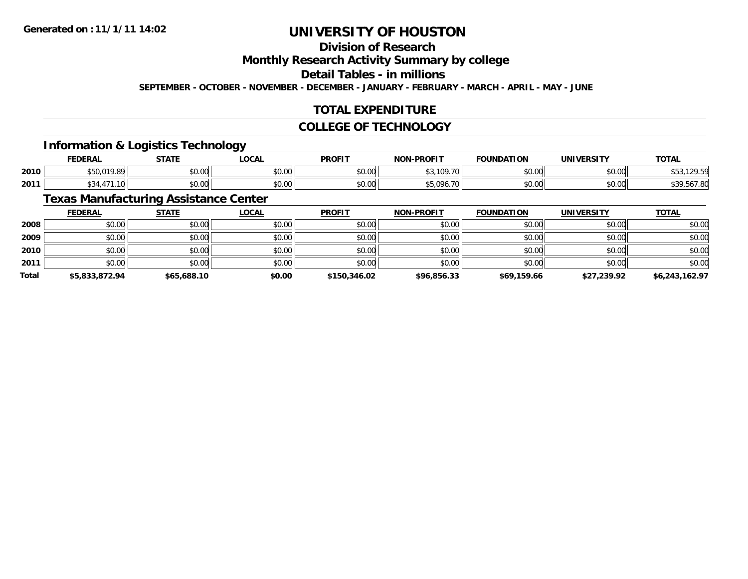# **Division of Research**

## **Monthly Research Activity Summary by college**

## **Detail Tables - in millions**

**SEPTEMBER - OCTOBER - NOVEMBER - DECEMBER - JANUARY - FEBRUARY - MARCH - APRIL - MAY - JUNE**

## **TOTAL EXPENDITURE**

#### **COLLEGE OF TECHNOLOGY**

# **Information & Logistics Technology**

|      | <b>FEDERAL</b>          | CTATE                   | <b>LOCAL</b>         | <b>PROFIT</b> | <b>NON-PROFIT</b>                               | <b>FOUNDATION</b>  | <b>IINITVEDCTTV</b> | <b>TOTAL</b> |
|------|-------------------------|-------------------------|----------------------|---------------|-------------------------------------------------|--------------------|---------------------|--------------|
| 2010 | $\sim$ 0.40 $\sim$<br>, | 0 <sub>n</sub><br>JU.UU | 0.00<br><b>JU.UU</b> | \$0.00        | $\mathcal{L} \cap \mathcal{L}$<br>70            | $\sim$ 00<br>טט.טע | ሶስ ሰሰ<br>PU.UU      |              |
| 2011 |                         | 0.00<br>JU.UU           | 0.00<br><b>JU.UU</b> | \$0.00        | $AT$ 00 $\prime$<br>$\overline{I}$<br>ט, ט<br>. | $\sim$ 00<br>טט.טע | $\sim$ 00<br>PO.OO  | ונו. י       |

## **Texas Manufacturing Assistance Center**

|              | <b>FEDERAL</b> | <b>STATE</b> | <b>LOCAL</b> | <b>PROFIT</b> | <b>NON-PROFIT</b> | <b>FOUNDATION</b> | <b>UNIVERSITY</b> | <b>TOTAL</b>   |
|--------------|----------------|--------------|--------------|---------------|-------------------|-------------------|-------------------|----------------|
| 2008         | \$0.00         | \$0.00       | \$0.00       | \$0.00        | \$0.00            | \$0.00            | \$0.00            | \$0.00         |
| 2009         | \$0.00         | \$0.00       | \$0.00       | \$0.00        | \$0.00            | \$0.00            | \$0.00            | \$0.00         |
| 2010         | \$0.00         | \$0.00       | \$0.00       | \$0.00        | \$0.00            | \$0.00            | \$0.00            | \$0.00         |
| 2011         | \$0.00         | \$0.00       | \$0.00       | \$0.00        | \$0.00            | \$0.00            | \$0.00            | \$0.00         |
| <b>Total</b> | \$5,833,872.94 | \$65,688.10  | \$0.00       | \$150,346.02  | \$96,856.33       | \$69,159.66       | \$27,239.92       | \$6,243,162.97 |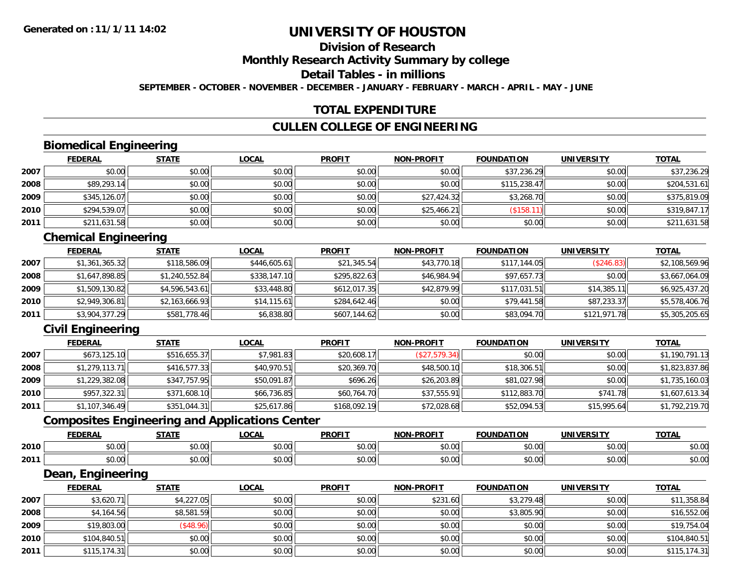# **Division of ResearchMonthly Research Activity Summary by college Detail Tables - in millions**

**SEPTEMBER - OCTOBER - NOVEMBER - DECEMBER - JANUARY - FEBRUARY - MARCH - APRIL - MAY - JUNE**

### **TOTAL EXPENDITURE**

#### **CULLEN COLLEGE OF ENGINEERING**

# **Biomedical Engineering**

|      | <b>FEDERAL</b> | <b>STATE</b> | <b>LOCAL</b> | <b>PROFIT</b> | <b>NON-PROFIT</b> | <b>FOUNDATION</b> | <b>UNIVERSITY</b> | <b>TOTAL</b> |
|------|----------------|--------------|--------------|---------------|-------------------|-------------------|-------------------|--------------|
| 2007 | \$0.00         | \$0.00       | \$0.00       | \$0.00        | \$0.00            | \$37,236.29       | \$0.00            | \$37,236.29  |
| 2008 | \$89,293.14    | \$0.00       | \$0.00       | \$0.00        | \$0.00            | \$115,238.47      | \$0.00            | \$204,531.61 |
| 2009 | \$345,126.07   | \$0.00       | \$0.00       | \$0.00        | \$27,424.32       | \$3,268.70        | \$0.00            | \$375,819.09 |
| 2010 | \$294,539.07   | \$0.00       | \$0.00       | \$0.00        | \$25,466.21       | \$158.            | \$0.00            | \$319,847.17 |
| 2011 | \$211,631.58   | \$0.00       | \$0.00       | \$0.00        | \$0.00            | \$0.00            | \$0.00            | \$211,631.58 |

# **Chemical Engineering**

|      | <b>FEDERAL</b> | <b>STATE</b>   | <u>LOCAL</u> | <b>PROFIT</b> | <b>NON-PROFIT</b> | <b>FOUNDATION</b> | <b>UNIVERSITY</b> | <b>TOTAL</b>   |
|------|----------------|----------------|--------------|---------------|-------------------|-------------------|-------------------|----------------|
| 2007 | \$1,361,365.32 | \$118,586.09   | \$446,605.61 | \$21,345.54   | \$43,770.18       | \$117,144.05      | (\$246.83)        | \$2,108,569.96 |
| 2008 | \$1,647,898.85 | \$1,240,552.84 | \$338,147.10 | \$295,822.63  | \$46,984.94       | \$97.657.73       | \$0.00            | \$3,667,064.09 |
| 2009 | \$1,509,130.82 | \$4,596,543.61 | \$33,448.80  | \$612,017.35  | \$42,879.99       | \$117,031.51      | \$14.385.11       | \$6,925,437.20 |
| 2010 | \$2,949,306.81 | \$2,163,666.93 | \$14, 115.61 | \$284,642.46  | \$0.00            | \$79,441.58       | \$87,233.37       | \$5,578,406.76 |
| 2011 | \$3,904,377.29 | \$581,778.46   | \$6,838.80   | \$607,144.62  | \$0.00            | \$83,094.70       | \$121,971.78      | \$5,305,205.65 |

# **Civil Engineering**

|      | <b>FEDERAL</b> | <b>STATE</b> | <b>LOCAL</b> | <b>PROFIT</b> | <b>NON-PROFIT</b> | <b>FOUNDATION</b> | <b>UNIVERSITY</b> | <b>TOTAL</b>   |
|------|----------------|--------------|--------------|---------------|-------------------|-------------------|-------------------|----------------|
| 2007 | \$673,125.10   | \$516,655.37 | \$7,981.83   | \$20,608.17   | (\$27,579.34)     | \$0.00            | \$0.00            | \$1,190,791.13 |
| 2008 | \$1,279,113.71 | \$416,577.33 | \$40,970.51  | \$20,369.70   | \$48,500.10       | \$18,306.51       | \$0.00            | \$1,823,837.86 |
| 2009 | \$1,229,382.08 | \$347,757.95 | \$50,091.87  | \$696.26      | \$26,203.89       | \$81,027.98       | \$0.00            | \$1,735,160.03 |
| 2010 | \$957,322.31   | \$371,608.10 | \$66,736.85  | \$60,764.70   | \$37,555.91       | \$112,883.70      | \$741.78          | \$1,607,613.34 |
| 2011 | \$1,107,346.49 | \$351,044.31 | \$25,617.86  | \$168,092.19  | \$72,028.68       | \$52,094.53       | \$15,995.64       | \$1,792,219.70 |

# **Composites Engineering and Applications Center**

|      | <b>CENEDA</b><br>LNA                       | STATI             | $\sim$<br>.uun                               | <b>PROFIT</b>                        | NON-PROFIT              | ΓΙΟΝ<br><b>FOUNDA</b> | <b>UNIVERSITY</b> | <b>TOTAL</b>  |
|------|--------------------------------------------|-------------------|----------------------------------------------|--------------------------------------|-------------------------|-----------------------|-------------------|---------------|
| 2010 | $\mathfrak{c}\cap\mathfrak{a}\cap$<br>v.vu | ሐሴ ሰሰ<br>JU.U     | $\sim$ $\sim$<br>00.00                       | $\sim$ $\sim$ $\sim$<br>JU.          | 0 <sub>n</sub><br>vv.vv | \$0.00                | 0.00              | 0000<br>DU.UU |
| 2011 | $\sim$ $\sim$<br>50.00                     | $\sim$ 00<br>JU.U | $\triangle$ $\triangle$ $\triangle$<br>pu.uu | $\overline{a}$ $\overline{a}$<br>JU. | 0000<br>PO.OO           | \$0.00                | 0000<br>DU.UU     | \$0.00        |

<u> 1989 - Johann Stoff, deutscher Stoffen und der Stoffen und der Stoffen und der Stoffen und der Stoffen und der</u>

#### **Dean, Engineering**

|      | <b>FEDERAL</b> | <b>STATE</b> | <b>LOCAL</b> | <b>PROFIT</b> | <b>NON-PROFIT</b> | <b>FOUNDATION</b> | <b>UNIVERSITY</b> | <b>TOTAL</b> |
|------|----------------|--------------|--------------|---------------|-------------------|-------------------|-------------------|--------------|
| 2007 | \$3,620.71     | \$4,227.05   | \$0.00       | \$0.00        | \$231.60          | \$3,279.48        | \$0.00            | \$11,358.84  |
| 2008 | \$4,164.56     | \$8,581.59   | \$0.00       | \$0.00        | \$0.00            | \$3,805.90        | \$0.00            | \$16,552.06  |
| 2009 | \$19,803.00    | \$48.96      | \$0.00       | \$0.00        | \$0.00            | \$0.00            | \$0.00            | \$19,754.04  |
| 2010 | \$104,840.51   | \$0.00       | \$0.00       | \$0.00        | \$0.00            | \$0.00            | \$0.00            | \$104,840.51 |
| 2011 | \$115,174.31   | \$0.00       | \$0.00       | \$0.00        | \$0.00            | \$0.00            | \$0.00            | \$115,174.31 |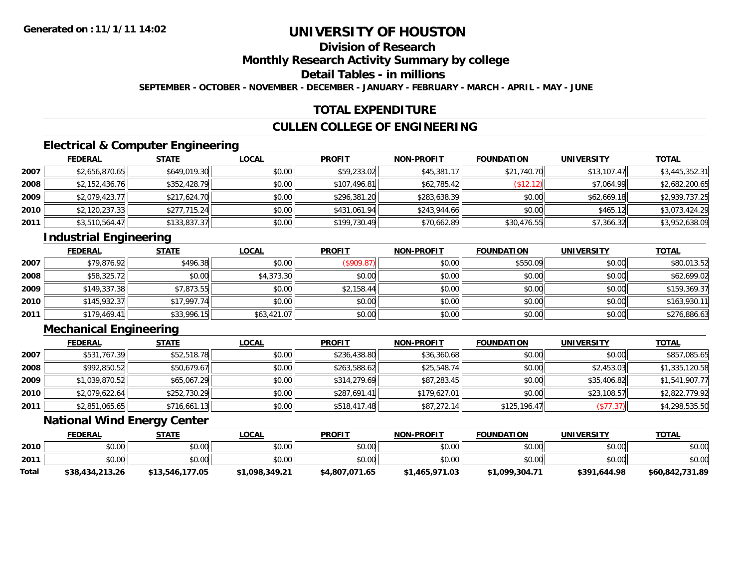# **Division of ResearchMonthly Research Activity Summary by college Detail Tables - in millions**

**SEPTEMBER - OCTOBER - NOVEMBER - DECEMBER - JANUARY - FEBRUARY - MARCH - APRIL - MAY - JUNE**

### **TOTAL EXPENDITURE**

#### **CULLEN COLLEGE OF ENGINEERING**

# **Electrical & Computer Engineering**

|      | <b>FEDERAL</b> | <b>STATE</b> | <b>LOCAL</b> | <b>PROFIT</b> | <b>NON-PROFIT</b> | <b>FOUNDATION</b> | <b>UNIVERSITY</b> | <b>TOTAL</b>   |
|------|----------------|--------------|--------------|---------------|-------------------|-------------------|-------------------|----------------|
| 2007 | \$2,656,870.65 | \$649,019.30 | \$0.00       | \$59,233.02   | \$45,381.17       | \$21,740.70       | \$13.107.47       | \$3,445,352.31 |
| 2008 | \$2,152,436.76 | \$352,428.79 | \$0.00       | \$107,496.81  | \$62,785.42       | \$12.12]          | \$7.064.99        | \$2,682,200.65 |
| 2009 | \$2,079,423.77 | \$217,624.70 | \$0.00       | \$296,381.20  | \$283,638.39      | \$0.00            | \$62,669.18       | \$2,939,737.25 |
| 2010 | \$2,120,237.33 | \$277,715.24 | \$0.00       | \$431,061.94  | \$243,944.66      | \$0.00            | \$465.12          | \$3,073,424.29 |
| 2011 | \$3,510,564.47 | \$133,837.37 | \$0.00       | \$199,730.49  | \$70,662.89       | \$30,476.55       | \$7,366.32        | \$3,952,638.09 |

# **Industrial Engineering**

|      | <b>FEDERAL</b> | <b>STATE</b> | <u>LOCAL</u> | <b>PROFIT</b> | <b>NON-PROFIT</b> | <b>FOUNDATION</b> | <b>UNIVERSITY</b> | <b>TOTAL</b> |
|------|----------------|--------------|--------------|---------------|-------------------|-------------------|-------------------|--------------|
| 2007 | \$79,876.92    | \$496.38     | \$0.00       | (\$909.87)    | \$0.00            | \$550.09          | \$0.00            | \$80,013.52  |
| 2008 | \$58,325.72    | \$0.00       | \$4,373.30   | \$0.00        | \$0.00            | \$0.00            | \$0.00            | \$62,699.02  |
| 2009 | \$149,337.38   | \$7,873.55   | \$0.00       | \$2,158.44    | \$0.00            | \$0.00            | \$0.00            | \$159,369.37 |
| 2010 | \$145,932.37   | \$17,997.74  | \$0.00       | \$0.00        | \$0.00            | \$0.00            | \$0.00            | \$163,930.11 |
| 2011 | \$179,469.41   | \$33,996.15  | \$63,421.07  | \$0.00        | \$0.00            | \$0.00            | \$0.00            | \$276,886.63 |

# **Mechanical Engineering**

|      | <b>FEDERAL</b> | <b>STATE</b> | <b>LOCAL</b> | <b>PROFIT</b> | <b>NON-PROFIT</b> | <b>FOUNDATION</b> | <b>UNIVERSITY</b> | <b>TOTAL</b>   |
|------|----------------|--------------|--------------|---------------|-------------------|-------------------|-------------------|----------------|
| 2007 | \$531,767.39   | \$52,518.78  | \$0.00       | \$236,438.80  | \$36,360.68       | \$0.00            | \$0.00            | \$857,085.65   |
| 2008 | \$992,850.52   | \$50,679.67  | \$0.00       | \$263,588.62  | \$25,548.74       | \$0.00            | \$2,453.03        | \$1,335,120.58 |
| 2009 | \$1,039,870.52 | \$65,067.29  | \$0.00       | \$314,279.69  | \$87,283.45       | \$0.00            | \$35,406.82       | \$1,541,907.77 |
| 2010 | \$2,079,622.64 | \$252,730.29 | \$0.00       | \$287,691.41  | \$179.627.01      | \$0.00            | \$23,108.57       | \$2,822,779.92 |
| 2011 | \$2,851,065.65 | \$716,661.13 | \$0.00       | \$518,417.48  | \$87,272.14       | \$125,196.47      | (\$77.37)         | \$4,298,535.50 |

### **National Wind Energy Center**

|       | <b>FEDERAL</b>  | <u>STATE</u>    | <u>LOCAL</u>   | <b>PROFIT</b>  | <b>NON-PROFIT</b> | <b>FOUNDATION</b> | <b>UNIVERSITY</b> | <b>TOTAL</b>    |
|-------|-----------------|-----------------|----------------|----------------|-------------------|-------------------|-------------------|-----------------|
| 2010  | \$0.00          | \$0.00          | \$0.00         | \$0.00         | \$0.00            | \$0.00            | \$0.00            | \$0.00          |
| 2011  | \$0.00          | \$0.00          | \$0.00         | \$0.00         | \$0.00            | \$0.00            | \$0.00            | \$0.00          |
| Total | \$38,434,213.26 | \$13,546,177.05 | \$1,098,349.21 | \$4,807,071.65 | \$1,465,971.03    | \$1,099,304.71    | \$391,644.98      | \$60,842,731.89 |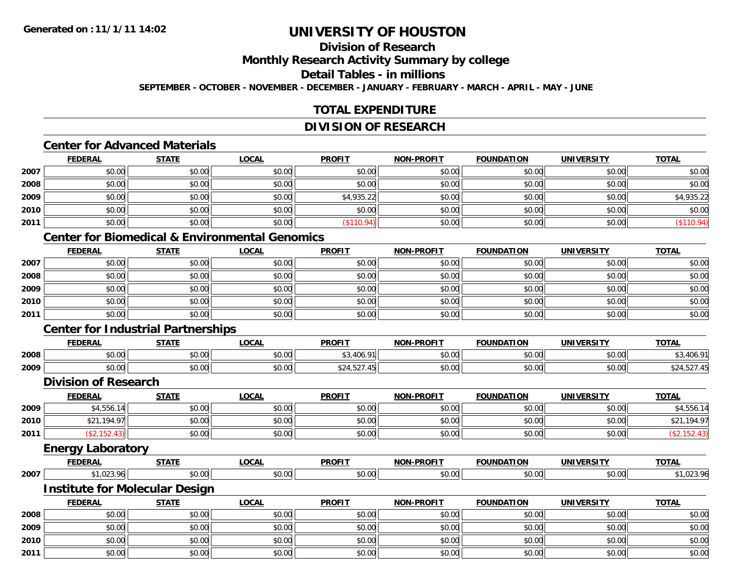### **Division of ResearchMonthly Research Activity Summary by college**

#### **Detail Tables - in millions**

**SEPTEMBER - OCTOBER - NOVEMBER - DECEMBER - JANUARY - FEBRUARY - MARCH - APRIL - MAY - JUNE**

# **TOTAL EXPENDITURE**

#### **DIVISION OF RESEARCH**

# **Center for Advanced Materials**

|      | <b>FEDERAL</b> | <b>STATE</b> | <b>LOCAL</b> | <b>PROFIT</b> | <b>NON-PROFIT</b> | <b>FOUNDATION</b> | <b>UNIVERSITY</b> | <b>TOTAL</b> |
|------|----------------|--------------|--------------|---------------|-------------------|-------------------|-------------------|--------------|
| 2007 | \$0.00         | \$0.00       | \$0.00       | \$0.00        | \$0.00            | \$0.00            | \$0.00            | \$0.00       |
| 2008 | \$0.00         | \$0.00       | \$0.00       | \$0.00        | \$0.00            | \$0.00            | \$0.00            | \$0.00       |
| 2009 | \$0.00         | \$0.00       | \$0.00       | \$4,935.22    | \$0.00            | \$0.00            | \$0.00            | \$4,935.22   |
| 2010 | \$0.00         | \$0.00       | \$0.00       | \$0.00        | \$0.00            | \$0.00            | \$0.00            | \$0.00       |
| 2011 | \$0.00         | \$0.00       | \$0.00       | \$110.94)     | \$0.00            | \$0.00            | \$0.00            | \$110.94)    |

# **Center for Biomedical & Environmental Genomics**

|      | <b>FEDERAL</b> | <b>STATE</b> | <b>LOCAL</b> | <b>PROFIT</b> | <b>NON-PROFIT</b> | <b>FOUNDATION</b> | <b>UNIVERSITY</b> | <b>TOTAL</b> |
|------|----------------|--------------|--------------|---------------|-------------------|-------------------|-------------------|--------------|
| 2007 | \$0.00         | \$0.00       | \$0.00       | \$0.00        | \$0.00            | \$0.00            | \$0.00            | \$0.00       |
| 2008 | \$0.00         | \$0.00       | \$0.00       | \$0.00        | \$0.00            | \$0.00            | \$0.00            | \$0.00       |
| 2009 | \$0.00         | \$0.00       | \$0.00       | \$0.00        | \$0.00            | \$0.00            | \$0.00            | \$0.00       |
| 2010 | \$0.00         | \$0.00       | \$0.00       | \$0.00        | \$0.00            | \$0.00            | \$0.00            | \$0.00       |
| 2011 | \$0.00         | \$0.00       | \$0.00       | \$0.00        | \$0.00            | \$0.00            | \$0.00            | \$0.00       |

# **Center for Industrial Partnerships**

|      | <b>FEDERAL</b> | <b>STATE</b> | LOCAL              | <b>PROFIT</b>      | <b>NON-PROFIT</b> | <b>FOUNDATION</b> | <b>UNIVERSITY</b> | <b>TOTAL</b>         |
|------|----------------|--------------|--------------------|--------------------|-------------------|-------------------|-------------------|----------------------|
| 2008 | 0000<br>JU.UU  | \$0.00       | $\sim$ 00<br>DU.UU | $\sim$<br>. .      | \$0.00            | \$0.00            | 0000<br>JU.UU     | $\sqrt{2}$<br>$\sim$ |
| 2009 | 0000<br>DU.UU  | \$0.00       | \$0.00             | $-$<br>ے ر<br>ັ∠ - | \$0.00            | \$0.00            | 0000<br>JU.UU     | $ -$                 |

#### **Division of Research**

|      | <b>FEDERAL</b>  | <b>STATE</b> | <u>LOCAL</u> | <b>PROFIT</b> | <b>NON-PROFIT</b> | <b>FOUNDATION</b> | <b>UNIVERSITY</b> | <b>TOTAL</b>         |
|------|-----------------|--------------|--------------|---------------|-------------------|-------------------|-------------------|----------------------|
| 2009 | \$4,556.14      | \$0.00       | \$0.00       | \$0.00        | \$0.00            | \$0.00            | \$0.00            | \$4,556.14           |
| 2010 | 194.97<br>ሐ ጣ ብ | \$0.00       | \$0.00       | \$0.00        | \$0.00            | \$0.00            | \$0.00            | ,194.97<br>ሐሳ4<br>ΨZ |
| 2011 |                 | \$0.00       | \$0.00       | \$0.00        | \$0.00            | \$0.00            | \$0.00            |                      |
|      | ____            |              |              |               |                   |                   |                   |                      |

#### **Energy Laboratory**

|      | <b>FEDERA</b>             | <b>STATE</b>    | <b>OCAI</b>        | <b>PROFIT</b> | -PROFIT<br>NON- | ־^יווווח<br><b>TOM</b> | <b>UNIVERSITY</b>          | <b>TOTAL</b> |
|------|---------------------------|-----------------|--------------------|---------------|-----------------|------------------------|----------------------------|--------------|
| 2007 | $\sim$ $\sim$ $\sim$<br>u | $\circ$ $\circ$ | $\sim$ 00<br>90.UU | \$0.00        | \$0.00          | 0.07                   | $\sim$ 0.0 $\sim$<br>∍∪∪∪⊑ |              |

#### **Institute for Molecular Design**

|      | <b>FEDERAL</b> | <b>STATE</b> | <b>LOCAL</b> | <b>PROFIT</b> | <b>NON-PROFIT</b> | <b>FOUNDATION</b> | <b>UNIVERSITY</b> | <b>TOTAL</b> |
|------|----------------|--------------|--------------|---------------|-------------------|-------------------|-------------------|--------------|
| 2008 | \$0.00         | \$0.00       | \$0.00       | \$0.00        | \$0.00            | \$0.00            | \$0.00            | \$0.00       |
| 2009 | \$0.00         | \$0.00       | \$0.00       | \$0.00        | \$0.00            | \$0.00            | \$0.00            | \$0.00       |
| 2010 | \$0.00         | \$0.00       | \$0.00       | \$0.00        | \$0.00            | \$0.00            | \$0.00            | \$0.00       |
| 2011 | \$0.00         | \$0.00       | \$0.00       | \$0.00        | \$0.00            | \$0.00            | \$0.00            | \$0.00       |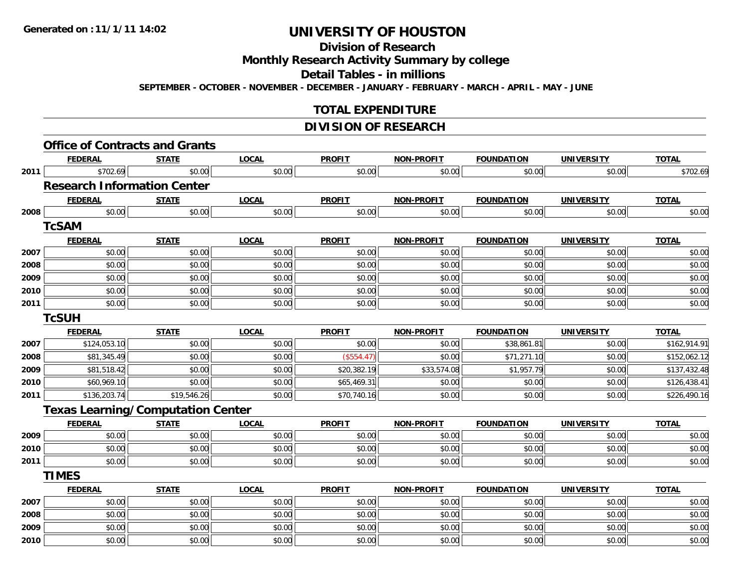# **Division of Research**

### **Monthly Research Activity Summary by college**

## **Detail Tables - in millions**

**SEPTEMBER - OCTOBER - NOVEMBER - DECEMBER - JANUARY - FEBRUARY - MARCH - APRIL - MAY - JUNE**

### **TOTAL EXPENDITURE**

#### **DIVISION OF RESEARCH**

|      | <b>FEDERAL</b>                           | <b>STATE</b> | <b>LOCAL</b> | <b>PROFIT</b> | <b>NON-PROFIT</b> | <b>FOUNDATION</b> | <b>UNIVERSITY</b> | <b>TOTAL</b> |
|------|------------------------------------------|--------------|--------------|---------------|-------------------|-------------------|-------------------|--------------|
| 2011 | \$702.69                                 | \$0.00       | \$0.00       | \$0.00        | \$0.00            | \$0.00            | \$0.00            | \$702.69     |
|      | <b>Research Information Center</b>       |              |              |               |                   |                   |                   |              |
|      | <b>FEDERAL</b>                           | <b>STATE</b> | <b>LOCAL</b> | <b>PROFIT</b> | <b>NON-PROFIT</b> | <b>FOUNDATION</b> | <b>UNIVERSITY</b> | <b>TOTAL</b> |
| 2008 | \$0.00                                   | \$0.00       | \$0.00       | \$0.00        | \$0.00            | \$0.00            | \$0.00            | \$0.00       |
|      | <b>TcSAM</b>                             |              |              |               |                   |                   |                   |              |
|      | <b>FEDERAL</b>                           | <b>STATE</b> | <b>LOCAL</b> | <b>PROFIT</b> | <b>NON-PROFIT</b> | <b>FOUNDATION</b> | <b>UNIVERSITY</b> | <b>TOTAL</b> |
| 2007 | \$0.00                                   | \$0.00       | \$0.00       | \$0.00        | \$0.00            | \$0.00            | \$0.00            | \$0.00       |
| 2008 | \$0.00                                   | \$0.00       | \$0.00       | \$0.00        | \$0.00            | \$0.00            | \$0.00            | \$0.00       |
| 2009 | \$0.00                                   | \$0.00       | \$0.00       | \$0.00        | \$0.00            | \$0.00            | \$0.00            | \$0.00       |
| 2010 | \$0.00                                   | \$0.00       | \$0.00       | \$0.00        | \$0.00            | \$0.00            | \$0.00            | \$0.00       |
| 2011 | \$0.00                                   | \$0.00       | \$0.00       | \$0.00        | \$0.00            | \$0.00            | \$0.00            | \$0.00       |
|      | <b>TcSUH</b>                             |              |              |               |                   |                   |                   |              |
|      | <b>FEDERAL</b>                           | <b>STATE</b> | <b>LOCAL</b> | <b>PROFIT</b> | <b>NON-PROFIT</b> | <b>FOUNDATION</b> | <b>UNIVERSITY</b> | <b>TOTAL</b> |
| 2007 | \$124,053.10                             | \$0.00       | \$0.00       | \$0.00        | \$0.00            | \$38,861.81       | \$0.00            | \$162,914.91 |
| 2008 | \$81,345.49                              | \$0.00       | \$0.00       | (\$554.47)    | \$0.00            | \$71,271.10       | \$0.00            | \$152,062.12 |
| 2009 | \$81,518.42                              | \$0.00       | \$0.00       | \$20,382.19   | \$33,574.08       | \$1,957.79        | \$0.00            | \$137,432.48 |
| 2010 | \$60,969.10                              | \$0.00       | \$0.00       | \$65,469.31   | \$0.00            | \$0.00            | \$0.00            | \$126,438.41 |
| 2011 | \$136,203.74                             | \$19,546.26  | \$0.00       | \$70,740.16   | \$0.00            | \$0.00            | \$0.00            | \$226,490.16 |
|      | <b>Texas Learning/Computation Center</b> |              |              |               |                   |                   |                   |              |
|      | <b>FEDERAL</b>                           | <b>STATE</b> | <b>LOCAL</b> | <b>PROFIT</b> | <b>NON-PROFIT</b> | <b>FOUNDATION</b> | <b>UNIVERSITY</b> | <b>TOTAL</b> |
| 2009 | \$0.00                                   | \$0.00       | \$0.00       | \$0.00        | \$0.00            | \$0.00            | \$0.00            | \$0.00       |
| 2010 | \$0.00                                   | \$0.00       | \$0.00       | \$0.00        | \$0.00            | \$0.00            | \$0.00            | \$0.00       |
| 2011 | \$0.00                                   | \$0.00       | \$0.00       | \$0.00        | \$0.00            | \$0.00            | \$0.00            | \$0.00       |
|      | <b>TIMES</b>                             |              |              |               |                   |                   |                   |              |
|      | <b>FEDERAL</b>                           | <b>STATE</b> | <b>LOCAL</b> | <b>PROFIT</b> | <b>NON-PROFIT</b> | <b>FOUNDATION</b> | <b>UNIVERSITY</b> | <b>TOTAL</b> |
| 2007 | \$0.00                                   | \$0.00       | \$0.00       | \$0.00        | \$0.00            | \$0.00            | \$0.00            | \$0.00       |
| 2008 | \$0.00                                   | \$0.00       | \$0.00       | \$0.00        | \$0.00            | \$0.00            | \$0.00            | \$0.00       |
| 2009 | \$0.00                                   | \$0.00       | \$0.00       | \$0.00        | \$0.00            | \$0.00            | \$0.00            | \$0.00       |
| 2010 | \$0.00                                   | \$0.00       | \$0.00       | \$0.00        | \$0.00            | \$0.00            | \$0.00            | \$0.00       |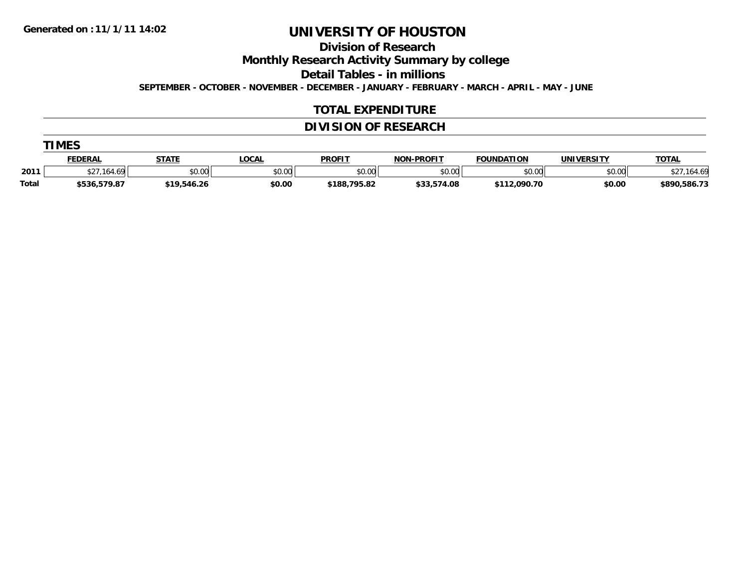**TIMES**

# **UNIVERSITY OF HOUSTON**

## **Division of Research**

**Monthly Research Activity Summary by college**

**Detail Tables - in millions**

**SEPTEMBER - OCTOBER - NOVEMBER - DECEMBER - JANUARY - FEBRUARY - MARCH - APRIL - MAY - JUNE**

#### **TOTAL EXPENDITURE**

### **DIVISION OF RESEARCH**

|       | IMES           |              |              |               |                   |                   |                   |              |
|-------|----------------|--------------|--------------|---------------|-------------------|-------------------|-------------------|--------------|
|       | <b>FEDERAL</b> | <b>STATE</b> | <u>LOCAL</u> | <b>PROFIT</b> | <b>NON-PROFIT</b> | <b>FOUNDATION</b> | <b>UNIVERSITY</b> | <b>TOTAL</b> |
| 2011  | 164.69         | \$0.00       | \$0.00       | \$0.00        | \$0.00            | \$0.00            | \$0.00            | ,164.69      |
| Total | \$536,579.87   | \$19,546.26  | \$0.00       | \$188,795.82  | \$33,574.08       | \$112,090.70      | \$0.00            | \$890,586.73 |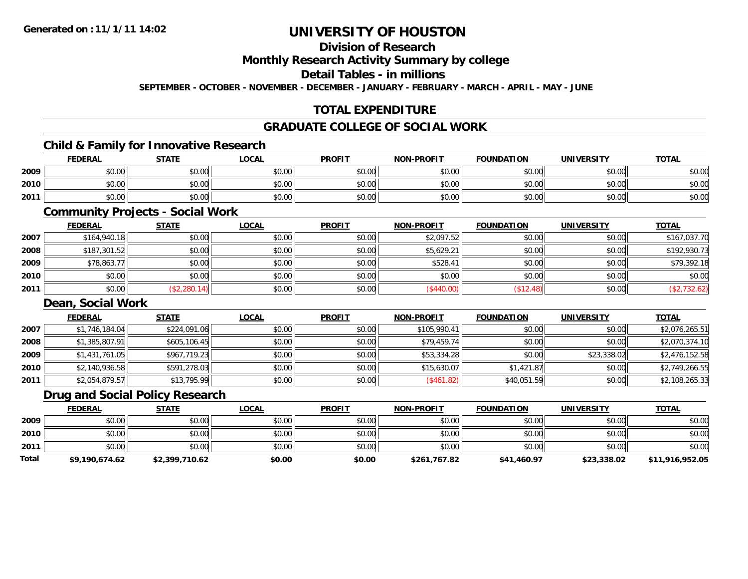# **Division of Research**

# **Monthly Research Activity Summary by college**

## **Detail Tables - in millions**

**SEPTEMBER - OCTOBER - NOVEMBER - DECEMBER - JANUARY - FEBRUARY - MARCH - APRIL - MAY - JUNE**

# **TOTAL EXPENDITURE**

#### **GRADUATE COLLEGE OF SOCIAL WORK**

# **Child & Family for Innovative Research**

|      | <b>FEDERAL</b> | <b>STATE</b>          | <b>LOCAL</b>         | <b>PROFIT</b>         | <b>NON-PROFIT</b> | <b>FOUNDATION</b> | <b>UNIVERSITY</b> | <b>TOTAL</b> |
|------|----------------|-----------------------|----------------------|-----------------------|-------------------|-------------------|-------------------|--------------|
| 2009 | \$0.00         | <b>↑∩</b><br>JU.UU    | 0000<br><b>DU.UG</b> | 0.00<br><b>JU.UU</b>  | \$0.00            | \$0.00            | \$0.00            | \$0.00       |
| 2010 | \$0.00         | \$0.00                | 0000<br>DU.UU        | $\triangle$<br>\$0.00 | \$0.00            | \$0.00            | \$0.00            | \$0.00       |
| 2011 | \$0.00         | ¢Λ<br>$\sim$<br>JU.UU | \$0.00               | AN UY<br>JU.UU        | \$0.00            | ≮∩ ∩∩<br>DU.UU    | \$0.00            | \$0.00       |

## **Community Projects - Social Work**

|      | <b>FEDERAL</b> | <b>STATE</b> | <b>LOCAL</b> | <b>PROFIT</b> | <b>NON-PROFIT</b> | <b>FOUNDATION</b> | <b>UNIVERSITY</b> | <b>TOTAL</b> |
|------|----------------|--------------|--------------|---------------|-------------------|-------------------|-------------------|--------------|
| 2007 | \$164,940.18   | \$0.00       | \$0.00       | \$0.00        | \$2,097.52        | \$0.00            | \$0.00            | \$167,037.70 |
| 2008 | \$187,301.52   | \$0.00       | \$0.00       | \$0.00        | \$5,629.21        | \$0.00            | \$0.00            | \$192,930.73 |
| 2009 | \$78,863.77    | \$0.00       | \$0.00       | \$0.00        | \$528.41          | \$0.00            | \$0.00            | \$79,392.18  |
| 2010 | \$0.00         | \$0.00       | \$0.00       | \$0.00        | \$0.00            | \$0.00            | \$0.00            | \$0.00       |
| 2011 | \$0.00         | (\$2,280.14) | \$0.00       | \$0.00        | (\$440.00)        | \$12.48           | \$0.00            | \$2,732.62   |

### **Dean, Social Work**

|      | <b>FEDERAL</b> | <b>STATE</b> | <b>LOCAL</b> | <b>PROFIT</b> | <b>NON-PROFIT</b> | <b>FOUNDATION</b> | <b>UNIVERSITY</b> | <b>TOTAL</b>   |
|------|----------------|--------------|--------------|---------------|-------------------|-------------------|-------------------|----------------|
| 2007 | \$1,746,184.04 | \$224,091.06 | \$0.00       | \$0.00        | \$105,990.41      | \$0.00            | \$0.00            | \$2,076,265.51 |
| 2008 | \$1,385,807.91 | \$605,106.45 | \$0.00       | \$0.00        | \$79,459.74       | \$0.00            | \$0.00            | \$2,070,374.10 |
| 2009 | \$1,431,761.05 | \$967,719.23 | \$0.00       | \$0.00        | \$53,334.28       | \$0.00            | \$23,338.02       | \$2,476,152.58 |
| 2010 | \$2,140,936.58 | \$591,278.03 | \$0.00       | \$0.00        | \$15,630.07       | \$1,421.87        | \$0.00            | \$2,749,266.55 |
| 2011 | \$2,054,879.57 | \$13,795.99  | \$0.00       | \$0.00        | (\$461.82)        | \$40,051.59       | \$0.00            | \$2,108,265.33 |

### **Drug and Social Policy Research**

|       | <b>FEDERAL</b> | <b>STATE</b>   | <b>LOCAL</b> | <b>PROFIT</b> | <b>NON-PROFIT</b> | <b>FOUNDATION</b> | <b>UNIVERSITY</b> | <u>TOTAL</u>    |
|-------|----------------|----------------|--------------|---------------|-------------------|-------------------|-------------------|-----------------|
| 2009  | \$0.00         | \$0.00         | \$0.00       | \$0.00        | \$0.00            | \$0.00            | \$0.00            | \$0.00          |
| 2010  | \$0.00         | \$0.00         | \$0.00       | \$0.00        | \$0.00            | \$0.00            | \$0.00            | \$0.00          |
| 2011  | \$0.00         | \$0.00         | \$0.00       | \$0.00        | \$0.00            | \$0.00            | \$0.00            | \$0.00          |
| Total | \$9,190,674.62 | \$2,399,710.62 | \$0.00       | \$0.00        | \$261,767.82      | \$41,460.97       | \$23,338.02       | \$11,916,952.05 |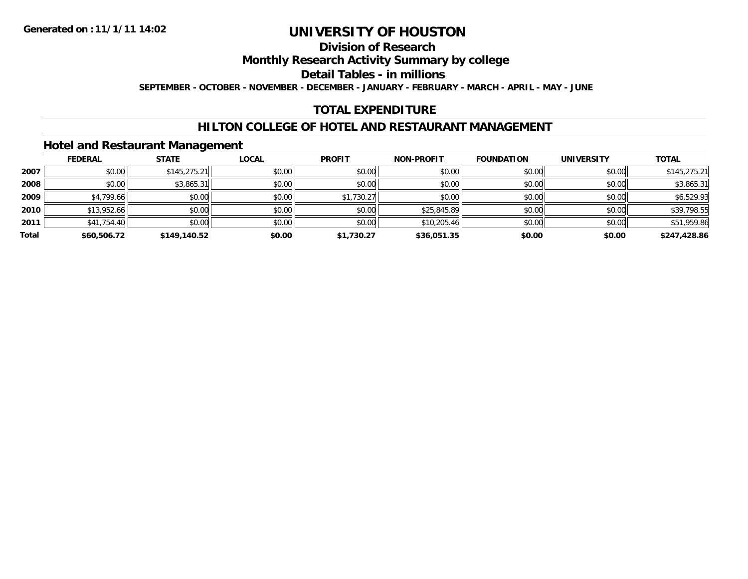# **Division of Research**

## **Monthly Research Activity Summary by college**

# **Detail Tables - in millions**

**SEPTEMBER - OCTOBER - NOVEMBER - DECEMBER - JANUARY - FEBRUARY - MARCH - APRIL - MAY - JUNE**

### **TOTAL EXPENDITURE**

# **HILTON COLLEGE OF HOTEL AND RESTAURANT MANAGEMENT**

## **Hotel and Restaurant Management**

|       | <b>FEDERAL</b> | <b>STATE</b> | <b>LOCAL</b> | <b>PROFIT</b> | <b>NON-PROFIT</b> | <b>FOUNDATION</b> | <b>UNIVERSITY</b> | <u>TOTAL</u> |
|-------|----------------|--------------|--------------|---------------|-------------------|-------------------|-------------------|--------------|
| 2007  | \$0.00         | \$145,275.21 | \$0.00       | \$0.00        | \$0.00            | \$0.00            | \$0.00            | \$145,275.21 |
| 2008  | \$0.00         | \$3,865.31   | \$0.00       | \$0.00        | \$0.00            | \$0.00            | \$0.00            | \$3,865.31   |
| 2009  | \$4,799.66     | \$0.00       | \$0.00       | \$1,730.27    | \$0.00            | \$0.00            | \$0.00            | \$6,529.93   |
| 2010  | \$13,952.66    | \$0.00       | \$0.00       | \$0.00        | \$25,845.89       | \$0.00            | \$0.00            | \$39,798.55  |
| 2011  | \$41,754.40    | \$0.00       | \$0.00       | \$0.00        | \$10,205.46       | \$0.00            | \$0.00            | \$51,959.86  |
| Total | \$60,506.72    | \$149,140.52 | \$0.00       | \$1,730.27    | \$36,051.35       | \$0.00            | \$0.00            | \$247,428.86 |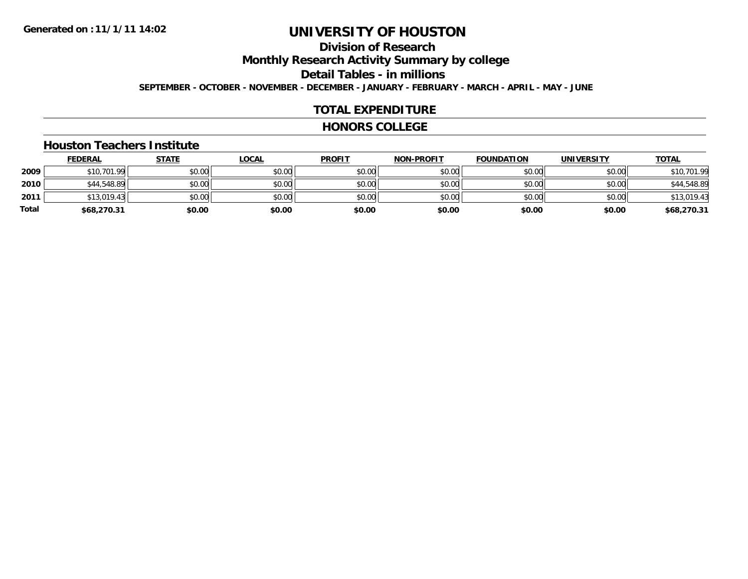### **Division of ResearchMonthly Research Activity Summary by college Detail Tables - in millions SEPTEMBER - OCTOBER - NOVEMBER - DECEMBER - JANUARY - FEBRUARY - MARCH - APRIL - MAY - JUNE**

#### **TOTAL EXPENDITURE**

#### **HONORS COLLEGE**

#### **Houston Teachers Institute**

|       | <b>FEDERAL</b> | <u>STATE</u> | <b>LOCAL</b> | <b>PROFIT</b> | <b>NON-PROFIT</b> | <b>FOUNDATION</b> | <b>UNIVERSITY</b> | <b>TOTAL</b> |
|-------|----------------|--------------|--------------|---------------|-------------------|-------------------|-------------------|--------------|
| 2009  | \$10,701.99    | \$0.00       | \$0.00       | \$0.00        | \$0.00            | \$0.00            | \$0.00            | \$10,701.99  |
| 2010  | \$44,548.89    | \$0.00       | \$0.00       | \$0.00        | \$0.00            | \$0.00            | \$0.00            | \$44,548.89  |
| 2011  | \$13,019.43    | \$0.00       | \$0.00       | \$0.00        | \$0.00            | \$0.00            | \$0.00            | \$13,019.43  |
| Total | \$68,270.31    | \$0.00       | \$0.00       | \$0.00        | \$0.00            | \$0.00            | \$0.00            | \$68,270.31  |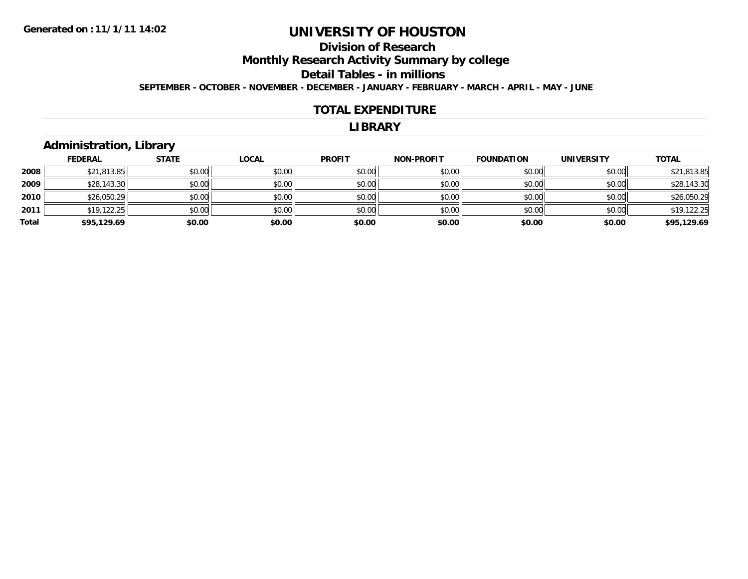### **Division of ResearchMonthly Research Activity Summary by college Detail Tables - in millions SEPTEMBER - OCTOBER - NOVEMBER - DECEMBER - JANUARY - FEBRUARY - MARCH - APRIL - MAY - JUNE**

#### **TOTAL EXPENDITURE**

#### **LIBRARY**

# **Administration, Library**

|       | <b>FEDERAL</b> | <b>STATE</b> | <b>LOCAL</b> | <b>PROFIT</b> | <b>NON-PROFIT</b> | <b>FOUNDATION</b> | <b>UNIVERSITY</b> | <b>TOTAL</b> |
|-------|----------------|--------------|--------------|---------------|-------------------|-------------------|-------------------|--------------|
| 2008  | \$21,813.85    | \$0.00       | \$0.00       | \$0.00        | \$0.00            | \$0.00            | \$0.00            | \$21,813.85  |
| 2009  | \$28,143.30    | \$0.00       | \$0.00       | \$0.00        | \$0.00            | \$0.00            | \$0.00            | \$28,143.30  |
| 2010  | \$26,050.29    | \$0.00       | \$0.00       | \$0.00        | \$0.00            | \$0.00            | \$0.00            | \$26,050.29  |
| 2011  | \$19,122.25    | \$0.00       | \$0.00       | \$0.00        | \$0.00            | \$0.00            | \$0.00            | \$19,122.25  |
| Total | \$95,129.69    | \$0.00       | \$0.00       | \$0.00        | \$0.00            | \$0.00            | \$0.00            | \$95,129.69  |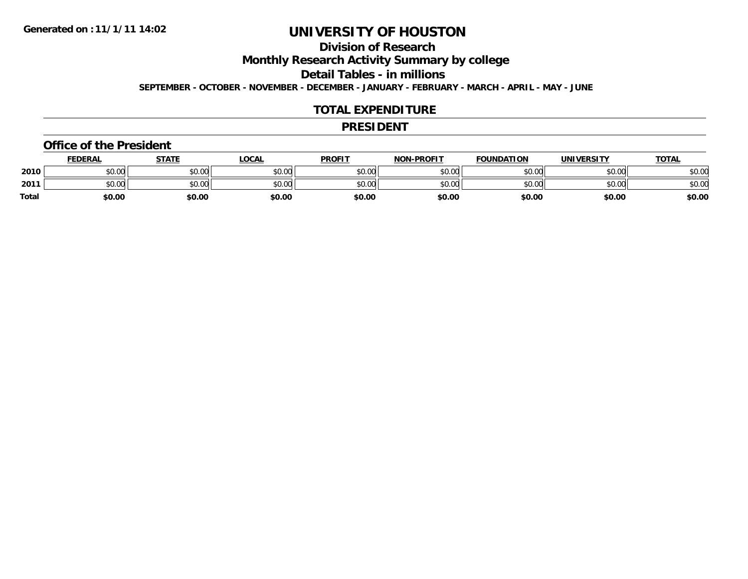# **Division of Research**

**Monthly Research Activity Summary by college**

**Detail Tables - in millions**

**SEPTEMBER - OCTOBER - NOVEMBER - DECEMBER - JANUARY - FEBRUARY - MARCH - APRIL - MAY - JUNE**

#### **TOTAL EXPENDITURE**

#### **PRESIDENT**

#### **Office of the President**

|       | <b>FEDERAL</b> | <b>STATE</b> | <u>LOCAL</u> | <b>PROFIT</b> | <b>NON-PROFIT</b> | <b>FOUNDATION</b> | <b>UNIVERSITY</b> | <b>TOTAL</b> |
|-------|----------------|--------------|--------------|---------------|-------------------|-------------------|-------------------|--------------|
| 2010  | \$0.00         | \$0.00       | \$0.00       | \$0.00        | \$0.00            | \$0.00            | \$0.00            | \$0.00       |
| 2011  | \$0.00         | \$0.00       | \$0.00       | \$0.00        | \$0.00            | \$0.00            | \$0.00            | \$0.00       |
| Total | \$0.00         | \$0.00       | \$0.00       | \$0.00        | \$0.00            | \$0.00            | \$0.00            | \$0.00       |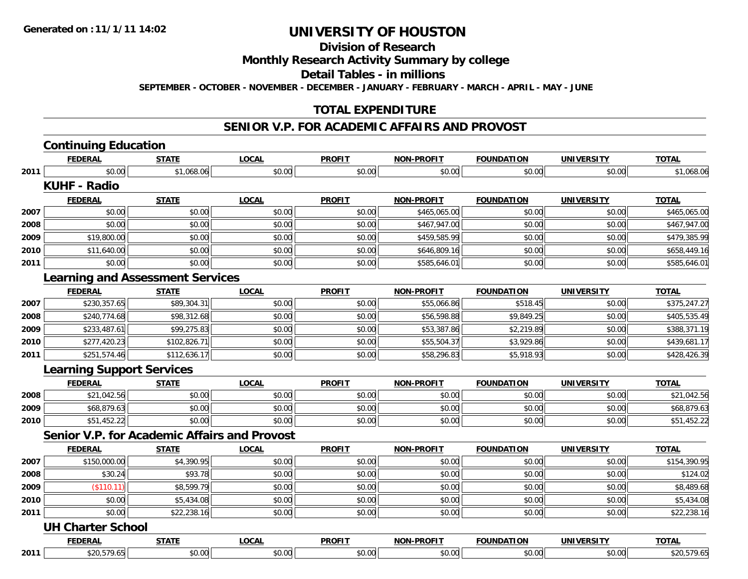# **Division of Research**

### **Monthly Research Activity Summary by college**

#### **Detail Tables - in millions**

**SEPTEMBER - OCTOBER - NOVEMBER - DECEMBER - JANUARY - FEBRUARY - MARCH - APRIL - MAY - JUNE**

### **TOTAL EXPENDITURE**

# **SENIOR V.P. FOR ACADEMIC AFFAIRS AND PROVOST**

# **Continuing Education**

|      | <b>FEDERAL</b>                                      | <b>STATE</b> | <b>LOCAL</b> | <b>PROFIT</b> | <b>NON-PROFIT</b> | <b>FOUNDATION</b> | <b>UNIVERSITY</b> | <b>TOTAL</b> |
|------|-----------------------------------------------------|--------------|--------------|---------------|-------------------|-------------------|-------------------|--------------|
| 2011 | \$0.00                                              | \$1,068.06   | \$0.00       | \$0.00        | \$0.00            | \$0.00            | \$0.00            | \$1,068.06   |
|      | <b>KUHF - Radio</b>                                 |              |              |               |                   |                   |                   |              |
|      | <b>FEDERAL</b>                                      | <b>STATE</b> | <b>LOCAL</b> | <b>PROFIT</b> | <b>NON-PROFIT</b> | <b>FOUNDATION</b> | <b>UNIVERSITY</b> | <b>TOTAL</b> |
| 2007 | \$0.00                                              | \$0.00       | \$0.00       | \$0.00        | \$465,065.00      | \$0.00            | \$0.00            | \$465,065.00 |
| 2008 | \$0.00                                              | \$0.00       | \$0.00       | \$0.00        | \$467,947.00      | \$0.00            | \$0.00            | \$467,947.00 |
| 2009 | \$19,800.00                                         | \$0.00       | \$0.00       | \$0.00        | \$459,585.99      | \$0.00            | \$0.00            | \$479,385.99 |
| 2010 | \$11,640.00                                         | \$0.00       | \$0.00       | \$0.00        | \$646,809.16      | \$0.00            | \$0.00            | \$658,449.16 |
| 2011 | \$0.00                                              | \$0.00       | \$0.00       | \$0.00        | \$585,646.01      | \$0.00            | \$0.00            | \$585,646.01 |
|      | <b>Learning and Assessment Services</b>             |              |              |               |                   |                   |                   |              |
|      | <b>FEDERAL</b>                                      | <b>STATE</b> | <b>LOCAL</b> | <b>PROFIT</b> | <b>NON-PROFIT</b> | <b>FOUNDATION</b> | <b>UNIVERSITY</b> | <b>TOTAL</b> |
| 2007 | \$230,357.65                                        | \$89,304.31  | \$0.00       | \$0.00        | \$55,066.86       | \$518.45          | \$0.00            | \$375,247.27 |
| 2008 | \$240,774.68                                        | \$98,312.68  | \$0.00       | \$0.00        | \$56,598.88       | \$9,849.25        | \$0.00            | \$405,535.49 |
| 2009 | \$233,487.61                                        | \$99,275.83  | \$0.00       | \$0.00        | \$53,387.86       | \$2,219.89        | \$0.00            | \$388,371.19 |
| 2010 | \$277,420.23                                        | \$102,826.71 | \$0.00       | \$0.00        | \$55,504.37       | \$3,929.86        | \$0.00            | \$439,681.17 |
| 2011 | \$251,574.46                                        | \$112,636.17 | \$0.00       | \$0.00        | \$58,296.83       | \$5,918.93        | \$0.00            | \$428,426.39 |
|      | <b>Learning Support Services</b>                    |              |              |               |                   |                   |                   |              |
|      | <b>FEDERAL</b>                                      | <b>STATE</b> | <b>LOCAL</b> | <b>PROFIT</b> | <b>NON-PROFIT</b> | <b>FOUNDATION</b> | <b>UNIVERSITY</b> | <b>TOTAL</b> |
| 2008 | \$21,042.56                                         | \$0.00       | \$0.00       | \$0.00        | \$0.00            | \$0.00            | \$0.00            | \$21,042.56  |
| 2009 | \$68,879.63                                         | \$0.00       | \$0.00       | \$0.00        | \$0.00            | \$0.00            | \$0.00            | \$68,879.63  |
| 2010 | \$51,452.22                                         | \$0.00       | \$0.00       | \$0.00        | \$0.00            | \$0.00            | \$0.00            | \$51,452.22  |
|      | <b>Senior V.P. for Academic Affairs and Provost</b> |              |              |               |                   |                   |                   |              |

|      | <b>FEDERAL</b>          | <b>STATE</b> | <b>LOCAL</b> | <b>PROFIT</b> | <b>NON-PROFIT</b> | <b>FOUNDATION</b> | <b>UNIVERSITY</b> | <b>TOTAL</b> |
|------|-------------------------|--------------|--------------|---------------|-------------------|-------------------|-------------------|--------------|
| 2007 | \$150,000.00            | \$4,390.95   | \$0.00       | \$0.00        | \$0.00            | \$0.00            | \$0.00            | \$154,390.95 |
| 2008 | \$30.24                 | \$93.78      | \$0.00       | \$0.00        | \$0.00            | \$0.00            | \$0.00            | \$124.02     |
| 2009 | \$110.11                | \$8,599.79   | \$0.00       | \$0.00        | \$0.00            | \$0.00            | \$0.00            | \$8,489.68   |
| 2010 | \$0.00                  | \$5,434.08   | \$0.00       | \$0.00        | \$0.00            | \$0.00            | \$0.00            | \$5,434.08   |
| 2011 | \$0.00                  | \$22,238.16  | \$0.00       | \$0.00        | \$0.00            | \$0.00            | \$0.00            | \$22,238.16  |
|      | <b>HILOLAMAN Cabaal</b> |              |              |               |                   |                   |                   |              |

#### **UH Charter School**

|      |                          | ----                        | 001<br>$\mathbf{r}$ | <b>PROFIT</b> | ADOET<br>NAR<br>. | ок     | JNT<br>- - - -        | $-22$          |
|------|--------------------------|-----------------------------|---------------------|---------------|-------------------|--------|-----------------------|----------------|
| 2011 | $\overline{\phantom{a}}$ | $\mathbf{v}$ . $\mathbf{v}$ | $\sim$<br>v.vv      | $\sim$<br>.   | ററ<br>. JUU J     | $\sim$ | $\sim$ $\sim$<br>∪.∪u | $\sim$<br>7.UJ |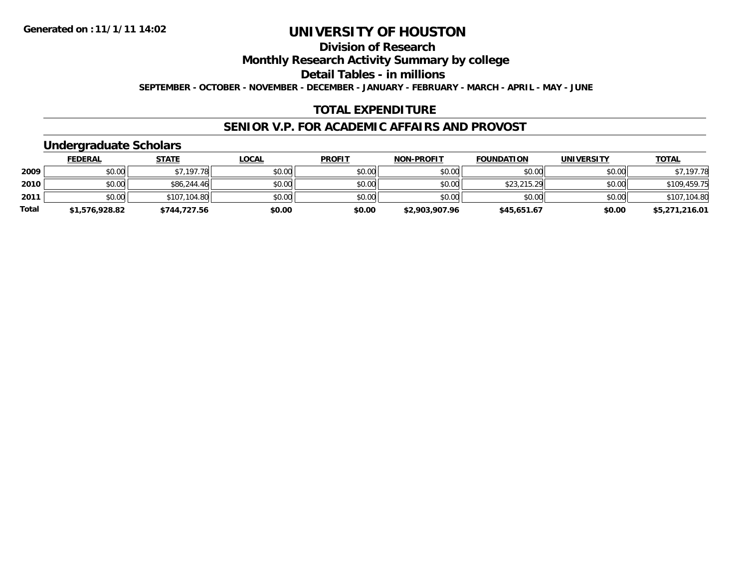### **Division of ResearchMonthly Research Activity Summary by college Detail Tables - in millionsSEPTEMBER - OCTOBER - NOVEMBER - DECEMBER - JANUARY - FEBRUARY - MARCH - APRIL - MAY - JUNE**

#### **TOTAL EXPENDITURE**

#### **SENIOR V.P. FOR ACADEMIC AFFAIRS AND PROVOST**

# **Undergraduate Scholars**

|       | <b>FEDERAL</b> | <b>STATE</b> | <u>LOCAL</u> | <b>PROFIT</b> | <b>NON-PROFIT</b> | <b>FOUNDATION</b> | <b>UNIVERSITY</b> | <b>TOTAL</b>   |
|-------|----------------|--------------|--------------|---------------|-------------------|-------------------|-------------------|----------------|
| 2009  | \$0.00         | \$7,197.78   | \$0.00       | \$0.00        | \$0.00            | \$0.00            | \$0.00            | \$7,197.78     |
| 2010  | \$0.00         | \$86,244.46  | \$0.00       | \$0.00        | \$0.00            | \$23,215.29       | \$0.00            | \$109,459.75   |
| 2011  | \$0.00         | \$107,104.80 | \$0.00       | \$0.00        | \$0.00            | \$0.00            | \$0.00            | \$107,104.80   |
| Total | \$1,576,928.82 | \$744,727.56 | \$0.00       | \$0.00        | \$2,903,907.96    | \$45,651.67       | \$0.00            | \$5,271,216.01 |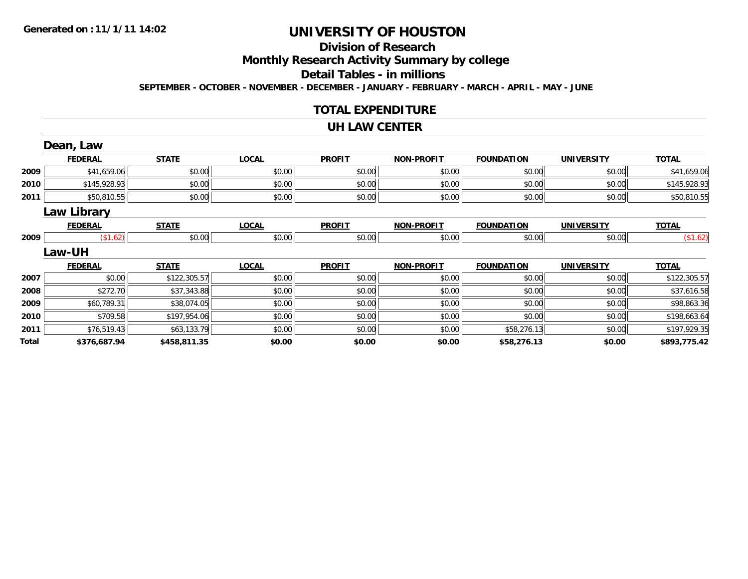# **Division of ResearchMonthly Research Activity Summary by college Detail Tables - in millions**

**SEPTEMBER - OCTOBER - NOVEMBER - DECEMBER - JANUARY - FEBRUARY - MARCH - APRIL - MAY - JUNE**

#### **TOTAL EXPENDITURE**

#### **UH LAW CENTER**

|       | Dean, Law          |              |              |               |                   |                   |                   |              |
|-------|--------------------|--------------|--------------|---------------|-------------------|-------------------|-------------------|--------------|
|       | <b>FEDERAL</b>     | <b>STATE</b> | <b>LOCAL</b> | <b>PROFIT</b> | <b>NON-PROFIT</b> | <b>FOUNDATION</b> | <b>UNIVERSITY</b> | <b>TOTAL</b> |
| 2009  | \$41,659.06        | \$0.00       | \$0.00       | \$0.00        | \$0.00            | \$0.00            | \$0.00            | \$41,659.06  |
| 2010  | \$145,928.93       | \$0.00       | \$0.00       | \$0.00        | \$0.00            | \$0.00            | \$0.00            | \$145,928.93 |
| 2011  | \$50,810.55        | \$0.00       | \$0.00       | \$0.00        | \$0.00            | \$0.00            | \$0.00            | \$50,810.55  |
|       | <b>Law Library</b> |              |              |               |                   |                   |                   |              |
|       | <b>FEDERAL</b>     | <b>STATE</b> | <b>LOCAL</b> | <b>PROFIT</b> | <b>NON-PROFIT</b> | <b>FOUNDATION</b> | <b>UNIVERSITY</b> | <b>TOTAL</b> |
| 2009  | (\$1.62)           | \$0.00       | \$0.00       | \$0.00        | \$0.00            | \$0.00            | \$0.00            | (\$1.62)     |
|       | Law-UH             |              |              |               |                   |                   |                   |              |
|       | <b>FEDERAL</b>     | <b>STATE</b> | <b>LOCAL</b> | <b>PROFIT</b> | <b>NON-PROFIT</b> | <b>FOUNDATION</b> | <b>UNIVERSITY</b> | <b>TOTAL</b> |
| 2007  | \$0.00             | \$122,305.57 | \$0.00       | \$0.00        | \$0.00            | \$0.00            | \$0.00            | \$122,305.57 |
| 2008  | \$272.70           | \$37,343.88  | \$0.00       | \$0.00        | \$0.00            | \$0.00            | \$0.00            | \$37,616.58  |
| 2009  | \$60,789.31        | \$38,074.05  | \$0.00       | \$0.00        | \$0.00            | \$0.00            | \$0.00            | \$98,863.36  |
| 2010  | \$709.58           | \$197,954.06 | \$0.00       | \$0.00        | \$0.00            | \$0.00            | \$0.00            | \$198,663.64 |
| 2011  | \$76,519.43        | \$63,133.79  | \$0.00       | \$0.00        | \$0.00            | \$58,276.13       | \$0.00            | \$197,929.35 |
| Total | \$376,687.94       | \$458,811.35 | \$0.00       | \$0.00        | \$0.00            | \$58,276.13       | \$0.00            | \$893,775.42 |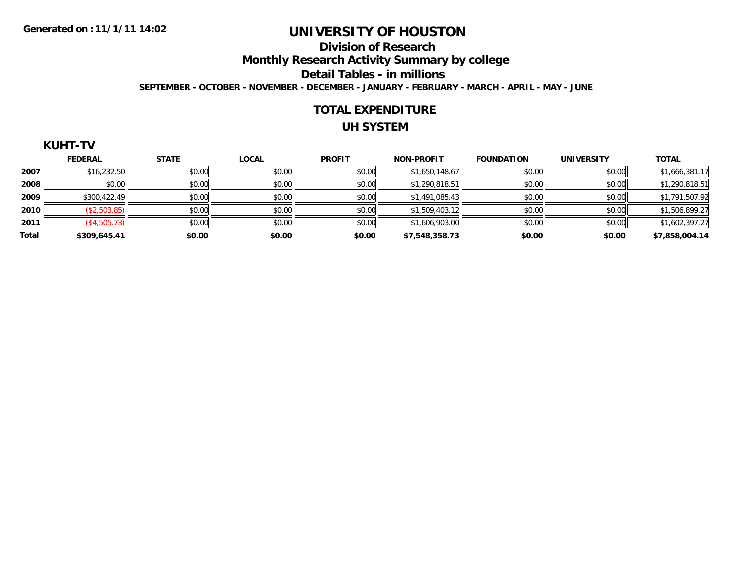### **Division of ResearchMonthly Research Activity Summary by college Detail Tables - in millions SEPTEMBER - OCTOBER - NOVEMBER - DECEMBER - JANUARY - FEBRUARY - MARCH - APRIL - MAY - JUNE**

#### **TOTAL EXPENDITURE**

### **UH SYSTEM**

|      | H. |  |
|------|----|--|
| KUH1 |    |  |

|       | <b>FEDERAL</b> | <b>STATE</b> | <b>LOCAL</b> | <b>PROFIT</b> | <b>NON-PROFIT</b> | <b>FOUNDATION</b> | <b>UNIVERSITY</b> | <b>TOTAL</b>   |
|-------|----------------|--------------|--------------|---------------|-------------------|-------------------|-------------------|----------------|
| 2007  | \$16,232.50    | \$0.00       | \$0.00       | \$0.00        | \$1,650,148.67    | \$0.00            | \$0.00            | \$1,666,381.17 |
| 2008  | \$0.00         | \$0.00       | \$0.00       | \$0.00        | \$1,290,818.51    | \$0.00            | \$0.00            | \$1,290,818.51 |
| 2009  | \$300,422.49   | \$0.00       | \$0.00       | \$0.00        | \$1,491,085.43    | \$0.00            | \$0.00            | \$1,791,507.92 |
| 2010  | (\$2,503.85)   | \$0.00       | \$0.00       | \$0.00        | \$1,509,403.12    | \$0.00            | \$0.00            | \$1,506,899.27 |
| 2011  | (\$4,505.73)   | \$0.00       | \$0.00       | \$0.00        | \$1,606,903.00    | \$0.00            | \$0.00            | \$1,602,397.27 |
| Total | \$309,645.41   | \$0.00       | \$0.00       | \$0.00        | \$7,548,358.73    | \$0.00            | \$0.00            | \$7,858,004.14 |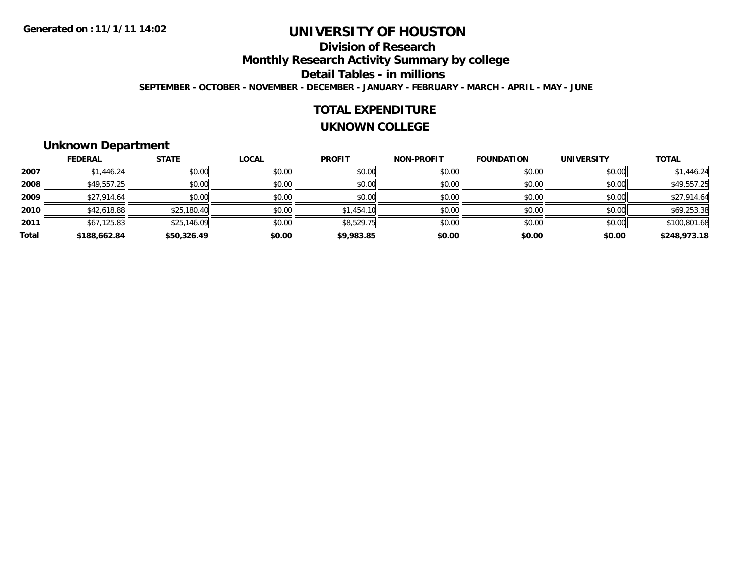### **Division of ResearchMonthly Research Activity Summary by college Detail Tables - in millions SEPTEMBER - OCTOBER - NOVEMBER - DECEMBER - JANUARY - FEBRUARY - MARCH - APRIL - MAY - JUNE**

#### **TOTAL EXPENDITURE**

#### **UKNOWN COLLEGE**

# **Unknown Department**

|       | <b>FEDERAL</b> | <b>STATE</b> | <b>LOCAL</b> | <b>PROFIT</b> | <b>NON-PROFIT</b> | <b>FOUNDATION</b> | <b>UNIVERSITY</b> | <b>TOTAL</b> |
|-------|----------------|--------------|--------------|---------------|-------------------|-------------------|-------------------|--------------|
| 2007  | \$1,446.24     | \$0.00       | \$0.00       | \$0.00        | \$0.00            | \$0.00            | \$0.00            | \$1,446.24   |
| 2008  | \$49,557.25    | \$0.00       | \$0.00       | \$0.00        | \$0.00            | \$0.00            | \$0.00            | \$49,557.25  |
| 2009  | \$27,914.64    | \$0.00       | \$0.00       | \$0.00        | \$0.00            | \$0.00            | \$0.00            | \$27,914.64  |
| 2010  | \$42,618.88    | \$25,180.40  | \$0.00       | \$1,454.10    | \$0.00            | \$0.00            | \$0.00            | \$69,253.38  |
| 2011  | \$67,125.83    | \$25,146.09  | \$0.00       | \$8,529.75    | \$0.00            | \$0.00            | \$0.00            | \$100,801.68 |
| Total | \$188,662.84   | \$50,326.49  | \$0.00       | \$9,983.85    | \$0.00            | \$0.00            | \$0.00            | \$248,973.18 |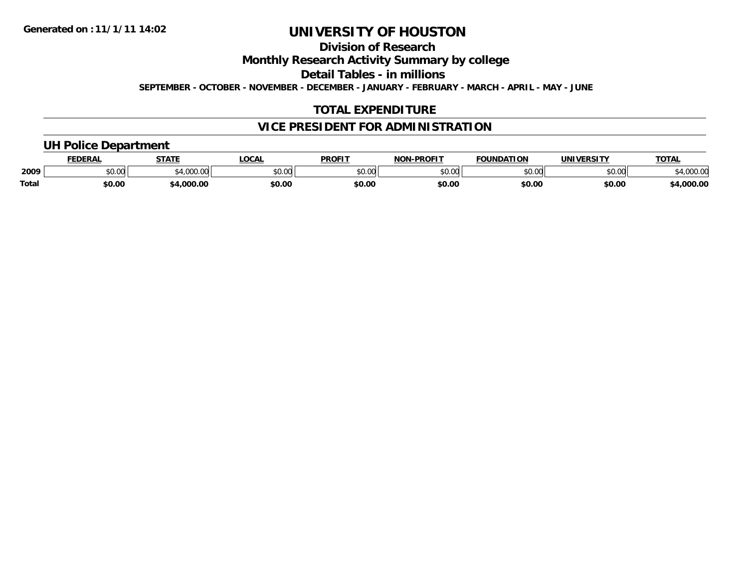# **Division of Research**

### **Monthly Research Activity Summary by college**

**Detail Tables - in millions**

**SEPTEMBER - OCTOBER - NOVEMBER - DECEMBER - JANUARY - FEBRUARY - MARCH - APRIL - MAY - JUNE**

## **TOTAL EXPENDITURE**

### **VICE PRESIDENT FOR ADMINISTRATION**

# **UH Police Department**

|              | <b>FEDERAL</b> | <b>STATE</b> | <b>LOCAL</b>  | <b>PROFIT</b> | -PROFIT<br><b>NON</b> | <b>FOUNDATION</b> | <b>UNIVERSITY</b> | <b>TOTAL</b> |
|--------------|----------------|--------------|---------------|---------------|-----------------------|-------------------|-------------------|--------------|
| 2009         | טט.טע          | $\sim$ 000   | 0000<br>PU.UU | 0000<br>, J   | 0000<br>ט.טע          | \$0.00            | 0000<br>,u.uu     | 00000        |
| <b>Total</b> | \$0.00         | 000.00، 34   | \$0.00        | \$0.00        | \$0.00                | \$0.00            | \$0.00            | 4,000.00     |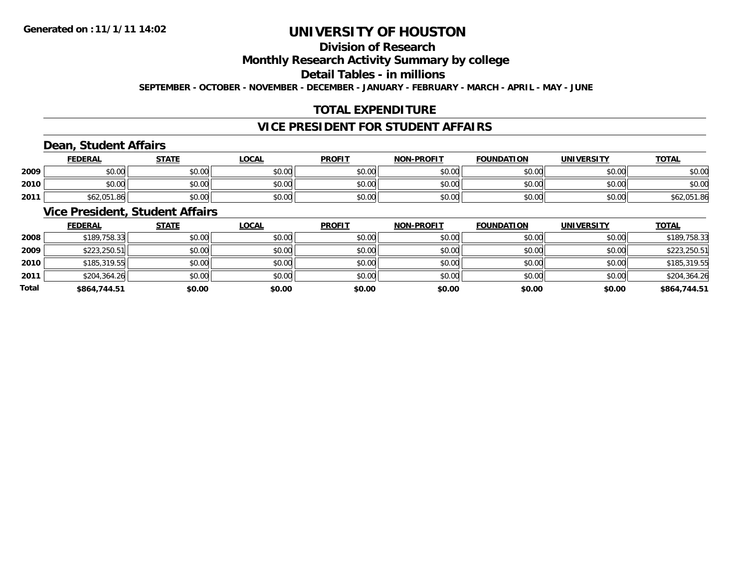# **Division of Research**

### **Monthly Research Activity Summary by college**

## **Detail Tables - in millions**

**SEPTEMBER - OCTOBER - NOVEMBER - DECEMBER - JANUARY - FEBRUARY - MARCH - APRIL - MAY - JUNE**

## **TOTAL EXPENDITURE**

### **VICE PRESIDENT FOR STUDENT AFFAIRS**

## **Dean, Student Affairs**

|      | <b>FEDERAL</b> | <b>STATE</b> | <u>LOCAL</u> | <b>PROFIT</b> | <b>NON-PROFIT</b> | <b>FOUNDATION</b> | <b>UNIVERSITY</b> | <b>TOTAL</b> |
|------|----------------|--------------|--------------|---------------|-------------------|-------------------|-------------------|--------------|
| 2009 | \$0.00         | \$0.00       | \$0.00       | \$0.00        | \$0.00            | \$0.00            | \$0.00            | \$0.00       |
| 2010 | \$0.00         | \$0.00       | \$0.00       | \$0.00        | \$0.00            | \$0.00            | \$0.00            | \$0.00       |
| 2011 | \$62,051.86    | \$0.00       | \$0.00       | \$0.00        | \$0.00            | \$0.00            | \$0.00            | \$62,051.86  |

# **Vice President, Student Affairs**

|       | <b>FEDERAL</b> | <b>STATE</b> | <b>LOCAL</b> | <b>PROFIT</b> | <b>NON-PROFIT</b> | <b>FOUNDATION</b> | <b>UNIVERSITY</b> | <b>TOTAL</b> |
|-------|----------------|--------------|--------------|---------------|-------------------|-------------------|-------------------|--------------|
| 2008  | \$189,758.33   | \$0.00       | \$0.00       | \$0.00        | \$0.00            | \$0.00            | \$0.00            | \$189,758.33 |
| 2009  | \$223,250.51   | \$0.00       | \$0.00       | \$0.00        | \$0.00            | \$0.00            | \$0.00            | \$223,250.51 |
| 2010  | \$185,319.55   | \$0.00       | \$0.00       | \$0.00        | \$0.00            | \$0.00            | \$0.00            | \$185,319.55 |
| 2011  | \$204,364.26   | \$0.00       | \$0.00       | \$0.00        | \$0.00            | \$0.00            | \$0.00            | \$204,364.26 |
| Total | \$864,744.51   | \$0.00       | \$0.00       | \$0.00        | \$0.00            | \$0.00            | \$0.00            | \$864,744.51 |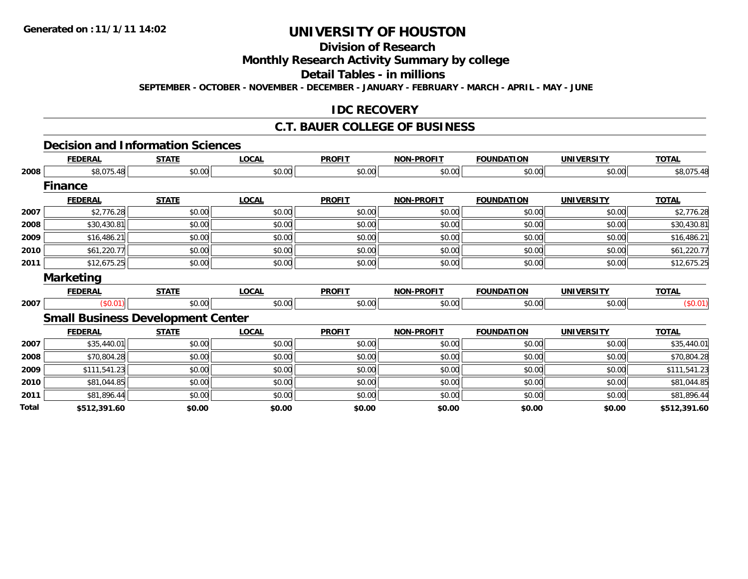# **Division of Research**

### **Monthly Research Activity Summary by college**

# **Detail Tables - in millions**

**SEPTEMBER - OCTOBER - NOVEMBER - DECEMBER - JANUARY - FEBRUARY - MARCH - APRIL - MAY - JUNE**

### **IDC RECOVERY**

# **C.T. BAUER COLLEGE OF BUSINESS**

#### **Decision and Information Sciences**

|              | <b>FEDERAL</b>                           | <b>STATE</b> | <b>LOCAL</b> | <b>PROFIT</b> | <b>NON-PROFIT</b> | <b>FOUNDATION</b> | <b>UNIVERSITY</b> | <b>TOTAL</b> |
|--------------|------------------------------------------|--------------|--------------|---------------|-------------------|-------------------|-------------------|--------------|
| 2008         | \$8,075.48                               | \$0.00       | \$0.00       | \$0.00        | \$0.00            | \$0.00            | \$0.00            | \$8,075.48   |
|              | <b>Finance</b>                           |              |              |               |                   |                   |                   |              |
|              | <b>FEDERAL</b>                           | <b>STATE</b> | <b>LOCAL</b> | <b>PROFIT</b> | <b>NON-PROFIT</b> | <b>FOUNDATION</b> | <b>UNIVERSITY</b> | <b>TOTAL</b> |
| 2007         | \$2,776.28                               | \$0.00       | \$0.00       | \$0.00        | \$0.00            | \$0.00            | \$0.00            | \$2,776.28   |
| 2008         | \$30,430.81                              | \$0.00       | \$0.00       | \$0.00        | \$0.00            | \$0.00            | \$0.00            | \$30,430.81  |
| 2009         | \$16,486.21                              | \$0.00       | \$0.00       | \$0.00        | \$0.00            | \$0.00            | \$0.00            | \$16,486.21  |
| 2010         | \$61,220.77                              | \$0.00       | \$0.00       | \$0.00        | \$0.00            | \$0.00            | \$0.00            | \$61,220.77  |
| 2011         | \$12,675.25                              | \$0.00       | \$0.00       | \$0.00        | \$0.00            | \$0.00            | \$0.00            | \$12,675.25  |
|              | <b>Marketing</b>                         |              |              |               |                   |                   |                   |              |
|              | <b>FEDERAL</b>                           | <b>STATE</b> | <b>LOCAL</b> | <b>PROFIT</b> | <b>NON-PROFIT</b> | <b>FOUNDATION</b> | <b>UNIVERSITY</b> | <b>TOTAL</b> |
| 2007         | (\$0.01)                                 | \$0.00       | \$0.00       | \$0.00        | \$0.00            | \$0.00            | \$0.00            | (\$0.01)     |
|              | <b>Small Business Development Center</b> |              |              |               |                   |                   |                   |              |
|              | <b>FEDERAL</b>                           | <b>STATE</b> | <b>LOCAL</b> | <b>PROFIT</b> | <b>NON-PROFIT</b> | <b>FOUNDATION</b> | <b>UNIVERSITY</b> | <b>TOTAL</b> |
| 2007         | \$35,440.01                              | \$0.00       | \$0.00       | \$0.00        | \$0.00            | \$0.00            | \$0.00            | \$35,440.01  |
| 2008         | \$70,804.28                              | \$0.00       | \$0.00       | \$0.00        | \$0.00            | \$0.00            | \$0.00            | \$70,804.28  |
| 2009         | \$111,541.23                             | \$0.00       | \$0.00       | \$0.00        | \$0.00            | \$0.00            | \$0.00            | \$111,541.23 |
| 2010         | \$81,044.85                              | \$0.00       | \$0.00       | \$0.00        | \$0.00            | \$0.00            | \$0.00            | \$81,044.85  |
| 2011         | \$81,896.44                              | \$0.00       | \$0.00       | \$0.00        | \$0.00            | \$0.00            | \$0.00            | \$81,896.44  |
| <b>Total</b> | \$512,391.60                             | \$0.00       | \$0.00       | \$0.00        | \$0.00            | \$0.00            | \$0.00            | \$512,391.60 |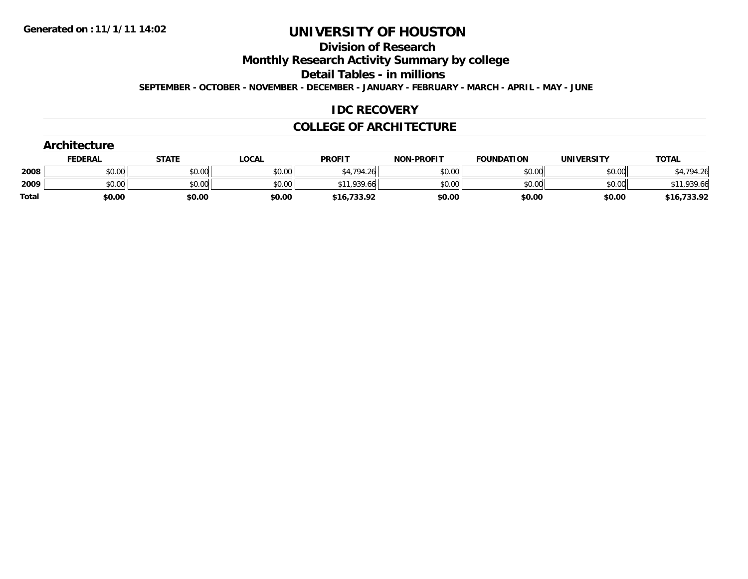# **Division of Research**

**Monthly Research Activity Summary by college**

**Detail Tables - in millions**

**SEPTEMBER - OCTOBER - NOVEMBER - DECEMBER - JANUARY - FEBRUARY - MARCH - APRIL - MAY - JUNE**

### **IDC RECOVERY**

#### **COLLEGE OF ARCHITECTURE**

|              | <b>Architecture</b> |              |              |               |                   |                   |                   |              |
|--------------|---------------------|--------------|--------------|---------------|-------------------|-------------------|-------------------|--------------|
|              | <b>FEDERAL</b>      | <b>STATE</b> | <b>LOCAL</b> | <b>PROFIT</b> | <b>NON-PROFIT</b> | <b>FOUNDATION</b> | <b>UNIVERSITY</b> | <b>TOTAL</b> |
| 2008         | \$0.00              | \$0.00       | \$0.00       | \$4,794.26    | \$0.00            | \$0.00            | \$0.00            | \$4,794.26   |
| 2009         | \$0.00              | \$0.00       | \$0.00       | \$11,939.66   | \$0.00            | \$0.00            | \$0.00            | \$11,939.66  |
| <b>Total</b> | \$0.00              | \$0.00       | \$0.00       | \$16,733.92   | \$0.00            | \$0.00            | \$0.00            | \$16,733.92  |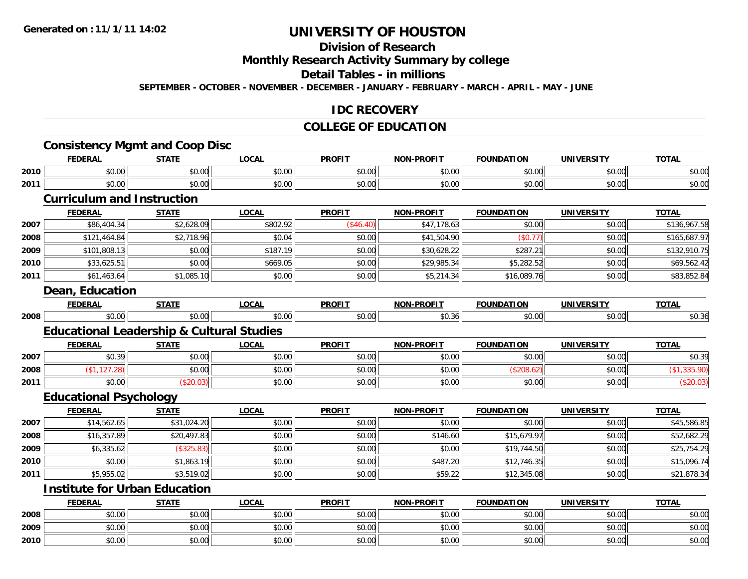# **Division of Research**

## **Monthly Research Activity Summary by college**

### **Detail Tables - in millions**

**SEPTEMBER - OCTOBER - NOVEMBER - DECEMBER - JANUARY - FEBRUARY - MARCH - APRIL - MAY - JUNE**

#### **IDC RECOVERY**

#### **COLLEGE OF EDUCATION**

# **Consistency Mgmt and Coop Disc**

|      | FEDERAL | <b>STATE</b> | LOCA   | <b>PROFIT</b> | <b>NON-PROFIT</b> | <b>FOUNDATION</b> | <b>UNIVERSITY</b> | <b>TOTAL</b>   |
|------|---------|--------------|--------|---------------|-------------------|-------------------|-------------------|----------------|
| 2010 | \$0.00  | \$0.00       | \$0.00 | \$0.00        | \$0.00            | \$0.00            | \$0.00            | ልስ ስስ<br>pu.uu |
| 2011 | \$0.00  | \$0.00       | \$0.00 | \$0.00        | \$0.00            | \$0.00            | \$0.00            | 0000<br>pu.uu  |
|      |         | . .          |        |               |                   |                   |                   |                |

#### **Curriculum and Instruction**

|      | <b>FEDERAL</b> | <b>STATE</b> | <b>LOCAL</b> | <b>PROFIT</b> | <b>NON-PROFIT</b> | <b>FOUNDATION</b> | <b>UNIVERSITY</b> | <b>TOTAL</b> |
|------|----------------|--------------|--------------|---------------|-------------------|-------------------|-------------------|--------------|
| 2007 | \$86,404.34    | \$2,628.09   | \$802.92     | (S46.40)      | \$47,178.63       | \$0.00            | \$0.00            | \$136,967.58 |
| 2008 | \$121,464.84   | \$2,718.96   | \$0.04       | \$0.00        | \$41,504.90       | (\$0.77)          | \$0.00            | \$165,687.97 |
| 2009 | \$101,808.13   | \$0.00       | \$187.19     | \$0.00        | \$30,628.22       | \$287.21          | \$0.00            | \$132,910.75 |
| 2010 | \$33,625.51    | \$0.00       | \$669.05     | \$0.00        | \$29,985.34       | \$5,282.52        | \$0.00            | \$69,562.42  |
| 2011 | \$61,463.64    | \$1,085.10   | \$0.00       | \$0.00        | \$5,214.34        | \$16,089.76       | \$0.00            | \$83,852.84  |
|      |                |              |              |               |                   |                   |                   |              |

#### **Dean, Education**

|      | <b>FEDERA</b>         | ---<br>אור | $\sim$            | <b>PROFIT</b>                                     | DDOETT<br>NAR | τοι<br><b>EQUINDAT</b> | UN'<br>-----       | $\sim$<br>. |
|------|-----------------------|------------|-------------------|---------------------------------------------------|---------------|------------------------|--------------------|-------------|
| 2008 | $\sim$ $\sim$<br>ט.טע | ົດ<br>.    | $\sim$ 00<br>U.UU | $\sim$ $\sim$<br><b>↑^</b><br><b>. .</b> .<br>ט.ט | - ا50. ن.     | $\sim$ 00<br>טט.טי     | $\sim$ 00<br>וט.טי | v.Ju        |

# **Educational Leadership & Cultural Studies**

|      | <b>FEDERAL</b>           | <b>STATE</b> | LOCAL         | <b>PROFT</b>                                             | <b>NON-PROFIT</b> | <b>FOUNDATION</b> | <b>UNIVERSITY</b> | <b>TOTAL</b>         |
|------|--------------------------|--------------|---------------|----------------------------------------------------------|-------------------|-------------------|-------------------|----------------------|
| 2007 | $\sim$ $\sim$<br>JU.J 71 | \$0.00       | 0000<br>DU.UU | ¢∩ ∩∩<br>JU.UU                                           | \$0.00            | \$0.00            | \$0.00            | ሐሴ ሳስ<br>-26<br>JU.J |
| 2008 |                          | \$0.00       | 0000<br>DU.UU | $\mathsf{A}\cap\mathsf{A}\cap\mathsf{A}$<br><b>SU.UU</b> | \$0.00            |                   | \$0.00            |                      |
| 2011 | \$0.00                   |              | 0000<br>งบ.บบ | $\triangle$ $\triangle$ $\triangle$<br>JU.UU             | \$0.00            | \$0.00            | \$0.00            |                      |

#### **Educational Psychology**

|      | <b>FEDERAL</b> | <b>STATE</b> | <b>LOCAL</b> | <b>PROFIT</b> | <b>NON-PROFIT</b> | <b>FOUNDATION</b> | <b>UNIVERSITY</b> | <b>TOTAL</b> |
|------|----------------|--------------|--------------|---------------|-------------------|-------------------|-------------------|--------------|
| 2007 | \$14,562.65    | \$31,024.20  | \$0.00       | \$0.00        | \$0.00            | \$0.00            | \$0.00            | \$45,586.85  |
| 2008 | \$16,357.89    | \$20,497.83  | \$0.00       | \$0.00        | \$146.60          | \$15,679.97       | \$0.00            | \$52,682.29  |
| 2009 | \$6,335.62     | (\$325.83)   | \$0.00       | \$0.00        | \$0.00            | \$19,744.50       | \$0.00            | \$25,754.29  |
| 2010 | \$0.00         | \$1,863.19   | \$0.00       | \$0.00        | \$487.20          | \$12.746.35       | \$0.00            | \$15,096.74  |
| 2011 | \$5,955.02     | \$3,519.02   | \$0.00       | \$0.00        | \$59.22           | \$12,345.08       | \$0.00            | \$21,878.34  |

# **Institute for Urban Education**

|      | <b>FEDERAL</b>      | <b>STATE</b> | <u>LOCAL</u> | <b>PROFIT</b> | <b>NON-PROFIT</b> | <b>FOUNDATION</b> | <b>UNIVERSITY</b> | <b>TOTAL</b> |
|------|---------------------|--------------|--------------|---------------|-------------------|-------------------|-------------------|--------------|
| 2008 | \$0.00              | \$0.00       | \$0.00       | \$0.00        | \$0.00            | \$0.00            | \$0.00            | \$0.00       |
| 2009 | <b>ተ ∩</b><br>ง∪.∪บ | \$0.00       | \$0.00       | \$0.00        | \$0.00            | \$0.00            | \$0.00            | \$0.00       |
| 2010 | ¢Λ<br>\$0.00        | \$0.00       | \$0.00       | \$0.00        | \$0.00            | \$0.00            | \$0.00            | \$0.00       |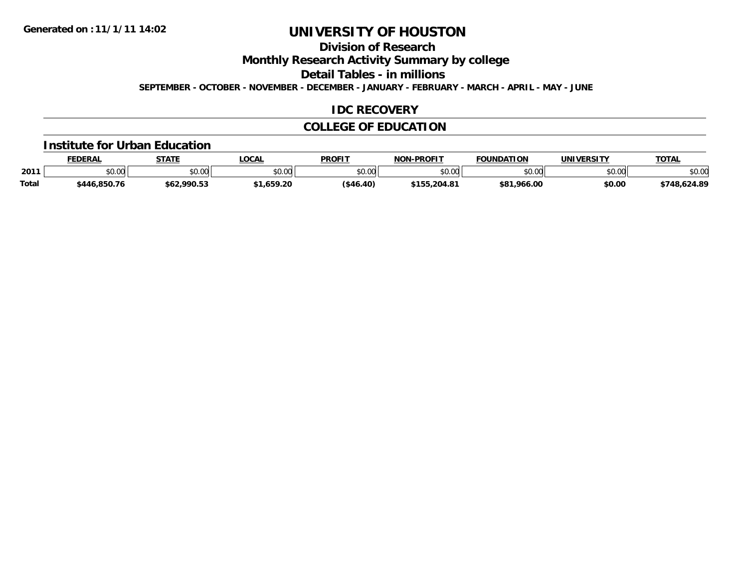# **Division of Research**

**Monthly Research Activity Summary by college**

**Detail Tables - in millions**

**SEPTEMBER - OCTOBER - NOVEMBER - DECEMBER - JANUARY - FEBRUARY - MARCH - APRIL - MAY - JUNE**

### **IDC RECOVERY**

### **COLLEGE OF EDUCATION**

#### **Institute for Urban Education**

|              | <b>FEDERAL</b> | <b>STATE</b> | <b>OCAL</b>     | <b>PROFIT</b> | <b>NON-PROFIT</b> | <b>FOUNDATION</b> | <b>UNIVERSITY</b> | <b>TOTAL</b> |
|--------------|----------------|--------------|-----------------|---------------|-------------------|-------------------|-------------------|--------------|
| 2011         | ሶስ ሰሰ<br>vv.vv | \$0.00       | 0.00<br>ิ ∪ ∪ ∪ | \$0.00        | 0000<br>vu.uu     | \$0.00            | \$0.00            | \$0.00       |
| <b>Total</b> | \$446.850.76   | \$62,990.53  | .1,659.2ቦ       | ( \$46.40)    | 155,204.81        | \$81.966.00       | \$0.00            | \$748,624.89 |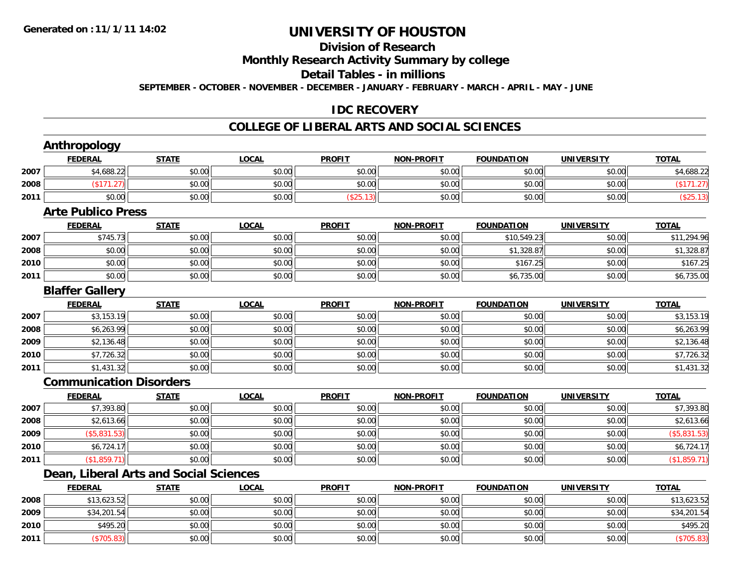# **Division of Research**

## **Monthly Research Activity Summary by college**

### **Detail Tables - in millions**

**SEPTEMBER - OCTOBER - NOVEMBER - DECEMBER - JANUARY - FEBRUARY - MARCH - APRIL - MAY - JUNE**

## **IDC RECOVERY**

# **COLLEGE OF LIBERAL ARTS AND SOCIAL SCIENCES**

|      | <b>Anthropology</b>                    |              |              |               |                   |                   |                   |              |
|------|----------------------------------------|--------------|--------------|---------------|-------------------|-------------------|-------------------|--------------|
|      | <b>FEDERAL</b>                         | <b>STATE</b> | <b>LOCAL</b> | <b>PROFIT</b> | <b>NON-PROFIT</b> | <b>FOUNDATION</b> | <b>UNIVERSITY</b> | <b>TOTAL</b> |
| 2007 | \$4,688.22                             | \$0.00       | \$0.00       | \$0.00        | \$0.00            | \$0.00            | \$0.00            | \$4,688.22   |
| 2008 | (\$171.27)                             | \$0.00       | \$0.00       | \$0.00        | \$0.00            | \$0.00            | \$0.00            | (\$171.27)   |
| 2011 | \$0.00                                 | \$0.00       | \$0.00       | (\$25.13)     | \$0.00            | \$0.00            | \$0.00            | (\$25.13)    |
|      | <b>Arte Publico Press</b>              |              |              |               |                   |                   |                   |              |
|      | <b>FEDERAL</b>                         | <b>STATE</b> | <b>LOCAL</b> | <b>PROFIT</b> | <b>NON-PROFIT</b> | <b>FOUNDATION</b> | <b>UNIVERSITY</b> | <b>TOTAL</b> |
| 2007 | \$745.73                               | \$0.00       | \$0.00       | \$0.00        | \$0.00            | \$10,549.23       | \$0.00            | \$11,294.96  |
| 2008 | \$0.00                                 | \$0.00       | \$0.00       | \$0.00        | \$0.00            | \$1,328.87        | \$0.00            | \$1,328.87   |
| 2010 | \$0.00                                 | \$0.00       | \$0.00       | \$0.00        | \$0.00            | \$167.25          | \$0.00            | \$167.25     |
| 2011 | \$0.00                                 | \$0.00       | \$0.00       | \$0.00        | \$0.00            | \$6,735.00        | \$0.00            | \$6,735.00   |
|      | <b>Blaffer Gallery</b>                 |              |              |               |                   |                   |                   |              |
|      | <b>FEDERAL</b>                         | <b>STATE</b> | <b>LOCAL</b> | <b>PROFIT</b> | <b>NON-PROFIT</b> | <b>FOUNDATION</b> | <b>UNIVERSITY</b> | <b>TOTAL</b> |
| 2007 | \$3,153.19                             | \$0.00       | \$0.00       | \$0.00        | \$0.00            | \$0.00            | \$0.00            | \$3,153.19   |
| 2008 | \$6,263.99                             | \$0.00       | \$0.00       | \$0.00        | \$0.00            | \$0.00            | \$0.00            | \$6,263.99   |
| 2009 | \$2,136.48                             | \$0.00       | \$0.00       | \$0.00        | \$0.00            | \$0.00            | \$0.00            | \$2,136.48   |
| 2010 | \$7,726.32                             | \$0.00       | \$0.00       | \$0.00        | \$0.00            | \$0.00            | \$0.00            | \$7,726.32   |
| 2011 | \$1,431.32                             | \$0.00       | \$0.00       | \$0.00        | \$0.00            | \$0.00            | \$0.00            | \$1,431.32   |
|      | <b>Communication Disorders</b>         |              |              |               |                   |                   |                   |              |
|      | <b>FEDERAL</b>                         | <b>STATE</b> | <b>LOCAL</b> | <b>PROFIT</b> | <b>NON-PROFIT</b> | <b>FOUNDATION</b> | <b>UNIVERSITY</b> | <b>TOTAL</b> |
| 2007 | \$7,393.80                             | \$0.00       | \$0.00       | \$0.00        | \$0.00            | \$0.00            | \$0.00            | \$7,393.80   |
| 2008 | \$2,613.66                             | \$0.00       | \$0.00       | \$0.00        | \$0.00            | \$0.00            | \$0.00            | \$2,613.66   |
| 2009 | (\$5,831.53)                           | \$0.00       | \$0.00       | \$0.00        | \$0.00            | \$0.00            | \$0.00            | (\$5,831.53) |
| 2010 | \$6,724.17                             | \$0.00       | \$0.00       | \$0.00        | \$0.00            | \$0.00            | \$0.00            | \$6,724.17   |
| 2011 | (\$1,859.71)                           | \$0.00       | \$0.00       | \$0.00        | \$0.00            | \$0.00            | \$0.00            | (\$1,859.71) |
|      | Dean, Liberal Arts and Social Sciences |              |              |               |                   |                   |                   |              |
|      | <b>FEDERAL</b>                         | <b>STATE</b> | <b>LOCAL</b> | <b>PROFIT</b> | <b>NON-PROFIT</b> | <b>FOUNDATION</b> | <b>UNIVERSITY</b> | <b>TOTAL</b> |
| 2008 | \$13,623.52                            | \$0.00       | \$0.00       | \$0.00        | \$0.00            | \$0.00            | \$0.00            | \$13,623.52  |
| 2009 | \$34,201.54                            | \$0.00       | \$0.00       | \$0.00        | \$0.00            | \$0.00            | \$0.00            | \$34,201.54  |
| 2010 | \$495.20                               | \$0.00       | \$0.00       | \$0.00        | \$0.00            | \$0.00            | \$0.00            | \$495.20     |
| 2011 | (\$705.83)                             | \$0.00       | \$0.00       | \$0.00        | \$0.00            | \$0.00            | \$0.00            | (\$705.83)   |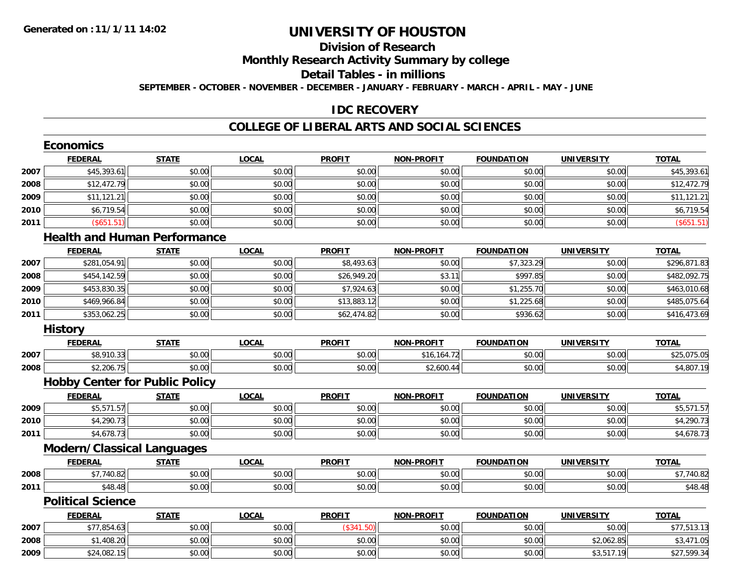# **Division of ResearchMonthly Research Activity Summary by college**

### **Detail Tables - in millions**

**SEPTEMBER - OCTOBER - NOVEMBER - DECEMBER - JANUARY - FEBRUARY - MARCH - APRIL - MAY - JUNE**

## **IDC RECOVERY**

#### **COLLEGE OF LIBERAL ARTS AND SOCIAL SCIENCES**

|      | <b>Economics</b>                      |              |              |               |                   |                   |                   |              |
|------|---------------------------------------|--------------|--------------|---------------|-------------------|-------------------|-------------------|--------------|
|      | <b>FEDERAL</b>                        | <b>STATE</b> | <b>LOCAL</b> | <b>PROFIT</b> | <b>NON-PROFIT</b> | <b>FOUNDATION</b> | <b>UNIVERSITY</b> | <b>TOTAL</b> |
| 2007 | \$45,393.61                           | \$0.00       | \$0.00       | \$0.00        | \$0.00            | \$0.00            | \$0.00            | \$45,393.61  |
| 2008 | \$12,472.79                           | \$0.00       | \$0.00       | \$0.00        | \$0.00            | \$0.00            | \$0.00            | \$12,472.79  |
| 2009 | \$11,121.21                           | \$0.00       | \$0.00       | \$0.00        | \$0.00            | \$0.00            | \$0.00            | \$11,121.21  |
| 2010 | \$6,719.54                            | \$0.00       | \$0.00       | \$0.00        | \$0.00            | \$0.00            | \$0.00            | \$6,719.54   |
| 2011 | (\$651.51)                            | \$0.00       | \$0.00       | \$0.00        | \$0.00            | \$0.00            | \$0.00            | (\$651.51)   |
|      | <b>Health and Human Performance</b>   |              |              |               |                   |                   |                   |              |
|      | <b>FEDERAL</b>                        | <b>STATE</b> | <b>LOCAL</b> | <b>PROFIT</b> | <b>NON-PROFIT</b> | <b>FOUNDATION</b> | <b>UNIVERSITY</b> | <b>TOTAL</b> |
| 2007 | \$281,054.91                          | \$0.00       | \$0.00       | \$8,493.63    | \$0.00            | \$7,323.29        | \$0.00            | \$296,871.83 |
| 2008 | \$454,142.59                          | \$0.00       | \$0.00       | \$26,949.20   | \$3.11            | \$997.85          | \$0.00            | \$482,092.75 |
| 2009 | \$453,830.35                          | \$0.00       | \$0.00       | \$7,924.63    | \$0.00            | \$1,255.70        | \$0.00            | \$463,010.68 |
| 2010 | \$469,966.84                          | \$0.00       | \$0.00       | \$13,883.12   | \$0.00            | \$1,225.68        | \$0.00            | \$485,075.64 |
| 2011 | \$353,062.25                          | \$0.00       | \$0.00       | \$62,474.82   | \$0.00            | \$936.62          | \$0.00            | \$416,473.69 |
|      | <b>History</b>                        |              |              |               |                   |                   |                   |              |
|      | <b>FEDERAL</b>                        | <b>STATE</b> | <b>LOCAL</b> | <b>PROFIT</b> | <b>NON-PROFIT</b> | <b>FOUNDATION</b> | <b>UNIVERSITY</b> | <b>TOTAL</b> |
| 2007 | \$8,910.33                            | \$0.00       | \$0.00       | \$0.00        | \$16,164.72       | \$0.00            | \$0.00            | \$25,075.05  |
| 2008 | \$2,206.75                            | \$0.00       | \$0.00       | \$0.00        | \$2,600.44        | \$0.00            | \$0.00            | \$4,807.19   |
|      | <b>Hobby Center for Public Policy</b> |              |              |               |                   |                   |                   |              |
|      | <b>FEDERAL</b>                        | <b>STATE</b> | <b>LOCAL</b> | <b>PROFIT</b> | <b>NON-PROFIT</b> | <b>FOUNDATION</b> | <b>UNIVERSITY</b> | <b>TOTAL</b> |
| 2009 | \$5,571.57                            | \$0.00       | \$0.00       | \$0.00        | \$0.00            | \$0.00            | \$0.00            | \$5,571.57   |
| 2010 | \$4,290.73                            | \$0.00       | \$0.00       | \$0.00        | \$0.00            | \$0.00            | \$0.00            | \$4,290.73   |
| 2011 | \$4,678.73                            | \$0.00       | \$0.00       | \$0.00        | \$0.00            | \$0.00            | \$0.00            | \$4,678.73   |
|      | <b>Modern/Classical Languages</b>     |              |              |               |                   |                   |                   |              |
|      | <b>FEDERAL</b>                        | <b>STATE</b> | <b>LOCAL</b> | <b>PROFIT</b> | <b>NON-PROFIT</b> | <b>FOUNDATION</b> | <b>UNIVERSITY</b> | <b>TOTAL</b> |
| 2008 | \$7,740.82                            | \$0.00       | \$0.00       | \$0.00        | \$0.00            | \$0.00            | \$0.00            | \$7,740.82   |
| 2011 | \$48.48                               | \$0.00       | \$0.00       | \$0.00        | \$0.00            | \$0.00            | \$0.00            | \$48.48      |
|      | <b>Political Science</b>              |              |              |               |                   |                   |                   |              |
|      | <b>FEDERAL</b>                        | <b>STATE</b> | <b>LOCAL</b> | <b>PROFIT</b> | <b>NON-PROFIT</b> | <b>FOUNDATION</b> | <b>UNIVERSITY</b> | <b>TOTAL</b> |
| 2007 | \$77,854.63                           | \$0.00       | \$0.00       | (\$341.50)    | \$0.00            | \$0.00            | \$0.00            | \$77,513.13  |
| 2008 | \$1,408.20                            | \$0.00       | \$0.00       | \$0.00        | \$0.00            | \$0.00            | \$2,062.85        | \$3,471.05   |
| 2009 | \$24,082.15                           | \$0.00       | \$0.00       | \$0.00        | \$0.00            | \$0.00            | \$3,517.19        | \$27,599.34  |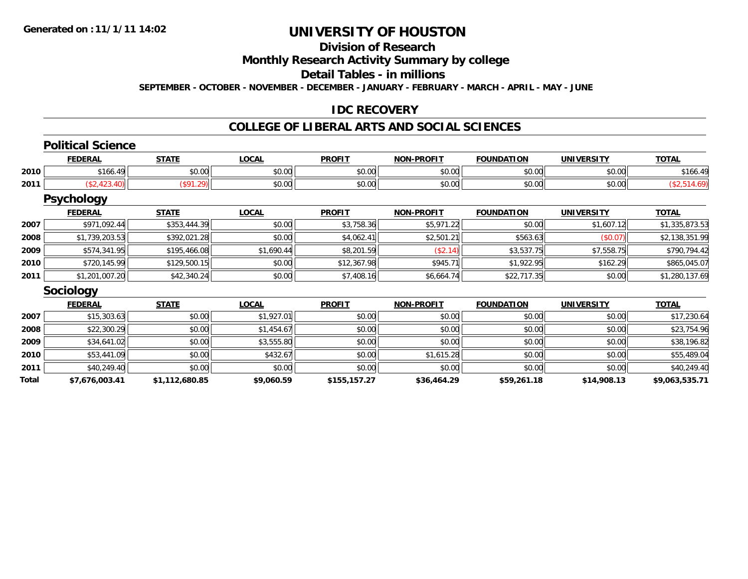# **Division of Research**

## **Monthly Research Activity Summary by college**

# **Detail Tables - in millions**

**SEPTEMBER - OCTOBER - NOVEMBER - DECEMBER - JANUARY - FEBRUARY - MARCH - APRIL - MAY - JUNE**

### **IDC RECOVERY**

# **COLLEGE OF LIBERAL ARTS AND SOCIAL SCIENCES**

#### **Political Science**

|      | <b>FEDERAL</b> | <b>STATE</b>           | 100A<br>uun        | <b>PROFIT</b>        | <b>NON-PROFIT</b>  | <b>FOUNDATION</b>  | <b>IINTVERSITY</b> | $T^T$<br><b>UIAL</b> |
|------|----------------|------------------------|--------------------|----------------------|--------------------|--------------------|--------------------|----------------------|
| 2010 |                | ÷0.<br>$\sim$<br>JU.UU | 0.00<br>J∪.∪u      | JU.UU                | 0000<br>vu.vu      | $\sim$ 00<br>JU.UU | 0.00<br>JU.UU      | 100.                 |
| 2011 |                |                        | $\sim$ 00<br>pu.uu | $\sim$ 0.00<br>JU.UU | $\sim$ 00<br>vv.vv | $\sim$ 00<br>JU.UU | $\sim$ 00<br>JU.UU |                      |

#### **Psychology**

|      | <b>FEDERAL</b> | <b>STATE</b> | <b>LOCAL</b> | <b>PROFIT</b> | <b>NON-PROFIT</b> | <b>FOUNDATION</b> | <b>UNIVERSITY</b> | <b>TOTAL</b>   |
|------|----------------|--------------|--------------|---------------|-------------------|-------------------|-------------------|----------------|
| 2007 | \$971.092.44   | \$353,444.39 | \$0.00       | \$3,758.36    | \$5,971.22        | \$0.00            | \$1.607.12        | \$1,335,873.53 |
| 2008 | \$1,739,203.53 | \$392,021.28 | \$0.00       | \$4,062.41    | \$2,501.21        | \$563.63          | (S0.07)           | \$2,138,351.99 |
| 2009 | \$574,341.95   | \$195,466.08 | \$1,690.44   | \$8,201.59    | (\$2.14)          | \$3,537.75        | \$7,558.75        | \$790,794.42   |
| 2010 | \$720,145.99   | \$129,500.15 | \$0.00       | \$12,367.98   | \$945.71          | \$1,922.95        | \$162.29          | \$865,045.07   |
| 2011 | \$1,201,007.20 | \$42,340.24  | \$0.00       | \$7,408.16    | \$6,664.74        | \$22,717.35       | \$0.00            | \$1,280,137.69 |

#### **Sociology**

|       | <b>FEDERAL</b> | <b>STATE</b>   | <b>LOCAL</b> | <b>PROFIT</b> | <b>NON-PROFIT</b> | <b>FOUNDATION</b> | <b>UNIVERSITY</b> | <b>TOTAL</b>   |
|-------|----------------|----------------|--------------|---------------|-------------------|-------------------|-------------------|----------------|
| 2007  | \$15.303.63    | \$0.00         | \$1.927.01   | \$0.00        | \$0.00            | \$0.00            | \$0.00            | \$17,230.64    |
| 2008  | \$22,300.29    | \$0.00         | \$1,454.67   | \$0.00        | \$0.00            | \$0.00            | \$0.00            | \$23,754.96    |
| 2009  | \$34,641.02    | \$0.00         | \$3,555.80   | \$0.00        | \$0.00            | \$0.00            | \$0.00            | \$38,196.82    |
| 2010  | \$53,441.09    | \$0.00         | \$432.67     | \$0.00        | \$1,615.28        | \$0.00            | \$0.00            | \$55,489.04    |
| 2011  | \$40,249.40    | \$0.00         | \$0.00       | \$0.00        | \$0.00            | \$0.00            | \$0.00            | \$40,249.40    |
| Total | \$7,676,003.41 | \$1,112,680.85 | \$9,060.59   | \$155,157.27  | \$36,464.29       | \$59,261.18       | \$14,908.13       | \$9,063,535.71 |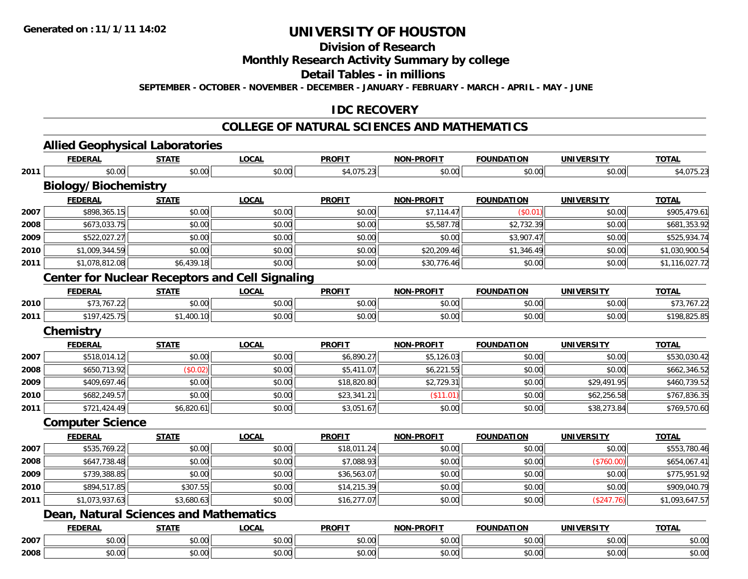# **Division of Research**

## **Monthly Research Activity Summary by college**

# **Detail Tables - in millions**

**SEPTEMBER - OCTOBER - NOVEMBER - DECEMBER - JANUARY - FEBRUARY - MARCH - APRIL - MAY - JUNE**

### **IDC RECOVERY**

# **COLLEGE OF NATURAL SCIENCES AND MATHEMATICS**

|      | <b>FEDERAL</b>                                         | <b>STATE</b> | <b>LOCAL</b> | <b>PROFIT</b> | <b>NON-PROFIT</b> | <b>FOUNDATION</b> | <b>UNIVERSITY</b> | <b>TOTAL</b>   |  |  |  |  |
|------|--------------------------------------------------------|--------------|--------------|---------------|-------------------|-------------------|-------------------|----------------|--|--|--|--|
| 2011 | \$0.00                                                 | \$0.00       | \$0.00       | \$4,075.23    | \$0.00            | \$0.00            | \$0.00            | \$4,075.23     |  |  |  |  |
|      | <b>Biology/Biochemistry</b>                            |              |              |               |                   |                   |                   |                |  |  |  |  |
|      | <b>FEDERAL</b>                                         | <b>STATE</b> | <b>LOCAL</b> | <b>PROFIT</b> | <b>NON-PROFIT</b> | <b>FOUNDATION</b> | <b>UNIVERSITY</b> | <b>TOTAL</b>   |  |  |  |  |
| 2007 | \$898,365.15                                           | \$0.00       | \$0.00       | \$0.00        | \$7,114.47        | (\$0.01)          | \$0.00            | \$905,479.61   |  |  |  |  |
| 2008 | \$673,033.75                                           | \$0.00       | \$0.00       | \$0.00        | \$5,587.78        | \$2,732.39        | \$0.00            | \$681,353.92   |  |  |  |  |
| 2009 | \$522,027.27                                           | \$0.00       | \$0.00       | \$0.00        | \$0.00            | \$3,907.47        | \$0.00            | \$525,934.74   |  |  |  |  |
| 2010 | \$1,009,344.59                                         | \$0.00       | \$0.00       | \$0.00        | \$20,209.46       | \$1,346.49        | \$0.00            | \$1,030,900.54 |  |  |  |  |
| 2011 | \$1,078,812.08                                         | \$6,439.18   | \$0.00       | \$0.00        | \$30,776.46       | \$0.00            | \$0.00            | \$1,116,027.72 |  |  |  |  |
|      | <b>Center for Nuclear Receptors and Cell Signaling</b> |              |              |               |                   |                   |                   |                |  |  |  |  |
|      | <b>FEDERAL</b>                                         | <b>STATE</b> | <b>LOCAL</b> | <b>PROFIT</b> | <b>NON-PROFIT</b> | <b>FOUNDATION</b> | <b>UNIVERSITY</b> | <b>TOTAL</b>   |  |  |  |  |
| 2010 | \$73,767.22                                            | \$0.00       | \$0.00       | \$0.00        | \$0.00            | \$0.00            | \$0.00            | \$73,767.22    |  |  |  |  |
| 2011 | \$197,425.75                                           | \$1,400.10   | \$0.00       | \$0.00        | \$0.00            | \$0.00            | \$0.00            | \$198,825.85   |  |  |  |  |
|      | <b>Chemistry</b>                                       |              |              |               |                   |                   |                   |                |  |  |  |  |
|      | <b>FEDERAL</b>                                         | <b>STATE</b> | <b>LOCAL</b> | <b>PROFIT</b> | <b>NON-PROFIT</b> | <b>FOUNDATION</b> | <b>UNIVERSITY</b> | <b>TOTAL</b>   |  |  |  |  |
| 2007 | \$518,014.12                                           | \$0.00       | \$0.00       | \$6,890.27    | \$5,126.03        | \$0.00            | \$0.00            | \$530,030.42   |  |  |  |  |
| 2008 | \$650,713.92                                           | (\$0.02)     | \$0.00       | \$5,411.07    | \$6,221.55        | \$0.00            | \$0.00            | \$662,346.52   |  |  |  |  |
| 2009 | \$409,697.46                                           | \$0.00       | \$0.00       | \$18,820.80   | \$2,729.31        | \$0.00            | \$29,491.95       | \$460,739.52   |  |  |  |  |
| 2010 | \$682,249.57                                           | \$0.00       | \$0.00       | \$23,341.21   | (\$11.01)         | \$0.00            | \$62,256.58       | \$767,836.35   |  |  |  |  |
| 2011 | \$721,424.49                                           | \$6,820.61   | \$0.00       | \$3,051.67    | \$0.00            | \$0.00            | \$38,273.84       | \$769,570.60   |  |  |  |  |
|      | <b>Computer Science</b>                                |              |              |               |                   |                   |                   |                |  |  |  |  |
|      | <b>FEDERAL</b>                                         | <b>STATE</b> | <b>LOCAL</b> | <b>PROFIT</b> | <b>NON-PROFIT</b> | <b>FOUNDATION</b> | <b>UNIVERSITY</b> | <b>TOTAL</b>   |  |  |  |  |
| 2007 | \$535,769.22                                           | \$0.00       | \$0.00       | \$18,011.24   | \$0.00            | \$0.00            | \$0.00            | \$553,780.46   |  |  |  |  |
| 2008 | \$647,738.48                                           | \$0.00       | \$0.00       | \$7,088.93    | \$0.00            | \$0.00            | (\$760.00)        | \$654,067.41   |  |  |  |  |
| 2009 | \$739,388.85                                           | \$0.00       | \$0.00       | \$36,563.07   | \$0.00            | \$0.00            | \$0.00            | \$775,951.92   |  |  |  |  |
| 2010 | \$894,517.85                                           | \$307.55     | \$0.00       | \$14,215.39   | \$0.00            | \$0.00            | \$0.00            | \$909,040.79   |  |  |  |  |
| 2011 | \$1,073,937.63                                         | \$3,680.63   | \$0.00       | \$16,277.07   | \$0.00            | \$0.00            | (\$247.76)        | \$1,093,647.57 |  |  |  |  |
|      | <b>Dean, Natural Sciences and Mathematics</b>          |              |              |               |                   |                   |                   |                |  |  |  |  |
|      | <b>FEDERAL</b>                                         | <b>STATE</b> | <b>LOCAL</b> | <b>PROFIT</b> | <b>NON-PROFIT</b> | <b>FOUNDATION</b> | <b>UNIVERSITY</b> | <b>TOTAL</b>   |  |  |  |  |
| 2007 | \$0.00                                                 | \$0.00       | \$0.00       | \$0.00        | \$0.00            | \$0.00            | \$0.00            | \$0.00         |  |  |  |  |
| 2008 | \$0.00                                                 | \$0.00       | \$0.00       | \$0.00        | \$0.00            | \$0.00            | \$0.00            | \$0.00         |  |  |  |  |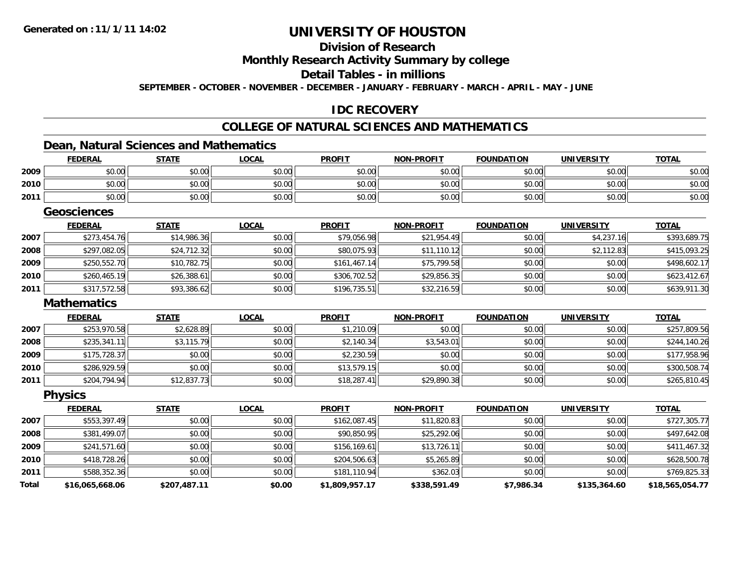# **Division of Research**

### **Monthly Research Activity Summary by college**

# **Detail Tables - in millions**

**SEPTEMBER - OCTOBER - NOVEMBER - DECEMBER - JANUARY - FEBRUARY - MARCH - APRIL - MAY - JUNE**

### **IDC RECOVERY**

# **COLLEGE OF NATURAL SCIENCES AND MATHEMATICS**

# **Dean, Natural Sciences and Mathematics**

|      | <u>FEDERAL</u>     | <b>STATE</b> | <u>LOCAL</u> | <b>PROFIT</b> | <u>NON-PROFIT</u> | <u>FOUNDATION</u> | <b>UNIVERSITY</b> | <u>TOTAL</u> |
|------|--------------------|--------------|--------------|---------------|-------------------|-------------------|-------------------|--------------|
| 2009 | \$0.00             | \$0.00       | \$0.00       | \$0.00        | \$0.00            | \$0.00            | \$0.00            | \$0.00       |
| 2010 | \$0.00             | \$0.00       | \$0.00       | \$0.00        | \$0.00            | \$0.00            | \$0.00            | \$0.00       |
| 2011 | \$0.00             | \$0.00       | \$0.00       | \$0.00        | \$0.00            | \$0.00            | \$0.00            | \$0.00       |
|      | <b>Geosciences</b> |              |              |               |                   |                   |                   |              |
|      | <b>FEDERAL</b>     | <b>STATE</b> | <b>LOCAL</b> | <b>PROFIT</b> | <b>NON-PROFIT</b> | <b>FOUNDATION</b> | <b>UNIVERSITY</b> | <b>TOTAL</b> |
| 2007 | \$273,454.76       | \$14,986.36  | \$0.00       | \$79,056.98   | \$21,954.49       | \$0.00            | \$4,237.16        | \$393,689.75 |
| 2008 | \$297,082.05       | \$24,712.32  | \$0.00       | \$80,075.93   | \$11,110.12       | \$0.00            | \$2,112.83        | \$415,093.25 |
| 2009 | \$250,552.70       | \$10,782.75  | \$0.00       | \$161,467.14  | \$75,799.58       | \$0.00            | \$0.00            | \$498,602.17 |
| 2010 | \$260,465.19       | \$26,388.61  | \$0.00       | \$306,702.52  | \$29,856.35       | \$0.00            | \$0.00            | \$623,412.67 |
| 2011 | \$317,572.58       | \$93,386.62  | \$0.00       | \$196,735.51  | \$32,216.59       | \$0.00            | \$0.00            | \$639,911.30 |
|      | <b>Mathematics</b> |              |              |               |                   |                   |                   |              |
|      | <b>FEDERAL</b>     | <b>STATE</b> | <b>LOCAL</b> | <b>PROFIT</b> | <b>NON-PROFIT</b> | <b>FOUNDATION</b> | <b>UNIVERSITY</b> | <b>TOTAL</b> |
| 2007 | \$253,970.58       | \$2,628.89   | \$0.00       | \$1,210.09    | \$0.00            | \$0.00            | \$0.00            | \$257,809.56 |
| 2008 | \$235,341.11       | \$3,115.79   | \$0.00       | \$2,140.34    | \$3,543.01        | \$0.00            | \$0.00            | \$244,140.26 |
| 2009 | \$175,728.37       | \$0.00       | \$0.00       | \$2,230.59    | \$0.00            | \$0.00            | \$0.00            | \$177,958.96 |
| 2010 | \$286,929.59       | \$0.00       | \$0.00       | \$13,579.15   | \$0.00            | \$0.00            | \$0.00            | \$300,508.74 |
| 2011 | \$204,794.94       | \$12,837.73  | \$0.00       | \$18,287.41   | \$29,890.38       | \$0.00            | \$0.00            | \$265,810.45 |
|      | <b>Physics</b>     |              |              |               |                   |                   |                   |              |
|      | <b>FEDERAL</b>     | <b>STATE</b> | <b>LOCAL</b> | <b>PROFIT</b> | <b>NON-PROFIT</b> | <b>FOUNDATION</b> | <b>UNIVERSITY</b> | <b>TOTAL</b> |
| 2007 | \$553,397.49       | \$0.00       | \$0.00       | \$162,087.45  | \$11,820.83       | \$0.00            | \$0.00            | \$727,305.77 |
| 2008 | \$381,499.07       | \$0.00       | \$0.00       | \$90,850.95   | \$25,292.06       | \$0.00            | \$0.00            | \$497,642.08 |

| <b>Total</b> | \$16,065,668.06 | \$207,487.11 | \$0.00 | \$1,809,957.17 | \$338,591.49 | \$7,986.34    | \$135,364.60  | \$18,565,054.77 |
|--------------|-----------------|--------------|--------|----------------|--------------|---------------|---------------|-----------------|
| 2011         | \$588,352.36    | \$0.00       | \$0.00 | \$181,110.94   | \$362.03     | \$0.00        | \$0.00        | \$769,825.33    |
| 2010         | \$418,728.26    | \$0.00       | \$0.00 | \$204,506.63   | \$5,265.89   | \$0.00        | \$0.00        | \$628,500.78    |
| 2009         | \$241,571.60    | \$0.00       | \$0.00 | \$156,169.61   | \$13.726.11  | \$0.00        | \$0.00        | \$411,467.32    |
| ZUUԾ         | \$381.499.0711  | <b>SU.UU</b> | งบ.บบเ | \$90.850.95H   | \$25,292.00  | <b>SU.UUI</b> | <b>SU.UUI</b> | \$497,042.08    |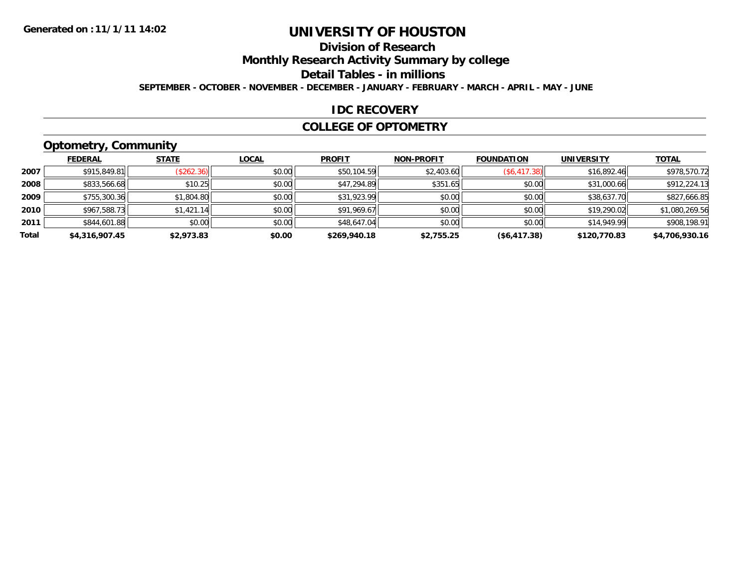# **Division of Research**

**Monthly Research Activity Summary by college**

**Detail Tables - in millions**

**SEPTEMBER - OCTOBER - NOVEMBER - DECEMBER - JANUARY - FEBRUARY - MARCH - APRIL - MAY - JUNE**

#### **IDC RECOVERY**

#### **COLLEGE OF OPTOMETRY**

# **Optometry, Community**

|       | --             |              |              |               |                   |                   |                   |                |
|-------|----------------|--------------|--------------|---------------|-------------------|-------------------|-------------------|----------------|
|       | <b>FEDERAL</b> | <b>STATE</b> | <b>LOCAL</b> | <b>PROFIT</b> | <b>NON-PROFIT</b> | <b>FOUNDATION</b> | <b>UNIVERSITY</b> | <b>TOTAL</b>   |
| 2007  | \$915,849.81   | (\$262.36)   | \$0.00       | \$50,104.59   | \$2,403.60        | (\$6,417.38)      | \$16,892.46       | \$978,570.72   |
| 2008  | \$833,566.68   | \$10.25      | \$0.00       | \$47,294.89   | \$351.65          | \$0.00            | \$31,000.66       | \$912,224.13   |
| 2009  | \$755,300.36   | \$1,804.80   | \$0.00       | \$31,923.99   | \$0.00            | \$0.00            | \$38,637.70       | \$827,666.85   |
| 2010  | \$967,588.73   | \$1,421.14   | \$0.00       | \$91,969.67   | \$0.00            | \$0.00            | \$19,290.02       | \$1,080,269.56 |
| 2011  | \$844,601.88   | \$0.00       | \$0.00       | \$48,647.04   | \$0.00            | \$0.00            | \$14,949.99       | \$908,198.91   |
| Total | \$4,316,907.45 | \$2,973.83   | \$0.00       | \$269,940.18  | \$2,755.25        | ( \$6,417.38)     | \$120,770.83      | \$4,706,930.16 |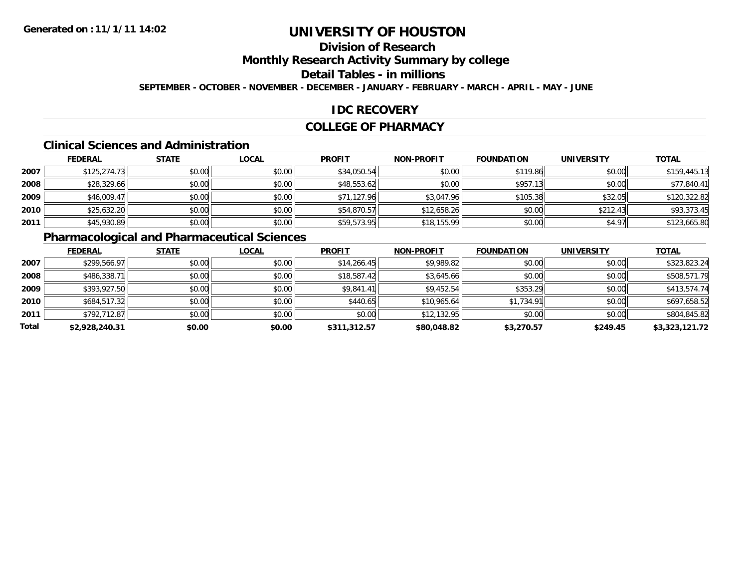# **Division of Research**

# **Monthly Research Activity Summary by college**

# **Detail Tables - in millions**

**SEPTEMBER - OCTOBER - NOVEMBER - DECEMBER - JANUARY - FEBRUARY - MARCH - APRIL - MAY - JUNE**

### **IDC RECOVERY**

#### **COLLEGE OF PHARMACY**

#### **Clinical Sciences and Administration**

|      | <b>FEDERAL</b> | <b>STATE</b> | <u>LOCAL</u> | <b>PROFIT</b> | <b>NON-PROFIT</b> | <b>FOUNDATION</b> | <b>UNIVERSITY</b> | <b>TOTAL</b> |
|------|----------------|--------------|--------------|---------------|-------------------|-------------------|-------------------|--------------|
| 2007 | \$125,274.73   | \$0.00       | \$0.00       | \$34,050.54   | \$0.00            | \$119.86          | \$0.00            | \$159,445.13 |
| 2008 | \$28,329.66    | \$0.00       | \$0.00       | \$48,553.62   | \$0.00            | \$957.13          | \$0.00            | \$77,840.41  |
| 2009 | \$46,009.47    | \$0.00       | \$0.00       | \$71,127.96   | \$3,047.96        | \$105.38          | \$32.05           | \$120,322.82 |
| 2010 | \$25,632.20    | \$0.00       | \$0.00       | \$54,870.57   | \$12,658.26       | \$0.00            | \$212.43          | \$93,373.45  |
| 2011 | \$45,930.89    | \$0.00       | \$0.00       | \$59,573.95   | \$18,155.99       | \$0.00            | \$4.97            | \$123,665.80 |

# **Pharmacological and Pharmaceutical Sciences**

|       | <b>FEDERAL</b> | <b>STATE</b> | <b>LOCAL</b> | <b>PROFIT</b> | <b>NON-PROFIT</b> | <b>FOUNDATION</b> | <b>UNIVERSITY</b> | <b>TOTAL</b>   |
|-------|----------------|--------------|--------------|---------------|-------------------|-------------------|-------------------|----------------|
| 2007  | \$299,566.97   | \$0.00       | \$0.00       | \$14,266.45   | \$9,989.82        | \$0.00            | \$0.00            | \$323,823.24   |
| 2008  | \$486,338.71   | \$0.00       | \$0.00       | \$18,587.42   | \$3,645.66        | \$0.00            | \$0.00            | \$508,571.79   |
| 2009  | \$393,927.50   | \$0.00       | \$0.00       | \$9,841.41    | \$9,452.54        | \$353.29          | \$0.00            | \$413,574.74   |
| 2010  | \$684,517.32   | \$0.00       | \$0.00       | \$440.65      | \$10,965.64       | \$1,734.91        | \$0.00            | \$697,658.52   |
| 2011  | \$792,712.87   | \$0.00       | \$0.00       | \$0.00        | \$12,132.95       | \$0.00            | \$0.00            | \$804,845.82   |
| Total | \$2,928,240.31 | \$0.00       | \$0.00       | \$311,312.57  | \$80,048.82       | \$3,270.57        | \$249.45          | \$3,323,121.72 |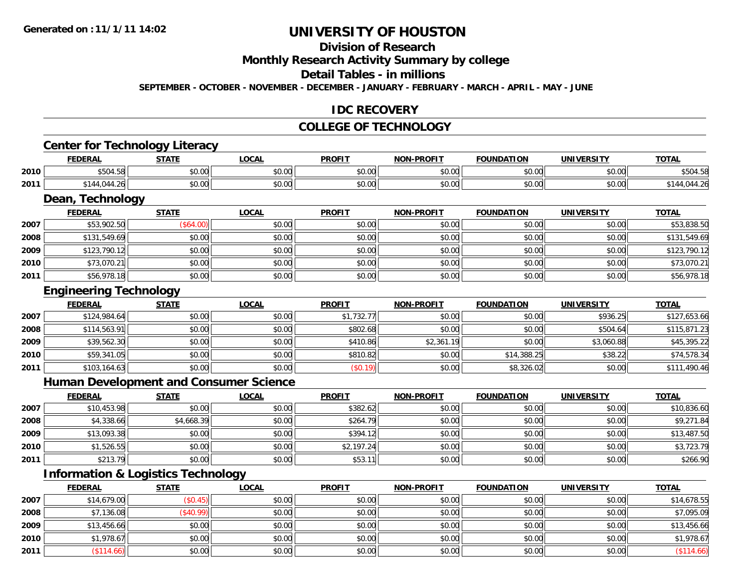# **Division of Research**

## **Monthly Research Activity Summary by college**

#### **Detail Tables - in millions**

**SEPTEMBER - OCTOBER - NOVEMBER - DECEMBER - JANUARY - FEBRUARY - MARCH - APRIL - MAY - JUNE**

### **IDC RECOVERY**

#### **COLLEGE OF TECHNOLOGY**

# **Center for Technology Literacy**

|      | <b>FEDERAL</b>                      | CTATI                         | LOCAI                  | <b>PROFIT</b> | <b>NON-PROFIT</b> | <b>TON</b><br><b>FOUNDAT</b> | <b>UNIVERSITY</b> | $T$ $T$<br> |
|------|-------------------------------------|-------------------------------|------------------------|---------------|-------------------|------------------------------|-------------------|-------------|
| 2010 | $\sim -$<br>$\sim$<br>1. J L<br>りつし | 0000<br>vu.vu                 | $\sim$ $\sim$<br>vv.vv | 0.00<br>vu.vu | 0000<br>PO.OO     | 0000<br>וט.טי                | 0.001<br>JU.UU    | \$50        |
| 2011 |                                     | $\uparrow$ $\uparrow$<br>JU.U | $\sim$ 00<br>vv.vv     | 0.00<br>JU.UU | 0000<br>PO.OO     | $\sim$ 0.0 $\sim$<br>u.uu    | 0000<br>JU.UU     |             |

<u> 1989 - Andrea Station Barbara, amerikan bahasa perang perang perang perang perang perang perang perang perang</u>

## **Dean, Technology**

|      | <b>FEDERAL</b> | <b>STATE</b> | <b>LOCAL</b> | <b>PROFIT</b> | <b>NON-PROFIT</b> | <b>FOUNDATION</b> | <b>UNIVERSITY</b> | <b>TOTAL</b> |
|------|----------------|--------------|--------------|---------------|-------------------|-------------------|-------------------|--------------|
| 2007 | \$53,902.50    | (\$64.00)    | \$0.00       | \$0.00        | \$0.00            | \$0.00            | \$0.00            | \$53,838.50  |
| 2008 | \$131,549.69   | \$0.00       | \$0.00       | \$0.00        | \$0.00            | \$0.00            | \$0.00            | \$131,549.69 |
| 2009 | \$123,790.12   | \$0.00       | \$0.00       | \$0.00        | \$0.00            | \$0.00            | \$0.00            | \$123,790.12 |
| 2010 | \$73,070.21    | \$0.00       | \$0.00       | \$0.00        | \$0.00            | \$0.00            | \$0.00            | \$73,070.21  |
| 2011 | \$56,978.18    | \$0.00       | \$0.00       | \$0.00        | \$0.00            | \$0.00            | \$0.00            | \$56,978.18  |

# **Engineering Technology**

|      | <b>FEDERAL</b> | <b>STATE</b> | <b>LOCAL</b> | <b>PROFIT</b> | <b>NON-PROFIT</b> | <b>FOUNDATION</b> | <b>UNIVERSITY</b> | <b>TOTAL</b> |
|------|----------------|--------------|--------------|---------------|-------------------|-------------------|-------------------|--------------|
| 2007 | \$124,984.64   | \$0.00       | \$0.00       | \$1,732.77    | \$0.00            | \$0.00            | \$936.25          | \$127,653.66 |
| 2008 | \$114,563.91   | \$0.00       | \$0.00       | \$802.68      | \$0.00            | \$0.00            | \$504.64          | \$115,871.23 |
| 2009 | \$39,562.30    | \$0.00       | \$0.00       | \$410.86      | \$2,361.19        | \$0.00            | \$3,060.88        | \$45,395.22  |
| 2010 | \$59,341.05    | \$0.00       | \$0.00       | \$810.82      | \$0.00            | \$14,388.25       | \$38.22           | \$74,578.34  |
| 2011 | \$103,164.63   | \$0.00       | \$0.00       | (\$0.19)      | \$0.00            | \$8,326.02        | \$0.00            | \$111,490.46 |

#### **Human Development and Consumer Science**

|      | <b>FEDERAL</b> | <b>STATE</b> | <b>LOCAL</b> | <b>PROFIT</b> | <b>NON-PROFIT</b> | <b>FOUNDATION</b> | <b>UNIVERSITY</b> | <b>TOTAL</b> |
|------|----------------|--------------|--------------|---------------|-------------------|-------------------|-------------------|--------------|
| 2007 | \$10,453.98    | \$0.00       | \$0.00       | \$382.62      | \$0.00            | \$0.00            | \$0.00            | \$10,836.60  |
| 2008 | \$4,338.66     | \$4,668.39   | \$0.00       | \$264.79      | \$0.00            | \$0.00            | \$0.00            | \$9,271.84   |
| 2009 | \$13,093.38    | \$0.00       | \$0.00       | \$394.12      | \$0.00            | \$0.00            | \$0.00            | \$13,487.50  |
| 2010 | \$1,526.55     | \$0.00       | \$0.00       | \$2,197.24    | \$0.00            | \$0.00            | \$0.00            | \$3,723.79   |
| 2011 | \$213.79       | \$0.00       | \$0.00       | \$53.         | \$0.00            | \$0.00            | \$0.00            | \$266.90     |

# **Information & Logistics Technology**

|      | <b>FEDERAL</b> | <b>STATE</b> | <b>LOCAL</b> | <b>PROFIT</b> | <b>NON-PROFIT</b> | <b>FOUNDATION</b> | <b>UNIVERSITY</b> | <b>TOTAL</b> |
|------|----------------|--------------|--------------|---------------|-------------------|-------------------|-------------------|--------------|
| 2007 | \$14,679.00    | \$0.45)      | \$0.00       | \$0.00        | \$0.00            | \$0.00            | \$0.00            | \$14,678.55  |
| 2008 | \$7,136.08     | \$40.99      | \$0.00       | \$0.00        | \$0.00            | \$0.00            | \$0.00            | \$7,095.09   |
| 2009 | \$13,456.66    | \$0.00       | \$0.00       | \$0.00        | \$0.00            | \$0.00            | \$0.00            | \$13,456.66  |
| 2010 | \$1,978.67     | \$0.00       | \$0.00       | \$0.00        | \$0.00            | \$0.00            | \$0.00            | \$1,978.67   |
| 2011 | \$114.66       | \$0.00       | \$0.00       | \$0.00        | \$0.00            | \$0.00            | \$0.00            | $(\$114.66)$ |

<u> 1980 - Johann Barbara, martxa alemaniar amerikan basar da a</u>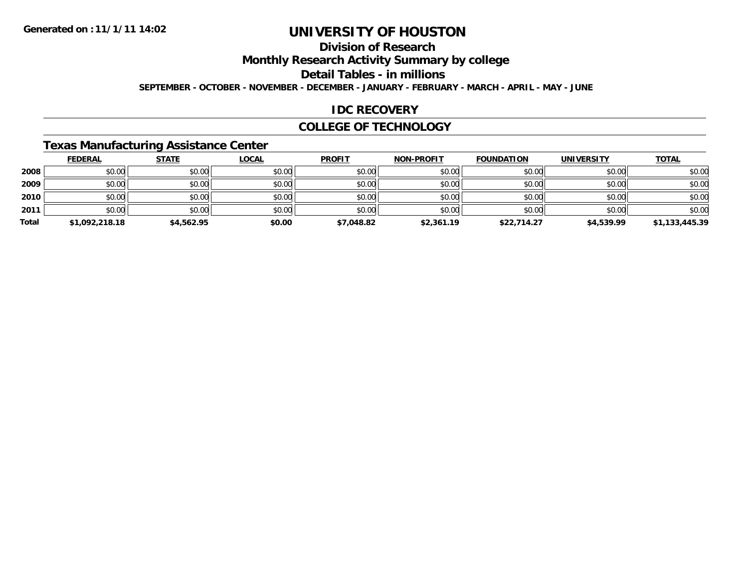# **Division of Research**

# **Monthly Research Activity Summary by college**

# **Detail Tables - in millions**

**SEPTEMBER - OCTOBER - NOVEMBER - DECEMBER - JANUARY - FEBRUARY - MARCH - APRIL - MAY - JUNE**

### **IDC RECOVERY**

#### **COLLEGE OF TECHNOLOGY**

# **Texas Manufacturing Assistance Center**

|       | <b>FEDERAL</b> | <b>STATE</b> | <b>LOCAL</b> | <b>PROFIT</b> | <b>NON-PROFIT</b> | <b>FOUNDATION</b> | <b>UNIVERSITY</b> | <b>TOTAL</b>   |
|-------|----------------|--------------|--------------|---------------|-------------------|-------------------|-------------------|----------------|
| 2008  | \$0.00         | \$0.00       | \$0.00       | \$0.00        | \$0.00            | \$0.00            | \$0.00            | \$0.00         |
| 2009  | \$0.00         | \$0.00       | \$0.00       | \$0.00        | \$0.00            | \$0.00            | \$0.00            | \$0.00         |
| 2010  | \$0.00         | \$0.00       | \$0.00       | \$0.00        | \$0.00            | \$0.00            | \$0.00            | \$0.00         |
| 2011  | \$0.00         | \$0.00       | \$0.00       | \$0.00        | \$0.00            | \$0.00            | \$0.00            | \$0.00         |
| Total | \$1,092,218.18 | \$4,562.95   | \$0.00       | \$7,048.82    | \$2,361.19        | \$22,714.27       | \$4,539.99        | \$1,133,445.39 |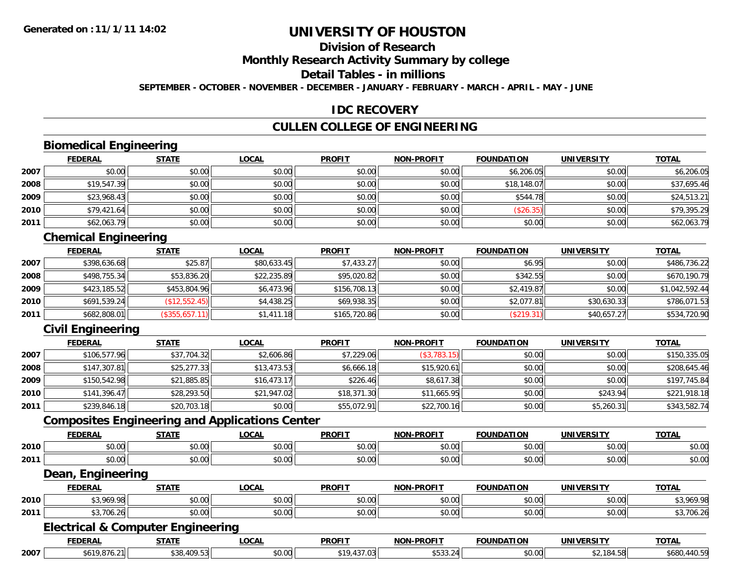# **Division of Research**

# **Monthly Research Activity Summary by college**

## **Detail Tables - in millions**

**SEPTEMBER - OCTOBER - NOVEMBER - DECEMBER - JANUARY - FEBRUARY - MARCH - APRIL - MAY - JUNE**

### **IDC RECOVERY**

#### **CULLEN COLLEGE OF ENGINEERING**

# **Biomedical Engineering**

|      | <b>FEDERAL</b> | <b>STATE</b> | <b>LOCAL</b> | <b>PROFIT</b> | <b>NON-PROFIT</b> | <b>FOUNDATION</b> | <b>UNIVERSITY</b> | <b>TOTAL</b> |
|------|----------------|--------------|--------------|---------------|-------------------|-------------------|-------------------|--------------|
| 2007 | \$0.00         | \$0.00       | \$0.00       | \$0.00        | \$0.00            | \$6,206.05        | \$0.00            | \$6,206.05   |
| 2008 | \$19,547.39    | \$0.00       | \$0.00       | \$0.00        | \$0.00            | \$18,148.07       | \$0.00            | \$37,695.46  |
| 2009 | \$23,968.43    | \$0.00       | \$0.00       | \$0.00        | \$0.00            | \$544.78          | \$0.00            | \$24,513.21  |
| 2010 | \$79,421.64    | \$0.00       | \$0.00       | \$0.00        | \$0.00            | (\$26.35)         | \$0.00            | \$79,395.29  |
| 2011 | \$62,063.79    | \$0.00       | \$0.00       | \$0.00        | \$0.00            | \$0.00            | \$0.00            | \$62,063.79  |

### **Chemical Engineering**

|      | <b>FEDERAL</b> | <b>STATE</b>  | <b>LOCAL</b> | <b>PROFIT</b> | <b>NON-PROFIT</b> | <b>FOUNDATION</b> | <b>UNIVERSITY</b> | <b>TOTAL</b>   |
|------|----------------|---------------|--------------|---------------|-------------------|-------------------|-------------------|----------------|
| 2007 | \$398,636.68   | \$25.87       | \$80,633.45  | \$7,433.27    | \$0.00            | \$6.95            | \$0.00            | \$486,736.22   |
| 2008 | \$498,755.34   | \$53,836.20   | \$22,235.89  | \$95,020.82   | \$0.00            | \$342.55          | \$0.00            | \$670,190.79   |
| 2009 | \$423,185.52   | \$453,804.96  | \$6,473.96   | \$156.708.13  | \$0.00            | \$2,419.87        | \$0.00            | \$1,042,592.44 |
| 2010 | \$691,539.24   | (\$12,552.45) | \$4,438.25   | \$69,938.35   | \$0.00            | \$2,077.81        | \$30,630.33       | \$786,071.53   |
| 2011 | \$682,808.01   | (\$355,657.1" | \$1,411.18   | \$165,720.86  | \$0.00            | (\$219.31)        | \$40,657.27       | \$534,720.90   |

# **Civil Engineering**

|      | <b>FEDERAL</b> | <b>STATE</b> | <u>LOCAL</u> | <b>PROFIT</b> | <b>NON-PROFIT</b> | <b>FOUNDATION</b> | <b>UNIVERSITY</b> | <b>TOTAL</b> |
|------|----------------|--------------|--------------|---------------|-------------------|-------------------|-------------------|--------------|
| 2007 | \$106,577.96   | \$37,704.32  | \$2,606.86   | \$7,229.06    | (\$3,783.15)      | \$0.00            | \$0.00            | \$150,335.05 |
| 2008 | \$147,307.81   | \$25,277.33  | \$13,473.53  | \$6,666.18    | \$15,920.61       | \$0.00            | \$0.00            | \$208,645.46 |
| 2009 | \$150,542.98   | \$21,885.85  | \$16,473.17  | \$226.46      | \$8,617.38        | \$0.00            | \$0.00            | \$197,745.84 |
| 2010 | \$141,396.47   | \$28,293.50  | \$21,947.02  | \$18,371.30   | \$11,665.95       | \$0.00            | \$243.94          | \$221,918.18 |
| 2011 | \$239,846.18   | \$20,703.18  | \$0.00       | \$55,072.91   | \$22,700.16       | \$0.00            | \$5,260.31        | \$343,582.74 |

#### **Composites Engineering and Applications Center**

|      | <b>CENEDA</b><br>- JEN. | <b>STATE</b>   | <b>OCAI</b>   | <b>PROFIT</b>          | NON-PROFIT    | ΓΤΩΝ<br><b>FAUNIDAT</b><br>IN | UNIV   | <b>TOTAL</b>   |
|------|-------------------------|----------------|---------------|------------------------|---------------|-------------------------------|--------|----------------|
| 2010 | 0.001<br>וטט.           | ሶስ ሰሰ<br>DU.UU | 0.00<br>PO.OO | 0.00<br>۰, ب           | 0000<br>JU.UU | 0000<br>u.uu                  | \$0.00 | nn nn<br>JU.UC |
| 2011 | $\sim$ 00<br>vv.vv      | ሶስ ሰሰ<br>JU.UU | 0.00<br>JU.UU | $\sim$ $\sim$<br>JU.UU | 0000<br>JU.UU | 0000<br>ט.טע                  | \$0.00 | n or<br>JU.UG  |

#### **Dean, Engineering**

|      | <b>FEBERAL</b><br>-wa | -----         | $\sim$                                       | <b>PROFIT</b> | -DROFTT<br>NON-                                       | ΊΟΝ    | $UN^{\tau}$        | <b>TOTA</b><br>VINI |
|------|-----------------------|---------------|----------------------------------------------|---------------|-------------------------------------------------------|--------|--------------------|---------------------|
| 2010 | $\sim$                | $\cdots$<br>. | $\sim$ $\sim$ $\sim$<br>וטט.טי               |               | $\mathsf{A} \cap \mathsf{A} \cap \mathsf{A}$<br>JU.UU | 0000   | $\sim$ 00          |                     |
| 2011 | 701<br>. . <u>.</u>   | 0.000<br>ט.ט  | $\uparrow$ $\sim$ $\sim$ $\uparrow$<br>pu.uu | vv.vv         | 0000<br>vv.vv                                         | \$0.00 | $\sim$ 00<br>pu.uu | ,,,                 |

#### **Electrical & Computer Engineering**

|      | <b>FEDERA</b> | ----                           | LOCAI<br>. . | <b>PROFI</b> | <b>NON</b><br>-----<br>DD1.<br>. | <b>INDATION</b> |     | <b>TOTA</b>                     |
|------|---------------|--------------------------------|--------------|--------------|----------------------------------|-----------------|-----|---------------------------------|
| 2007 | ຳດ            | $\sim$ $\sim$<br>$\sim$<br>. ت | $\sim$       |              | ے. טטשי                          | 0.00            | ⊤.∪ | $^{\circ}$ 440.5.<br>πΩL<br>ახყ |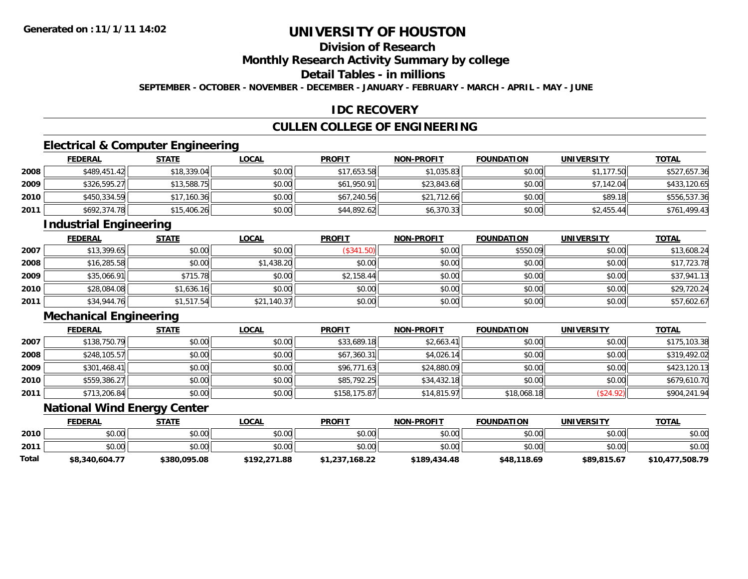# **Division of Research**

# **Monthly Research Activity Summary by college**

# **Detail Tables - in millions**

**SEPTEMBER - OCTOBER - NOVEMBER - DECEMBER - JANUARY - FEBRUARY - MARCH - APRIL - MAY - JUNE**

### **IDC RECOVERY**

### **CULLEN COLLEGE OF ENGINEERING**

# **Electrical & Computer Engineering**

|      | <b>FEDERAL</b> | <b>STATE</b> | <b>LOCAL</b> | <b>PROFIT</b> | <b>NON-PROFIT</b> | <b>FOUNDATION</b> | <b>UNIVERSITY</b> | <b>TOTAL</b> |
|------|----------------|--------------|--------------|---------------|-------------------|-------------------|-------------------|--------------|
| 2008 | \$489,451.42   | \$18,339.04  | \$0.00       | \$17,653.58   | \$1,035.83        | \$0.00            | \$1,177.50        | \$527,657.36 |
| 2009 | \$326,595.27   | \$13,588.75  | \$0.00       | \$61,950.91   | \$23,843.68       | \$0.00            | \$7,142.04        | \$433,120.65 |
| 2010 | \$450,334.59   | \$17,160.36  | \$0.00       | \$67,240.56   | \$21,712.66       | \$0.00            | \$89.18           | \$556,537.36 |
| 2011 | \$692,374.78   | \$15,406.26  | \$0.00       | \$44,892.62   | \$6,370.33        | \$0.00            | \$2,455.44        | \$761,499.43 |

#### **Industrial Engineering**

|      | <b>FEDERAL</b> | <b>STATE</b> | <u>LOCAL</u> | <b>PROFIT</b> | <b>NON-PROFIT</b> | <b>FOUNDATION</b> | <b>UNIVERSITY</b> | <u>TOTAL</u> |
|------|----------------|--------------|--------------|---------------|-------------------|-------------------|-------------------|--------------|
| 2007 | \$13,399.65    | \$0.00       | \$0.00       | (\$341.50)    | \$0.00            | \$550.09          | \$0.00            | \$13,608.24  |
| 2008 | \$16,285.58    | \$0.00       | \$1,438.20   | \$0.00        | \$0.00            | \$0.00            | \$0.00            | \$17,723.78  |
| 2009 | \$35,066.91    | \$715.78     | \$0.00       | \$2,158.44    | \$0.00            | \$0.00            | \$0.00            | \$37,941.13  |
| 2010 | \$28,084.08    | \$1,636.16   | \$0.00       | \$0.00        | \$0.00            | \$0.00            | \$0.00            | \$29,720.24  |
| 2011 | \$34,944.76    | \$1,517.54   | \$21,140.37  | \$0.00        | \$0.00            | \$0.00            | \$0.00            | \$57,602.67  |

## **Mechanical Engineering**

|      | <u>FEDERAL</u> | <b>STATE</b> | <b>LOCAL</b> | <b>PROFIT</b> | <b>NON-PROFIT</b> | <b>FOUNDATION</b> | <b>UNIVERSITY</b> | <b>TOTAL</b> |
|------|----------------|--------------|--------------|---------------|-------------------|-------------------|-------------------|--------------|
| 2007 | \$138,750.79   | \$0.00       | \$0.00       | \$33,689.18   | \$2,663.41        | \$0.00            | \$0.00            | \$175,103.38 |
| 2008 | \$248,105.57   | \$0.00       | \$0.00       | \$67,360.31   | \$4,026.14        | \$0.00            | \$0.00            | \$319,492.02 |
| 2009 | \$301,468.41   | \$0.00       | \$0.00       | \$96,771.63   | \$24,880.09       | \$0.00            | \$0.00            | \$423,120.13 |
| 2010 | \$559,386.27   | \$0.00       | \$0.00       | \$85,792.25   | \$34,432.18       | \$0.00            | \$0.00            | \$679,610.70 |
| 2011 | \$713,206.84   | \$0.00       | \$0.00       | \$158,175.87  | \$14,815.97       | \$18,068.18       | \$24.92           | \$904,241.94 |

## **National Wind Energy Center**

|       | <b>FEDERAL</b> | <b>STATE</b> | <u>LOCAL</u> | <b>PROFIT</b>  | <b>NON-PROFIT</b> | <b>FOUNDATION</b> | <b>UNIVERSITY</b> | <b>TOTAL</b>    |
|-------|----------------|--------------|--------------|----------------|-------------------|-------------------|-------------------|-----------------|
| 2010  | \$0.00         | \$0.00       | \$0.00       | \$0.00         | \$0.00            | \$0.00            | \$0.00            | \$0.00          |
| 2011  | \$0.00         | \$0.00       | \$0.00       | \$0.00         | \$0.00            | \$0.00            | \$0.00            | \$0.00          |
| Total | \$8,340,604.77 | \$380,095.08 | \$192,271.88 | \$1,237,168.22 | \$189,434.48      | \$48,118.69       | \$89,815.67       | \$10,477,508.79 |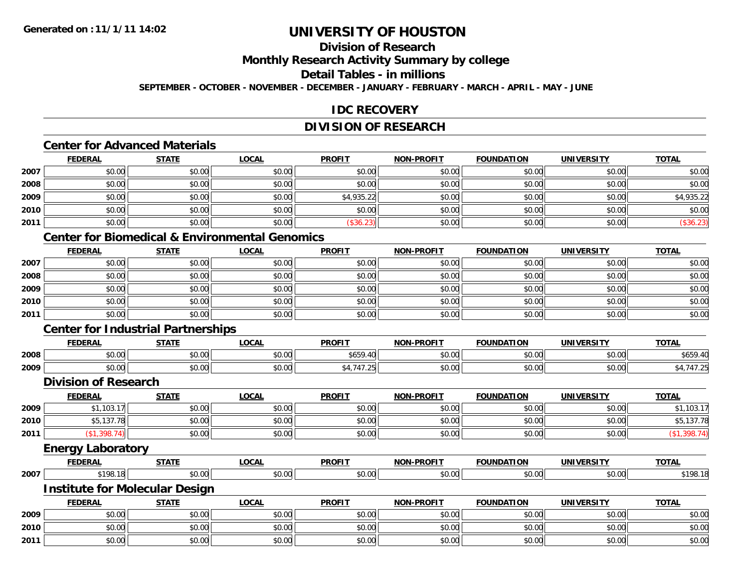# **Division of Research**

## **Monthly Research Activity Summary by college**

### **Detail Tables - in millions**

**SEPTEMBER - OCTOBER - NOVEMBER - DECEMBER - JANUARY - FEBRUARY - MARCH - APRIL - MAY - JUNE**

### **IDC RECOVERY**

### **DIVISION OF RESEARCH**

# **Center for Advanced Materials**

|      | <b>FEDERAL</b> | <b>STATE</b> | <u>LOCAL</u> | <b>PROFIT</b> | <b>NON-PROFIT</b> | <b>FOUNDATION</b> | <b>UNIVERSITY</b> | <u>TOTAL</u> |
|------|----------------|--------------|--------------|---------------|-------------------|-------------------|-------------------|--------------|
| 2007 | \$0.00         | \$0.00       | \$0.00       | \$0.00        | \$0.00            | \$0.00            | \$0.00            | \$0.00       |
| 2008 | \$0.00         | \$0.00       | \$0.00       | \$0.00        | \$0.00            | \$0.00            | \$0.00            | \$0.00       |
| 2009 | \$0.00         | \$0.00       | \$0.00       | \$4,935.22    | \$0.00            | \$0.00            | \$0.00            | \$4,935.22   |
| 2010 | \$0.00         | \$0.00       | \$0.00       | \$0.00        | \$0.00            | \$0.00            | \$0.00            | \$0.00       |
| 2011 | \$0.00         | \$0.00       | \$0.00       | \$36.23       | \$0.00            | \$0.00            | \$0.00            | (\$36.23)    |

# **Center for Biomedical & Environmental Genomics**

|      | <b>FEDERAL</b> | <b>STATE</b> | <b>LOCAL</b> | <b>PROFIT</b> | <b>NON-PROFIT</b> | <b>FOUNDATION</b> | <b>UNIVERSITY</b> | <b>TOTAL</b> |
|------|----------------|--------------|--------------|---------------|-------------------|-------------------|-------------------|--------------|
| 2007 | \$0.00         | \$0.00       | \$0.00       | \$0.00        | \$0.00            | \$0.00            | \$0.00            | \$0.00       |
| 2008 | \$0.00         | \$0.00       | \$0.00       | \$0.00        | \$0.00            | \$0.00            | \$0.00            | \$0.00       |
| 2009 | \$0.00         | \$0.00       | \$0.00       | \$0.00        | \$0.00            | \$0.00            | \$0.00            | \$0.00       |
| 2010 | \$0.00         | \$0.00       | \$0.00       | \$0.00        | \$0.00            | \$0.00            | \$0.00            | \$0.00       |
| 2011 | \$0.00         | \$0.00       | \$0.00       | \$0.00        | \$0.00            | \$0.00            | \$0.00            | \$0.00       |

# **Center for Industrial Partnerships**

|      | <b>FEDERAL</b> | <b>STATE</b> | LOCAL              | <b>PROFIT</b>                                                                                        | <b>NON-PROFIT</b> | <b>FOUNDATION</b> | <b>UNIVERSITY</b>    | <u>TOTAL</u>      |
|------|----------------|--------------|--------------------|------------------------------------------------------------------------------------------------------|-------------------|-------------------|----------------------|-------------------|
| 2008 | 0000<br>PU.UU  | \$0.00       | $\sim$ 00<br>PU.UU | \$659<br>$\sim$                                                                                      | \$0.00            | \$0.00            | 0000<br>JU.UU        | $+ - -$<br>\$659. |
| 2009 | 0000<br>vu.uu  | \$0.00       | ቀስ ሰሰ<br>DU.UG     | $\rightarrow$ $\rightarrow$ $\rightarrow$<br>$\sim$ $-$<br>$\overline{\phantom{a}}$<br><u>— т. н</u> | \$0.00            | \$0.00            | 0000<br><b>JU.UU</b> | .                 |

#### **Division of Research**

|      | <b>FEDERAL</b>   | <u>STATE</u> | <u>LOCAL</u> | <b>PROFIT</b> | <b>NON-PROFIT</b> | <b>FOUNDATION</b> | <b>UNIVERSITY</b> | <b>TOTAL</b> |
|------|------------------|--------------|--------------|---------------|-------------------|-------------------|-------------------|--------------|
| 2009 | 103 17<br>1 UJ.I | \$0.00       | \$0.00       | \$0.00        | \$0.00            | \$0.00            | \$0.00            | \$1,103.17   |
| 2010 | 45,137.7         | \$0.00       | \$0.00       | \$0.00        | \$0.00            | \$0.00            | \$0.00            | \$5,137.78   |
| 2011 | 398              | \$0.00       | \$0.00       | \$0.00        | \$0.00            | \$0.00            | \$0.00            |              |
|      |                  |              |              |               |                   |                   |                   |              |

#### **Energy Laboratory**

|      | <b>FEDERAI</b> | -----<br>JIAI. | <b>OCAI</b>               | <b>PROFIT</b>  | NON-PROFI <sup>7</sup> | ΊΩΝ<br>-------<br>אוור | <b>UNIVERSITY</b> | $T^*$       |
|------|----------------|----------------|---------------------------|----------------|------------------------|------------------------|-------------------|-------------|
| 2007 | AA             |                | $\sim$ 00 $\sim$<br>וטטוע | ሶስ ሰሰ<br>וט.טי | $\sim$<br>DU.UU        | .<br>$\sim$<br>wu      | 0.001             | .100<br>,,, |

#### **Institute for Molecular Design**

|      | <b>FEDERAL</b> | <b>STATE</b> | <b>LOCAL</b>              | <b>PROFIT</b>                                      | <b>NON-PROFIT</b> | <b>FOUNDATION</b> | <b>UNIVERSITY</b> | <b>TOTAL</b> |
|------|----------------|--------------|---------------------------|----------------------------------------------------|-------------------|-------------------|-------------------|--------------|
| 2009 | 60.00<br>DU.UU | \$0.00       | ሖጣ<br>$\sim$<br>DU.UU     | $\mathfrak{c}\cap\mathfrak{c}\cap$<br><b>JU.UU</b> | ልስ ስስ<br>JU.UU    | \$0.00            | \$0.00            | \$0.00       |
| 2010 | \$0.00         | \$0.00       | $\sim$ 00<br><b>DU.UU</b> | $\mathfrak{e}\cap\mathfrak{u}\cap$<br>\$U.UU       | 0000<br>\$U.UU    | \$0.00            | \$0.00            | \$0.00       |
| 2011 | \$0.00         | \$0.00       | 0000<br>DU.UU             | \$0.00                                             | \$0.00            | \$0.00            | \$0.00            | \$0.00       |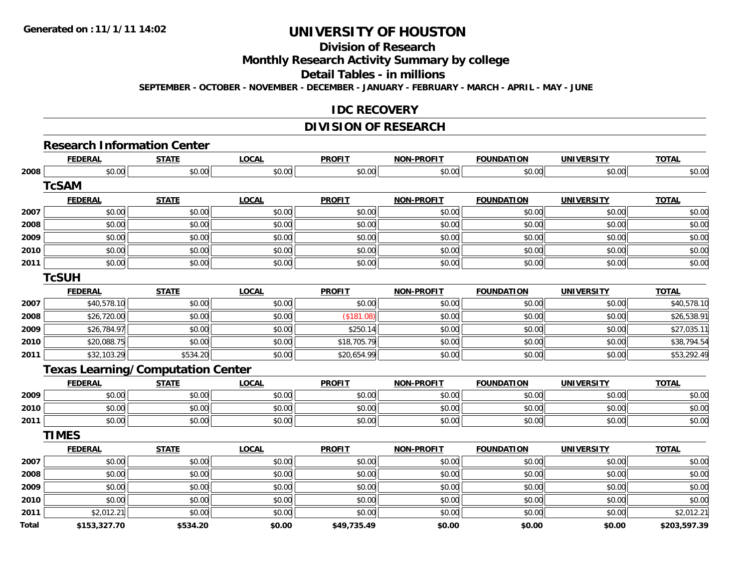### **Division of Research**

### **Monthly Research Activity Summary by college**

### **Detail Tables - in millions**

**SEPTEMBER - OCTOBER - NOVEMBER - DECEMBER - JANUARY - FEBRUARY - MARCH - APRIL - MAY - JUNE**

### **IDC RECOVERY**

### **DIVISION OF RESEARCH**

### **Research Information Center**

|       | <b>FEDERAL</b>                           | <b>STATE</b> | <b>LOCAL</b> | <b>PROFIT</b> | <b>NON-PROFIT</b> | <b>FOUNDATION</b> | <b>UNIVERSITY</b> | <b>TOTAL</b> |
|-------|------------------------------------------|--------------|--------------|---------------|-------------------|-------------------|-------------------|--------------|
| 2008  | \$0.00                                   | \$0.00       | \$0.00       | \$0.00        | \$0.00            | \$0.00            | \$0.00            | \$0.00       |
|       | <b>TcSAM</b>                             |              |              |               |                   |                   |                   |              |
|       | <b>FEDERAL</b>                           | <b>STATE</b> | <b>LOCAL</b> | <b>PROFIT</b> | <b>NON-PROFIT</b> | <b>FOUNDATION</b> | <b>UNIVERSITY</b> | <b>TOTAL</b> |
| 2007  | \$0.00                                   | \$0.00       | \$0.00       | \$0.00        | \$0.00            | \$0.00            | \$0.00            | \$0.00       |
| 2008  | \$0.00                                   | \$0.00       | \$0.00       | \$0.00        | \$0.00            | \$0.00            | \$0.00            | \$0.00       |
| 2009  | \$0.00                                   | \$0.00       | \$0.00       | \$0.00        | \$0.00            | \$0.00            | \$0.00            | \$0.00       |
| 2010  | \$0.00                                   | \$0.00       | \$0.00       | \$0.00        | \$0.00            | \$0.00            | \$0.00            | \$0.00       |
| 2011  | \$0.00                                   | \$0.00       | \$0.00       | \$0.00        | \$0.00            | \$0.00            | \$0.00            | \$0.00       |
|       | <b>TcSUH</b>                             |              |              |               |                   |                   |                   |              |
|       | <b>FEDERAL</b>                           | <b>STATE</b> | <b>LOCAL</b> | <b>PROFIT</b> | <b>NON-PROFIT</b> | <b>FOUNDATION</b> | <b>UNIVERSITY</b> | <b>TOTAL</b> |
| 2007  | \$40,578.10                              | \$0.00       | \$0.00       | \$0.00        | \$0.00            | \$0.00            | \$0.00            | \$40,578.10  |
| 2008  | \$26,720.00                              | \$0.00       | \$0.00       | (\$181.08)    | \$0.00            | \$0.00            | \$0.00            | \$26,538.91  |
| 2009  | \$26,784.97                              | \$0.00       | \$0.00       | \$250.14      | \$0.00            | \$0.00            | \$0.00            | \$27,035.11  |
| 2010  | \$20,088.75                              | \$0.00       | \$0.00       | \$18,705.79   | \$0.00            | \$0.00            | \$0.00            | \$38,794.54  |
| 2011  | \$32,103.29                              | \$534.20     | \$0.00       | \$20,654.99   | \$0.00            | \$0.00            | \$0.00            | \$53,292.49  |
|       | <b>Texas Learning/Computation Center</b> |              |              |               |                   |                   |                   |              |
|       | <b>FEDERAL</b>                           | <b>STATE</b> | <b>LOCAL</b> | <b>PROFIT</b> | <b>NON-PROFIT</b> | <b>FOUNDATION</b> | <b>UNIVERSITY</b> | <b>TOTAL</b> |
| 2009  | \$0.00                                   | \$0.00       | \$0.00       | \$0.00        | \$0.00            | \$0.00            | \$0.00            | \$0.00       |
| 2010  | \$0.00                                   | \$0.00       | \$0.00       | \$0.00        | \$0.00            | \$0.00            | \$0.00            | \$0.00       |
| 2011  | \$0.00                                   | \$0.00       | \$0.00       | \$0.00        | \$0.00            | \$0.00            | \$0.00            | \$0.00       |
|       | <b>TIMES</b>                             |              |              |               |                   |                   |                   |              |
|       | <b>FEDERAL</b>                           | <b>STATE</b> | <b>LOCAL</b> | <b>PROFIT</b> | <b>NON-PROFIT</b> | <b>FOUNDATION</b> | <b>UNIVERSITY</b> | <b>TOTAL</b> |
| 2007  | \$0.00                                   | \$0.00       | \$0.00       | \$0.00        | \$0.00            | \$0.00            | \$0.00            | \$0.00       |
| 2008  | \$0.00                                   | \$0.00       | \$0.00       | \$0.00        | \$0.00            | \$0.00            | \$0.00            | \$0.00       |
| 2009  | \$0.00                                   | \$0.00       | \$0.00       | \$0.00        | \$0.00            | \$0.00            | \$0.00            | \$0.00       |
| 2010  | \$0.00                                   | \$0.00       | \$0.00       | \$0.00        | \$0.00            | \$0.00            | \$0.00            | \$0.00       |
| 2011  | \$2,012.21                               | \$0.00       | \$0.00       | \$0.00        | \$0.00            | \$0.00            | \$0.00            | \$2,012.21   |
| Total | \$153,327.70                             | \$534.20     | \$0.00       | \$49,735.49   | \$0.00            | \$0.00            | \$0.00            | \$203,597.39 |
|       |                                          |              |              |               |                   |                   |                   |              |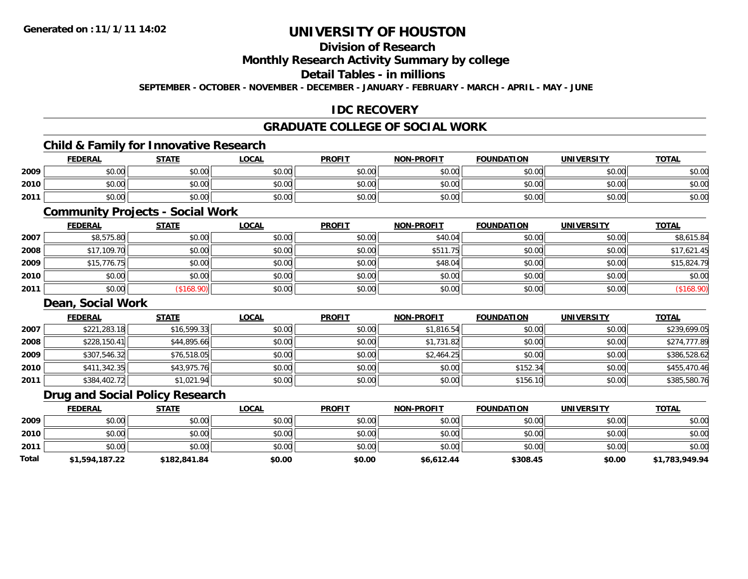# **Division of Research**

### **Monthly Research Activity Summary by college**

### **Detail Tables - in millions**

**SEPTEMBER - OCTOBER - NOVEMBER - DECEMBER - JANUARY - FEBRUARY - MARCH - APRIL - MAY - JUNE**

### **IDC RECOVERY**

### **GRADUATE COLLEGE OF SOCIAL WORK**

### **Child & Family for Innovative Research**

|      | <b>FEDERAL</b> | <b>STATE</b> | <u>LOCAL</u> | <b>PROFIT</b> | <b>NON-PROFIT</b> | <b>FOUNDATION</b> | <b>UNIVERSITY</b> | <b>TOTAL</b> |
|------|----------------|--------------|--------------|---------------|-------------------|-------------------|-------------------|--------------|
| 2009 | \$0.00         | \$0.00       | \$0.00       | \$0.00        | \$0.00            | \$0.00            | \$0.00            | \$0.00       |
| 2010 | \$0.00         | \$0.00       | \$0.00       | \$0.00        | \$0.00            | \$0.00            | \$0.00            | \$0.00       |
| 2011 | \$0.00         | \$0.00       | \$0.00       | \$0.00        | \$0.00            | \$0.00            | \$0.00 l          | \$0.00       |

### **Community Projects - Social Work**

|      | <u>FEDERAL</u> | <b>STATE</b> | <u>LOCAL</u> | <b>PROFIT</b> | <b>NON-PROFIT</b> | <b>FOUNDATION</b> | <b>UNIVERSITY</b> | <b>TOTAL</b> |
|------|----------------|--------------|--------------|---------------|-------------------|-------------------|-------------------|--------------|
| 2007 | \$8,575.80     | \$0.00       | \$0.00       | \$0.00        | \$40.04           | \$0.00            | \$0.00            | \$8,615.84   |
| 2008 | \$17,109.70    | \$0.00       | \$0.00       | \$0.00        | \$511.75          | \$0.00            | \$0.00            | \$17,621.45  |
| 2009 | \$15,776.75    | \$0.00       | \$0.00       | \$0.00        | \$48.04           | \$0.00            | \$0.00            | \$15,824.79  |
| 2010 | \$0.00         | \$0.00       | \$0.00       | \$0.00        | \$0.00            | \$0.00            | \$0.00            | \$0.00       |
| 2011 | \$0.00         | \$168.90     | \$0.00       | \$0.00        | \$0.00            | \$0.00            | \$0.00            | (\$168.90)   |

#### **Dean, Social Work**

|      | <b>FEDERAL</b> | <b>STATE</b> | <b>LOCAL</b> | <b>PROFIT</b> | <b>NON-PROFIT</b> | <b>FOUNDATION</b> | <b>UNIVERSITY</b> | <b>TOTAL</b> |
|------|----------------|--------------|--------------|---------------|-------------------|-------------------|-------------------|--------------|
| 2007 | \$221,283.18   | \$16,599.33  | \$0.00       | \$0.00        | \$1,816.54        | \$0.00            | \$0.00            | \$239,699.05 |
| 2008 | \$228,150.41   | \$44,895.66  | \$0.00       | \$0.00        | \$1,731.82        | \$0.00            | \$0.00            | \$274,777.89 |
| 2009 | \$307,546.32   | \$76,518.05  | \$0.00       | \$0.00        | \$2,464.25        | \$0.00            | \$0.00            | \$386,528.62 |
| 2010 | \$411,342.35   | \$43,975.76  | \$0.00       | \$0.00        | \$0.00            | \$152.34          | \$0.00            | \$455,470.46 |
| 2011 | \$384,402.72   | \$1,021.94   | \$0.00       | \$0.00        | \$0.00            | \$156.10          | \$0.00            | \$385,580.76 |

### **Drug and Social Policy Research**

|       | <b>FEDERAL</b> | <b>STATE</b> | <b>LOCAL</b> | <b>PROFIT</b> | <b>NON-PROFIT</b> | <b>FOUNDATION</b> | <b>UNIVERSITY</b> | <b>TOTAL</b>   |
|-------|----------------|--------------|--------------|---------------|-------------------|-------------------|-------------------|----------------|
| 2009  | \$0.00         | \$0.00       | \$0.00       | \$0.00        | \$0.00            | \$0.00            | \$0.00            | \$0.00         |
| 2010  | \$0.00         | \$0.00       | \$0.00       | \$0.00        | \$0.00            | \$0.00            | \$0.00            | \$0.00         |
| 2011  | \$0.00         | \$0.00       | \$0.00       | \$0.00        | \$0.00            | \$0.00            | \$0.00            | \$0.00         |
| Total | \$1,594,187.22 | \$182,841.84 | \$0.00       | \$0.00        | \$6,612.44        | \$308.45          | \$0.00            | \$1,783,949.94 |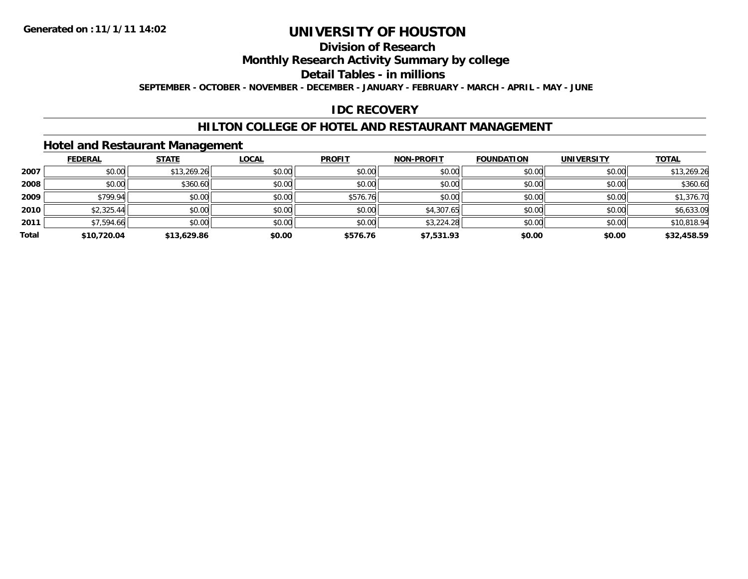### **Division of Research**

### **Monthly Research Activity Summary by college**

### **Detail Tables - in millions**

**SEPTEMBER - OCTOBER - NOVEMBER - DECEMBER - JANUARY - FEBRUARY - MARCH - APRIL - MAY - JUNE**

### **IDC RECOVERY**

### **HILTON COLLEGE OF HOTEL AND RESTAURANT MANAGEMENT**

### **Hotel and Restaurant Management**

|       | <b>FEDERAL</b> | <b>STATE</b> | <b>LOCAL</b> | <b>PROFIT</b> | <b>NON-PROFIT</b> | <b>FOUNDATION</b> | <b>UNIVERSITY</b> | <b>TOTAL</b> |
|-------|----------------|--------------|--------------|---------------|-------------------|-------------------|-------------------|--------------|
| 2007  | \$0.00         | \$13,269.26  | \$0.00       | \$0.00        | \$0.00            | \$0.00            | \$0.00            | \$13,269.26  |
| 2008  | \$0.00         | \$360.60     | \$0.00       | \$0.00        | \$0.00            | \$0.00            | \$0.00            | \$360.60     |
| 2009  | \$799.94       | \$0.00       | \$0.00       | \$576.76      | \$0.00            | \$0.00            | \$0.00            | \$1,376.70   |
| 2010  | \$2,325.44     | \$0.00       | \$0.00       | \$0.00        | \$4,307.65        | \$0.00            | \$0.00            | \$6,633.09   |
| 2011  | \$7,594.66     | \$0.00       | \$0.00       | \$0.00        | \$3,224.28        | \$0.00            | \$0.00            | \$10,818.94  |
| Total | \$10,720.04    | \$13,629.86  | \$0.00       | \$576.76      | \$7,531.93        | \$0.00            | \$0.00            | \$32,458.59  |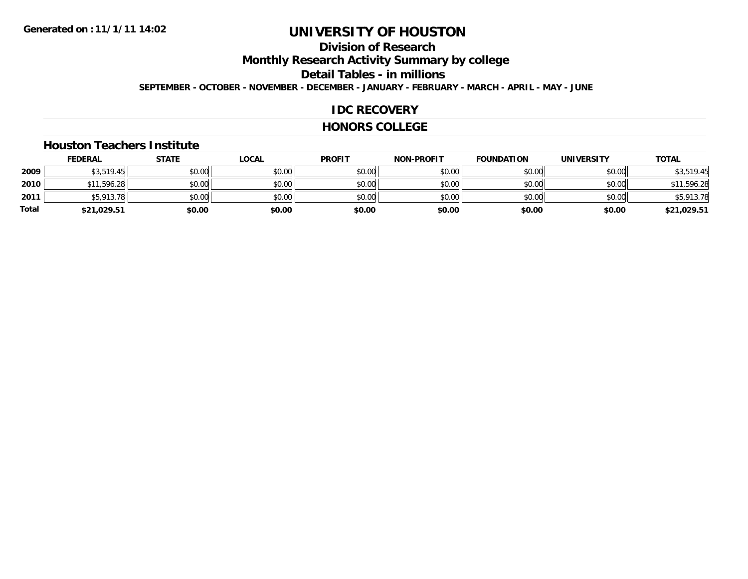### **Division of ResearchMonthly Research Activity Summary by college Detail Tables - in millions**

**SEPTEMBER - OCTOBER - NOVEMBER - DECEMBER - JANUARY - FEBRUARY - MARCH - APRIL - MAY - JUNE**

### **IDC RECOVERY**

#### **HONORS COLLEGE**

#### **Houston Teachers Institute**

|       | <b>FEDERAL</b> | <b>STATE</b> | <b>LOCAL</b> | <b>PROFIT</b> | <b>NON-PROFIT</b> | <b>FOUNDATION</b> | <b>UNIVERSITY</b> | <b>TOTAL</b> |
|-------|----------------|--------------|--------------|---------------|-------------------|-------------------|-------------------|--------------|
| 2009  | \$3,519.45     | \$0.00       | \$0.00       | \$0.00        | \$0.00            | \$0.00            | \$0.00            | \$3,519.45   |
| 2010  | \$11,596.28    | \$0.00       | \$0.00       | \$0.00        | \$0.00            | \$0.00            | \$0.00            | \$11,596.28  |
| 2011  | \$5,913.78     | \$0.00       | \$0.00       | \$0.00        | \$0.00            | \$0.00            | \$0.00            | \$5,913.78   |
| Total | \$21,029.51    | \$0.00       | \$0.00       | \$0.00        | \$0.00            | \$0.00            | \$0.00            | \$21,029.51  |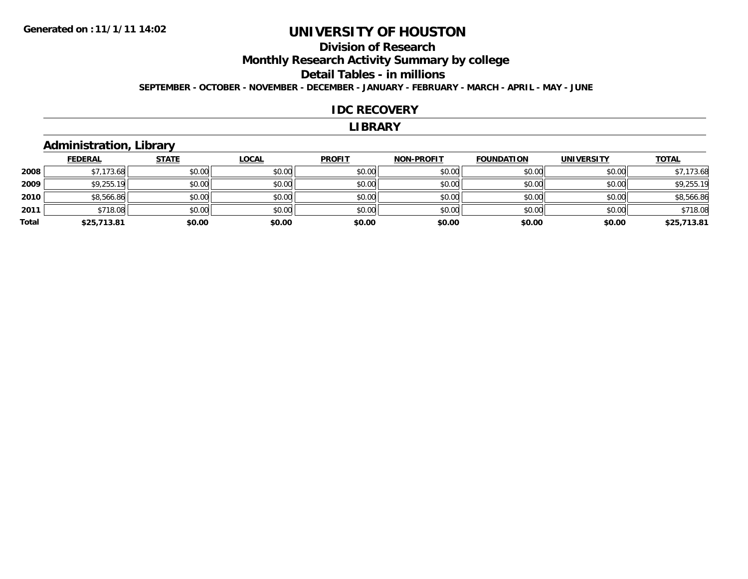### **Division of ResearchMonthly Research Activity Summary by college Detail Tables - in millions SEPTEMBER - OCTOBER - NOVEMBER - DECEMBER - JANUARY - FEBRUARY - MARCH - APRIL - MAY - JUNE**

#### **IDC RECOVERY**

#### **LIBRARY**

### **Administration, Library**

|       | <b>FEDERAL</b> | <b>STATE</b> | <b>LOCAL</b> | <b>PROFIT</b> | <b>NON-PROFIT</b> | <b>FOUNDATION</b> | <b>UNIVERSITY</b> | <b>TOTAL</b> |
|-------|----------------|--------------|--------------|---------------|-------------------|-------------------|-------------------|--------------|
| 2008  | \$7,173.68     | \$0.00       | \$0.00       | \$0.00        | \$0.00            | \$0.00            | \$0.00            | \$7,173.68   |
| 2009  | \$9,255.19     | \$0.00       | \$0.00       | \$0.00        | \$0.00            | \$0.00            | \$0.00            | \$9,255.19   |
| 2010  | \$8,566.86     | \$0.00       | \$0.00       | \$0.00        | \$0.00            | \$0.00            | \$0.00            | \$8,566.86   |
| 2011  | \$718.08       | \$0.00       | \$0.00       | \$0.00        | \$0.00            | \$0.00            | \$0.00            | \$718.08     |
| Total | \$25,713.81    | \$0.00       | \$0.00       | \$0.00        | \$0.00            | \$0.00            | \$0.00            | \$25,713.81  |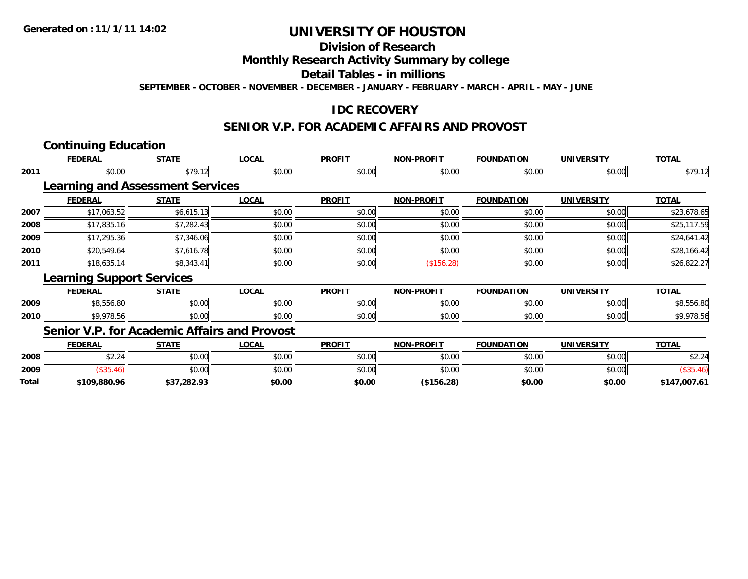## **Division of Research**

### **Monthly Research Activity Summary by college**

### **Detail Tables - in millions**

**SEPTEMBER - OCTOBER - NOVEMBER - DECEMBER - JANUARY - FEBRUARY - MARCH - APRIL - MAY - JUNE**

### **IDC RECOVERY**

#### **SENIOR V.P. FOR ACADEMIC AFFAIRS AND PROVOST**

### **Continuing Education**

|      | <b>FEDERAL</b>                                      | <b>STATE</b> | <b>LOCAL</b> | <b>PROFIT</b> | <b>NON-PROFIT</b> | <b>FOUNDATION</b> | <b>UNIVERSITY</b> | <b>TOTAL</b> |
|------|-----------------------------------------------------|--------------|--------------|---------------|-------------------|-------------------|-------------------|--------------|
| 2011 | \$0.00                                              | \$79.12      | \$0.00       | \$0.00        | \$0.00            | \$0.00            | \$0.00            | \$79.12      |
|      | <b>Learning and Assessment Services</b>             |              |              |               |                   |                   |                   |              |
|      | <b>FEDERAL</b>                                      | <b>STATE</b> | <b>LOCAL</b> | <b>PROFIT</b> | <b>NON-PROFIT</b> | <b>FOUNDATION</b> | <b>UNIVERSITY</b> | <b>TOTAL</b> |
| 2007 | \$17,063.52                                         | \$6,615.13   | \$0.00       | \$0.00        | \$0.00            | \$0.00            | \$0.00            | \$23,678.65  |
| 2008 | \$17,835.16                                         | \$7,282.43   | \$0.00       | \$0.00        | \$0.00            | \$0.00            | \$0.00            | \$25,117.59  |
| 2009 | \$17,295.36                                         | \$7,346.06   | \$0.00       | \$0.00        | \$0.00            | \$0.00            | \$0.00            | \$24,641.42  |
| 2010 | \$20,549.64                                         | \$7,616.78   | \$0.00       | \$0.00        | \$0.00            | \$0.00            | \$0.00            | \$28,166.42  |
| 2011 | \$18,635.14                                         | \$8,343.41   | \$0.00       | \$0.00        | (\$156.28)        | \$0.00            | \$0.00            | \$26,822.27  |
|      | <b>Learning Support Services</b>                    |              |              |               |                   |                   |                   |              |
|      | <b>FEDERAL</b>                                      | <b>STATE</b> | <b>LOCAL</b> | <b>PROFIT</b> | <b>NON-PROFIT</b> | <b>FOUNDATION</b> | <b>UNIVERSITY</b> | <b>TOTAL</b> |
| 2009 | \$8,556.80                                          | \$0.00       | \$0.00       | \$0.00        | \$0.00            | \$0.00            | \$0.00            | \$8,556.80   |
| 2010 | \$9,978.56                                          | \$0.00       | \$0.00       | \$0.00        | \$0.00            | \$0.00            | \$0.00            | \$9,978.56   |
|      | <b>Senior V.P. for Academic Affairs and Provost</b> |              |              |               |                   |                   |                   |              |
|      |                                                     |              |              |               |                   |                   |                   |              |

|       | <b>FEDERAL</b> | STATE       | LOCAL  | <b>PROFIT</b> | <b>NON-PROFIT</b> | <b>FOUNDATION</b> | <b>UNIVERSITY</b><br>кэ. | <u>TOTAL</u> |
|-------|----------------|-------------|--------|---------------|-------------------|-------------------|--------------------------|--------------|
| 2008  | 2.24           | \$0.00      | JU.UU  | \$0.00        | \$0.00            | \$0.00            | 0000<br>JU.UU            | \$2.24       |
| 2009  |                | \$0.00      | JU.UU  | \$0.00        | \$0.00            | en nn             | en nn<br>DU.UU           |              |
| Total | \$109,880.96   | \$37,282.93 | \$0.00 | \$0.00        | \$156.28          | \$0.00            | \$0.00                   | \$147,007.61 |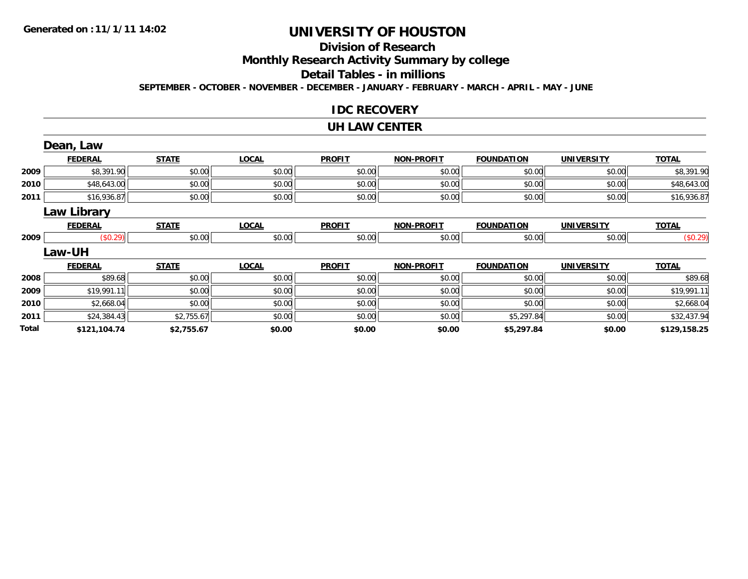# **Division of Research**

# **Monthly Research Activity Summary by college**

#### **Detail Tables - in millions**

**SEPTEMBER - OCTOBER - NOVEMBER - DECEMBER - JANUARY - FEBRUARY - MARCH - APRIL - MAY - JUNE**

### **IDC RECOVERY**

#### **UH LAW CENTER**

|       | Dean, Law          |              |              |               |                   |                   |                   |              |
|-------|--------------------|--------------|--------------|---------------|-------------------|-------------------|-------------------|--------------|
|       | <b>FEDERAL</b>     | <b>STATE</b> | <b>LOCAL</b> | <b>PROFIT</b> | <b>NON-PROFIT</b> | <b>FOUNDATION</b> | <b>UNIVERSITY</b> | <b>TOTAL</b> |
| 2009  | \$8,391.90         | \$0.00       | \$0.00       | \$0.00        | \$0.00            | \$0.00            | \$0.00            | \$8,391.90   |
| 2010  | \$48,643.00        | \$0.00       | \$0.00       | \$0.00        | \$0.00            | \$0.00            | \$0.00            | \$48,643.00  |
| 2011  | \$16,936.87        | \$0.00       | \$0.00       | \$0.00        | \$0.00            | \$0.00            | \$0.00            | \$16,936.87  |
|       | <b>Law Library</b> |              |              |               |                   |                   |                   |              |
|       | <b>FEDERAL</b>     | <b>STATE</b> | <b>LOCAL</b> | <b>PROFIT</b> | <b>NON-PROFIT</b> | <b>FOUNDATION</b> | <b>UNIVERSITY</b> | <b>TOTAL</b> |
| 2009  | (\$0.29)           | \$0.00       | \$0.00       | \$0.00        | \$0.00            | \$0.00            | \$0.00            | (\$0.29)     |
|       | <b>Law-UH</b>      |              |              |               |                   |                   |                   |              |
|       | <b>FEDERAL</b>     | <b>STATE</b> | <b>LOCAL</b> | <b>PROFIT</b> | <b>NON-PROFIT</b> | <b>FOUNDATION</b> | <b>UNIVERSITY</b> | <b>TOTAL</b> |
| 2008  | \$89.68            | \$0.00       | \$0.00       | \$0.00        | \$0.00            | \$0.00            | \$0.00            | \$89.68      |
| 2009  | \$19,991.11        | \$0.00       | \$0.00       | \$0.00        | \$0.00            | \$0.00            | \$0.00            | \$19,991.11  |
| 2010  | \$2,668.04         | \$0.00       | \$0.00       | \$0.00        | \$0.00            | \$0.00            | \$0.00            | \$2,668.04   |
| 2011  | \$24,384.43        | \$2,755.67   | \$0.00       | \$0.00        | \$0.00            | \$5,297.84        | \$0.00            | \$32,437.94  |
| Total | \$121,104.74       | \$2,755.67   | \$0.00       | \$0.00        | \$0.00            | \$5,297.84        | \$0.00            | \$129,158.25 |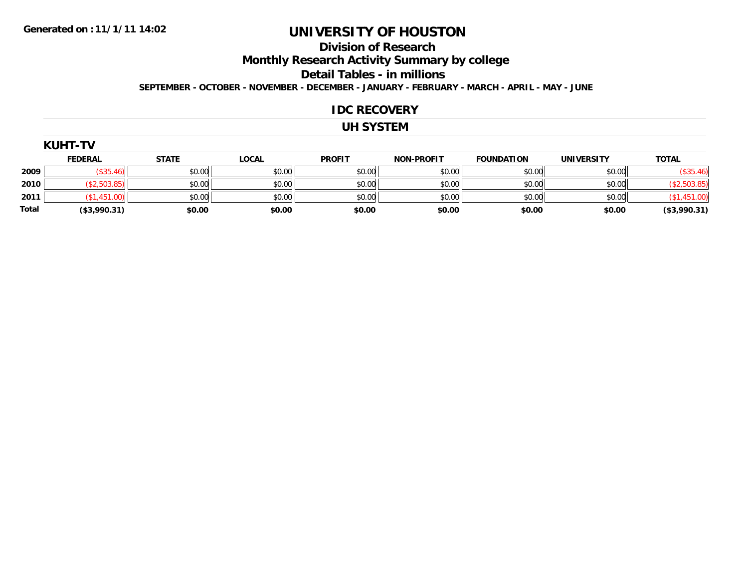### **Division of ResearchMonthly Research Activity Summary by college Detail Tables - in millions**

**SEPTEMBER - OCTOBER - NOVEMBER - DECEMBER - JANUARY - FEBRUARY - MARCH - APRIL - MAY - JUNE**

#### **IDC RECOVERY**

### **UH SYSTEM**

| UHI |
|-----|
|-----|

|              | <b>FEDERAL</b> | <b>STATE</b> | <b>LOCAL</b> | <b>PROFIT</b> | <b>NON-PROFIT</b> | <b>FOUNDATION</b> | <b>UNIVERSITY</b> | <b>TOTAL</b>    |
|--------------|----------------|--------------|--------------|---------------|-------------------|-------------------|-------------------|-----------------|
| 2009         |                | \$0.00       | \$0.00       | \$0.00        | \$0.00            | \$0.00            | \$0.00            | \$35.46         |
| 2010         |                | \$0.00       | \$0.00       | \$0.00        | \$0.00            | \$0.00            | \$0.00            |                 |
| 2011         |                | \$0.00       | \$0.00       | \$0.00        | \$0.00            | \$0.00            | \$0.00            |                 |
| <b>Total</b> | ( \$3,990.31)  | \$0.00       | \$0.00       | \$0.00        | \$0.00            | \$0.00            | \$0.00            | $($ \$3,990.31) |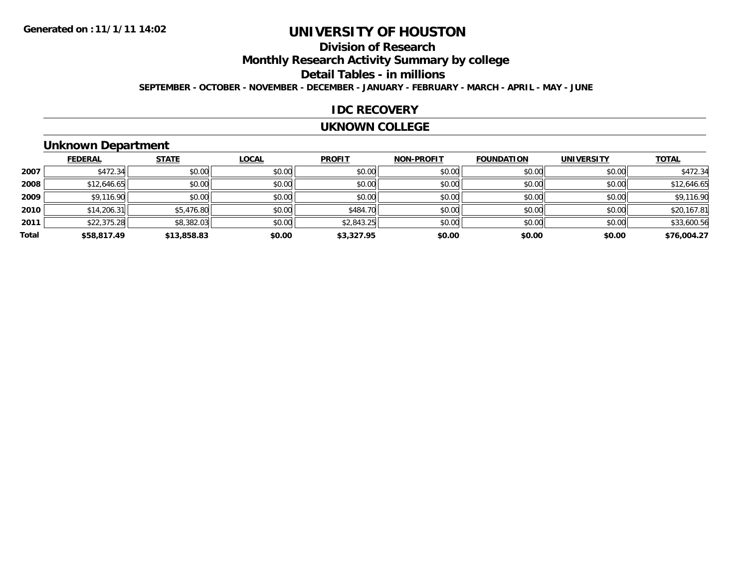# **Division of Research**

# **Monthly Research Activity Summary by college**

#### **Detail Tables - in millions**

**SEPTEMBER - OCTOBER - NOVEMBER - DECEMBER - JANUARY - FEBRUARY - MARCH - APRIL - MAY - JUNE**

### **IDC RECOVERY**

#### **UKNOWN COLLEGE**

### **Unknown Department**

|       | <b>FEDERAL</b> | <b>STATE</b> | <b>LOCAL</b> | <b>PROFIT</b> | <b>NON-PROFIT</b> | <b>FOUNDATION</b> | <b>UNIVERSITY</b> | <b>TOTAL</b> |
|-------|----------------|--------------|--------------|---------------|-------------------|-------------------|-------------------|--------------|
| 2007  | \$472.34       | \$0.00       | \$0.00       | \$0.00        | \$0.00            | \$0.00            | \$0.00            | \$472.34     |
| 2008  | \$12,646.65    | \$0.00       | \$0.00       | \$0.00        | \$0.00            | \$0.00            | \$0.00            | \$12,646.65  |
| 2009  | \$9,116.90     | \$0.00       | \$0.00       | \$0.00        | \$0.00            | \$0.00            | \$0.00            | \$9,116.90   |
| 2010  | \$14,206.31    | \$5,476.80   | \$0.00       | \$484.70      | \$0.00            | \$0.00            | \$0.00            | \$20,167.81  |
| 2011  | \$22,375.28    | \$8,382.03   | \$0.00       | \$2,843.25    | \$0.00            | \$0.00            | \$0.00            | \$33,600.56  |
| Total | \$58,817.49    | \$13,858.83  | \$0.00       | \$3,327.95    | \$0.00            | \$0.00            | \$0.00            | \$76,004.27  |